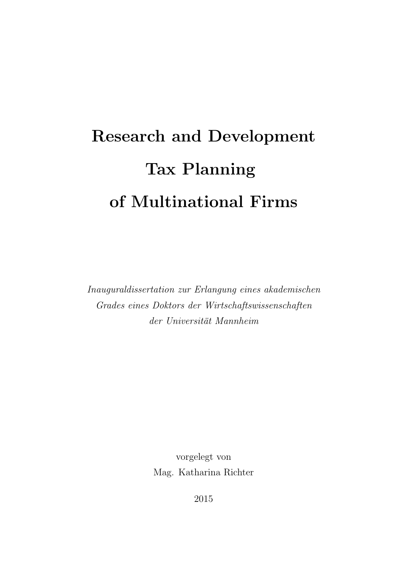# Research and Development Tax Planning of Multinational Firms

Inauguraldissertation zur Erlangung eines akademischen Grades eines Doktors der Wirtschaftswissenschaften der Universität Mannheim

> vorgelegt von Mag. Katharina Richter

> > 2015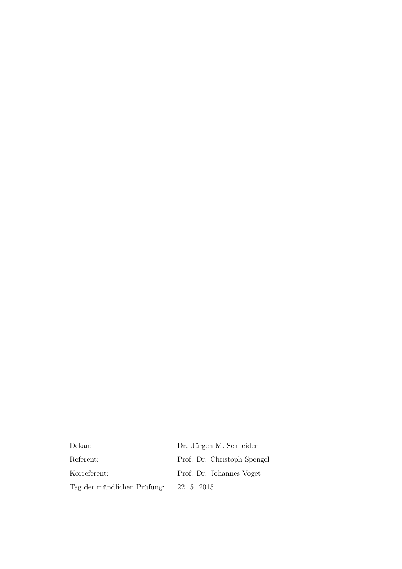Dekan: Dr. Jürgen M. Schneider Referent: Prof. Dr. Christoph Spengel Korreferent: Prof. Dr. Johannes Voget Tag der mündlichen Prüfung: 22. 5. 2015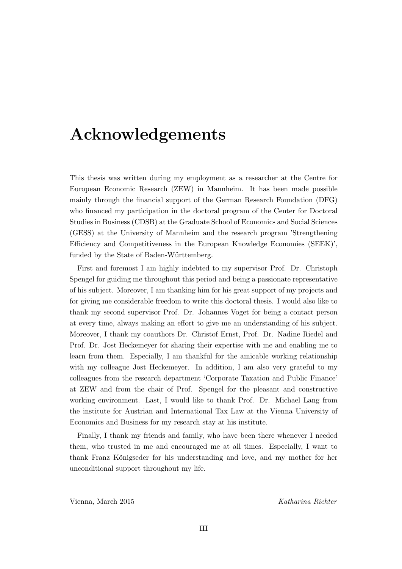### Acknowledgements

This thesis was written during my employment as a researcher at the Centre for European Economic Research (ZEW) in Mannheim. It has been made possible mainly through the financial support of the German Research Foundation (DFG) who financed my participation in the doctoral program of the Center for Doctoral Studies in Business (CDSB) at the Graduate School of Economics and Social Sciences (GESS) at the University of Mannheim and the research program 'Strengthening Efficiency and Competitiveness in the European Knowledge Economies (SEEK)', funded by the State of Baden-Württemberg.

First and foremost I am highly indebted to my supervisor Prof. Dr. Christoph Spengel for guiding me throughout this period and being a passionate representative of his subject. Moreover, I am thanking him for his great support of my projects and for giving me considerable freedom to write this doctoral thesis. I would also like to thank my second supervisor Prof. Dr. Johannes Voget for being a contact person at every time, always making an effort to give me an understanding of his subject. Moreover, I thank my coauthors Dr. Christof Ernst, Prof. Dr. Nadine Riedel and Prof. Dr. Jost Heckemeyer for sharing their expertise with me and enabling me to learn from them. Especially, I am thankful for the amicable working relationship with my colleague Jost Heckemeyer. In addition, I am also very grateful to my colleagues from the research department 'Corporate Taxation and Public Finance' at ZEW and from the chair of Prof. Spengel for the pleasant and constructive working environment. Last, I would like to thank Prof. Dr. Michael Lang from the institute for Austrian and International Tax Law at the Vienna University of Economics and Business for my research stay at his institute.

Finally, I thank my friends and family, who have been there whenever I needed them, who trusted in me and encouraged me at all times. Especially, I want to thank Franz Königseder for his understanding and love, and my mother for her unconditional support throughout my life.

Vienna, March 2015 Katharina Richter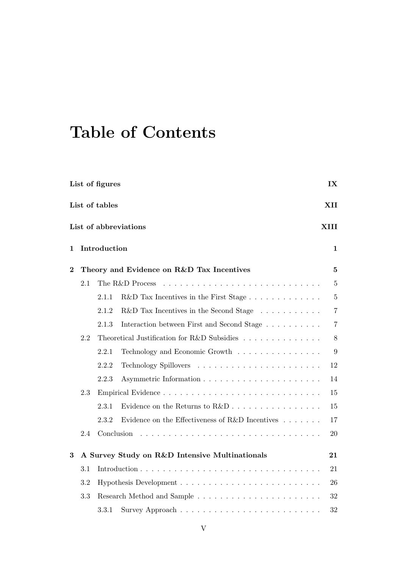## Table of Contents

| List of figures<br>IX |                       |              |                                                                       |                |  |  |  |
|-----------------------|-----------------------|--------------|-----------------------------------------------------------------------|----------------|--|--|--|
|                       | List of tables<br>XII |              |                                                                       |                |  |  |  |
|                       |                       |              | List of abbreviations                                                 | XIII           |  |  |  |
| 1                     |                       | Introduction |                                                                       | 1              |  |  |  |
| $\overline{2}$        |                       |              | Theory and Evidence on R&D Tax Incentives                             | 5              |  |  |  |
|                       | 2.1                   |              | The R&D Process                                                       | $\overline{5}$ |  |  |  |
|                       |                       | 2.1.1        | $R&D$ Tax Incentives in the First Stage $\ldots \ldots \ldots \ldots$ | $\overline{5}$ |  |  |  |
|                       |                       | 2.1.2        | R&D Tax Incentives in the Second Stage                                | $\overline{7}$ |  |  |  |
|                       |                       | 2.1.3        | Interaction between First and Second Stage                            | $\overline{7}$ |  |  |  |
|                       | 2.2                   |              | Theoretical Justification for R&D Subsidies                           | $8\,$          |  |  |  |
|                       |                       | 2.2.1        | Technology and Economic Growth                                        | 9              |  |  |  |
|                       |                       | 2.2.2        |                                                                       | 12             |  |  |  |
|                       |                       | 2.2.3        |                                                                       | 14             |  |  |  |
|                       | 2.3                   |              |                                                                       | 15             |  |  |  |
|                       |                       | 2.3.1        |                                                                       | 15             |  |  |  |
|                       |                       | 2.3.2        | Evidence on the Effectiveness of R&D Incentives $\ldots \ldots$       | 17             |  |  |  |
|                       | 2.4                   | Conclusion   |                                                                       | 20             |  |  |  |
| $\bf{3}$              |                       |              | A Survey Study on R&D Intensive Multinationals                        | 21             |  |  |  |
|                       | 3.1                   |              |                                                                       | 21             |  |  |  |
|                       | 3.2                   |              |                                                                       | 26             |  |  |  |
|                       | 3.3                   |              |                                                                       | 32             |  |  |  |
|                       |                       | 3.3.1        |                                                                       | 32             |  |  |  |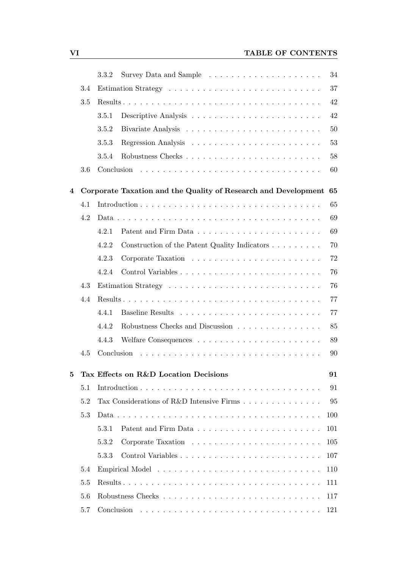|                |     | 3.3.2                                                          | 34  |
|----------------|-----|----------------------------------------------------------------|-----|
|                | 3.4 |                                                                | 37  |
|                | 3.5 |                                                                | 42  |
|                |     | 3.5.1                                                          | 42  |
|                |     | 3.5.2                                                          | 50  |
|                |     | 3.5.3                                                          | 53  |
|                |     | 3.5.4                                                          | 58  |
|                | 3.6 |                                                                | 60  |
| $\overline{4}$ |     | Corporate Taxation and the Quality of Research and Development | 65  |
|                | 4.1 |                                                                | 65  |
|                | 4.2 |                                                                | 69  |
|                |     | 4.2.1                                                          | 69  |
|                |     | 4.2.2<br>Construction of the Patent Quality Indicators         | 70  |
|                |     | 4.2.3                                                          | 72  |
|                |     | 4.2.4                                                          | 76  |
|                | 4.3 |                                                                | 76  |
|                | 4.4 |                                                                | 77  |
|                |     | 4.4.1                                                          | 77  |
|                |     | 4.4.2<br>Robustness Checks and Discussion                      | 85  |
|                |     | 4.4.3                                                          | 89  |
|                | 4.5 |                                                                | 90  |
| 5              |     | Tax Effects on R&D Location Decisions                          | 91  |
|                | 5.1 |                                                                | 91  |
|                | 5.2 | Tax Considerations of R&D Intensive Firms                      | 95  |
|                | 5.3 |                                                                | 100 |
|                |     | 5.3.1                                                          | 101 |
|                |     | 5.3.2                                                          | 105 |
|                |     | 5.3.3                                                          | 107 |
|                | 5.4 |                                                                | 110 |
|                | 5.5 |                                                                | 111 |
|                | 5.6 |                                                                | 117 |
|                | 5.7 |                                                                | 121 |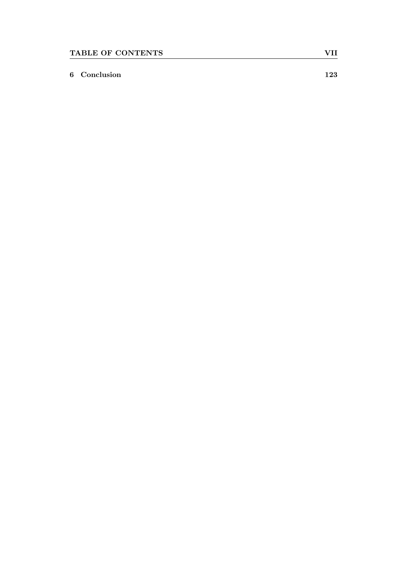#### 6 Conclusion 123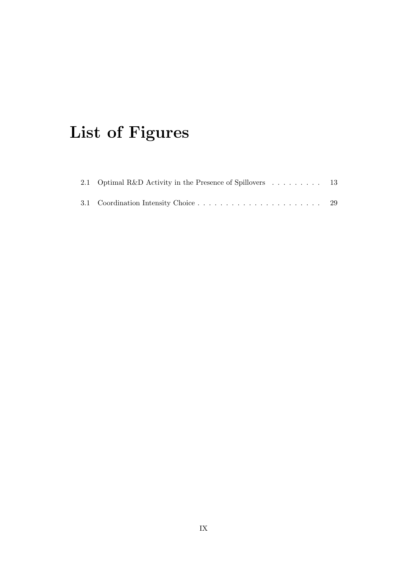## List of Figures

| 2.1 Optimal R&D Activity in the Presence of Spillovers  13 |  |  |  |  |  |
|------------------------------------------------------------|--|--|--|--|--|
|                                                            |  |  |  |  |  |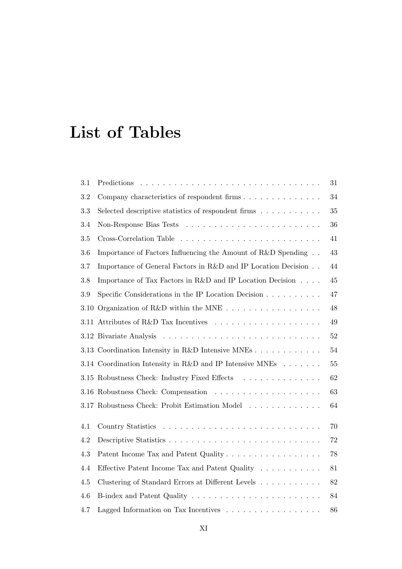### List of Tables

| 3.1     |                                                                                  | 31     |
|---------|----------------------------------------------------------------------------------|--------|
| 3.2     |                                                                                  | 34     |
| 3.3     | Selected descriptive statistics of respondent firms                              | 35     |
| 3.4     |                                                                                  | 36     |
| $3.5\,$ |                                                                                  | 41     |
| 3.6     | Importance of Factors Influencing the Amount of R&D Spending                     | 43     |
| 3.7     | Importance of General Factors in R&D and IP Location Decision                    | 44     |
| 3.8     | Importance of Tax Factors in R&D and IP Location Decision                        | 45     |
| 3.9     | Specific Considerations in the IP Location Decision $\ldots \ldots \ldots$       | 47     |
|         | 3.10 Organization of R&D within the MNE $\ldots \ldots \ldots \ldots \ldots$     | $48\,$ |
|         | 3.11 Attributes of R&D Tax Incentives $\dots \dots \dots \dots \dots \dots$      | 49     |
|         |                                                                                  | $52\,$ |
|         | 3.13 Coordination Intensity in R&D Intensive MNEs                                | 54     |
|         | 3.14 Coordination Intensity in R&D and IP Intensive MNEs $\ldots \ldots$         | $55\,$ |
|         | 3.15 Robustness Check: Industry Fixed Effects                                    | 62     |
|         |                                                                                  | 63     |
|         | 3.17 Robustness Check: Probit Estimation Model                                   | 64     |
| 4.1     |                                                                                  | $70\,$ |
| 4.2     |                                                                                  | 72     |
| 4.3     | Patent Income Tax and Patent Quality                                             | 78     |
| 4.4     | Effective Patent Income Tax and Patent Quality                                   | 81     |
| $4.5\,$ | Clustering of Standard Errors at Different Levels                                | 82     |
| 4.6     |                                                                                  | 84     |
| 4.7     | Lagged Information on Tax Incentives $\ldots \ldots \ldots \ldots \ldots \ldots$ | 86     |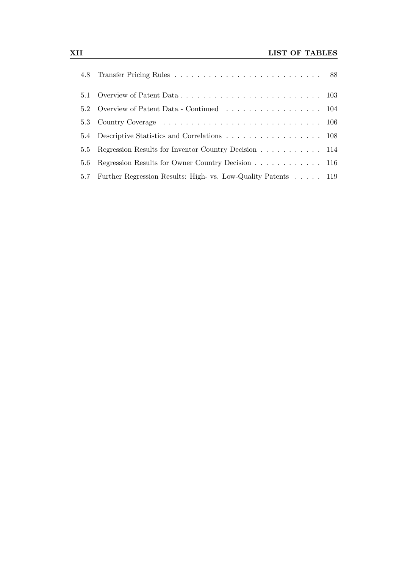|     | 5.2 Overview of Patent Data - Continued 104                   |  |
|-----|---------------------------------------------------------------|--|
|     |                                                               |  |
|     | 5.4 Descriptive Statistics and Correlations 108               |  |
|     | 5.5 Regression Results for Inventor Country Decision 114      |  |
| 5.6 | Regression Results for Owner Country Decision 116             |  |
| 5.7 | Further Regression Results: High- vs. Low-Quality Patents 119 |  |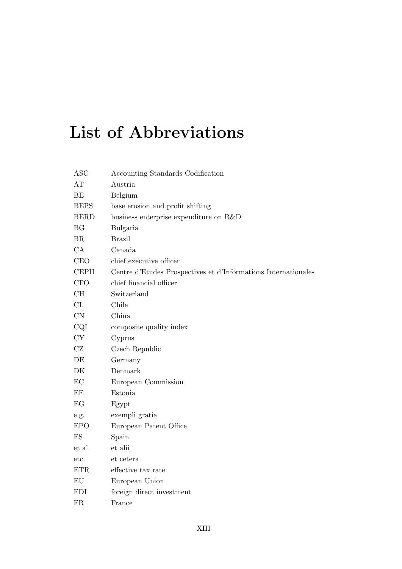## List of Abbreviations

| <b>ASC</b>   | Accounting Standards Codification                              |
|--------------|----------------------------------------------------------------|
| AT           | Austria                                                        |
| BE           | Belgium                                                        |
| <b>BEPS</b>  | base erosion and profit shifting                               |
| <b>BERD</b>  | business enterprise expenditure on R&D                         |
| BG           | Bulgaria                                                       |
| BR           | <b>Brazil</b>                                                  |
| CA           | Canada                                                         |
| <b>CEO</b>   | chief executive officer                                        |
| <b>CEPII</b> | Centre d'Etudes Prospectives et d'Informations Internationales |
| <b>CFO</b>   | chief financial officer                                        |
| CH           | Switzerland                                                    |
| CL           | Chile                                                          |
| CN           | China                                                          |
| CQI          | composite quality index                                        |
| <b>CY</b>    | Cyprus                                                         |
| CZ           | Czech Republic                                                 |
| DE           | Germany                                                        |
| DK           | Denmark                                                        |
| EC           | European Commission                                            |
| EE           | Estonia                                                        |
| EG           | Egypt                                                          |
| e.g.         | exempli gratia                                                 |
| <b>EPO</b>   | European Patent Office                                         |
| ES           | Spain                                                          |
| et al.       | et alii                                                        |
| etc.         | et cetera                                                      |
| <b>ETR</b>   | effective tax rate                                             |
| EU           | European Union                                                 |
| <b>FDI</b>   | foreign direct investment                                      |
| <b>FR</b>    | France                                                         |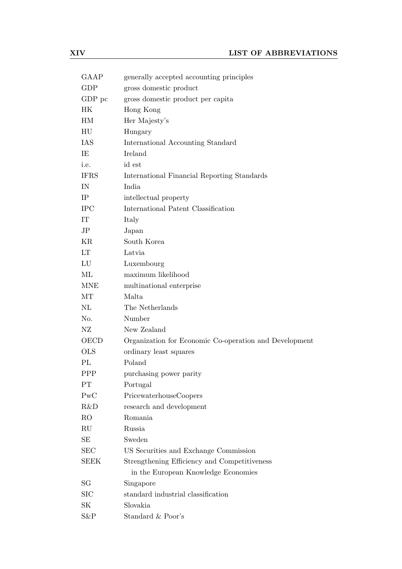| GAAP           | generally accepted accounting principles               |
|----------------|--------------------------------------------------------|
| <b>GDP</b>     | gross domestic product                                 |
| GDP pc         | gross domestic product per capita                      |
| HК             | Hong Kong                                              |
| HМ             | Her Majesty's                                          |
| HU             | Hungary                                                |
| IAS            | International Accounting Standard                      |
| IE             | Ireland                                                |
| i.e.           | id est                                                 |
| <b>IFRS</b>    | International Financial Reporting Standards            |
| IN             | India                                                  |
| IP             | intellectual property                                  |
| <b>IPC</b>     | International Patent Classification                    |
| IT             | Italy                                                  |
| JP             | Japan                                                  |
| KR             | South Korea                                            |
| LT             | Latvia                                                 |
| LU             | Luxembourg                                             |
| ML             | maximum likelihood                                     |
| <b>MNE</b>     | multinational enterprise                               |
| MT             | Malta                                                  |
| $\rm NL$       | The Netherlands                                        |
| No.            | Number                                                 |
| ΝZ             | New Zealand                                            |
| <b>OECD</b>    | Organization for Economic Co-operation and Development |
| <b>OLS</b>     | ordinary least squares                                 |
| PL             | Poland                                                 |
| <b>PPP</b>     | purchasing power parity                                |
| PT             | Portugal                                               |
| PWC            | PricewaterhouseCoopers                                 |
| R&D            | research and development                               |
| R <sub>O</sub> | Romania                                                |
| $\mathrm{RU}$  | Russia                                                 |
| SE             | Sweden                                                 |
| <b>SEC</b>     | US Securities and Exchange Commission                  |
| SEEK           | Strengthening Efficiency and Competitiveness           |
|                | in the European Knowledge Economies                    |
| SG             | Singapore                                              |
| <b>SIC</b>     | standard industrial classification                     |
| SK             | Slovakia                                               |
| S&P            | Standard $\&$ Poor's                                   |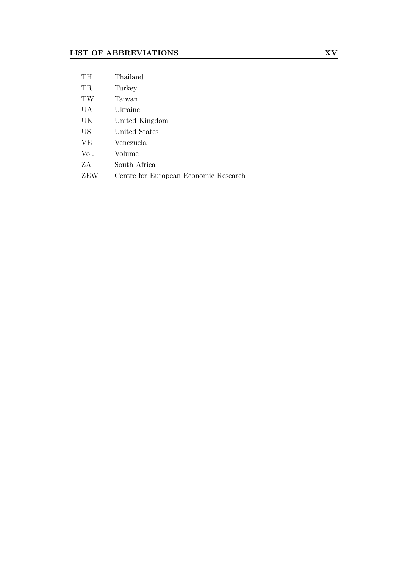| TH   | Thailand                              |
|------|---------------------------------------|
| TR.  | Turkey                                |
| TW   | Taiwan                                |
| UA   | Ukraine                               |
| UK   | United Kingdom                        |
| US   | United States                         |
| VE.  | Venezuela                             |
| Vol. | Volume                                |
| ZA.  | South Africa                          |
| ZEW  | Centre for European Economic Research |
|      |                                       |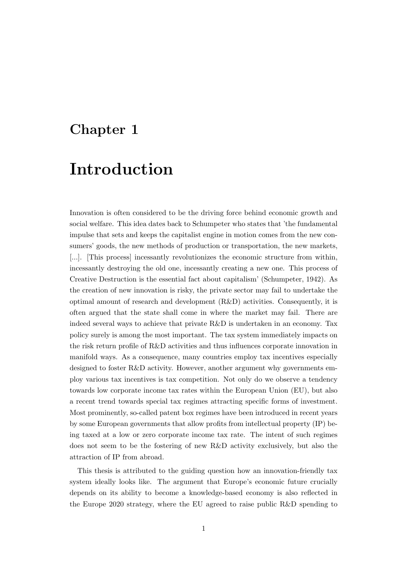### Chapter 1

### Introduction

Innovation is often considered to be the driving force behind economic growth and social welfare. This idea dates back to Schumpeter who states that 'the fundamental impulse that sets and keeps the capitalist engine in motion comes from the new consumers' goods, the new methods of production or transportation, the new markets, [...]. [This process] incessantly revolutionizes the economic structure from within, incessantly destroying the old one, incessantly creating a new one. This process of Creative Destruction is the essential fact about capitalism' (Schumpeter, 1942). As the creation of new innovation is risky, the private sector may fail to undertake the optimal amount of research and development (R&D) activities. Consequently, it is often argued that the state shall come in where the market may fail. There are indeed several ways to achieve that private R&D is undertaken in an economy. Tax policy surely is among the most important. The tax system immediately impacts on the risk return profile of R&D activities and thus influences corporate innovation in manifold ways. As a consequence, many countries employ tax incentives especially designed to foster R&D activity. However, another argument why governments employ various tax incentives is tax competition. Not only do we observe a tendency towards low corporate income tax rates within the European Union (EU), but also a recent trend towards special tax regimes attracting specific forms of investment. Most prominently, so-called patent box regimes have been introduced in recent years by some European governments that allow profits from intellectual property (IP) being taxed at a low or zero corporate income tax rate. The intent of such regimes does not seem to be the fostering of new R&D activity exclusively, but also the attraction of IP from abroad.

This thesis is attributed to the guiding question how an innovation-friendly tax system ideally looks like. The argument that Europe's economic future crucially depends on its ability to become a knowledge-based economy is also reflected in the Europe 2020 strategy, where the EU agreed to raise public R&D spending to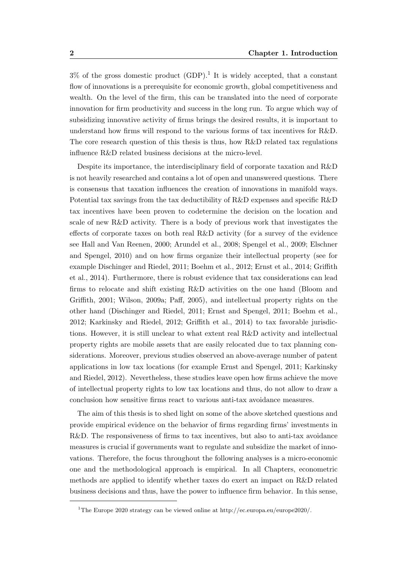$3\%$  of the gross domestic product (GDP).<sup>1</sup> It is widely accepted, that a constant flow of innovations is a prerequisite for economic growth, global competitiveness and wealth. On the level of the firm, this can be translated into the need of corporate innovation for firm productivity and success in the long run. To argue which way of subsidizing innovative activity of firms brings the desired results, it is important to understand how firms will respond to the various forms of tax incentives for R&D. The core research question of this thesis is thus, how R&D related tax regulations influence R&D related business decisions at the micro-level.

Despite its importance, the interdisciplinary field of corporate taxation and R&D is not heavily researched and contains a lot of open and unanswered questions. There is consensus that taxation influences the creation of innovations in manifold ways. Potential tax savings from the tax deductibility of R&D expenses and specific R&D tax incentives have been proven to codetermine the decision on the location and scale of new R&D activity. There is a body of previous work that investigates the effects of corporate taxes on both real R&D activity (for a survey of the evidence see Hall and Van Reenen, 2000; Arundel et al., 2008; Spengel et al., 2009; Elschner and Spengel, 2010) and on how firms organize their intellectual property (see for example Dischinger and Riedel, 2011; Boehm et al., 2012; Ernst et al., 2014; Griffith et al., 2014). Furthermore, there is robust evidence that tax considerations can lead firms to relocate and shift existing R&D activities on the one hand (Bloom and Griffith, 2001; Wilson, 2009a; Paff, 2005), and intellectual property rights on the other hand (Dischinger and Riedel, 2011; Ernst and Spengel, 2011; Boehm et al., 2012; Karkinsky and Riedel, 2012; Griffith et al., 2014) to tax favorable jurisdictions. However, it is still unclear to what extent real R&D activity and intellectual property rights are mobile assets that are easily relocated due to tax planning considerations. Moreover, previous studies observed an above-average number of patent applications in low tax locations (for example Ernst and Spengel, 2011; Karkinsky and Riedel, 2012). Nevertheless, these studies leave open how firms achieve the move of intellectual property rights to low tax locations and thus, do not allow to draw a conclusion how sensitive firms react to various anti-tax avoidance measures.

The aim of this thesis is to shed light on some of the above sketched questions and provide empirical evidence on the behavior of firms regarding firms' investments in R&D. The responsiveness of firms to tax incentives, but also to anti-tax avoidance measures is crucial if governments want to regulate and subsidize the market of innovations. Therefore, the focus throughout the following analyses is a micro-economic one and the methodological approach is empirical. In all Chapters, econometric methods are applied to identify whether taxes do exert an impact on R&D related business decisions and thus, have the power to influence firm behavior. In this sense,

<sup>1</sup>The Europe 2020 strategy can be viewed online at http://ec.europa.eu/europe2020/.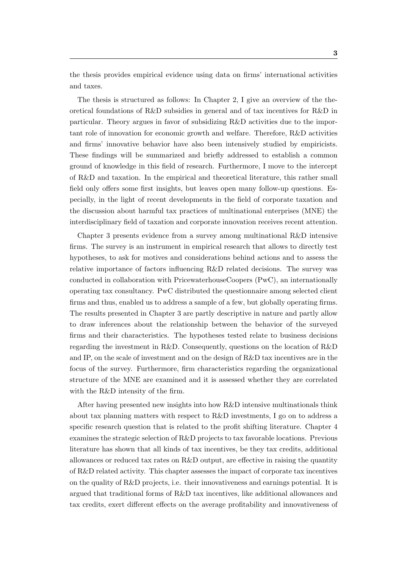the thesis provides empirical evidence using data on firms' international activities and taxes.

The thesis is structured as follows: In Chapter 2, I give an overview of the theoretical foundations of R&D subsidies in general and of tax incentives for R&D in particular. Theory argues in favor of subsidizing R&D activities due to the important role of innovation for economic growth and welfare. Therefore, R&D activities and firms' innovative behavior have also been intensively studied by empiricists. These findings will be summarized and briefly addressed to establish a common ground of knowledge in this field of research. Furthermore, I move to the intercept of R&D and taxation. In the empirical and theoretical literature, this rather small field only offers some first insights, but leaves open many follow-up questions. Especially, in the light of recent developments in the field of corporate taxation and the discussion about harmful tax practices of multinational enterprises (MNE) the interdisciplinary field of taxation and corporate innovation receives recent attention.

Chapter 3 presents evidence from a survey among multinational R&D intensive firms. The survey is an instrument in empirical research that allows to directly test hypotheses, to ask for motives and considerations behind actions and to assess the relative importance of factors influencing R&D related decisions. The survey was conducted in collaboration with PricewaterhouseCoopers (PwC), an internationally operating tax consultancy. PwC distributed the questionnaire among selected client firms and thus, enabled us to address a sample of a few, but globally operating firms. The results presented in Chapter 3 are partly descriptive in nature and partly allow to draw inferences about the relationship between the behavior of the surveyed firms and their characteristics. The hypotheses tested relate to business decisions regarding the investment in R&D. Consequently, questions on the location of R&D and IP, on the scale of investment and on the design of R&D tax incentives are in the focus of the survey. Furthermore, firm characteristics regarding the organizational structure of the MNE are examined and it is assessed whether they are correlated with the R&D intensity of the firm.

After having presented new insights into how R&D intensive multinationals think about tax planning matters with respect to R&D investments, I go on to address a specific research question that is related to the profit shifting literature. Chapter 4 examines the strategic selection of R&D projects to tax favorable locations. Previous literature has shown that all kinds of tax incentives, be they tax credits, additional allowances or reduced tax rates on R&D output, are effective in raising the quantity of R&D related activity. This chapter assesses the impact of corporate tax incentives on the quality of R&D projects, i.e. their innovativeness and earnings potential. It is argued that traditional forms of R&D tax incentives, like additional allowances and tax credits, exert different effects on the average profitability and innovativeness of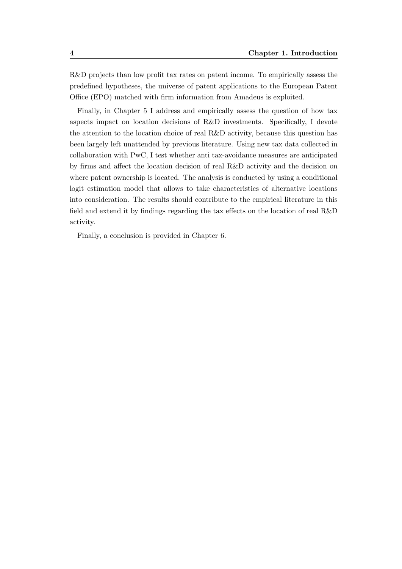R&D projects than low profit tax rates on patent income. To empirically assess the predefined hypotheses, the universe of patent applications to the European Patent Office (EPO) matched with firm information from Amadeus is exploited.

Finally, in Chapter 5 I address and empirically assess the question of how tax aspects impact on location decisions of R&D investments. Specifically, I devote the attention to the location choice of real R&D activity, because this question has been largely left unattended by previous literature. Using new tax data collected in collaboration with PwC, I test whether anti tax-avoidance measures are anticipated by firms and affect the location decision of real R&D activity and the decision on where patent ownership is located. The analysis is conducted by using a conditional logit estimation model that allows to take characteristics of alternative locations into consideration. The results should contribute to the empirical literature in this field and extend it by findings regarding the tax effects on the location of real R&D activity.

Finally, a conclusion is provided in Chapter 6.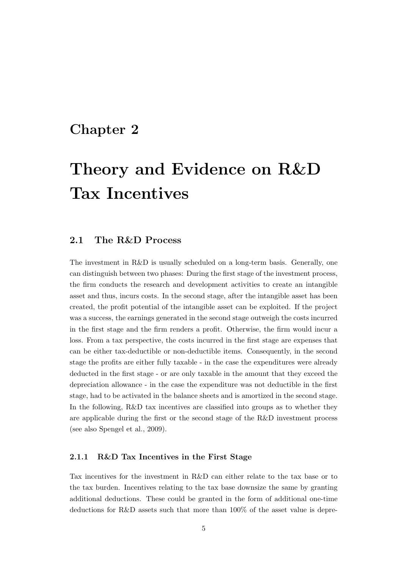### Chapter 2

## Theory and Evidence on R&D Tax Incentives

#### 2.1 The R&D Process

The investment in R&D is usually scheduled on a long-term basis. Generally, one can distinguish between two phases: During the first stage of the investment process, the firm conducts the research and development activities to create an intangible asset and thus, incurs costs. In the second stage, after the intangible asset has been created, the profit potential of the intangible asset can be exploited. If the project was a success, the earnings generated in the second stage outweigh the costs incurred in the first stage and the firm renders a profit. Otherwise, the firm would incur a loss. From a tax perspective, the costs incurred in the first stage are expenses that can be either tax-deductible or non-deductible items. Consequently, in the second stage the profits are either fully taxable - in the case the expenditures were already deducted in the first stage - or are only taxable in the amount that they exceed the depreciation allowance - in the case the expenditure was not deductible in the first stage, had to be activated in the balance sheets and is amortized in the second stage. In the following, R&D tax incentives are classified into groups as to whether they are applicable during the first or the second stage of the R&D investment process (see also Spengel et al., 2009).

#### 2.1.1 R&D Tax Incentives in the First Stage

Tax incentives for the investment in R&D can either relate to the tax base or to the tax burden. Incentives relating to the tax base downsize the same by granting additional deductions. These could be granted in the form of additional one-time deductions for R&D assets such that more than 100% of the asset value is depre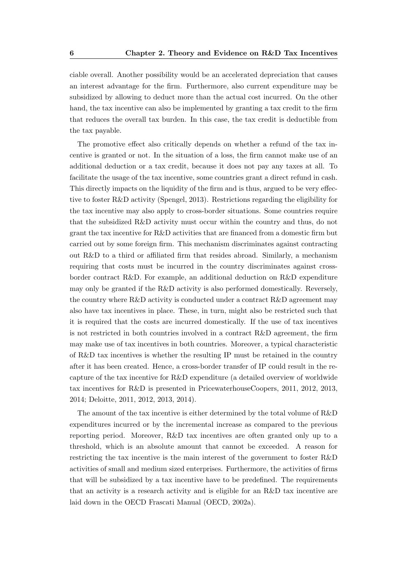ciable overall. Another possibility would be an accelerated depreciation that causes an interest advantage for the firm. Furthermore, also current expenditure may be subsidized by allowing to deduct more than the actual cost incurred. On the other hand, the tax incentive can also be implemented by granting a tax credit to the firm that reduces the overall tax burden. In this case, the tax credit is deductible from the tax payable.

The promotive effect also critically depends on whether a refund of the tax incentive is granted or not. In the situation of a loss, the firm cannot make use of an additional deduction or a tax credit, because it does not pay any taxes at all. To facilitate the usage of the tax incentive, some countries grant a direct refund in cash. This directly impacts on the liquidity of the firm and is thus, argued to be very effective to foster R&D activity (Spengel, 2013). Restrictions regarding the eligibility for the tax incentive may also apply to cross-border situations. Some countries require that the subsidized R&D activity must occur within the country and thus, do not grant the tax incentive for R&D activities that are financed from a domestic firm but carried out by some foreign firm. This mechanism discriminates against contracting out R&D to a third or affiliated firm that resides abroad. Similarly, a mechanism requiring that costs must be incurred in the country discriminates against crossborder contract R&D. For example, an additional deduction on R&D expenditure may only be granted if the R&D activity is also performed domestically. Reversely, the country where  $R\&D$  activity is conducted under a contract  $R\&D$  agreement may also have tax incentives in place. These, in turn, might also be restricted such that it is required that the costs are incurred domestically. If the use of tax incentives is not restricted in both countries involved in a contract R&D agreement, the firm may make use of tax incentives in both countries. Moreover, a typical characteristic of R&D tax incentives is whether the resulting IP must be retained in the country after it has been created. Hence, a cross-border transfer of IP could result in the recapture of the tax incentive for R&D expenditure (a detailed overview of worldwide tax incentives for R&D is presented in PricewaterhouseCoopers, 2011, 2012, 2013, 2014; Deloitte, 2011, 2012, 2013, 2014).

The amount of the tax incentive is either determined by the total volume of R&D expenditures incurred or by the incremental increase as compared to the previous reporting period. Moreover, R&D tax incentives are often granted only up to a threshold, which is an absolute amount that cannot be exceeded. A reason for restricting the tax incentive is the main interest of the government to foster R&D activities of small and medium sized enterprises. Furthermore, the activities of firms that will be subsidized by a tax incentive have to be predefined. The requirements that an activity is a research activity and is eligible for an R&D tax incentive are laid down in the OECD Frascati Manual (OECD, 2002a).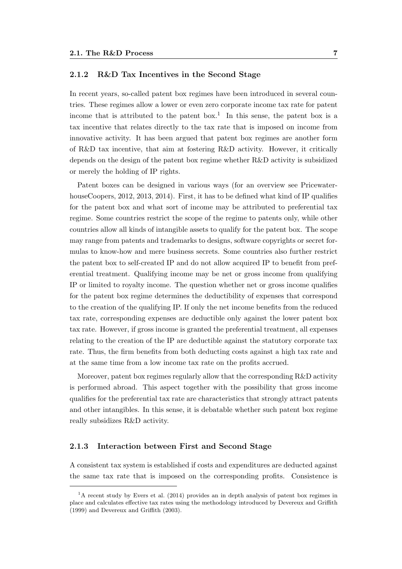#### 2.1.2 R&D Tax Incentives in the Second Stage

In recent years, so-called patent box regimes have been introduced in several countries. These regimes allow a lower or even zero corporate income tax rate for patent income that is attributed to the patent box.<sup>1</sup> In this sense, the patent box is a tax incentive that relates directly to the tax rate that is imposed on income from innovative activity. It has been argued that patent box regimes are another form of R&D tax incentive, that aim at fostering R&D activity. However, it critically depends on the design of the patent box regime whether R&D activity is subsidized or merely the holding of IP rights.

Patent boxes can be designed in various ways (for an overview see PricewaterhouseCoopers, 2012, 2013, 2014). First, it has to be defined what kind of IP qualifies for the patent box and what sort of income may be attributed to preferential tax regime. Some countries restrict the scope of the regime to patents only, while other countries allow all kinds of intangible assets to qualify for the patent box. The scope may range from patents and trademarks to designs, software copyrights or secret formulas to know-how and mere business secrets. Some countries also further restrict the patent box to self-created IP and do not allow acquired IP to benefit from preferential treatment. Qualifying income may be net or gross income from qualifying IP or limited to royalty income. The question whether net or gross income qualifies for the patent box regime determines the deductibility of expenses that correspond to the creation of the qualifying IP. If only the net income benefits from the reduced tax rate, corresponding expenses are deductible only against the lower patent box tax rate. However, if gross income is granted the preferential treatment, all expenses relating to the creation of the IP are deductible against the statutory corporate tax rate. Thus, the firm benefits from both deducting costs against a high tax rate and at the same time from a low income tax rate on the profits accrued.

Moreover, patent box regimes regularly allow that the corresponding R&D activity is performed abroad. This aspect together with the possibility that gross income qualifies for the preferential tax rate are characteristics that strongly attract patents and other intangibles. In this sense, it is debatable whether such patent box regime really subsidizes R&D activity.

#### 2.1.3 Interaction between First and Second Stage

A consistent tax system is established if costs and expenditures are deducted against the same tax rate that is imposed on the corresponding profits. Consistence is

<sup>&</sup>lt;sup>1</sup>A recent study by Evers et al. (2014) provides an in depth analysis of patent box regimes in place and calculates effective tax rates using the methodology introduced by Devereux and Griffith (1999) and Devereux and Griffith (2003).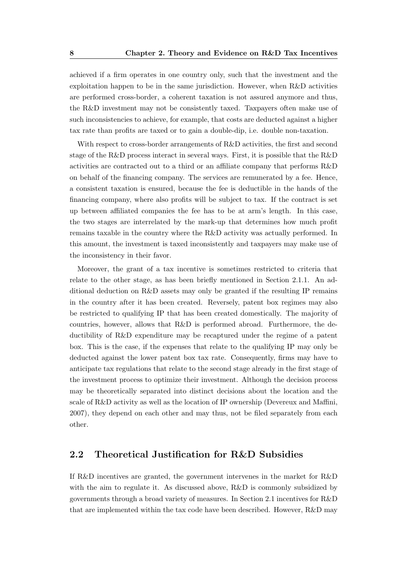achieved if a firm operates in one country only, such that the investment and the exploitation happen to be in the same jurisdiction. However, when R&D activities are performed cross-border, a coherent taxation is not assured anymore and thus, the R&D investment may not be consistently taxed. Taxpayers often make use of such inconsistencies to achieve, for example, that costs are deducted against a higher tax rate than profits are taxed or to gain a double-dip, i.e. double non-taxation.

With respect to cross-border arrangements of R&D activities, the first and second stage of the R&D process interact in several ways. First, it is possible that the R&D activities are contracted out to a third or an affiliate company that performs R&D on behalf of the financing company. The services are remunerated by a fee. Hence, a consistent taxation is ensured, because the fee is deductible in the hands of the financing company, where also profits will be subject to tax. If the contract is set up between affiliated companies the fee has to be at arm's length. In this case, the two stages are interrelated by the mark-up that determines how much profit remains taxable in the country where the R&D activity was actually performed. In this amount, the investment is taxed inconsistently and taxpayers may make use of the inconsistency in their favor.

Moreover, the grant of a tax incentive is sometimes restricted to criteria that relate to the other stage, as has been briefly mentioned in Section 2.1.1. An additional deduction on R&D assets may only be granted if the resulting IP remains in the country after it has been created. Reversely, patent box regimes may also be restricted to qualifying IP that has been created domestically. The majority of countries, however, allows that R&D is performed abroad. Furthermore, the deductibility of R&D expenditure may be recaptured under the regime of a patent box. This is the case, if the expenses that relate to the qualifying IP may only be deducted against the lower patent box tax rate. Consequently, firms may have to anticipate tax regulations that relate to the second stage already in the first stage of the investment process to optimize their investment. Although the decision process may be theoretically separated into distinct decisions about the location and the scale of R&D activity as well as the location of IP ownership (Devereux and Maffini, 2007), they depend on each other and may thus, not be filed separately from each other.

#### 2.2 Theoretical Justification for R&D Subsidies

If R&D incentives are granted, the government intervenes in the market for R&D with the aim to regulate it. As discussed above,  $R\&D$  is commonly subsidized by governments through a broad variety of measures. In Section 2.1 incentives for R&D that are implemented within the tax code have been described. However, R&D may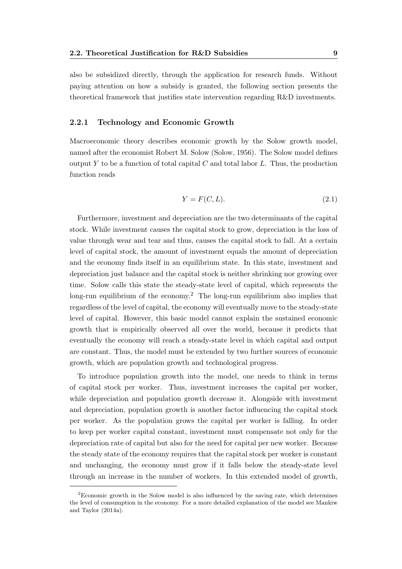also be subsidized directly, through the application for research funds. Without paying attention on how a subsidy is granted, the following section presents the theoretical framework that justifies state intervention regarding R&D investments.

#### 2.2.1 Technology and Economic Growth

Macroeconomic theory describes economic growth by the Solow growth model, named after the economist Robert M. Solow (Solow, 1956). The Solow model defines output Y to be a function of total capital C and total labor  $L$ . Thus, the production function reads

$$
Y = F(C, L). \tag{2.1}
$$

Furthermore, investment and depreciation are the two determinants of the capital stock. While investment causes the capital stock to grow, depreciation is the loss of value through wear and tear and thus, causes the capital stock to fall. At a certain level of capital stock, the amount of investment equals the amount of depreciation and the economy finds itself in an equilibrium state. In this state, investment and depreciation just balance and the capital stock is neither shrinking nor growing over time. Solow calls this state the steady-state level of capital, which represents the long-run equilibrium of the economy.<sup>2</sup> The long-run equilibrium also implies that regardless of the level of capital, the economy will eventually move to the steady-state level of capital. However, this basic model cannot explain the sustained economic growth that is empirically observed all over the world, because it predicts that eventually the economy will reach a steady-state level in which capital and output are constant. Thus, the model must be extended by two further sources of economic growth, which are population growth and technological progress.

To introduce population growth into the model, one needs to think in terms of capital stock per worker. Thus, investment increases the capital per worker, while depreciation and population growth decrease it. Alongside with investment and depreciation, population growth is another factor influencing the capital stock per worker. As the population grows the capital per worker is falling. In order to keep per worker capital constant, investment must compensate not only for the depreciation rate of capital but also for the need for capital per new worker. Because the steady state of the economy requires that the capital stock per worker is constant and unchanging, the economy must grow if it falls below the steady-state level through an increase in the number of workers. In this extended model of growth,

<sup>2</sup>Economic growth in the Solow model is also influenced by the saving rate, which determines the level of consumption in the economy. For a more detailed explanation of the model see Mankiw and Taylor (2014a).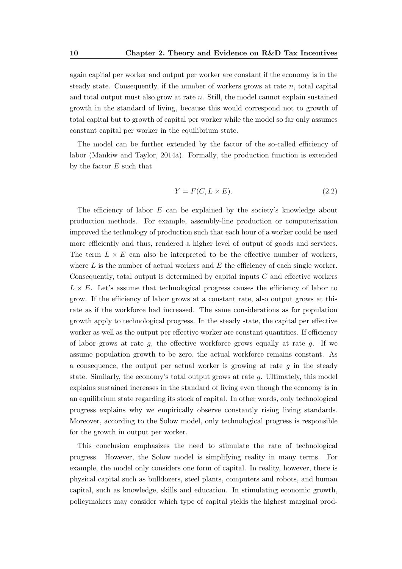again capital per worker and output per worker are constant if the economy is in the steady state. Consequently, if the number of workers grows at rate  $n$ , total capital and total output must also grow at rate  $n$ . Still, the model cannot explain sustained growth in the standard of living, because this would correspond not to growth of total capital but to growth of capital per worker while the model so far only assumes constant capital per worker in the equilibrium state.

The model can be further extended by the factor of the so-called efficiency of labor (Mankiw and Taylor, 2014a). Formally, the production function is extended by the factor  $E$  such that

$$
Y = F(C, L \times E). \tag{2.2}
$$

The efficiency of labor E can be explained by the society's knowledge about production methods. For example, assembly-line production or computerization improved the technology of production such that each hour of a worker could be used more efficiently and thus, rendered a higher level of output of goods and services. The term  $L \times E$  can also be interpreted to be the effective number of workers, where  $L$  is the number of actual workers and  $E$  the efficiency of each single worker. Consequently, total output is determined by capital inputs  $C$  and effective workers  $L \times E$ . Let's assume that technological progress causes the efficiency of labor to grow. If the efficiency of labor grows at a constant rate, also output grows at this rate as if the workforce had increased. The same considerations as for population growth apply to technological progress. In the steady state, the capital per effective worker as well as the output per effective worker are constant quantities. If efficiency of labor grows at rate  $g$ , the effective workforce grows equally at rate  $g$ . If we assume population growth to be zero, the actual workforce remains constant. As a consequence, the output per actual worker is growing at rate  $q$  in the steady state. Similarly, the economy's total output grows at rate  $q$ . Ultimately, this model explains sustained increases in the standard of living even though the economy is in an equilibrium state regarding its stock of capital. In other words, only technological progress explains why we empirically observe constantly rising living standards. Moreover, according to the Solow model, only technological progress is responsible for the growth in output per worker.

This conclusion emphasizes the need to stimulate the rate of technological progress. However, the Solow model is simplifying reality in many terms. For example, the model only considers one form of capital. In reality, however, there is physical capital such as bulldozers, steel plants, computers and robots, and human capital, such as knowledge, skills and education. In stimulating economic growth, policymakers may consider which type of capital yields the highest marginal prod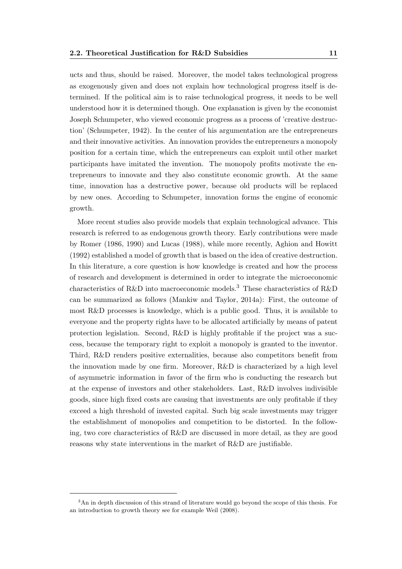ucts and thus, should be raised. Moreover, the model takes technological progress as exogenously given and does not explain how technological progress itself is determined. If the political aim is to raise technological progress, it needs to be well understood how it is determined though. One explanation is given by the economist Joseph Schumpeter, who viewed economic progress as a process of 'creative destruction' (Schumpeter, 1942). In the center of his argumentation are the entrepreneurs and their innovative activities. An innovation provides the entrepreneurs a monopoly position for a certain time, which the entrepreneurs can exploit until other market participants have imitated the invention. The monopoly profits motivate the entrepreneurs to innovate and they also constitute economic growth. At the same time, innovation has a destructive power, because old products will be replaced by new ones. According to Schumpeter, innovation forms the engine of economic growth.

More recent studies also provide models that explain technological advance. This research is referred to as endogenous growth theory. Early contributions were made by Romer (1986, 1990) and Lucas (1988), while more recently, Aghion and Howitt (1992) established a model of growth that is based on the idea of creative destruction. In this literature, a core question is how knowledge is created and how the process of research and development is determined in order to integrate the microeconomic characteristics of R&D into macroeconomic models.<sup>3</sup> These characteristics of R&D can be summarized as follows (Mankiw and Taylor, 2014a): First, the outcome of most R&D processes is knowledge, which is a public good. Thus, it is available to everyone and the property rights have to be allocated artificially by means of patent protection legislation. Second, R&D is highly profitable if the project was a success, because the temporary right to exploit a monopoly is granted to the inventor. Third, R&D renders positive externalities, because also competitors benefit from the innovation made by one firm. Moreover, R&D is characterized by a high level of asymmetric information in favor of the firm who is conducting the research but at the expense of investors and other stakeholders. Last, R&D involves indivisible goods, since high fixed costs are causing that investments are only profitable if they exceed a high threshold of invested capital. Such big scale investments may trigger the establishment of monopolies and competition to be distorted. In the following, two core characteristics of R&D are discussed in more detail, as they are good reasons why state interventions in the market of R&D are justifiable.

<sup>3</sup>An in depth discussion of this strand of literature would go beyond the scope of this thesis. For an introduction to growth theory see for example Weil (2008).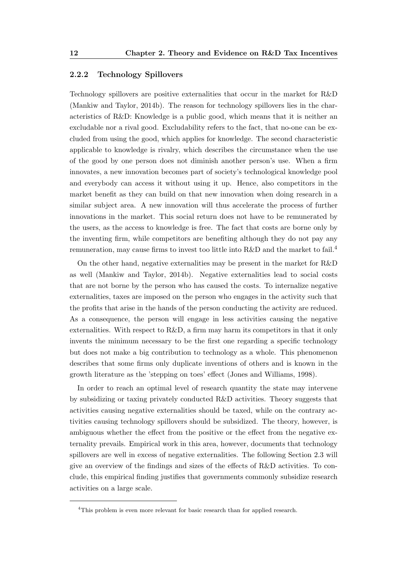#### 2.2.2 Technology Spillovers

Technology spillovers are positive externalities that occur in the market for R&D (Mankiw and Taylor, 2014b). The reason for technology spillovers lies in the characteristics of R&D: Knowledge is a public good, which means that it is neither an excludable nor a rival good. Excludability refers to the fact, that no-one can be excluded from using the good, which applies for knowledge. The second characteristic applicable to knowledge is rivalry, which describes the circumstance when the use of the good by one person does not diminish another person's use. When a firm innovates, a new innovation becomes part of society's technological knowledge pool and everybody can access it without using it up. Hence, also competitors in the market benefit as they can build on that new innovation when doing research in a similar subject area. A new innovation will thus accelerate the process of further innovations in the market. This social return does not have to be remunerated by the users, as the access to knowledge is free. The fact that costs are borne only by the inventing firm, while competitors are benefiting although they do not pay any remuneration, may cause firms to invest too little into  $R\&D$  and the market to fail.<sup>4</sup>

On the other hand, negative externalities may be present in the market for R&D as well (Mankiw and Taylor, 2014b). Negative externalities lead to social costs that are not borne by the person who has caused the costs. To internalize negative externalities, taxes are imposed on the person who engages in the activity such that the profits that arise in the hands of the person conducting the activity are reduced. As a consequence, the person will engage in less activities causing the negative externalities. With respect to R&D, a firm may harm its competitors in that it only invents the minimum necessary to be the first one regarding a specific technology but does not make a big contribution to technology as a whole. This phenomenon describes that some firms only duplicate inventions of others and is known in the growth literature as the 'stepping on toes' effect (Jones and Williams, 1998).

In order to reach an optimal level of research quantity the state may intervene by subsidizing or taxing privately conducted R&D activities. Theory suggests that activities causing negative externalities should be taxed, while on the contrary activities causing technology spillovers should be subsidized. The theory, however, is ambiguous whether the effect from the positive or the effect from the negative externality prevails. Empirical work in this area, however, documents that technology spillovers are well in excess of negative externalities. The following Section 2.3 will give an overview of the findings and sizes of the effects of R&D activities. To conclude, this empirical finding justifies that governments commonly subsidize research activities on a large scale.

<sup>4</sup>This problem is even more relevant for basic research than for applied research.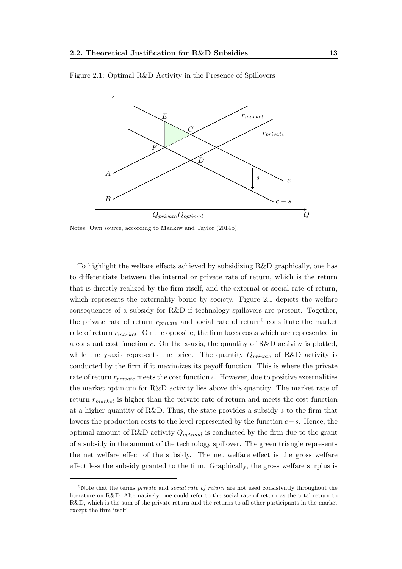

Figure 2.1: Optimal R&D Activity in the Presence of Spillovers

Notes: Own source, according to Mankiw and Taylor (2014b).

To highlight the welfare effects achieved by subsidizing R&D graphically, one has to differentiate between the internal or private rate of return, which is the return that is directly realized by the firm itself, and the external or social rate of return, which represents the externality borne by society. Figure 2.1 depicts the welfare consequences of a subsidy for R&D if technology spillovers are present. Together, the private rate of return  $r_{private}$  and social rate of return<sup>5</sup> constitute the market rate of return  $r_{market}$ . On the opposite, the firm faces costs which are represented in a constant cost function c. On the x-axis, the quantity of  $R&D$  activity is plotted, while the y-axis represents the price. The quantity  $Q_{private}$  of R&D activity is conducted by the firm if it maximizes its payoff function. This is where the private rate of return  $r_{private}$  meets the cost function c. However, due to positive externalities the market optimum for R&D activity lies above this quantity. The market rate of return  $r_{market}$  is higher than the private rate of return and meets the cost function at a higher quantity of R&D. Thus, the state provides a subsidy s to the firm that lowers the production costs to the level represented by the function  $c-s$ . Hence, the optimal amount of R&D activity  $Q_{optimal}$  is conducted by the firm due to the grant of a subsidy in the amount of the technology spillover. The green triangle represents the net welfare effect of the subsidy. The net welfare effect is the gross welfare effect less the subsidy granted to the firm. Graphically, the gross welfare surplus is

 $5$ Note that the terms *private* and *social rate of return* are not used consistently throughout the literature on R&D. Alternatively, one could refer to the social rate of return as the total return to R&D, which is the sum of the private return and the returns to all other participants in the market except the firm itself.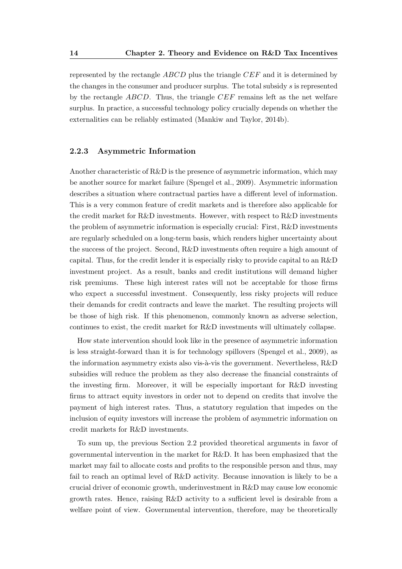represented by the rectangle ABCD plus the triangle CEF and it is determined by the changes in the consumer and producer surplus. The total subsidy  $s$  is represented by the rectangle  $ABCD$ . Thus, the triangle  $CEF$  remains left as the net welfare surplus. In practice, a successful technology policy crucially depends on whether the externalities can be reliably estimated (Mankiw and Taylor, 2014b).

#### 2.2.3 Asymmetric Information

Another characteristic of R&D is the presence of asymmetric information, which may be another source for market failure (Spengel et al., 2009). Asymmetric information describes a situation where contractual parties have a different level of information. This is a very common feature of credit markets and is therefore also applicable for the credit market for R&D investments. However, with respect to R&D investments the problem of asymmetric information is especially crucial: First, R&D investments are regularly scheduled on a long-term basis, which renders higher uncertainty about the success of the project. Second, R&D investments often require a high amount of capital. Thus, for the credit lender it is especially risky to provide capital to an R&D investment project. As a result, banks and credit institutions will demand higher risk premiums. These high interest rates will not be acceptable for those firms who expect a successful investment. Consequently, less risky projects will reduce their demands for credit contracts and leave the market. The resulting projects will be those of high risk. If this phenomenon, commonly known as adverse selection, continues to exist, the credit market for R&D investments will ultimately collapse.

How state intervention should look like in the presence of asymmetric information is less straight-forward than it is for technology spillovers (Spengel et al., 2009), as the information asymmetry exists also vis- $\lambda$ -vis the government. Nevertheless,  $R\&D$ subsidies will reduce the problem as they also decrease the financial constraints of the investing firm. Moreover, it will be especially important for R&D investing firms to attract equity investors in order not to depend on credits that involve the payment of high interest rates. Thus, a statutory regulation that impedes on the inclusion of equity investors will increase the problem of asymmetric information on credit markets for R&D investments.

To sum up, the previous Section 2.2 provided theoretical arguments in favor of governmental intervention in the market for R&D. It has been emphasized that the market may fail to allocate costs and profits to the responsible person and thus, may fail to reach an optimal level of R&D activity. Because innovation is likely to be a crucial driver of economic growth, underinvestment in R&D may cause low economic growth rates. Hence, raising R&D activity to a sufficient level is desirable from a welfare point of view. Governmental intervention, therefore, may be theoretically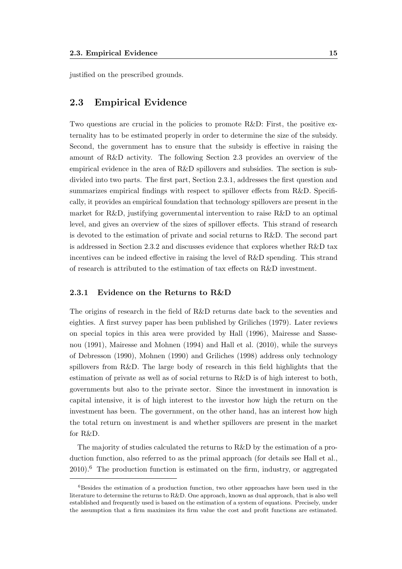justified on the prescribed grounds.

#### 2.3 Empirical Evidence

Two questions are crucial in the policies to promote R&D: First, the positive externality has to be estimated properly in order to determine the size of the subsidy. Second, the government has to ensure that the subsidy is effective in raising the amount of R&D activity. The following Section 2.3 provides an overview of the empirical evidence in the area of R&D spillovers and subsidies. The section is subdivided into two parts. The first part, Section 2.3.1, addresses the first question and summarizes empirical findings with respect to spillover effects from R&D. Specifically, it provides an empirical foundation that technology spillovers are present in the market for R&D, justifying governmental intervention to raise R&D to an optimal level, and gives an overview of the sizes of spillover effects. This strand of research is devoted to the estimation of private and social returns to R&D. The second part is addressed in Section 2.3.2 and discusses evidence that explores whether R&D tax incentives can be indeed effective in raising the level of R&D spending. This strand of research is attributed to the estimation of tax effects on R&D investment.

#### 2.3.1 Evidence on the Returns to R&D

The origins of research in the field of R&D returns date back to the seventies and eighties. A first survey paper has been published by Griliches (1979). Later reviews on special topics in this area were provided by Hall (1996), Mairesse and Sassenou (1991), Mairesse and Mohnen (1994) and Hall et al. (2010), while the surveys of Debresson (1990), Mohnen (1990) and Griliches (1998) address only technology spillovers from R&D. The large body of research in this field highlights that the estimation of private as well as of social returns to R&D is of high interest to both, governments but also to the private sector. Since the investment in innovation is capital intensive, it is of high interest to the investor how high the return on the investment has been. The government, on the other hand, has an interest how high the total return on investment is and whether spillovers are present in the market for R&D.

The majority of studies calculated the returns to R&D by the estimation of a production function, also referred to as the primal approach (for details see Hall et al.,  $2010$ .<sup>6</sup> The production function is estimated on the firm, industry, or aggregated

 $6$ Besides the estimation of a production function, two other approaches have been used in the literature to determine the returns to  $R&D$ . One approach, known as dual approach, that is also well established and frequently used is based on the estimation of a system of equations. Precisely, under the assumption that a firm maximizes its firm value the cost and profit functions are estimated.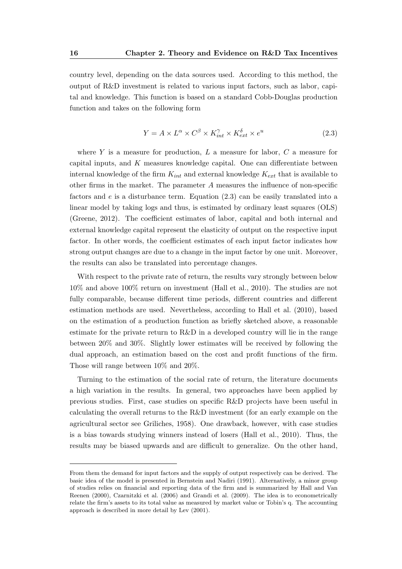country level, depending on the data sources used. According to this method, the output of R&D investment is related to various input factors, such as labor, capital and knowledge. This function is based on a standard Cobb-Douglas production function and takes on the following form

$$
Y = A \times L^{\alpha} \times C^{\beta} \times K_{int}^{\gamma} \times K_{ext}^{\delta} \times e^{u}
$$
 (2.3)

where Y is a measure for production,  $L$  a measure for labor,  $C$  a measure for capital inputs, and K measures knowledge capital. One can differentiate between internal knowledge of the firm  $K_{int}$  and external knowledge  $K_{ext}$  that is available to other firms in the market. The parameter  $A$  measures the influence of non-specific factors and  $e$  is a disturbance term. Equation  $(2.3)$  can be easily translated into a linear model by taking logs and thus, is estimated by ordinary least squares (OLS) (Greene, 2012). The coefficient estimates of labor, capital and both internal and external knowledge capital represent the elasticity of output on the respective input factor. In other words, the coefficient estimates of each input factor indicates how strong output changes are due to a change in the input factor by one unit. Moreover, the results can also be translated into percentage changes.

With respect to the private rate of return, the results vary strongly between below 10% and above 100% return on investment (Hall et al., 2010). The studies are not fully comparable, because different time periods, different countries and different estimation methods are used. Nevertheless, according to Hall et al. (2010), based on the estimation of a production function as briefly sketched above, a reasonable estimate for the private return to R&D in a developed country will lie in the range between 20% and 30%. Slightly lower estimates will be received by following the dual approach, an estimation based on the cost and profit functions of the firm. Those will range between 10% and 20%.

Turning to the estimation of the social rate of return, the literature documents a high variation in the results. In general, two approaches have been applied by previous studies. First, case studies on specific R&D projects have been useful in calculating the overall returns to the R&D investment (for an early example on the agricultural sector see Griliches, 1958). One drawback, however, with case studies is a bias towards studying winners instead of losers (Hall et al., 2010). Thus, the results may be biased upwards and are difficult to generalize. On the other hand,

From them the demand for input factors and the supply of output respectively can be derived. The basic idea of the model is presented in Bernstein and Nadiri (1991). Alternatively, a minor group of studies relies on financial and reporting data of the firm and is summarized by Hall and Van Reenen (2000), Czarnitzki et al. (2006) and Grandi et al. (2009). The idea is to econometrically relate the firm's assets to its total value as measured by market value or Tobin's q. The accounting approach is described in more detail by Lev (2001).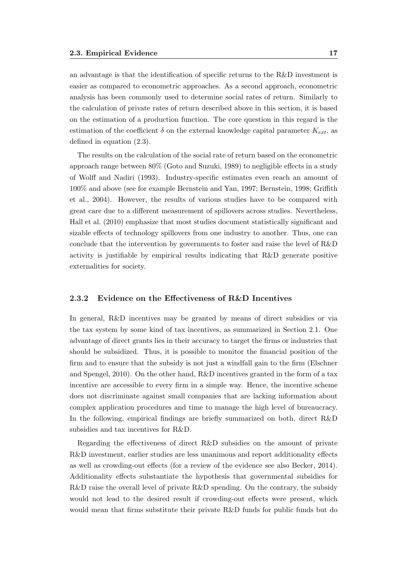an advantage is that the identification of specific returns to the R&D investment is easier as compared to econometric approaches. As a second approach, econometric analysis has been commonly used to determine social rates of return. Similarly to the calculation of private rates of return described above in this section, it is based on the estimation of a production function. The core question in this regard is the estimation of the coefficient  $\delta$  on the external knowledge capital parameter  $K_{ext}$ , as defined in equation (2.3).

The results on the calculation of the social rate of return based on the econometric approach range between 80% (Goto and Suzuki, 1989) to negligible effects in a study of Wolff and Nadiri (1993). Industry-specific estimates even reach an amount of 100% and above (see for example Bernstein and Yan, 1997; Bernstein, 1998; Griffith et al., 2004). However, the results of various studies have to be compared with great care due to a different measurement of spillovers across studies. Nevertheless, Hall et al. (2010) emphasize that most studies document statistically significant and sizable effects of technology spillovers from one industry to another. Thus, one can conclude that the intervention by governments to foster and raise the level of R&D activity is justifiable by empirical results indicating that R&D generate positive externalities for society.

#### 2.3.2 Evidence on the Effectiveness of R&D Incentives

In general, R&D incentives may be granted by means of direct subsidies or via the tax system by some kind of tax incentives, as summarized in Section 2.1. One advantage of direct grants lies in their accuracy to target the firms or industries that should be subsidized. Thus, it is possible to monitor the financial position of the firm and to ensure that the subsidy is not just a windfall gain to the firm (Elschner and Spengel, 2010). On the other hand, R&D incentives granted in the form of a tax incentive are accessible to every firm in a simple way. Hence, the incentive scheme does not discriminate against small companies that are lacking information about complex application procedures and time to manage the high level of bureaucracy. In the following, empirical findings are briefly summarized on both, direct R&D subsidies and tax incentives for R&D.

Regarding the effectiveness of direct R&D subsidies on the amount of private R&D investment, earlier studies are less unanimous and report additionality effects as well as crowding-out effects (for a review of the evidence see also Becker, 2014). Additionality effects substantiate the hypothesis that governmental subsidies for R&D raise the overall level of private R&D spending. On the contrary, the subsidy would not lead to the desired result if crowding-out effects were present, which would mean that firms substitute their private R&D funds for public funds but do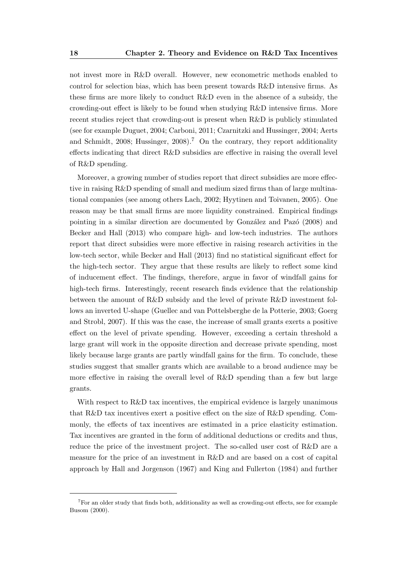not invest more in R&D overall. However, new econometric methods enabled to control for selection bias, which has been present towards R&D intensive firms. As these firms are more likely to conduct R&D even in the absence of a subsidy, the crowding-out effect is likely to be found when studying R&D intensive firms. More recent studies reject that crowding-out is present when R&D is publicly stimulated (see for example Duguet, 2004; Carboni, 2011; Czarnitzki and Hussinger, 2004; Aerts and Schmidt, 2008; Hussinger, 2008).<sup>7</sup> On the contrary, they report additionality effects indicating that direct R&D subsidies are effective in raising the overall level of R&D spending.

Moreover, a growing number of studies report that direct subsidies are more effective in raising R&D spending of small and medium sized firms than of large multinational companies (see among others Lach, 2002; Hyytinen and Toivanen, 2005). One reason may be that small firms are more liquidity constrained. Empirical findings pointing in a similar direction are documented by González and Pazó (2008) and Becker and Hall (2013) who compare high- and low-tech industries. The authors report that direct subsidies were more effective in raising research activities in the low-tech sector, while Becker and Hall (2013) find no statistical significant effect for the high-tech sector. They argue that these results are likely to reflect some kind of inducement effect. The findings, therefore, argue in favor of windfall gains for high-tech firms. Interestingly, recent research finds evidence that the relationship between the amount of R&D subsidy and the level of private R&D investment follows an inverted U-shape (Guellec and van Pottelsberghe de la Potterie, 2003; Goerg and Strobl, 2007). If this was the case, the increase of small grants exerts a positive effect on the level of private spending. However, exceeding a certain threshold a large grant will work in the opposite direction and decrease private spending, most likely because large grants are partly windfall gains for the firm. To conclude, these studies suggest that smaller grants which are available to a broad audience may be more effective in raising the overall level of R&D spending than a few but large grants.

With respect to R&D tax incentives, the empirical evidence is largely unanimous that R&D tax incentives exert a positive effect on the size of R&D spending. Commonly, the effects of tax incentives are estimated in a price elasticity estimation. Tax incentives are granted in the form of additional deductions or credits and thus, reduce the price of the investment project. The so-called user cost of R&D are a measure for the price of an investment in R&D and are based on a cost of capital approach by Hall and Jorgenson (1967) and King and Fullerton (1984) and further

<sup>7</sup>For an older study that finds both, additionality as well as crowding-out effects, see for example Busom (2000).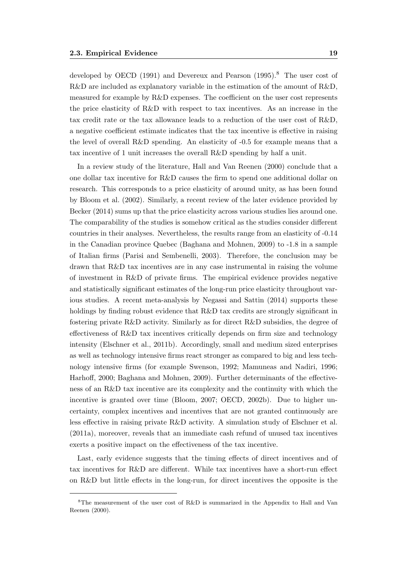developed by OECD (1991) and Devereux and Pearson (1995).<sup>8</sup> The user cost of R&D are included as explanatory variable in the estimation of the amount of R&D, measured for example by R&D expenses. The coefficient on the user cost represents the price elasticity of R&D with respect to tax incentives. As an increase in the tax credit rate or the tax allowance leads to a reduction of the user cost of R&D, a negative coefficient estimate indicates that the tax incentive is effective in raising the level of overall R&D spending. An elasticity of -0.5 for example means that a tax incentive of 1 unit increases the overall R&D spending by half a unit.

In a review study of the literature, Hall and Van Reenen (2000) conclude that a one dollar tax incentive for R&D causes the firm to spend one additional dollar on research. This corresponds to a price elasticity of around unity, as has been found by Bloom et al. (2002). Similarly, a recent review of the later evidence provided by Becker (2014) sums up that the price elasticity across various studies lies around one. The comparability of the studies is somehow critical as the studies consider different countries in their analyses. Nevertheless, the results range from an elasticity of -0.14 in the Canadian province Quebec (Baghana and Mohnen, 2009) to -1.8 in a sample of Italian firms (Parisi and Sembenelli, 2003). Therefore, the conclusion may be drawn that R&D tax incentives are in any case instrumental in raising the volume of investment in R&D of private firms. The empirical evidence provides negative and statistically significant estimates of the long-run price elasticity throughout various studies. A recent meta-analysis by Negassi and Sattin (2014) supports these holdings by finding robust evidence that R&D tax credits are strongly significant in fostering private R&D activity. Similarly as for direct R&D subsidies, the degree of effectiveness of R&D tax incentives critically depends on firm size and technology intensity (Elschner et al., 2011b). Accordingly, small and medium sized enterprises as well as technology intensive firms react stronger as compared to big and less technology intensive firms (for example Swenson, 1992; Mamuneas and Nadiri, 1996; Harhoff, 2000; Baghana and Mohnen, 2009). Further determinants of the effectiveness of an R&D tax incentive are its complexity and the continuity with which the incentive is granted over time (Bloom, 2007; OECD, 2002b). Due to higher uncertainty, complex incentives and incentives that are not granted continuously are less effective in raising private R&D activity. A simulation study of Elschner et al. (2011a), moreover, reveals that an immediate cash refund of unused tax incentives exerts a positive impact on the effectiveness of the tax incentive.

Last, early evidence suggests that the timing effects of direct incentives and of tax incentives for R&D are different. While tax incentives have a short-run effect on R&D but little effects in the long-run, for direct incentives the opposite is the

<sup>8</sup>The measurement of the user cost of R&D is summarized in the Appendix to Hall and Van Reenen (2000).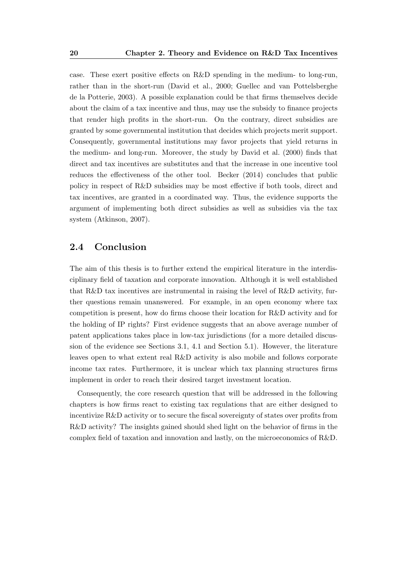case. These exert positive effects on R&D spending in the medium- to long-run, rather than in the short-run (David et al., 2000; Guellec and van Pottelsberghe de la Potterie, 2003). A possible explanation could be that firms themselves decide about the claim of a tax incentive and thus, may use the subsidy to finance projects that render high profits in the short-run. On the contrary, direct subsidies are granted by some governmental institution that decides which projects merit support. Consequently, governmental institutions may favor projects that yield returns in the medium- and long-run. Moreover, the study by David et al. (2000) finds that direct and tax incentives are substitutes and that the increase in one incentive tool reduces the effectiveness of the other tool. Becker (2014) concludes that public policy in respect of R&D subsidies may be most effective if both tools, direct and tax incentives, are granted in a coordinated way. Thus, the evidence supports the argument of implementing both direct subsidies as well as subsidies via the tax system (Atkinson, 2007).

#### 2.4 Conclusion

The aim of this thesis is to further extend the empirical literature in the interdisciplinary field of taxation and corporate innovation. Although it is well established that R&D tax incentives are instrumental in raising the level of R&D activity, further questions remain unanswered. For example, in an open economy where tax competition is present, how do firms choose their location for R&D activity and for the holding of IP rights? First evidence suggests that an above average number of patent applications takes place in low-tax jurisdictions (for a more detailed discussion of the evidence see Sections 3.1, 4.1 and Section 5.1). However, the literature leaves open to what extent real R&D activity is also mobile and follows corporate income tax rates. Furthermore, it is unclear which tax planning structures firms implement in order to reach their desired target investment location.

Consequently, the core research question that will be addressed in the following chapters is how firms react to existing tax regulations that are either designed to incentivize R&D activity or to secure the fiscal sovereignty of states over profits from R&D activity? The insights gained should shed light on the behavior of firms in the complex field of taxation and innovation and lastly, on the microeconomics of R&D.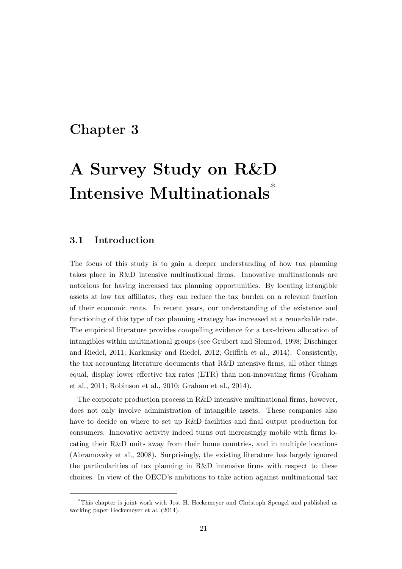# Chapter 3

# A Survey Study on R&D Intensive Multinationals\*

# 3.1 Introduction

The focus of this study is to gain a deeper understanding of how tax planning takes place in R&D intensive multinational firms. Innovative multinationals are notorious for having increased tax planning opportunities. By locating intangible assets at low tax affiliates, they can reduce the tax burden on a relevant fraction of their economic rents. In recent years, our understanding of the existence and functioning of this type of tax planning strategy has increased at a remarkable rate. The empirical literature provides compelling evidence for a tax-driven allocation of intangibles within multinational groups (see Grubert and Slemrod, 1998; Dischinger and Riedel, 2011; Karkinsky and Riedel, 2012; Griffith et al., 2014). Consistently, the tax accounting literature documents that R&D intensive firms, all other things equal, display lower effective tax rates (ETR) than non-innovating firms (Graham et al., 2011; Robinson et al., 2010; Graham et al., 2014).

The corporate production process in R&D intensive multinational firms, however, does not only involve administration of intangible assets. These companies also have to decide on where to set up R&D facilities and final output production for consumers. Innovative activity indeed turns out increasingly mobile with firms locating their R&D units away from their home countries, and in multiple locations (Abramovsky et al., 2008). Surprisingly, the existing literature has largely ignored the particularities of tax planning in R&D intensive firms with respect to these choices. In view of the OECD's ambitions to take action against multinational tax

<sup>\*</sup>This chapter is joint work with Jost H. Heckemeyer and Christoph Spengel and published as working paper Heckemeyer et al. (2014).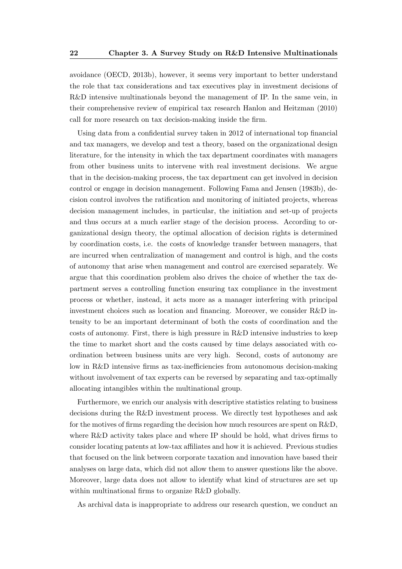avoidance (OECD, 2013b), however, it seems very important to better understand the role that tax considerations and tax executives play in investment decisions of R&D intensive multinationals beyond the management of IP. In the same vein, in their comprehensive review of empirical tax research Hanlon and Heitzman (2010) call for more research on tax decision-making inside the firm.

Using data from a confidential survey taken in 2012 of international top financial and tax managers, we develop and test a theory, based on the organizational design literature, for the intensity in which the tax department coordinates with managers from other business units to intervene with real investment decisions. We argue that in the decision-making process, the tax department can get involved in decision control or engage in decision management. Following Fama and Jensen (1983b), decision control involves the ratification and monitoring of initiated projects, whereas decision management includes, in particular, the initiation and set-up of projects and thus occurs at a much earlier stage of the decision process. According to organizational design theory, the optimal allocation of decision rights is determined by coordination costs, i.e. the costs of knowledge transfer between managers, that are incurred when centralization of management and control is high, and the costs of autonomy that arise when management and control are exercised separately. We argue that this coordination problem also drives the choice of whether the tax department serves a controlling function ensuring tax compliance in the investment process or whether, instead, it acts more as a manager interfering with principal investment choices such as location and financing. Moreover, we consider R&D intensity to be an important determinant of both the costs of coordination and the costs of autonomy. First, there is high pressure in R&D intensive industries to keep the time to market short and the costs caused by time delays associated with coordination between business units are very high. Second, costs of autonomy are low in R&D intensive firms as tax-inefficiencies from autonomous decision-making without involvement of tax experts can be reversed by separating and tax-optimally allocating intangibles within the multinational group.

Furthermore, we enrich our analysis with descriptive statistics relating to business decisions during the R&D investment process. We directly test hypotheses and ask for the motives of firms regarding the decision how much resources are spent on R&D, where R&D activity takes place and where IP should be hold, what drives firms to consider locating patents at low-tax affiliates and how it is achieved. Previous studies that focused on the link between corporate taxation and innovation have based their analyses on large data, which did not allow them to answer questions like the above. Moreover, large data does not allow to identify what kind of structures are set up within multinational firms to organize R&D globally.

As archival data is inappropriate to address our research question, we conduct an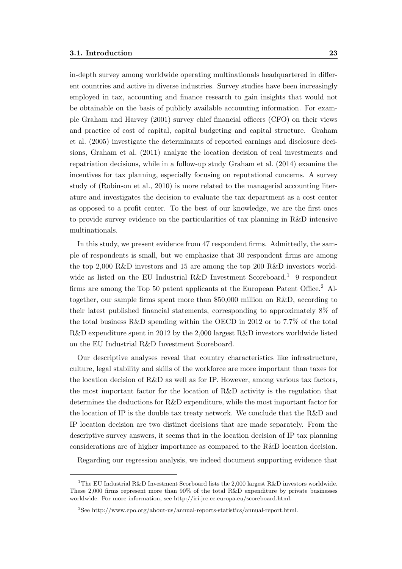in-depth survey among worldwide operating multinationals headquartered in different countries and active in diverse industries. Survey studies have been increasingly employed in tax, accounting and finance research to gain insights that would not be obtainable on the basis of publicly available accounting information. For example Graham and Harvey (2001) survey chief financial officers (CFO) on their views and practice of cost of capital, capital budgeting and capital structure. Graham et al. (2005) investigate the determinants of reported earnings and disclosure decisions, Graham et al. (2011) analyze the location decision of real investments and repatriation decisions, while in a follow-up study Graham et al. (2014) examine the incentives for tax planning, especially focusing on reputational concerns. A survey study of (Robinson et al., 2010) is more related to the managerial accounting literature and investigates the decision to evaluate the tax department as a cost center as opposed to a profit center. To the best of our knowledge, we are the first ones to provide survey evidence on the particularities of tax planning in R&D intensive multinationals.

In this study, we present evidence from 47 respondent firms. Admittedly, the sample of respondents is small, but we emphasize that 30 respondent firms are among the top 2,000 R&D investors and 15 are among the top 200 R&D investors worldwide as listed on the EU Industrial R&D Investment Scoreboard.<sup>1</sup> 9 respondent firms are among the Top 50 patent applicants at the European Patent Office.<sup>2</sup> Altogether, our sample firms spent more than \$50,000 million on R&D, according to their latest published financial statements, corresponding to approximately 8% of the total business R&D spending within the OECD in 2012 or to 7.7% of the total R&D expenditure spent in 2012 by the 2,000 largest R&D investors worldwide listed on the EU Industrial R&D Investment Scoreboard.

Our descriptive analyses reveal that country characteristics like infrastructure, culture, legal stability and skills of the workforce are more important than taxes for the location decision of R&D as well as for IP. However, among various tax factors, the most important factor for the location of R&D activity is the regulation that determines the deductions for R&D expenditure, while the most important factor for the location of IP is the double tax treaty network. We conclude that the R&D and IP location decision are two distinct decisions that are made separately. From the descriptive survey answers, it seems that in the location decision of IP tax planning considerations are of higher importance as compared to the R&D location decision.

Regarding our regression analysis, we indeed document supporting evidence that

<sup>&</sup>lt;sup>1</sup>The EU Industrial R&D Investment Scorboard lists the 2,000 largest R&D investors worldwide. These 2,000 firms represent more than 90% of the total R&D expenditure by private businesses worldwide. For more information, see http://iri.jrc.ec.europa.eu/scoreboard.html.

<sup>2</sup>See http://www.epo.org/about-us/annual-reports-statistics/annual-report.html.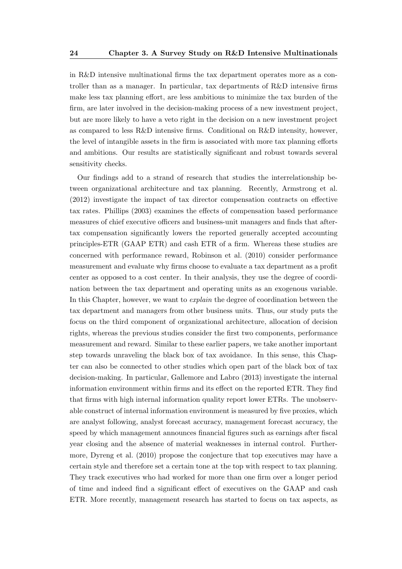in R&D intensive multinational firms the tax department operates more as a controller than as a manager. In particular, tax departments of R&D intensive firms make less tax planning effort, are less ambitious to minimize the tax burden of the firm, are later involved in the decision-making process of a new investment project, but are more likely to have a veto right in the decision on a new investment project as compared to less R&D intensive firms. Conditional on R&D intensity, however, the level of intangible assets in the firm is associated with more tax planning efforts and ambitions. Our results are statistically significant and robust towards several sensitivity checks.

Our findings add to a strand of research that studies the interrelationship between organizational architecture and tax planning. Recently, Armstrong et al. (2012) investigate the impact of tax director compensation contracts on effective tax rates. Phillips (2003) examines the effects of compensation based performance measures of chief executive officers and business-unit managers and finds that aftertax compensation significantly lowers the reported generally accepted accounting principles-ETR (GAAP ETR) and cash ETR of a firm. Whereas these studies are concerned with performance reward, Robinson et al. (2010) consider performance measurement and evaluate why firms choose to evaluate a tax department as a profit center as opposed to a cost center. In their analysis, they use the degree of coordination between the tax department and operating units as an exogenous variable. In this Chapter, however, we want to *explain* the degree of coordination between the tax department and managers from other business units. Thus, our study puts the focus on the third component of organizational architecture, allocation of decision rights, whereas the previous studies consider the first two components, performance measurement and reward. Similar to these earlier papers, we take another important step towards unraveling the black box of tax avoidance. In this sense, this Chapter can also be connected to other studies which open part of the black box of tax decision-making. In particular, Gallemore and Labro (2013) investigate the internal information environment within firms and its effect on the reported ETR. They find that firms with high internal information quality report lower ETRs. The unobservable construct of internal information environment is measured by five proxies, which are analyst following, analyst forecast accuracy, management forecast accuracy, the speed by which management announces financial figures such as earnings after fiscal year closing and the absence of material weaknesses in internal control. Furthermore, Dyreng et al. (2010) propose the conjecture that top executives may have a certain style and therefore set a certain tone at the top with respect to tax planning. They track executives who had worked for more than one firm over a longer period of time and indeed find a significant effect of executives on the GAAP and cash ETR. More recently, management research has started to focus on tax aspects, as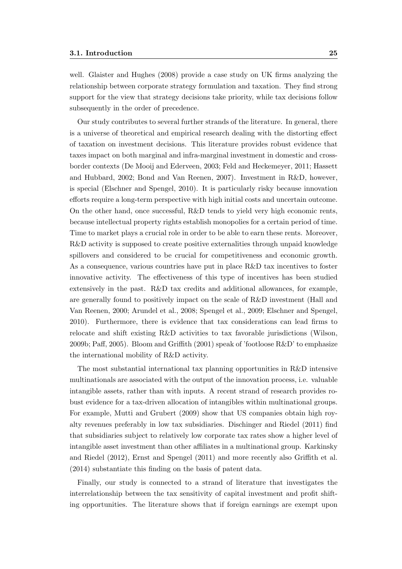well. Glaister and Hughes (2008) provide a case study on UK firms analyzing the relationship between corporate strategy formulation and taxation. They find strong support for the view that strategy decisions take priority, while tax decisions follow subsequently in the order of precedence.

Our study contributes to several further strands of the literature. In general, there is a universe of theoretical and empirical research dealing with the distorting effect of taxation on investment decisions. This literature provides robust evidence that taxes impact on both marginal and infra-marginal investment in domestic and crossborder contexts (De Mooij and Ederveen, 2003; Feld and Heckemeyer, 2011; Hassett and Hubbard, 2002; Bond and Van Reenen, 2007). Investment in R&D, however, is special (Elschner and Spengel, 2010). It is particularly risky because innovation efforts require a long-term perspective with high initial costs and uncertain outcome. On the other hand, once successful, R&D tends to yield very high economic rents, because intellectual property rights establish monopolies for a certain period of time. Time to market plays a crucial role in order to be able to earn these rents. Moreover, R&D activity is supposed to create positive externalities through unpaid knowledge spillovers and considered to be crucial for competitiveness and economic growth. As a consequence, various countries have put in place R&D tax incentives to foster innovative activity. The effectiveness of this type of incentives has been studied extensively in the past. R&D tax credits and additional allowances, for example, are generally found to positively impact on the scale of R&D investment (Hall and Van Reenen, 2000; Arundel et al., 2008; Spengel et al., 2009; Elschner and Spengel, 2010). Furthermore, there is evidence that tax considerations can lead firms to relocate and shift existing R&D activities to tax favorable jurisdictions (Wilson, 2009b; Paff, 2005). Bloom and Griffith  $(2001)$  speak of 'footloose  $R\&D$ ' to emphasize the international mobility of R&D activity.

The most substantial international tax planning opportunities in R&D intensive multinationals are associated with the output of the innovation process, i.e. valuable intangible assets, rather than with inputs. A recent strand of research provides robust evidence for a tax-driven allocation of intangibles within multinational groups. For example, Mutti and Grubert (2009) show that US companies obtain high royalty revenues preferably in low tax subsidiaries. Dischinger and Riedel (2011) find that subsidiaries subject to relatively low corporate tax rates show a higher level of intangible asset investment than other affiliates in a multinational group. Karkinsky and Riedel (2012), Ernst and Spengel (2011) and more recently also Griffith et al. (2014) substantiate this finding on the basis of patent data.

Finally, our study is connected to a strand of literature that investigates the interrelationship between the tax sensitivity of capital investment and profit shifting opportunities. The literature shows that if foreign earnings are exempt upon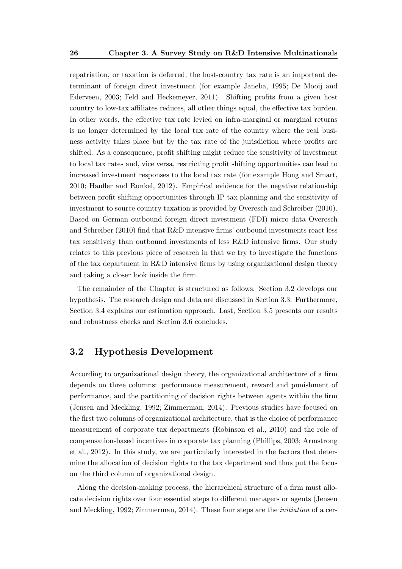repatriation, or taxation is deferred, the host-country tax rate is an important determinant of foreign direct investment (for example Janeba, 1995; De Mooij and Ederveen, 2003; Feld and Heckemeyer, 2011). Shifting profits from a given host country to low-tax affiliates reduces, all other things equal, the effective tax burden. In other words, the effective tax rate levied on infra-marginal or marginal returns is no longer determined by the local tax rate of the country where the real business activity takes place but by the tax rate of the jurisdiction where profits are shifted. As a consequence, profit shifting might reduce the sensitivity of investment to local tax rates and, vice versa, restricting profit shifting opportunities can lead to increased investment responses to the local tax rate (for example Hong and Smart, 2010; Haufler and Runkel, 2012). Empirical evidence for the negative relationship between profit shifting opportunities through IP tax planning and the sensitivity of investment to source country taxation is provided by Overesch and Schreiber (2010). Based on German outbound foreign direct investment (FDI) micro data Overesch and Schreiber (2010) find that R&D intensive firms' outbound investments react less tax sensitively than outbound investments of less R&D intensive firms. Our study relates to this previous piece of research in that we try to investigate the functions of the tax department in  $R\&D$  intensive firms by using organizational design theory and taking a closer look inside the firm.

The remainder of the Chapter is structured as follows. Section 3.2 develops our hypothesis. The research design and data are discussed in Section 3.3. Furthermore, Section 3.4 explains our estimation approach. Last, Section 3.5 presents our results and robustness checks and Section 3.6 concludes.

# 3.2 Hypothesis Development

According to organizational design theory, the organizational architecture of a firm depends on three columns: performance measurement, reward and punishment of performance, and the partitioning of decision rights between agents within the firm (Jensen and Meckling, 1992; Zimmerman, 2014). Previous studies have focused on the first two columns of organizational architecture, that is the choice of performance measurement of corporate tax departments (Robinson et al., 2010) and the role of compensation-based incentives in corporate tax planning (Phillips, 2003; Armstrong et al., 2012). In this study, we are particularly interested in the factors that determine the allocation of decision rights to the tax department and thus put the focus on the third column of organizational design.

Along the decision-making process, the hierarchical structure of a firm must allocate decision rights over four essential steps to different managers or agents (Jensen and Meckling, 1992; Zimmerman, 2014). These four steps are the initiation of a cer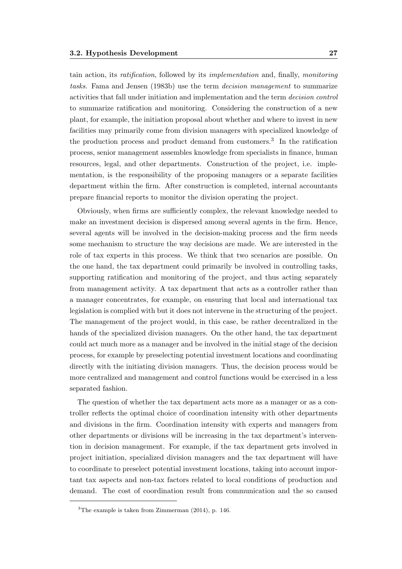tain action, its ratification, followed by its implementation and, finally, monitoring tasks. Fama and Jensen (1983b) use the term decision management to summarize activities that fall under initiation and implementation and the term decision control to summarize ratification and monitoring. Considering the construction of a new plant, for example, the initiation proposal about whether and where to invest in new facilities may primarily come from division managers with specialized knowledge of the production process and product demand from customers.<sup>3</sup> In the ratification process, senior management assembles knowledge from specialists in finance, human resources, legal, and other departments. Construction of the project, i.e. implementation, is the responsibility of the proposing managers or a separate facilities department within the firm. After construction is completed, internal accountants prepare financial reports to monitor the division operating the project.

Obviously, when firms are sufficiently complex, the relevant knowledge needed to make an investment decision is dispersed among several agents in the firm. Hence, several agents will be involved in the decision-making process and the firm needs some mechanism to structure the way decisions are made. We are interested in the role of tax experts in this process. We think that two scenarios are possible. On the one hand, the tax department could primarily be involved in controlling tasks, supporting ratification and monitoring of the project, and thus acting separately from management activity. A tax department that acts as a controller rather than a manager concentrates, for example, on ensuring that local and international tax legislation is complied with but it does not intervene in the structuring of the project. The management of the project would, in this case, be rather decentralized in the hands of the specialized division managers. On the other hand, the tax department could act much more as a manager and be involved in the initial stage of the decision process, for example by preselecting potential investment locations and coordinating directly with the initiating division managers. Thus, the decision process would be more centralized and management and control functions would be exercised in a less separated fashion.

The question of whether the tax department acts more as a manager or as a controller reflects the optimal choice of coordination intensity with other departments and divisions in the firm. Coordination intensity with experts and managers from other departments or divisions will be increasing in the tax department's intervention in decision management. For example, if the tax department gets involved in project initiation, specialized division managers and the tax department will have to coordinate to preselect potential investment locations, taking into account important tax aspects and non-tax factors related to local conditions of production and demand. The cost of coordination result from communication and the so caused

<sup>&</sup>lt;sup>3</sup>The example is taken from Zimmerman  $(2014)$ , p. 146.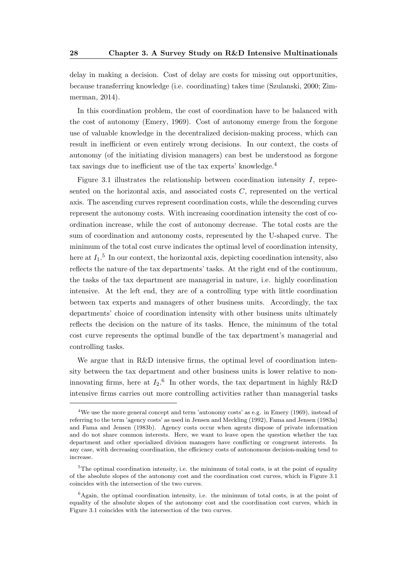delay in making a decision. Cost of delay are costs for missing out opportunities, because transferring knowledge (i.e. coordinating) takes time (Szulanski, 2000; Zimmerman, 2014).

In this coordination problem, the cost of coordination have to be balanced with the cost of autonomy (Emery, 1969). Cost of autonomy emerge from the forgone use of valuable knowledge in the decentralized decision-making process, which can result in inefficient or even entirely wrong decisions. In our context, the costs of autonomy (of the initiating division managers) can best be understood as forgone tax savings due to inefficient use of the tax experts' knowledge.<sup>4</sup>

Figure 3.1 illustrates the relationship between coordination intensity  $I$ , represented on the horizontal axis, and associated costs  $C$ , represented on the vertical axis. The ascending curves represent coordination costs, while the descending curves represent the autonomy costs. With increasing coordination intensity the cost of coordination increase, while the cost of autonomy decrease. The total costs are the sum of coordination and autonomy costs, represented by the U-shaped curve. The minimum of the total cost curve indicates the optimal level of coordination intensity, here at  $I_1$ .<sup>5</sup> In our context, the horizontal axis, depicting coordination intensity, also reflects the nature of the tax departments' tasks. At the right end of the continuum, the tasks of the tax department are managerial in nature, i.e. highly coordination intensive. At the left end, they are of a controlling type with little coordination between tax experts and managers of other business units. Accordingly, the tax departments' choice of coordination intensity with other business units ultimately reflects the decision on the nature of its tasks. Hence, the minimum of the total cost curve represents the optimal bundle of the tax department's managerial and controlling tasks.

We argue that in R&D intensive firms, the optimal level of coordination intensity between the tax department and other business units is lower relative to noninnovating firms, here at  $I_2$ <sup>6</sup> In other words, the tax department in highly R&D intensive firms carries out more controlling activities rather than managerial tasks

<sup>4</sup>We use the more general concept and term 'autonomy costs' as e.g. in Emery (1969), instead of referring to the term 'agency costs' as used in Jensen and Meckling (1992), Fama and Jensen (1983a) and Fama and Jensen (1983b). Agency costs occur when agents dispose of private information and do not share common interests. Here, we want to leave open the question whether the tax department and other specialized division managers have conflicting or congruent interests. In any case, with decreasing coordination, the efficiency costs of autonomous decision-making tend to increase.

 $5$ The optimal coordination intensity, i.e. the minimum of total costs, is at the point of equality of the absolute slopes of the autonomy cost and the coordination cost curves, which in Figure 3.1 coincides with the intersection of the two curves.

 ${}^{6}$ Again, the optimal coordination intensity, i.e. the minimum of total costs, is at the point of equality of the absolute slopes of the autonomy cost and the coordination cost curves, which in Figure 3.1 coincides with the intersection of the two curves.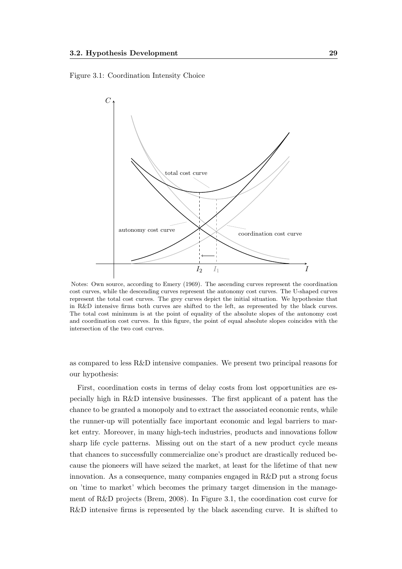Figure 3.1: Coordination Intensity Choice



Notes: Own source, according to Emery (1969). The ascending curves represent the coordination cost curves, while the descending curves represent the autonomy cost curves. The U-shaped curves represent the total cost curves. The grey curves depict the initial situation. We hypothesize that in R&D intensive firms both curves are shifted to the left, as represented by the black curves. The total cost minimum is at the point of equality of the absolute slopes of the autonomy cost and coordination cost curves. In this figure, the point of equal absolute slopes coincides with the intersection of the two cost curves.

as compared to less R&D intensive companies. We present two principal reasons for our hypothesis:

First, coordination costs in terms of delay costs from lost opportunities are especially high in R&D intensive businesses. The first applicant of a patent has the chance to be granted a monopoly and to extract the associated economic rents, while the runner-up will potentially face important economic and legal barriers to market entry. Moreover, in many high-tech industries, products and innovations follow sharp life cycle patterns. Missing out on the start of a new product cycle means that chances to successfully commercialize one's product are drastically reduced because the pioneers will have seized the market, at least for the lifetime of that new innovation. As a consequence, many companies engaged in R&D put a strong focus on 'time to market' which becomes the primary target dimension in the management of R&D projects (Brem, 2008). In Figure 3.1, the coordination cost curve for R&D intensive firms is represented by the black ascending curve. It is shifted to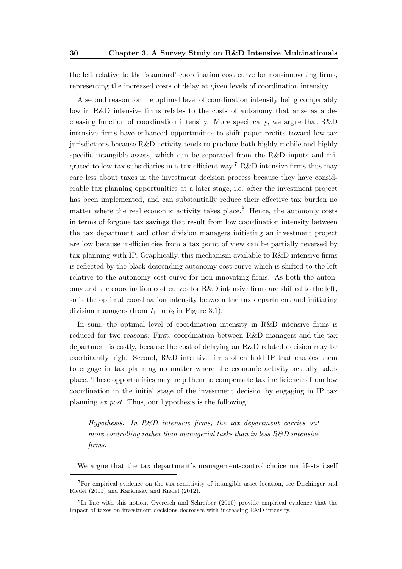the left relative to the 'standard' coordination cost curve for non-innovating firms, representing the increased costs of delay at given levels of coordination intensity.

A second reason for the optimal level of coordination intensity being comparably low in R&D intensive firms relates to the costs of autonomy that arise as a decreasing function of coordination intensity. More specifically, we argue that R&D intensive firms have enhanced opportunities to shift paper profits toward low-tax jurisdictions because R&D activity tends to produce both highly mobile and highly specific intangible assets, which can be separated from the R&D inputs and migrated to low-tax subsidiaries in a tax efficient way.<sup>7</sup> R&D intensive firms thus may care less about taxes in the investment decision process because they have considerable tax planning opportunities at a later stage, i.e. after the investment project has been implemented, and can substantially reduce their effective tax burden no matter where the real economic activity takes place.<sup>8</sup> Hence, the autonomy costs in terms of forgone tax savings that result from low coordination intensity between the tax department and other division managers initiating an investment project are low because inefficiencies from a tax point of view can be partially reversed by tax planning with IP. Graphically, this mechanism available to R&D intensive firms is reflected by the black descending autonomy cost curve which is shifted to the left relative to the autonomy cost curve for non-innovating firms. As both the autonomy and the coordination cost curves for R&D intensive firms are shifted to the left, so is the optimal coordination intensity between the tax department and initiating division managers (from  $I_1$  to  $I_2$  in Figure 3.1).

In sum, the optimal level of coordination intensity in R&D intensive firms is reduced for two reasons: First, coordination between R&D managers and the tax department is costly, because the cost of delaying an R&D related decision may be exorbitantly high. Second, R&D intensive firms often hold IP that enables them to engage in tax planning no matter where the economic activity actually takes place. These opportunities may help them to compensate tax inefficiencies from low coordination in the initial stage of the investment decision by engaging in IP tax planning ex post. Thus, our hypothesis is the following:

Hypothesis: In R&D intensive firms, the tax department carries out more controlling rather than managerial tasks than in less  $R\&D$  intensive firms.

We argue that the tax department's management-control choice manifests itself

<sup>7</sup>For empirical evidence on the tax sensitivity of intangible asset location, see Dischinger and Riedel (2011) and Karkinsky and Riedel (2012).

<sup>8</sup> In line with this notion, Overesch and Schreiber (2010) provide empirical evidence that the impact of taxes on investment decisions decreases with increasing R&D intensity.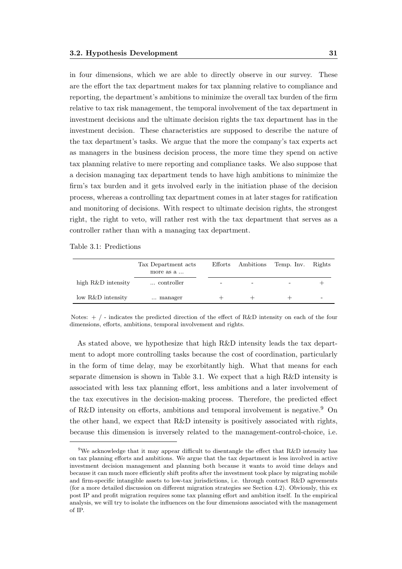in four dimensions, which we are able to directly observe in our survey. These are the effort the tax department makes for tax planning relative to compliance and reporting, the department's ambitions to minimize the overall tax burden of the firm relative to tax risk management, the temporal involvement of the tax department in investment decisions and the ultimate decision rights the tax department has in the investment decision. These characteristics are supposed to describe the nature of the tax department's tasks. We argue that the more the company's tax experts act as managers in the business decision process, the more time they spend on active tax planning relative to mere reporting and compliance tasks. We also suppose that a decision managing tax department tends to have high ambitions to minimize the firm's tax burden and it gets involved early in the initiation phase of the decision process, whereas a controlling tax department comes in at later stages for ratification and monitoring of decisions. With respect to ultimate decision rights, the strongest right, the right to veto, will rather rest with the tax department that serves as a controller rather than with a managing tax department.

Table 3.1: Predictions

|                    | Tax Department acts<br>more as a |   | Efforts Ambitions        | Temp. Inv. | Rights |
|--------------------|----------------------------------|---|--------------------------|------------|--------|
| high R&D intensity | controller                       | - | $\overline{\phantom{0}}$ |            |        |
| low R&D intensity  | manager                          |   |                          |            | -      |

Notes:  $+$  / - indicates the predicted direction of the effect of R&D intensity on each of the four dimensions, efforts, ambitions, temporal involvement and rights.

As stated above, we hypothesize that high R&D intensity leads the tax department to adopt more controlling tasks because the cost of coordination, particularly in the form of time delay, may be exorbitantly high. What that means for each separate dimension is shown in Table 3.1. We expect that a high R&D intensity is associated with less tax planning effort, less ambitions and a later involvement of the tax executives in the decision-making process. Therefore, the predicted effect of R&D intensity on efforts, ambitions and temporal involvement is negative.<sup>9</sup> On the other hand, we expect that R&D intensity is positively associated with rights, because this dimension is inversely related to the management-control-choice, i.e.

<sup>9</sup>We acknowledge that it may appear difficult to disentangle the effect that R&D intensity has on tax planning efforts and ambitions. We argue that the tax department is less involved in active investment decision management and planning both because it wants to avoid time delays and because it can much more efficiently shift profits after the investment took place by migrating mobile and firm-specific intangible assets to low-tax jurisdictions, i.e. through contract R&D agreements (for a more detailed discussion on different migration strategies see Section 4.2). Obviously, this ex post IP and profit migration requires some tax planning effort and ambition itself. In the empirical analysis, we will try to isolate the influences on the four dimensions associated with the management of IP.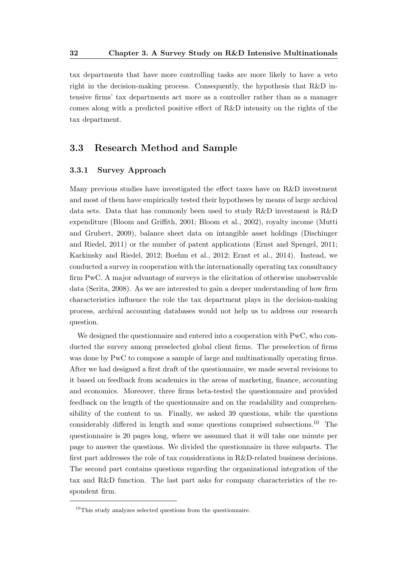tax departments that have more controlling tasks are more likely to have a veto right in the decision-making process. Consequently, the hypothesis that R&D intensive firms' tax departments act more as a controller rather than as a manager comes along with a predicted positive effect of R&D intensity on the rights of the tax department.

# 3.3 Research Method and Sample

#### 3.3.1 Survey Approach

Many previous studies have investigated the effect taxes have on R&D investment and most of them have empirically tested their hypotheses by means of large archival data sets. Data that has commonly been used to study R&D investment is R&D expenditure (Bloom and Griffith, 2001; Bloom et al., 2002), royalty income (Mutti and Grubert, 2009), balance sheet data on intangible asset holdings (Dischinger and Riedel, 2011) or the number of patent applications (Ernst and Spengel, 2011; Karkinsky and Riedel, 2012; Boehm et al., 2012; Ernst et al., 2014). Instead, we conducted a survey in cooperation with the internationally operating tax consultancy firm PwC. A major advantage of surveys is the elicitation of otherwise unobservable data (Serita, 2008). As we are interested to gain a deeper understanding of how firm characteristics influence the role the tax department plays in the decision-making process, archival accounting databases would not help us to address our research question.

We designed the questionnaire and entered into a cooperation with PwC, who conducted the survey among preselected global client firms. The preselection of firms was done by PwC to compose a sample of large and multinationally operating firms. After we had designed a first draft of the questionnaire, we made several revisions to it based on feedback from academics in the areas of marketing, finance, accounting and economics. Moreover, three firms beta-tested the questionnaire and provided feedback on the length of the questionnaire and on the readability and comprehensibility of the content to us. Finally, we asked 39 questions, while the questions considerably differed in length and some questions comprised subsections.<sup>10</sup> The questionnaire is 20 pages long, where we assumed that it will take one minute per page to answer the questions. We divided the questionnaire in three subparts. The first part addresses the role of tax considerations in R&D-related business decisions. The second part contains questions regarding the organizational integration of the tax and R&D function. The last part asks for company characteristics of the respondent firm.

 $10$ This study analyzes selected questions from the questionnaire.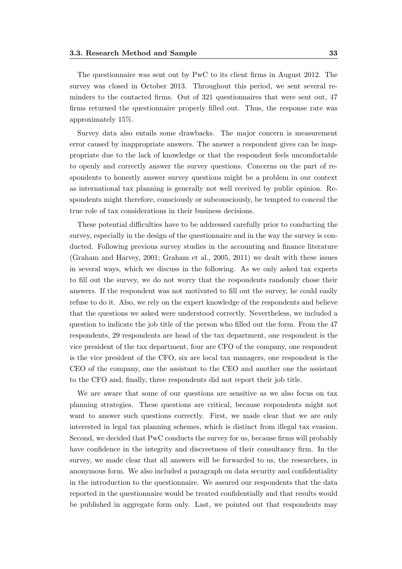The questionnaire was sent out by PwC to its client firms in August 2012. The survey was closed in October 2013. Throughout this period, we sent several reminders to the contacted firms. Out of 321 questionnaires that were sent out, 47 firms returned the questionnaire properly filled out. Thus, the response rate was approximately 15%.

Survey data also entails some drawbacks. The major concern is measurement error caused by inappropriate answers. The answer a respondent gives can be inappropriate due to the lack of knowledge or that the respondent feels uncomfortable to openly and correctly answer the survey questions. Concerns on the part of respondents to honestly answer survey questions might be a problem in our context as international tax planning is generally not well received by public opinion. Respondents might therefore, consciously or subconsciously, be tempted to conceal the true role of tax considerations in their business decisions.

These potential difficulties have to be addressed carefully prior to conducting the survey, especially in the design of the questionnaire and in the way the survey is conducted. Following previous survey studies in the accounting and finance literature (Graham and Harvey, 2001; Graham et al., 2005, 2011) we dealt with these issues in several ways, which we discuss in the following. As we only asked tax experts to fill out the survey, we do not worry that the respondents randomly chose their answers. If the respondent was not motivated to fill out the survey, he could easily refuse to do it. Also, we rely on the expert knowledge of the respondents and believe that the questions we asked were understood correctly. Nevertheless, we included a question to indicate the job title of the person who filled out the form. From the 47 respondents, 29 respondents are head of the tax department, one respondent is the vice president of the tax department, four are CFO of the company, one respondent is the vice president of the CFO, six are local tax managers, one respondent is the CEO of the company, one the assistant to the CEO and another one the assistant to the CFO and, finally, three respondents did not report their job title.

We are aware that some of our questions are sensitive as we also focus on tax planning strategies. These questions are critical, because respondents might not want to answer such questions correctly. First, we made clear that we are only interested in legal tax planning schemes, which is distinct from illegal tax evasion. Second, we decided that PwC conducts the survey for us, because firms will probably have confidence in the integrity and discreetness of their consultancy firm. In the survey, we made clear that all answers will be forwarded to us, the researchers, in anonymous form. We also included a paragraph on data security and confidentiality in the introduction to the questionnaire. We assured our respondents that the data reported in the questionnaire would be treated confidentially and that results would be published in aggregate form only. Last, we pointed out that respondents may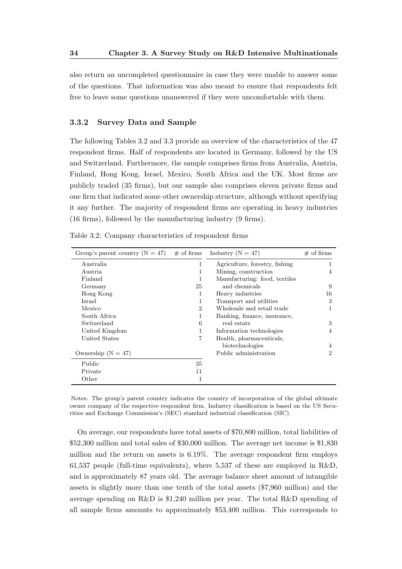also return an uncompleted questionnaire in case they were unable to answer some of the questions. That information was also meant to ensure that respondents felt free to leave some questions unanswered if they were uncomfortable with them.

#### 3.3.2 Survey Data and Sample

The following Tables 3.2 and 3.3 provide an overview of the characteristics of the 47 respondent firms. Half of respondents are located in Germany, followed by the US and Switzerland. Furthermore, the sample comprises firms from Australia, Austria, Finland, Hong Kong, Israel, Mexico, South Africa and the UK. Most firms are publicly traded (35 firms), but our sample also comprises eleven private firms and one firm that indicated some other ownership structure, although without specifying it any further. The majority of respondent firms are operating in heavy industries (16 firms), followed by the manufacturing industry (9 firms).

| Group's parent country $(N = 47)$ # of firms |                | Industry ( $N = 47$ )          | $\#$ of firms  |
|----------------------------------------------|----------------|--------------------------------|----------------|
| Australia                                    | 1              | Agriculture, forestry, fishing |                |
| Austria                                      | 1              | Mining, construction           | 4              |
| Finland                                      | 1              | Manufacturing: food, textiles  |                |
| Germany                                      | 25             | and chemicals                  | 9              |
| Hong Kong                                    | 1              | Heavy industries               | 16             |
| Israel                                       | 1              | Transport and utilities        | 3              |
| Mexico                                       | $\overline{2}$ | Wholesale and retail trade     | 1              |
| South Africa                                 | 1              | Banking, finance, insurance,   |                |
| Switzerland                                  | 6              | real estate                    | 3              |
| United Kingdom                               | 1              | Information technologies       | 4              |
| United States                                | 7              | Health, pharmaceuticals,       |                |
|                                              |                | biotechnologies                | 4              |
| Ownership $(N = 47)$                         |                | Public administration          | $\overline{2}$ |
| Public                                       | 35             |                                |                |
| Private                                      | 11             |                                |                |
| Other                                        | 1              |                                |                |

Table 3.2: Company characteristics of respondent firms

Notes: The group's parent country indicates the country of incorporation of the global ultimate owner company of the respective respondent firm. Industry classification is based on the US Securities and Exchange Commission's (SEC) standard industrial classification (SIC).

On average, our respondents have total assets of \$70,800 million, total liabilities of \$52,300 million and total sales of \$30,000 million. The average net income is \$1,830 million and the return on assets is 6.19%. The average respondent firm employs 61,537 people (full-time equivalents), where 5,537 of these are employed in R&D, and is approximately 87 years old. The average balance sheet amount of intangible assets is slightly more than one tenth of the total assets (\$7,960 million) and the average spending on R&D is \$1,240 million per year. The total R&D spending of all sample firms amounts to approximately \$53,400 million. This corresponds to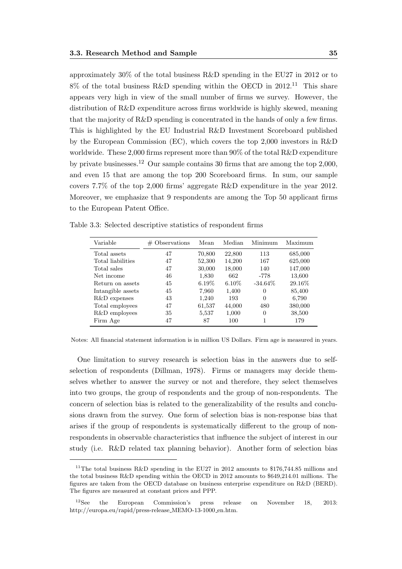approximately 30% of the total business R&D spending in the EU27 in 2012 or to  $8\%$  of the total business R&D spending within the OECD in 2012.<sup>11</sup> This share appears very high in view of the small number of firms we survey. However, the distribution of R&D expenditure across firms worldwide is highly skewed, meaning that the majority of R&D spending is concentrated in the hands of only a few firms. This is highlighted by the EU Industrial R&D Investment Scoreboard published by the European Commission (EC), which covers the top 2,000 investors in R&D worldwide. These 2,000 firms represent more than 90% of the total R&D expenditure by private businesses.<sup>12</sup> Our sample contains 30 firms that are among the top 2,000, and even 15 that are among the top 200 Scoreboard firms. In sum, our sample covers 7.7% of the top 2,000 firms' aggregate R&D expenditure in the year 2012. Moreover, we emphasize that 9 respondents are among the Top 50 applicant firms to the European Patent Office.

| Variable          | $\#$ Observations | Mean     | Median   | Minimum    | Maximum |
|-------------------|-------------------|----------|----------|------------|---------|
| Total assets      | 47                | 70,800   | 22,800   | 113        | 685,000 |
| Total liabilities | 47                | 52,300   | 14,200   | 167        | 625,000 |
| Total sales       | 47                | 30,000   | 18,000   | 140        | 147,000 |
| Net income        | 46                | 1,830    | 662      | -778       | 13,600  |
| Return on assets  | 45                | $6.19\%$ | $6.10\%$ | $-34.64\%$ | 29.16\% |
| Intangible assets | 45                | 7,960    | 1,400    | 0          | 85,400  |
| R&D expenses      | 43                | 1,240    | 193      | $\Omega$   | 6,790   |
| Total employees   | 47                | 61,537   | 44,000   | 480        | 380,000 |
| R&D employees     | 35                | 5,537    | 1,000    | $\Omega$   | 38,500  |
| Firm Age          | 47                | 87       | 100      | 1          | 179     |

Table 3.3: Selected descriptive statistics of respondent firms

Notes: All financial statement information is in million US Dollars. Firm age is measured in years.

One limitation to survey research is selection bias in the answers due to selfselection of respondents (Dillman, 1978). Firms or managers may decide themselves whether to answer the survey or not and therefore, they select themselves into two groups, the group of respondents and the group of non-respondents. The concern of selection bias is related to the generalizability of the results and conclusions drawn from the survey. One form of selection bias is non-response bias that arises if the group of respondents is systematically different to the group of nonrespondents in observable characteristics that influence the subject of interest in our study (i.e. R&D related tax planning behavior). Another form of selection bias

<sup>&</sup>lt;sup>11</sup>The total business R&D spending in the EU27 in 2012 amounts to \$176,744.85 millions and the total business R&D spending within the OECD in 2012 amounts to \$649,214.01 millions. The figures are taken from the OECD database on business enterprise expenditure on R&D (BERD). The figures are measured at constant prices and PPP.

<sup>12</sup>See the European Commission's press release on November 18, 2013: http://europa.eu/rapid/press-release\_MEMO-13-1000\_en.htm.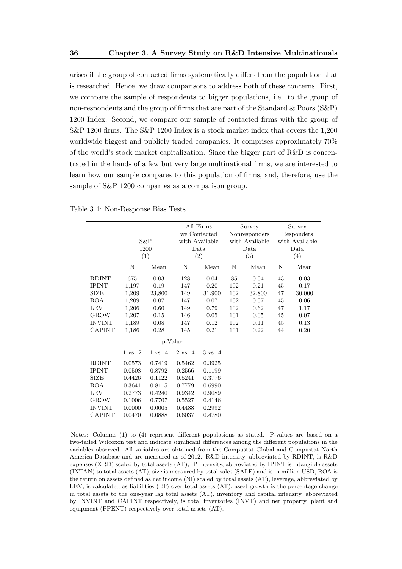arises if the group of contacted firms systematically differs from the population that is researched. Hence, we draw comparisons to address both of these concerns. First, we compare the sample of respondents to bigger populations, i.e. to the group of non-respondents and the group of firms that are part of the Standard & Poors (S&P) 1200 Index. Second, we compare our sample of contacted firms with the group of S&P 1200 firms. The S&P 1200 Index is a stock market index that covers the 1,200 worldwide biggest and publicly traded companies. It comprises approximately 70% of the world's stock market capitalization. Since the bigger part of R&D is concentrated in the hands of a few but very large multinational firms, we are interested to learn how our sample compares to this population of firms, and, therefore, use the sample of S&P 1200 companies as a comparison group.

|                                                                         | $S\&P$<br>1200<br>(1)                          |                                                | All Firms<br>we Contacted<br>with Available<br>Data<br>(2) |                                                |                          | Survey<br>Nonresponders<br>with Available<br>Data<br>(3) | Survey<br>Responders<br>with Available<br>Data<br>(4) |                                |
|-------------------------------------------------------------------------|------------------------------------------------|------------------------------------------------|------------------------------------------------------------|------------------------------------------------|--------------------------|----------------------------------------------------------|-------------------------------------------------------|--------------------------------|
|                                                                         | N                                              | Mean                                           | N                                                          | Mean                                           | N                        | Mean                                                     | N                                                     | Mean                           |
| <b>RDINT</b><br><b>IPINT</b><br><b>SIZE</b><br><b>ROA</b>               | 675<br>1,197<br>1,209<br>1,209                 | 0.03<br>0.19<br>23,800<br>0.07                 | 128<br>147<br>149<br>147                                   | 0.04<br>0.20<br>31,900<br>0.07                 | 85<br>102<br>102<br>102  | 0.04<br>0.21<br>32,800<br>0.07                           | 43<br>45<br>47<br>45                                  | 0.03<br>0.17<br>30,000<br>0.06 |
| <b>LEV</b><br><b>GROW</b><br><b>INVINT</b><br><b>CAPINT</b>             | 1,206<br>1,207<br>1,189<br>1,186               | 0.60<br>0.15<br>0.08<br>0.28                   | 149<br>146<br>147<br>145                                   | 0.79<br>0.05<br>0.12<br>0.21                   | 102<br>101<br>102<br>101 | 0.62<br>0.05<br>0.11<br>0.22                             | 47<br>45<br>45<br>44                                  | 1.17<br>0.07<br>0.13<br>0.20   |
|                                                                         |                                                |                                                | p-Value                                                    |                                                |                          |                                                          |                                                       |                                |
|                                                                         | $1 \text{ vs. } 2$                             | $1 \text{ vs. } 4$                             | $2 \text{ vs. } 4$                                         | 3 vs. 4                                        |                          |                                                          |                                                       |                                |
| <b>RDINT</b><br><b>IPINT</b><br><b>SIZE</b><br><b>ROA</b><br><b>LEV</b> | 0.0573<br>0.0508<br>0.4426<br>0.3641<br>0.2773 | 0.7419<br>0.8792<br>0.1122<br>0.8115<br>0.4240 | 0.5462<br>0.2566<br>0.5241<br>0.7779<br>0.9342             | 0.3925<br>0.1199<br>0.3776<br>0.6990<br>0.9089 |                          |                                                          |                                                       |                                |
| <b>GROW</b><br><b>INVINT</b><br>CAPINT                                  | 0.1006<br>0.0000<br>0.0470                     | 0.7707<br>0.0005<br>0.0888                     | 0.5527<br>0.4488<br>0.6037                                 | 0.4146<br>0.2992<br>0.4780                     |                          |                                                          |                                                       |                                |

Table 3.4: Non-Response Bias Tests

Notes: Columns (1) to (4) represent different populations as stated. P-values are based on a two-tailed Wilcoxon test and indicate significant differences among the different populations in the variables observed. All variables are obtained from the Compustat Global and Compustat North America Database and are measured as of 2012. R&D intensity, abbreviated by RDINT, is R&D expenses (XRD) scaled by total assets (AT), IP intensity, abbreviated by IPINT is intangible assets (INTAN) to total assets (AT), size is measured by total sales (SALE) and is in million USD, ROA is the return on assets defined as net income (NI) scaled by total assets (AT), leverage, abbreviated by LEV, is calculated as liabilities (LT) over total assets (AT), asset growth is the percentage change in total assets to the one-year lag total assets (AT), inventory and capital intensity, abbreviated by INVINT and CAPINT respectively, is total inventories (INVT) and net property, plant and equipment (PPENT) respectively over total assets (AT).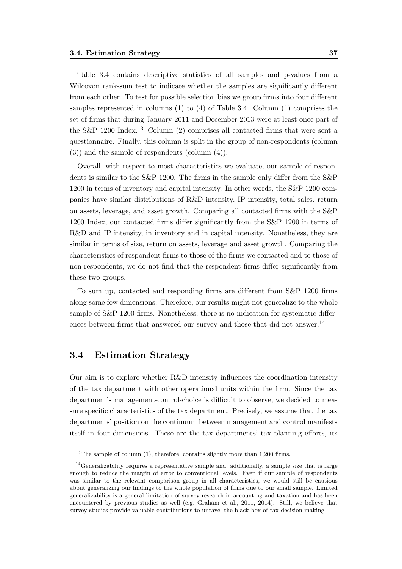Table 3.4 contains descriptive statistics of all samples and p-values from a Wilcoxon rank-sum test to indicate whether the samples are significantly different from each other. To test for possible selection bias we group firms into four different samples represented in columns (1) to (4) of Table 3.4. Column (1) comprises the set of firms that during January 2011 and December 2013 were at least once part of the S&P 1200 Index.<sup>13</sup> Column (2) comprises all contacted firms that were sent a questionnaire. Finally, this column is split in the group of non-respondents (column (3)) and the sample of respondents (column (4)).

Overall, with respect to most characteristics we evaluate, our sample of respondents is similar to the S&P 1200. The firms in the sample only differ from the S&P 1200 in terms of inventory and capital intensity. In other words, the S&P 1200 companies have similar distributions of R&D intensity, IP intensity, total sales, return on assets, leverage, and asset growth. Comparing all contacted firms with the S&P 1200 Index, our contacted firms differ significantly from the S&P 1200 in terms of R&D and IP intensity, in inventory and in capital intensity. Nonetheless, they are similar in terms of size, return on assets, leverage and asset growth. Comparing the characteristics of respondent firms to those of the firms we contacted and to those of non-respondents, we do not find that the respondent firms differ significantly from these two groups.

To sum up, contacted and responding firms are different from S&P 1200 firms along some few dimensions. Therefore, our results might not generalize to the whole sample of S&P 1200 firms. Nonetheless, there is no indication for systematic differences between firms that answered our survey and those that did not answer.<sup>14</sup>

# 3.4 Estimation Strategy

Our aim is to explore whether R&D intensity influences the coordination intensity of the tax department with other operational units within the firm. Since the tax department's management-control-choice is difficult to observe, we decided to measure specific characteristics of the tax department. Precisely, we assume that the tax departments' position on the continuum between management and control manifests itself in four dimensions. These are the tax departments' tax planning efforts, its

 $13$ The sample of column (1), therefore, contains slightly more than 1,200 firms.

 $14$ Generalizability requires a representative sample and, additionally, a sample size that is large enough to reduce the margin of error to conventional levels. Even if our sample of respondents was similar to the relevant comparison group in all characteristics, we would still be cautious about generalizing our findings to the whole population of firms due to our small sample. Limited generalizability is a general limitation of survey research in accounting and taxation and has been encountered by previous studies as well (e.g. Graham et al., 2011, 2014). Still, we believe that survey studies provide valuable contributions to unravel the black box of tax decision-making.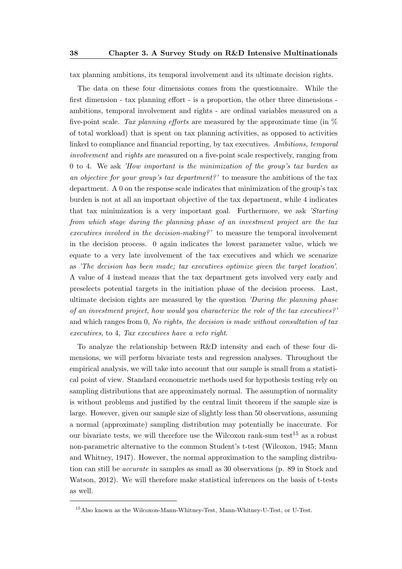tax planning ambitions, its temporal involvement and its ultimate decision rights.

The data on these four dimensions comes from the questionnaire. While the first dimension - tax planning effort - is a proportion, the other three dimensions ambitions, temporal involvement and rights - are ordinal variables measured on a five-point scale. Tax planning efforts are measured by the approximate time (in  $\%$ of total workload) that is spent on tax planning activities, as opposed to activities linked to compliance and financial reporting, by tax executives. Ambitions, temporal involvement and rights are measured on a five-point scale respectively, ranging from 0 to 4. We ask 'How important is the minimization of the group's tax burden as an objective for your group's tax department?' to measure the ambitions of the tax department. A 0 on the response scale indicates that minimization of the group's tax burden is not at all an important objective of the tax department, while 4 indicates that tax minimization is a very important goal. Furthermore, we ask 'Starting from which stage during the planning phase of an investment project are the tax executives involved in the decision-making?' to measure the temporal involvement in the decision process. 0 again indicates the lowest parameter value, which we equate to a very late involvement of the tax executives and which we scenarize as 'The decision has been made; tax executives optimize given the target location'. A value of 4 instead means that the tax department gets involved very early and preselects potential targets in the initiation phase of the decision process. Last, ultimate decision rights are measured by the question *'During the planning phase* of an investment project, how would you characterize the role of the tax executives?' and which ranges from 0, No rights, the decision is made without consultation of tax executives, to 4, Tax executives have a veto right.

To analyze the relationship between R&D intensity and each of these four dimensions, we will perform bivariate tests and regression analyses. Throughout the empirical analysis, we will take into account that our sample is small from a statistical point of view. Standard econometric methods used for hypothesis testing rely on sampling distributions that are approximately normal. The assumption of normality is without problems and justified by the central limit theorem if the sample size is large. However, given our sample size of slightly less than 50 observations, assuming a normal (approximate) sampling distribution may potentially be inaccurate. For our bivariate tests, we will therefore use the Wilcoxon rank-sum test<sup>15</sup> as a robust non-parametric alternative to the common Student's t-test (Wilcoxon, 1945; Mann and Whitney, 1947). However, the normal approximation to the sampling distribution can still be accurate in samples as small as 30 observations (p. 89 in Stock and Watson, 2012). We will therefore make statistical inferences on the basis of t-tests as well.

<sup>15</sup>Also known as the Wilcoxon-Mann-Whitney-Test, Mann-Whitney-U-Test, or U-Test.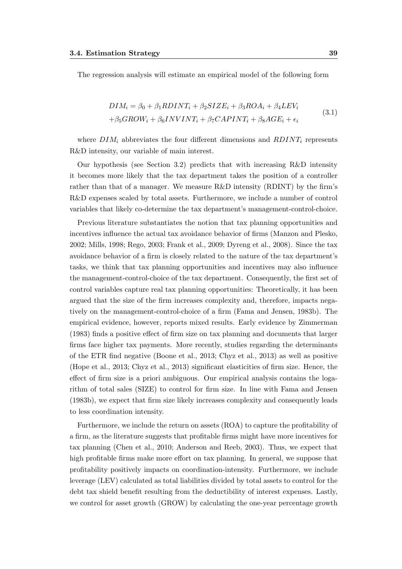The regression analysis will estimate an empirical model of the following form

$$
DIM_i = \beta_0 + \beta_1 R DINT_i + \beta_2 SIZE_i + \beta_3 ROA_i + \beta_4 LEV_i
$$
  
+  $\beta_5 GROW_i + \beta_6 INVINT_i + \beta_7 CAPINT_i + \beta_8AGE_i + \epsilon_i$  (3.1)

where  $DIM_i$  abbreviates the four different dimensions and  $RDINT_i$  represents R&D intensity, our variable of main interest.

Our hypothesis (see Section 3.2) predicts that with increasing  $R\&D$  intensity it becomes more likely that the tax department takes the position of a controller rather than that of a manager. We measure R&D intensity (RDINT) by the firm's R&D expenses scaled by total assets. Furthermore, we include a number of control variables that likely co-determine the tax department's management-control-choice.

Previous literature substantiates the notion that tax planning opportunities and incentives influence the actual tax avoidance behavior of firms (Manzon and Plesko, 2002; Mills, 1998; Rego, 2003; Frank et al., 2009; Dyreng et al., 2008). Since the tax avoidance behavior of a firm is closely related to the nature of the tax department's tasks, we think that tax planning opportunities and incentives may also influence the management-control-choice of the tax department. Consequently, the first set of control variables capture real tax planning opportunities: Theoretically, it has been argued that the size of the firm increases complexity and, therefore, impacts negatively on the management-control-choice of a firm (Fama and Jensen, 1983b). The empirical evidence, however, reports mixed results. Early evidence by Zimmerman (1983) finds a positive effect of firm size on tax planning and documents that larger firms face higher tax payments. More recently, studies regarding the determinants of the ETR find negative (Boone et al., 2013; Chyz et al., 2013) as well as positive (Hope et al., 2013; Chyz et al., 2013) significant elasticities of firm size. Hence, the effect of firm size is a priori ambiguous. Our empirical analysis contains the logarithm of total sales (SIZE) to control for firm size. In line with Fama and Jensen (1983b), we expect that firm size likely increases complexity and consequently leads to less coordination intensity.

Furthermore, we include the return on assets (ROA) to capture the profitability of a firm, as the literature suggests that profitable firms might have more incentives for tax planning (Chen et al., 2010; Anderson and Reeb, 2003). Thus, we expect that high profitable firms make more effort on tax planning. In general, we suppose that profitability positively impacts on coordination-intensity. Furthermore, we include leverage (LEV) calculated as total liabilities divided by total assets to control for the debt tax shield benefit resulting from the deductibility of interest expenses. Lastly, we control for asset growth (GROW) by calculating the one-year percentage growth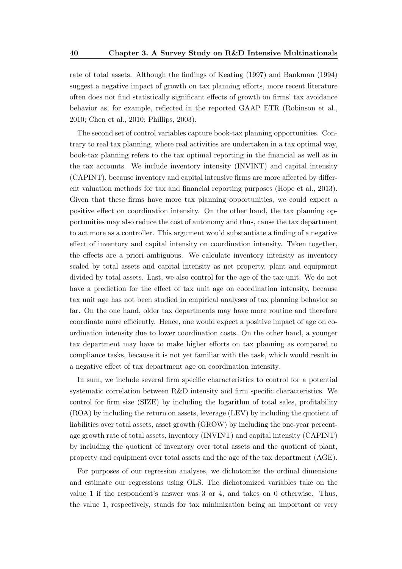rate of total assets. Although the findings of Keating (1997) and Bankman (1994) suggest a negative impact of growth on tax planning efforts, more recent literature often does not find statistically significant effects of growth on firms' tax avoidance behavior as, for example, reflected in the reported GAAP ETR (Robinson et al., 2010; Chen et al., 2010; Phillips, 2003).

The second set of control variables capture book-tax planning opportunities. Contrary to real tax planning, where real activities are undertaken in a tax optimal way, book-tax planning refers to the tax optimal reporting in the financial as well as in the tax accounts. We include inventory intensity (INVINT) and capital intensity (CAPINT), because inventory and capital intensive firms are more affected by different valuation methods for tax and financial reporting purposes (Hope et al., 2013). Given that these firms have more tax planning opportunities, we could expect a positive effect on coordination intensity. On the other hand, the tax planning opportunities may also reduce the cost of autonomy and thus, cause the tax department to act more as a controller. This argument would substantiate a finding of a negative effect of inventory and capital intensity on coordination intensity. Taken together, the effects are a priori ambiguous. We calculate inventory intensity as inventory scaled by total assets and capital intensity as net property, plant and equipment divided by total assets. Last, we also control for the age of the tax unit. We do not have a prediction for the effect of tax unit age on coordination intensity, because tax unit age has not been studied in empirical analyses of tax planning behavior so far. On the one hand, older tax departments may have more routine and therefore coordinate more efficiently. Hence, one would expect a positive impact of age on coordination intensity due to lower coordination costs. On the other hand, a younger tax department may have to make higher efforts on tax planning as compared to compliance tasks, because it is not yet familiar with the task, which would result in a negative effect of tax department age on coordination intensity.

In sum, we include several firm specific characteristics to control for a potential systematic correlation between R&D intensity and firm specific characteristics. We control for firm size (SIZE) by including the logarithm of total sales, profitability (ROA) by including the return on assets, leverage (LEV) by including the quotient of liabilities over total assets, asset growth (GROW) by including the one-year percentage growth rate of total assets, inventory (INVINT) and capital intensity (CAPINT) by including the quotient of inventory over total assets and the quotient of plant, property and equipment over total assets and the age of the tax department (AGE).

For purposes of our regression analyses, we dichotomize the ordinal dimensions and estimate our regressions using OLS. The dichotomized variables take on the value 1 if the respondent's answer was 3 or 4, and takes on 0 otherwise. Thus, the value 1, respectively, stands for tax minimization being an important or very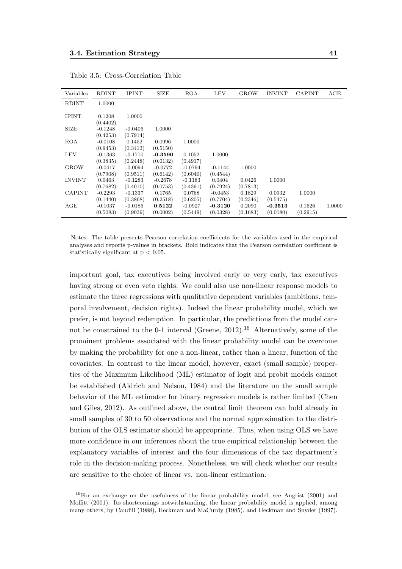| Variables     | <b>RDINT</b>       | <b>IPINT</b> | SIZE      | ROA       | <b>LEV</b> | <b>GROW</b> | <b>INVINT</b> | <b>CAPINT</b> | AGE    |
|---------------|--------------------|--------------|-----------|-----------|------------|-------------|---------------|---------------|--------|
| <b>RDINT</b>  | 1.0000             |              |           |           |            |             |               |               |        |
|               |                    |              |           |           |            |             |               |               |        |
| <b>IPINT</b>  | 0.1208<br>(0.4402) | 1.0000       |           |           |            |             |               |               |        |
|               |                    |              |           |           |            |             |               |               |        |
| SIZE          | $-0.1248$          | $-0.0406$    | 1.0000    |           |            |             |               |               |        |
|               | (0.4253)           | (0.7914)     |           |           |            |             |               |               |        |
| ROA           | $-0.0108$          | 0.1452       | 0.0996    | 1.0000    |            |             |               |               |        |
|               | (0.9453)           | (0.3413)     | (0.5150)  |           |            |             |               |               |        |
| LEV           | $-0.1363$          | $-0.1770$    | $-0.3590$ | 0.1052    | 1.0000     |             |               |               |        |
|               | (0.3835)           | (0.2448)     | (0.0132)  | (0.4917)  |            |             |               |               |        |
| <b>GROW</b>   | $-0.0417$          | $-0.0094$    | $-0.0772$ | $-0.0794$ | $-0.1144$  | 1.0000      |               |               |        |
|               | (0.7908)           | (0.9511)     | (0.6142)  | (0.6040)  | (0.4544)   |             |               |               |        |
| <b>INVINT</b> | 0.0463             | $-0.1283$    | $-0.2678$ | $-0.1183$ | 0.0404     | 0.0426      | 1.0000        |               |        |
|               | (0.7682)           | (0.4010)     | (0.0753)  | (0.4391)  | (0.7924)   | (0.7813)    |               |               |        |
| <b>CAPINT</b> | $-0.2293$          | $-0.1337$    | 0.1765    | 0.0768    | $-0.0453$  | 0.1829      | 0.0932        | 1.0000        |        |
|               | (0.1440)           | (0.3868)     | (0.2518)  | (0.6205)  | (0.7704)   | (0.2346)    | (0.5475)      |               |        |
| AGE           | $-0.1037$          | $-0.0185$    | 0.5122    | $-0.0927$ | $-0.3120$  | 0.2090      | $-0.3513$     | 0.1626        | 1.0000 |
|               | (0.5083)           | (0.9039)     | (0.0002)  | (0.5449)  | (0.0328)   | (0.1683)    | (0.0180)      | (0.2915)      |        |

Table 3.5: Cross-Correlation Table

Notes: The table presents Pearson correlation coefficients for the variables used in the empirical analyses and reports p-values in brackets. Bold indicates that the Pearson correlation coefficient is statistically significant at  $p < 0.05$ .

important goal, tax executives being involved early or very early, tax executives having strong or even veto rights. We could also use non-linear response models to estimate the three regressions with qualitative dependent variables (ambitions, temporal involvement, decision rights). Indeed the linear probability model, which we prefer, is not beyond redemption. In particular, the predictions from the model cannot be constrained to the 0-1 interval (Greene,  $2012$ ).<sup>16</sup> Alternatively, some of the prominent problems associated with the linear probability model can be overcome by making the probability for one a non-linear, rather than a linear, function of the covariates. In contrast to the linear model, however, exact (small sample) properties of the Maximum Likelihood (ML) estimator of logit and probit models cannot be established (Aldrich and Nelson, 1984) and the literature on the small sample behavior of the ML estimator for binary regression models is rather limited (Chen and Giles, 2012). As outlined above, the central limit theorem can hold already in small samples of 30 to 50 observations and the normal approximation to the distribution of the OLS estimator should be appropriate. Thus, when using OLS we have more confidence in our inferences about the true empirical relationship between the explanatory variables of interest and the four dimensions of the tax department's role in the decision-making process. Nonetheless, we will check whether our results are sensitive to the choice of linear vs. non-linear estimation.

 $16$ For an exchange on the usefulness of the linear probability model, see Angrist (2001) and Moffitt (2001). Its shortcomings notwithstanding, the linear probability model is applied, among many others, by Caudill (1988), Heckman and MaCurdy (1985), and Heckman and Snyder (1997).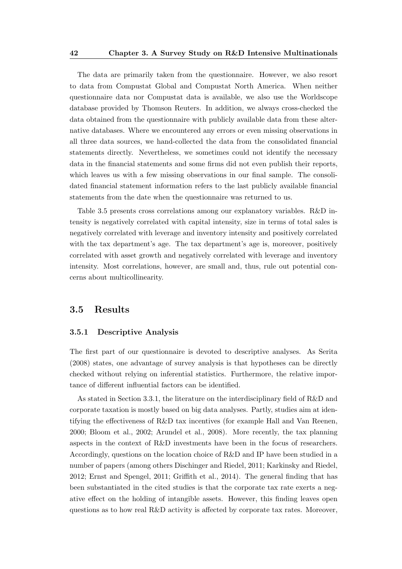The data are primarily taken from the questionnaire. However, we also resort to data from Compustat Global and Compustat North America. When neither questionnaire data nor Compustat data is available, we also use the Worldscope database provided by Thomson Reuters. In addition, we always cross-checked the data obtained from the questionnaire with publicly available data from these alternative databases. Where we encountered any errors or even missing observations in all three data sources, we hand-collected the data from the consolidated financial statements directly. Nevertheless, we sometimes could not identify the necessary data in the financial statements and some firms did not even publish their reports, which leaves us with a few missing observations in our final sample. The consolidated financial statement information refers to the last publicly available financial statements from the date when the questionnaire was returned to us.

Table 3.5 presents cross correlations among our explanatory variables. R&D intensity is negatively correlated with capital intensity, size in terms of total sales is negatively correlated with leverage and inventory intensity and positively correlated with the tax department's age. The tax department's age is, moreover, positively correlated with asset growth and negatively correlated with leverage and inventory intensity. Most correlations, however, are small and, thus, rule out potential concerns about multicollinearity.

# 3.5 Results

#### 3.5.1 Descriptive Analysis

The first part of our questionnaire is devoted to descriptive analyses. As Serita (2008) states, one advantage of survey analysis is that hypotheses can be directly checked without relying on inferential statistics. Furthermore, the relative importance of different influential factors can be identified.

As stated in Section 3.3.1, the literature on the interdisciplinary field of R&D and corporate taxation is mostly based on big data analyses. Partly, studies aim at identifying the effectiveness of R&D tax incentives (for example Hall and Van Reenen, 2000; Bloom et al., 2002; Arundel et al., 2008). More recently, the tax planning aspects in the context of R&D investments have been in the focus of researchers. Accordingly, questions on the location choice of R&D and IP have been studied in a number of papers (among others Dischinger and Riedel, 2011; Karkinsky and Riedel, 2012; Ernst and Spengel, 2011; Griffith et al., 2014). The general finding that has been substantiated in the cited studies is that the corporate tax rate exerts a negative effect on the holding of intangible assets. However, this finding leaves open questions as to how real  $R\&D$  activity is affected by corporate tax rates. Moreover,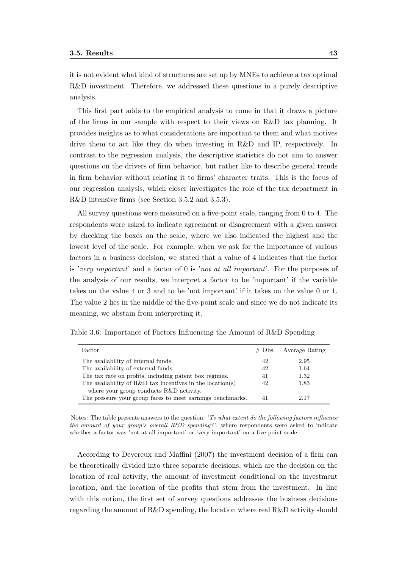it is not evident what kind of structures are set up by MNEs to achieve a tax optimal R&D investment. Therefore, we addressed these questions in a purely descriptive analysis.

This first part adds to the empirical analysis to come in that it draws a picture of the firms in our sample with respect to their views on R&D tax planning. It provides insights as to what considerations are important to them and what motives drive them to act like they do when investing in R&D and IP, respectively. In contrast to the regression analysis, the descriptive statistics do not aim to answer questions on the drivers of firm behavior, but rather like to describe general trends in firm behavior without relating it to firms' character traits. This is the focus of our regression analysis, which closer investigates the role of the tax department in R&D intensive firms (see Section 3.5.2 and 3.5.3).

All survey questions were measured on a five-point scale, ranging from 0 to 4. The respondents were asked to indicate agreement or disagreement with a given answer by checking the boxes on the scale, where we also indicated the highest and the lowest level of the scale. For example, when we ask for the importance of various factors in a business decision, we stated that a value of 4 indicates that the factor is 'very important' and a factor of 0 is 'not at all important'. For the purposes of the analysis of our results, we interpret a factor to be 'important' if the variable takes on the value 4 or 3 and to be 'not important' if it takes on the value 0 or 1. The value 2 lies in the middle of the five-point scale and since we do not indicate its meaning, we abstain from interpreting it.

| Factor                                                       | $\#$ Obs. | Average Rating |
|--------------------------------------------------------------|-----------|----------------|
| The availability of internal funds.                          | 42        | 2.95           |
| The availability of external funds.                          | 42        | 1.64           |
| The tax rate on profits, including patent box regimes.       | 41        | 1.32           |
| The availability of $R\&D$ tax incentives in the location(s) | 42        | 1.83           |
| where your group conducts R&D activity.                      |           |                |
| The pressure your group faces to meet earnings benchmarks.   | 41        | 2.17           |

Table 3.6: Importance of Factors Influencing the Amount of R&D Spending

Notes: The table presents answers to the question: 'To what extent do the following factors influence the amount of your group's overall  $R\&D$  spending?', where respondents were asked to indicate whether a factor was 'not at all important' or 'very important' on a five-point scale.

According to Devereux and Maffini (2007) the investment decision of a firm can be theoretically divided into three separate decisions, which are the decision on the location of real activity, the amount of investment conditional on the investment location, and the location of the profits that stem from the investment. In line with this notion, the first set of survey questions addresses the business decisions regarding the amount of R&D spending, the location where real R&D activity should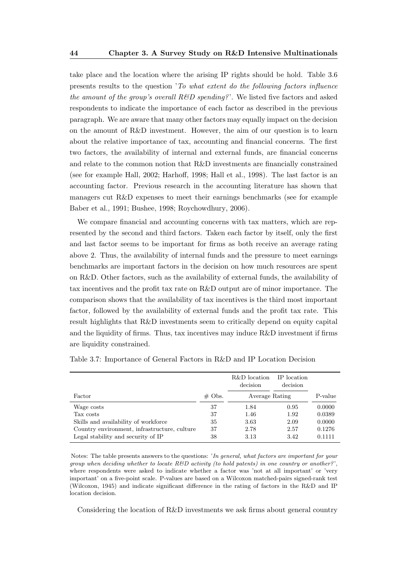take place and the location where the arising IP rights should be hold. Table 3.6 presents results to the question 'To what extent do the following factors influence the amount of the group's overall  $R\&D$  spending?'. We listed five factors and asked respondents to indicate the importance of each factor as described in the previous paragraph. We are aware that many other factors may equally impact on the decision on the amount of R&D investment. However, the aim of our question is to learn about the relative importance of tax, accounting and financial concerns. The first two factors, the availability of internal and external funds, are financial concerns and relate to the common notion that R&D investments are financially constrained (see for example Hall, 2002; Harhoff, 1998; Hall et al., 1998). The last factor is an accounting factor. Previous research in the accounting literature has shown that managers cut R&D expenses to meet their earnings benchmarks (see for example Baber et al., 1991; Bushee, 1998; Roychowdhury, 2006).

We compare financial and accounting concerns with tax matters, which are represented by the second and third factors. Taken each factor by itself, only the first and last factor seems to be important for firms as both receive an average rating above 2. Thus, the availability of internal funds and the pressure to meet earnings benchmarks are important factors in the decision on how much resources are spent on R&D. Other factors, such as the availability of external funds, the availability of tax incentives and the profit tax rate on R&D output are of minor importance. The comparison shows that the availability of tax incentives is the third most important factor, followed by the availability of external funds and the profit tax rate. This result highlights that R&D investments seem to critically depend on equity capital and the liquidity of firms. Thus, tax incentives may induce  $R\&D$  investment if firms are liquidity constrained.

|           | R&D location<br>decision | IP location<br>decision |                |
|-----------|--------------------------|-------------------------|----------------|
| $\#$ Obs. |                          |                         | P-value        |
| 37        | 1.84                     | 0.95                    | 0.0000         |
| 37        | 1.46                     | 1.92                    | 0.0389         |
| 35        | 3.63                     | 2.09                    | 0.0000         |
| 37        | 2.78                     | 2.57                    | 0.1276         |
| 38        | 3.13                     | 3.42                    | 0.1111         |
|           |                          |                         | Average Rating |

Table 3.7: Importance of General Factors in R&D and IP Location Decision

Notes: The table presents answers to the questions: 'In general, what factors are important for your group when deciding whether to locate R&D activity (to hold patents) in one country or another?', where respondents were asked to indicate whether a factor was 'not at all important' or 'very important' on a five-point scale. P-values are based on a Wilcoxon matched-pairs signed-rank test (Wilcoxon, 1945) and indicate significant difference in the rating of factors in the R&D and IP location decision.

Considering the location of R&D investments we ask firms about general country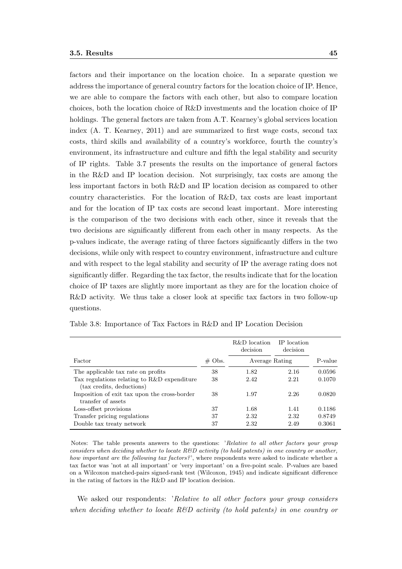factors and their importance on the location choice. In a separate question we address the importance of general country factors for the location choice of IP. Hence, we are able to compare the factors with each other, but also to compare location choices, both the location choice of R&D investments and the location choice of IP holdings. The general factors are taken from A.T. Kearney's global services location index (A. T. Kearney, 2011) and are summarized to first wage costs, second tax costs, third skills and availability of a country's workforce, fourth the country's environment, its infrastructure and culture and fifth the legal stability and security of IP rights. Table 3.7 presents the results on the importance of general factors in the R&D and IP location decision. Not surprisingly, tax costs are among the less important factors in both R&D and IP location decision as compared to other country characteristics. For the location of R&D, tax costs are least important and for the location of IP tax costs are second least important. More interesting is the comparison of the two decisions with each other, since it reveals that the two decisions are significantly different from each other in many respects. As the p-values indicate, the average rating of three factors significantly differs in the two decisions, while only with respect to country environment, infrastructure and culture and with respect to the legal stability and security of IP the average rating does not significantly differ. Regarding the tax factor, the results indicate that for the location choice of IP taxes are slightly more important as they are for the location choice of R&D activity. We thus take a closer look at specific tax factors in two follow-up questions.

|                                                                          |           | R&D location<br>decision | IP location<br>decision |         |
|--------------------------------------------------------------------------|-----------|--------------------------|-------------------------|---------|
| Factor                                                                   | $\#$ Obs. | Average Rating           |                         | P-value |
| The applicable tax rate on profits                                       | 38        | 1.82                     | 2.16                    | 0.0596  |
| Tax regulations relating to R&D expenditure<br>(tax credits, deductions) | 38        | 2.42                     | 2.21                    | 0.1070  |
| Imposition of exit tax upon the cross-border<br>transfer of assets       | 38        | 1.97                     | 2.26                    | 0.0820  |
| Loss-offset provisions                                                   | 37        | 1.68                     | 1.41                    | 0.1186  |
| Transfer pricing regulations                                             | 37        | 2.32                     | 2.32                    | 0.8749  |
| Double tax treaty network                                                | 37        | 2.32                     | 2.49                    | 0.3061  |

Table 3.8: Importance of Tax Factors in R&D and IP Location Decision

Notes: The table presents answers to the questions: 'Relative to all other factors your group considers when deciding whether to locate  $R\&D$  activity (to hold patents) in one country or another, how important are the following tax factors?', where respondents were asked to indicate whether a tax factor was 'not at all important' or 'very important' on a five-point scale. P-values are based on a Wilcoxon matched-pairs signed-rank test (Wilcoxon, 1945) and indicate significant difference in the rating of factors in the R&D and IP location decision.

We asked our respondents: 'Relative to all other factors your group considers when deciding whether to locate  $R\&D$  activity (to hold patents) in one country or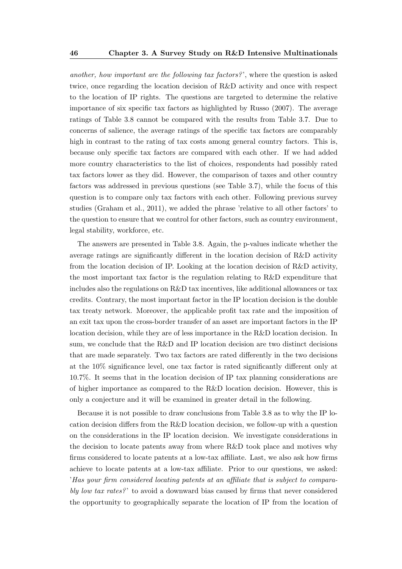another, how important are the following tax factors? ', where the question is asked twice, once regarding the location decision of R&D activity and once with respect to the location of IP rights. The questions are targeted to determine the relative importance of six specific tax factors as highlighted by Russo (2007). The average ratings of Table 3.8 cannot be compared with the results from Table 3.7. Due to concerns of salience, the average ratings of the specific tax factors are comparably high in contrast to the rating of tax costs among general country factors. This is, because only specific tax factors are compared with each other. If we had added more country characteristics to the list of choices, respondents had possibly rated tax factors lower as they did. However, the comparison of taxes and other country factors was addressed in previous questions (see Table 3.7), while the focus of this question is to compare only tax factors with each other. Following previous survey studies (Graham et al., 2011), we added the phrase 'relative to all other factors' to the question to ensure that we control for other factors, such as country environment, legal stability, workforce, etc.

The answers are presented in Table 3.8. Again, the p-values indicate whether the average ratings are significantly different in the location decision of R&D activity from the location decision of IP. Looking at the location decision of R&D activity, the most important tax factor is the regulation relating to R&D expenditure that includes also the regulations on R&D tax incentives, like additional allowances or tax credits. Contrary, the most important factor in the IP location decision is the double tax treaty network. Moreover, the applicable profit tax rate and the imposition of an exit tax upon the cross-border transfer of an asset are important factors in the IP location decision, while they are of less importance in the R&D location decision. In sum, we conclude that the R&D and IP location decision are two distinct decisions that are made separately. Two tax factors are rated differently in the two decisions at the 10% significance level, one tax factor is rated significantly different only at 10.7%. It seems that in the location decision of IP tax planning considerations are of higher importance as compared to the R&D location decision. However, this is only a conjecture and it will be examined in greater detail in the following.

Because it is not possible to draw conclusions from Table 3.8 as to why the IP location decision differs from the R&D location decision, we follow-up with a question on the considerations in the IP location decision. We investigate considerations in the decision to locate patents away from where R&D took place and motives why firms considered to locate patents at a low-tax affiliate. Last, we also ask how firms achieve to locate patents at a low-tax affiliate. Prior to our questions, we asked: 'Has your firm considered locating patents at an affiliate that is subject to comparably low tax rates?' to avoid a downward bias caused by firms that never considered the opportunity to geographically separate the location of IP from the location of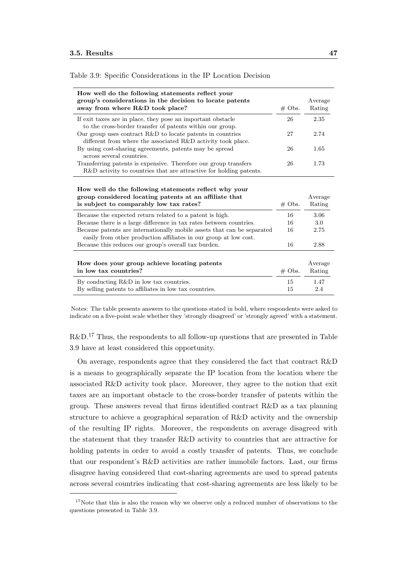| How well do the following statements reflect your<br>group's considerations in the decision to locate patents<br>away from where R&D took place?           | $#$ Obs.  | Average<br>Rating |
|------------------------------------------------------------------------------------------------------------------------------------------------------------|-----------|-------------------|
| If exit taxes are in place, they pose an important obstacle<br>to the cross-border transfer of patents within our group.                                   | 26        | 2.35              |
| Our group uses contract $R\&D$ to locate patents in countries<br>different from where the associated R&D activity took place.                              | 27        | 2.74              |
| By using cost-sharing agreements, patents may be spread<br>across several countries.                                                                       | 26        | 1.65              |
| Transferring patents is expensive. Therefore our group transfers<br>R&D activity to countries that are attractive for holding patents.                     | 26        | 1.73              |
| How well do the following statements reflect why your<br>group considered locating patents at an affiliate that<br>is subject to comparably low tax rates? | $\#$ Obs. | Average<br>Rating |
| Because the expected return related to a patent is high.                                                                                                   | 16        | 3.06              |
| Because there is a large difference in tax rates between countries.                                                                                        | 16        | 3.0               |
| Because patents are internationally mobile assets that can be separated<br>easily from other production affiliates in our group at low cost.               | 16        | 2.75              |
| Because this reduces our group's overall tax burden.                                                                                                       | 16        | 2.88              |
| How does your group achieve locating patents<br>in low tax countries?                                                                                      | $\#$ Obs. | Average<br>Rating |
| By conducting R&D in low tax countries.<br>By selling patents to affiliates in low tax countries.                                                          | 15<br>15  | 1.47<br>2.4       |

Table 3.9: Specific Considerations in the IP Location Decision

Notes: The table presents answers to the questions stated in bold, where respondents were asked to indicate on a five-point scale whether they 'strongly disagreed' or 'strongly agreed' with a statement.

 $R\&D<sup>17</sup>$  Thus, the respondents to all follow-up questions that are presented in Table 3.9 have at least considered this opportunity.

On average, respondents agree that they considered the fact that contract R&D is a means to geographically separate the IP location from the location where the associated R&D activity took place. Moreover, they agree to the notion that exit taxes are an important obstacle to the cross-border transfer of patents within the group. These answers reveal that firms identified contract R&D as a tax planning structure to achieve a geographical separation of R&D activity and the ownership of the resulting IP rights. Moreover, the respondents on average disagreed with the statement that they transfer R&D activity to countries that are attractive for holding patents in order to avoid a costly transfer of patents. Thus, we conclude that our respondent's R&D activities are rather immobile factors. Last, our firms disagree having considered that cost-sharing agreements are used to spread patents across several countries indicating that cost-sharing agreements are less likely to be

 $17$ Note that this is also the reason why we observe only a reduced number of observations to the questions presented in Table 3.9.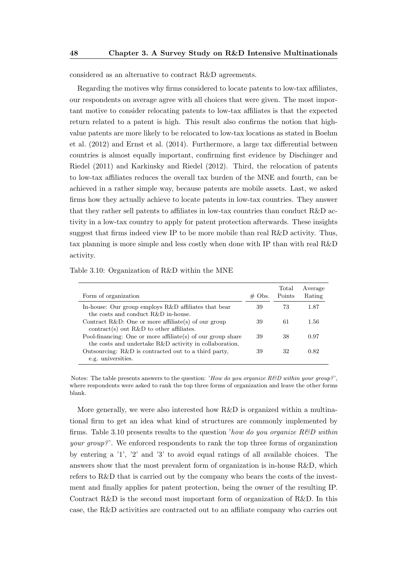considered as an alternative to contract R&D agreements.

Regarding the motives why firms considered to locate patents to low-tax affiliates, our respondents on average agree with all choices that were given. The most important motive to consider relocating patents to low-tax affiliates is that the expected return related to a patent is high. This result also confirms the notion that highvalue patents are more likely to be relocated to low-tax locations as stated in Boehm et al. (2012) and Ernst et al. (2014). Furthermore, a large tax differential between countries is almost equally important, confirming first evidence by Dischinger and Riedel (2011) and Karkinsky and Riedel (2012). Third, the relocation of patents to low-tax affiliates reduces the overall tax burden of the MNE and fourth, can be achieved in a rather simple way, because patents are mobile assets. Last, we asked firms how they actually achieve to locate patents in low-tax countries. They answer that they rather sell patents to affiliates in low-tax countries than conduct R&D activity in a low-tax country to apply for patent protection afterwards. These insights suggest that firms indeed view IP to be more mobile than real R&D activity. Thus, tax planning is more simple and less costly when done with IP than with real R&D activity.

| Form of organization                                                                                                  | $\#$ Obs. | Total<br>Points | Average<br>Rating |
|-----------------------------------------------------------------------------------------------------------------------|-----------|-----------------|-------------------|
| In-house: Our group employs R&D affiliates that bear<br>the costs and conduct $R\&D$ in-house.                        | 39        | 73              | 1.87              |
| Contract R&D: One or more affiliate(s) of our group<br>contract(s) out R&D to other affiliates.                       | 39        | 61              | 1.56              |
| Pool-financing: One or more affiliate(s) of our group share<br>the costs and undertake R&D activity in collaboration. | 39        | 38              | 0.97              |
| Outsourcing: R&D is contracted out to a third party,<br>e.g. universities.                                            | 39        | 32              | 0.82              |

Table 3.10: Organization of R&D within the MNE

Notes: The table presents answers to the question: 'How do you organize  $R\&D$  within your group?', where respondents were asked to rank the top three forms of organization and leave the other forms blank.

More generally, we were also interested how R&D is organized within a multinational firm to get an idea what kind of structures are commonly implemented by firms. Table 3.10 presents results to the question 'how do you organize  $R\&D$  within your group?'. We enforced respondents to rank the top three forms of organization by entering a '1', '2' and '3' to avoid equal ratings of all available choices. The answers show that the most prevalent form of organization is in-house R&D, which refers to R&D that is carried out by the company who bears the costs of the investment and finally applies for patent protection, being the owner of the resulting IP. Contract R&D is the second most important form of organization of R&D. In this case, the R&D activities are contracted out to an affiliate company who carries out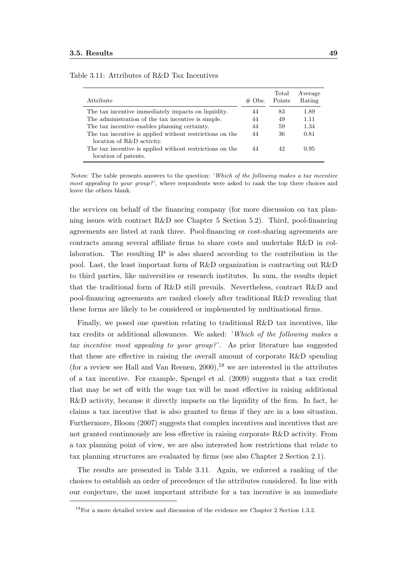| Attribute                                                | $\#$ Obs. | Total<br>Points | Average<br>Rating |
|----------------------------------------------------------|-----------|-----------------|-------------------|
| The tax incentive immediately impacts on liquidity.      | 44        | 83              | 1.89              |
| The administration of the tax incentive is simple.       | 44        | 49              | 1.11              |
| The tax incentive enables planning certainty.            | 44        | 59              | 1.34              |
| The tax incentive is applied without restrictions on the | 44        | 36              | 0.81              |
| location of R&D activity.                                |           |                 |                   |
| The tax incentive is applied without restrictions on the | 44        | 42              | 0.95              |
| location of patents.                                     |           |                 |                   |

Table 3.11: Attributes of R&D Tax Incentives

Notes: The table presents answers to the question: 'Which of the following makes a tax incentive most appealing to your group?', where respondents were asked to rank the top three choices and leave the others blank.

the services on behalf of the financing company (for more discussion on tax planning issues with contract R&D see Chapter 5 Section 5.2). Third, pool-financing agreements are listed at rank three. Pool-financing or cost-sharing agreements are contracts among several affiliate firms to share costs and undertake R&D in collaboration. The resulting IP is also shared according to the contribution in the pool. Last, the least important form of R&D organization is contracting out R&D to third parties, like universities or research institutes. In sum, the results depict that the traditional form of R&D still prevails. Nevertheless, contract R&D and pool-financing agreements are ranked closely after traditional R&D revealing that these forms are likely to be considered or implemented by multinational firms.

Finally, we posed one question relating to traditional R&D tax incentives, like tax credits or additional allowances. We asked: 'Which of the following makes a tax incentive most appealing to your group?'. As prior literature has suggested that these are effective in raising the overall amount of corporate R&D spending (for a review see Hall and Van Reenen,  $2000$ ), <sup>18</sup> we are interested in the attributes of a tax incentive. For example, Spengel et al. (2009) suggests that a tax credit that may be set off with the wage tax will be most effective in raising additional R&D activity, because it directly impacts on the liquidity of the firm. In fact, he claims a tax incentive that is also granted to firms if they are in a loss situation. Furthermore, Bloom (2007) suggests that complex incentives and incentives that are not granted continuously are less effective in raising corporate R&D activity. From a tax planning point of view, we are also interested how restrictions that relate to tax planning structures are evaluated by firms (see also Chapter 2 Section 2.1).

The results are presented in Table 3.11. Again, we enforced a ranking of the choices to establish an order of precedence of the attributes considered. In line with our conjecture, the most important attribute for a tax incentive is an immediate

<sup>18</sup>For a more detailed review and discussion of the evidence see Chapter 2 Section 1.3.2.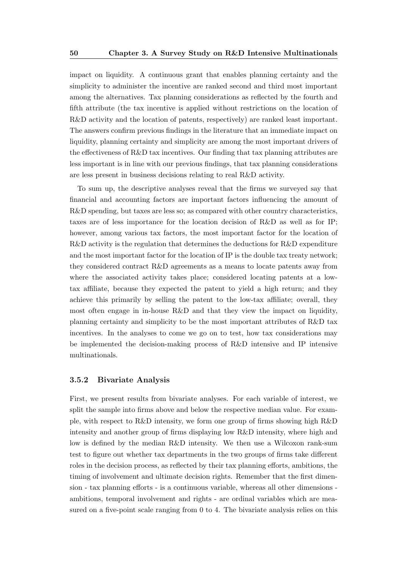impact on liquidity. A continuous grant that enables planning certainty and the simplicity to administer the incentive are ranked second and third most important among the alternatives. Tax planning considerations as reflected by the fourth and fifth attribute (the tax incentive is applied without restrictions on the location of R&D activity and the location of patents, respectively) are ranked least important. The answers confirm previous findings in the literature that an immediate impact on liquidity, planning certainty and simplicity are among the most important drivers of the effectiveness of R&D tax incentives. Our finding that tax planning attributes are less important is in line with our previous findings, that tax planning considerations are less present in business decisions relating to real R&D activity.

To sum up, the descriptive analyses reveal that the firms we surveyed say that financial and accounting factors are important factors influencing the amount of R&D spending, but taxes are less so; as compared with other country characteristics, taxes are of less importance for the location decision of R&D as well as for IP; however, among various tax factors, the most important factor for the location of R&D activity is the regulation that determines the deductions for R&D expenditure and the most important factor for the location of IP is the double tax treaty network; they considered contract R&D agreements as a means to locate patents away from where the associated activity takes place; considered locating patents at a lowtax affiliate, because they expected the patent to yield a high return; and they achieve this primarily by selling the patent to the low-tax affiliate; overall, they most often engage in in-house R&D and that they view the impact on liquidity, planning certainty and simplicity to be the most important attributes of R&D tax incentives. In the analyses to come we go on to test, how tax considerations may be implemented the decision-making process of R&D intensive and IP intensive multinationals.

#### 3.5.2 Bivariate Analysis

First, we present results from bivariate analyses. For each variable of interest, we split the sample into firms above and below the respective median value. For example, with respect to R&D intensity, we form one group of firms showing high R&D intensity and another group of firms displaying low R&D intensity, where high and low is defined by the median R&D intensity. We then use a Wilcoxon rank-sum test to figure out whether tax departments in the two groups of firms take different roles in the decision process, as reflected by their tax planning efforts, ambitions, the timing of involvement and ultimate decision rights. Remember that the first dimension - tax planning efforts - is a continuous variable, whereas all other dimensions ambitions, temporal involvement and rights - are ordinal variables which are measured on a five-point scale ranging from 0 to 4. The bivariate analysis relies on this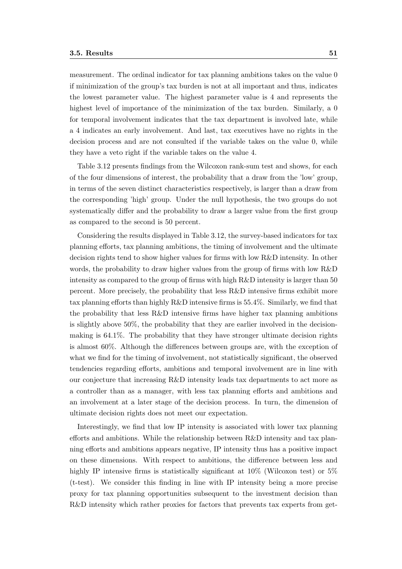measurement. The ordinal indicator for tax planning ambitions takes on the value 0 if minimization of the group's tax burden is not at all important and thus, indicates the lowest parameter value. The highest parameter value is 4 and represents the highest level of importance of the minimization of the tax burden. Similarly, a 0 for temporal involvement indicates that the tax department is involved late, while a 4 indicates an early involvement. And last, tax executives have no rights in the decision process and are not consulted if the variable takes on the value 0, while they have a veto right if the variable takes on the value 4.

Table 3.12 presents findings from the Wilcoxon rank-sum test and shows, for each of the four dimensions of interest, the probability that a draw from the 'low' group, in terms of the seven distinct characteristics respectively, is larger than a draw from the corresponding 'high' group. Under the null hypothesis, the two groups do not systematically differ and the probability to draw a larger value from the first group as compared to the second is 50 percent.

Considering the results displayed in Table 3.12, the survey-based indicators for tax planning efforts, tax planning ambitions, the timing of involvement and the ultimate decision rights tend to show higher values for firms with low R&D intensity. In other words, the probability to draw higher values from the group of firms with low R&D intensity as compared to the group of firms with high R&D intensity is larger than 50 percent. More precisely, the probability that less R&D intensive firms exhibit more tax planning efforts than highly R&D intensive firms is 55.4%. Similarly, we find that the probability that less R&D intensive firms have higher tax planning ambitions is slightly above 50%, the probability that they are earlier involved in the decisionmaking is 64.1%. The probability that they have stronger ultimate decision rights is almost 60%. Although the differences between groups are, with the exception of what we find for the timing of involvement, not statistically significant, the observed tendencies regarding efforts, ambitions and temporal involvement are in line with our conjecture that increasing R&D intensity leads tax departments to act more as a controller than as a manager, with less tax planning efforts and ambitions and an involvement at a later stage of the decision process. In turn, the dimension of ultimate decision rights does not meet our expectation.

Interestingly, we find that low IP intensity is associated with lower tax planning efforts and ambitions. While the relationship between R&D intensity and tax planning efforts and ambitions appears negative, IP intensity thus has a positive impact on these dimensions. With respect to ambitions, the difference between less and highly IP intensive firms is statistically significant at  $10\%$  (Wilcoxon test) or  $5\%$ (t-test). We consider this finding in line with IP intensity being a more precise proxy for tax planning opportunities subsequent to the investment decision than R&D intensity which rather proxies for factors that prevents tax experts from get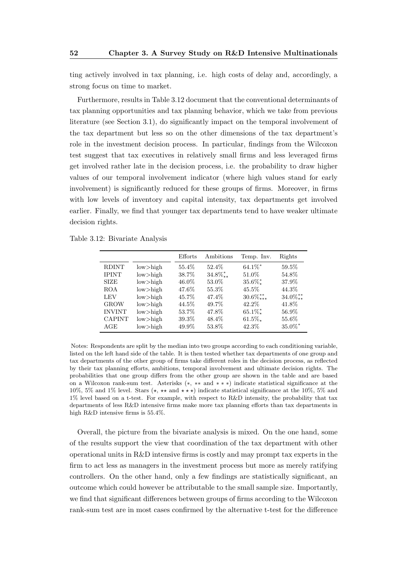ting actively involved in tax planning, i.e. high costs of delay and, accordingly, a strong focus on time to market.

Furthermore, results in Table 3.12 document that the conventional determinants of tax planning opportunities and tax planning behavior, which we take from previous literature (see Section 3.1), do significantly impact on the temporal involvement of the tax department but less so on the other dimensions of the tax department's role in the investment decision process. In particular, findings from the Wilcoxon test suggest that tax executives in relatively small firms and less leveraged firms get involved rather late in the decision process, i.e. the probability to draw higher values of our temporal involvement indicator (where high values stand for early involvement) is significantly reduced for these groups of firms. Moreover, in firms with low levels of inventory and capital intensity, tax departments get involved earlier. Finally, we find that younger tax departments tend to have weaker ultimate decision rights.

Table 3.12: Bivariate Analysis

|               |             | Efforts | Ambitions       | Temp. Inv.            | Rights      |
|---------------|-------------|---------|-----------------|-----------------------|-------------|
| <b>RDINT</b>  | $low$ high  | 55.4%   | 52.4\%          | $64.1\%$ *            | 59.5%       |
| <b>IPINT</b>  | $low$ -high | 38.7%   | $34.8\%_{**}^*$ | 51.0%                 | 54.8%       |
| <b>SIZE</b>   | $low$ high  | 46.0%   | 53.0%           | $35.6\%$ *            | 37.9%       |
| <b>ROA</b>    | $low$ -high | 47.6%   | 55.3%           | 45.5%                 | 44.3%       |
| LEV           | $low>$ high | 45.7%   | 47.4%           | $30.6\%^{**}_{***}$   | $34.0\%$ ** |
| <b>GROW</b>   | $low$ -high | 44.5%   | 49.7%           | 42.2\%                | 41.8%       |
| <b>INVINT</b> | $low$ -high | 53.7%   | 47.8%           | $65.1\%$ <sup>*</sup> | 56.9%       |
| <b>CAPINT</b> | $low>$ high | 39.3%   | 48.4%           | $61.5\%$              | 55.6%       |
| AGE           | $low$ -high | 49.9%   | 53.8%           | 42.3%                 | $35.0\%$ *  |

Notes: Respondents are split by the median into two groups according to each conditioning variable, listed on the left hand side of the table. It is then tested whether tax departments of one group and tax departments of the other group of firms take different roles in the decision process, as reflected by their tax planning efforts, ambitions, temporal involvement and ultimate decision rights. The probabilities that one group differs from the other group are shown in the table and are based on a Wilcoxon rank-sum test. Asterisks (∗, ∗∗ and ∗ ∗ ∗) indicate statistical significance at the 10%, 5% and 1% level. Stars  $(\star, \star\star$  and  $\star\star\star)$  indicate statistical significance at the 10%, 5% and 1% level based on a t-test. For example, with respect to R&D intensity, the probability that tax departments of less R&D intensive firms make more tax planning efforts than tax departments in high R&D intensive firms is 55.4%.

Overall, the picture from the bivariate analysis is mixed. On the one hand, some of the results support the view that coordination of the tax department with other operational units in R&D intensive firms is costly and may prompt tax experts in the firm to act less as managers in the investment process but more as merely ratifying controllers. On the other hand, only a few findings are statistically significant, an outcome which could however be attributable to the small sample size. Importantly, we find that significant differences between groups of firms according to the Wilcoxon rank-sum test are in most cases confirmed by the alternative t-test for the difference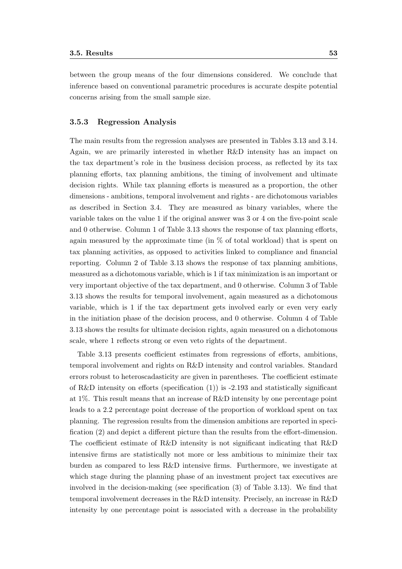between the group means of the four dimensions considered. We conclude that inference based on conventional parametric procedures is accurate despite potential concerns arising from the small sample size.

#### 3.5.3 Regression Analysis

The main results from the regression analyses are presented in Tables 3.13 and 3.14. Again, we are primarily interested in whether R&D intensity has an impact on the tax department's role in the business decision process, as reflected by its tax planning efforts, tax planning ambitions, the timing of involvement and ultimate decision rights. While tax planning efforts is measured as a proportion, the other dimensions - ambitions, temporal involvement and rights - are dichotomous variables as described in Section 3.4. They are measured as binary variables, where the variable takes on the value 1 if the original answer was 3 or 4 on the five-point scale and 0 otherwise. Column 1 of Table 3.13 shows the response of tax planning efforts, again measured by the approximate time (in  $\%$  of total workload) that is spent on tax planning activities, as opposed to activities linked to compliance and financial reporting. Column 2 of Table 3.13 shows the response of tax planning ambitions, measured as a dichotomous variable, which is 1 if tax minimization is an important or very important objective of the tax department, and 0 otherwise. Column 3 of Table 3.13 shows the results for temporal involvement, again measured as a dichotomous variable, which is 1 if the tax department gets involved early or even very early in the initiation phase of the decision process, and 0 otherwise. Column 4 of Table 3.13 shows the results for ultimate decision rights, again measured on a dichotomous scale, where 1 reflects strong or even veto rights of the department.

Table 3.13 presents coefficient estimates from regressions of efforts, ambitions, temporal involvement and rights on R&D intensity and control variables. Standard errors robust to heteroscadasticity are given in parentheses. The coefficient estimate of R&D intensity on efforts (specification (1)) is -2.193 and statistically significant at 1%. This result means that an increase of R&D intensity by one percentage point leads to a 2.2 percentage point decrease of the proportion of workload spent on tax planning. The regression results from the dimension ambitions are reported in specification (2) and depict a different picture than the results from the effort-dimension. The coefficient estimate of R&D intensity is not significant indicating that R&D intensive firms are statistically not more or less ambitious to minimize their tax burden as compared to less R&D intensive firms. Furthermore, we investigate at which stage during the planning phase of an investment project tax executives are involved in the decision-making (see specification (3) of Table 3.13). We find that temporal involvement decreases in the R&D intensity. Precisely, an increase in R&D intensity by one percentage point is associated with a decrease in the probability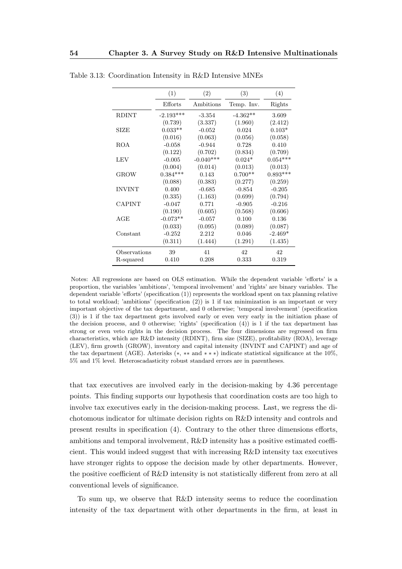|               | (1)         | (2)         | (3)        | (4)        |
|---------------|-------------|-------------|------------|------------|
|               | Efforts     | Ambitions   | Temp. Inv. | Rights     |
| <b>RDINT</b>  | $-2.193***$ | $-3.354$    | $-4.362**$ | 3.609      |
|               | (0.739)     | (3.337)     | (1.960)    | (2.412)    |
| <b>SIZE</b>   | $0.033**$   | $-0.052$    | 0.024      | $0.103*$   |
|               | (0.016)     | (0.063)     | (0.056)    | (0.058)    |
| ROA           | $-0.058$    | $-0.944$    | 0.728      | 0.410      |
|               | (0.122)     | (0.702)     | (0.834)    | (0.709)    |
| LEV           | $-0.005$    | $-0.040***$ | $0.024*$   | $0.054***$ |
|               | (0.004)     | (0.014)     | (0.013)    | (0.013)    |
| <b>GROW</b>   | $0.384***$  | 0.143       | $0.700**$  | $0.893***$ |
|               | (0.088)     | (0.383)     | (0.277)    | (0.259)    |
| <b>INVINT</b> | 0.400       | $-0.685$    | $-0.854$   | $-0.205$   |
|               | (0.335)     | (1.163)     | (0.699)    | (0.794)    |
| <b>CAPINT</b> | $-0.047$    | 0.771       | $-0.905$   | $-0.216$   |
|               | (0.190)     | (0.605)     | (0.568)    | (0.606)    |
| AGE           | $-0.073**$  | $-0.057$    | 0.100      | 0.136      |
|               | (0.033)     | (0.095)     | (0.089)    | (0.087)    |
| Constant      | $-0.252$    | 2.212       | 0.046      | $-2.469*$  |
|               | (0.311)     | (1.444)     | (1.291)    | (1.435)    |
| Observations  | 39          | 41          | 42         | 42         |
| R-squared     | 0.410       | 0.208       | 0.333      | 0.319      |

Table 3.13: Coordination Intensity in R&D Intensive MNEs

Notes: All regressions are based on OLS estimation. While the dependent variable 'efforts' is a proportion, the variables 'ambitions', 'temporal involvement' and 'rights' are binary variables. The dependent variable 'efforts' (specification (1)) represents the workload spent on tax planning relative to total workload; 'ambitions' (specification (2)) is 1 if tax minimization is an important or very important objective of the tax department, and 0 otherwise; 'temporal involvement' (specification (3)) is 1 if the tax department gets involved early or even very early in the initiation phase of the decision process, and 0 otherwise; 'rights' (specification (4)) is 1 if the tax department has strong or even veto rights in the decision process. The four dimensions are regressed on firm characteristics, which are R&D intensity (RDINT), firm size (SIZE), profitability (ROA), leverage (LEV), firm growth (GROW), inventory and capital intensity (INVINT and CAPINT) and age of the tax department (AGE). Asterisks (∗, ∗∗ and ∗ ∗ ∗) indicate statistical significance at the 10%, 5% and 1% level. Heteroscadasticity robust standard errors are in parentheses.

that tax executives are involved early in the decision-making by 4.36 percentage points. This finding supports our hypothesis that coordination costs are too high to involve tax executives early in the decision-making process. Last, we regress the dichotomous indicator for ultimate decision rights on R&D intensity and controls and present results in specification (4). Contrary to the other three dimensions efforts, ambitions and temporal involvement, R&D intensity has a positive estimated coefficient. This would indeed suggest that with increasing R&D intensity tax executives have stronger rights to oppose the decision made by other departments. However, the positive coefficient of R&D intensity is not statistically different from zero at all conventional levels of significance.

To sum up, we observe that R&D intensity seems to reduce the coordination intensity of the tax department with other departments in the firm, at least in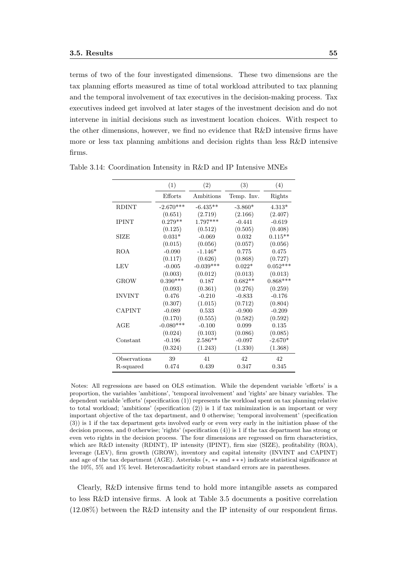terms of two of the four investigated dimensions. These two dimensions are the tax planning efforts measured as time of total workload attributed to tax planning and the temporal involvement of tax executives in the decision-making process. Tax executives indeed get involved at later stages of the investment decision and do not intervene in initial decisions such as investment location choices. With respect to the other dimensions, however, we find no evidence that R&D intensive firms have more or less tax planning ambitions and decision rights than less R&D intensive firms.

|               | (1)         | (2)         | (3)        | (4)        |
|---------------|-------------|-------------|------------|------------|
|               | Efforts     | Ambitions   | Temp. Inv. | Rights     |
| <b>RDINT</b>  | $-2.670***$ | $-6.435**$  | $-3.860*$  | $4.313*$   |
|               | (0.651)     | (2.719)     | (2.166)    | (2.407)    |
| <b>IPINT</b>  | $0.279**$   | $1.797***$  | $-0.441$   | $-0.619$   |
|               | (0.125)     | (0.512)     | (0.505)    | (0.408)    |
| <b>SIZE</b>   | $0.031*$    | $-0.069$    | 0.032      | $0.115**$  |
|               | (0.015)     | (0.056)     | (0.057)    | (0.056)    |
| <b>ROA</b>    | $-0.090$    | $-1.146*$   | 0.775      | 0.475      |
|               | (0.117)     | (0.626)     | (0.868)    | (0.727)    |
| LEV           | $-0.005$    | $-0.039***$ | $0.022*$   | $0.052***$ |
|               | (0.003)     | (0.012)     | (0.013)    | (0.013)    |
| GROW          | $0.390***$  | 0.187       | $0.682**$  | $0.868***$ |
|               | (0.093)     | (0.361)     | (0.276)    | (0.259)    |
| <b>INVINT</b> | 0.476       | $-0.210$    | $-0.833$   | $-0.176$   |
|               | (0.307)     | (1.015)     | (0.712)    | (0.804)    |
| <b>CAPINT</b> | $-0.089$    | 0.533       | $-0.900$   | $-0.209$   |
|               | (0.170)     | (0.555)     | (0.582)    | (0.592)    |
| AGE           | $-0.080***$ | $-0.100$    | 0.099      | 0.135      |
|               | (0.024)     | (0.103)     | (0.086)    | (0.085)    |
| Constant      | $-0.196$    | $2.586**$   | $-0.097$   | $-2.670*$  |
|               | (0.324)     | (1.243)     | (1.330)    | (1.368)    |
| Observations  | 39          | 41          | 42         | 42         |
| R-squared     | 0.474       | 0.439       | 0.347      | 0.345      |

Table 3.14: Coordination Intensity in R&D and IP Intensive MNEs

Notes: All regressions are based on OLS estimation. While the dependent variable 'efforts' is a proportion, the variables 'ambitions', 'temporal involvement' and 'rights' are binary variables. The dependent variable 'efforts' (specification (1)) represents the workload spent on tax planning relative to total workload; 'ambitions' (specification (2)) is 1 if tax minimization is an important or very important objective of the tax department, and 0 otherwise; 'temporal involvement' (specification (3)) is 1 if the tax department gets involved early or even very early in the initiation phase of the decision process, and 0 otherwise; 'rights' (specification (4)) is 1 if the tax department has strong or even veto rights in the decision process. The four dimensions are regressed on firm characteristics, which are R&D intensity (RDINT), IP intensity (IPINT), firm size (SIZE), profitability (ROA), leverage (LEV), firm growth (GROW), inventory and capital intensity (INVINT and CAPINT) and age of the tax department (AGE). Asterisks (∗, ∗∗ and ∗ ∗ ∗) indicate statistical significance at the 10%, 5% and 1% level. Heteroscadasticity robust standard errors are in parentheses.

Clearly, R&D intensive firms tend to hold more intangible assets as compared to less R&D intensive firms. A look at Table 3.5 documents a positive correlation (12.08%) between the R&D intensity and the IP intensity of our respondent firms.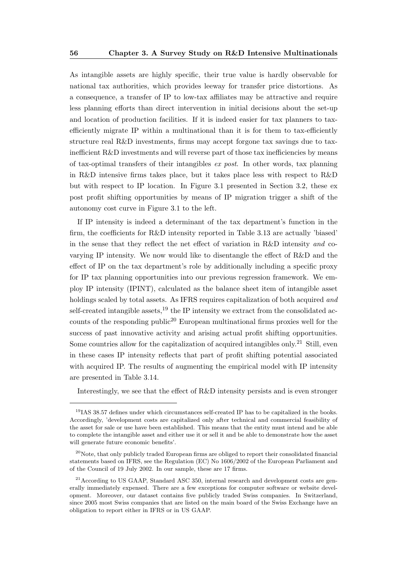As intangible assets are highly specific, their true value is hardly observable for national tax authorities, which provides leeway for transfer price distortions. As a consequence, a transfer of IP to low-tax affiliates may be attractive and require less planning efforts than direct intervention in initial decisions about the set-up and location of production facilities. If it is indeed easier for tax planners to taxefficiently migrate IP within a multinational than it is for them to tax-efficiently structure real R&D investments, firms may accept forgone tax savings due to taxinefficient R&D investments and will reverse part of those tax inefficiencies by means of tax-optimal transfers of their intangibles ex post. In other words, tax planning in R&D intensive firms takes place, but it takes place less with respect to R&D but with respect to IP location. In Figure 3.1 presented in Section 3.2, these ex post profit shifting opportunities by means of IP migration trigger a shift of the autonomy cost curve in Figure 3.1 to the left.

If IP intensity is indeed a determinant of the tax department's function in the firm, the coefficients for R&D intensity reported in Table 3.13 are actually 'biased' in the sense that they reflect the net effect of variation in R&D intensity and covarying IP intensity. We now would like to disentangle the effect of R&D and the effect of IP on the tax department's role by additionally including a specific proxy for IP tax planning opportunities into our previous regression framework. We employ IP intensity (IPINT), calculated as the balance sheet item of intangible asset holdings scaled by total assets. As IFRS requires capitalization of both acquired and self-created intangible assets,<sup>19</sup> the IP intensity we extract from the consolidated accounts of the responding public<sup>20</sup> European multinational firms proxies well for the success of past innovative activity and arising actual profit shifting opportunities. Some countries allow for the capitalization of acquired intangibles only.<sup>21</sup> Still, even in these cases IP intensity reflects that part of profit shifting potential associated with acquired IP. The results of augmenting the empirical model with IP intensity are presented in Table 3.14.

Interestingly, we see that the effect of R&D intensity persists and is even stronger

 $191A$ S 38.57 defines under which circumstances self-created IP has to be capitalized in the books. Accordingly, 'development costs are capitalized only after technical and commercial feasibility of the asset for sale or use have been established. This means that the entity must intend and be able to complete the intangible asset and either use it or sell it and be able to demonstrate how the asset will generate future economic benefits'.

<sup>&</sup>lt;sup>20</sup>Note, that only publicly traded European firms are obliged to report their consolidated financial statements based on IFRS, see the Regulation (EC) No 1606/2002 of the European Parliament and of the Council of 19 July 2002. In our sample, these are 17 firms.

<sup>&</sup>lt;sup>21</sup> According to US GAAP, Standard ASC 350, internal research and development costs are generally immediately expensed. There are a few exceptions for computer software or website development. Moreover, our dataset contains five publicly traded Swiss companies. In Switzerland, since 2005 most Swiss companies that are listed on the main board of the Swiss Exchange have an obligation to report either in IFRS or in US GAAP.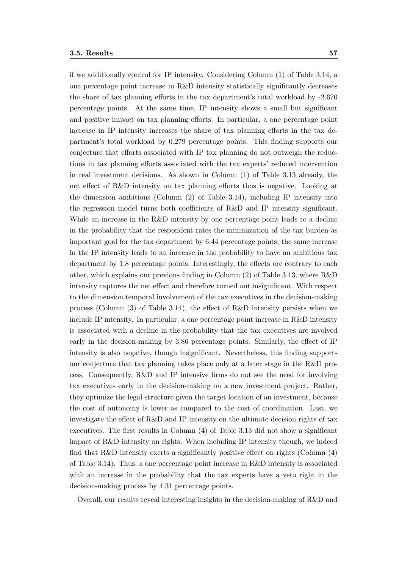if we additionally control for IP intensity. Considering Column (1) of Table 3.14, a one percentage point increase in R&D intensity statistically significantly decreases the share of tax planning efforts in the tax department's total workload by -2.670 percentage points. At the same time, IP intensity shows a small but significant and positive impact on tax planning efforts. In particular, a one percentage point increase in IP intensity increases the share of tax planning efforts in the tax department's total workload by 0.279 percentage points. This finding supports our conjecture that efforts associated with IP tax planning do not outweigh the reductions in tax planning efforts associated with the tax experts' reduced intervention in real investment decisions. As shown in Column (1) of Table 3.13 already, the net effect of R&D intensity on tax planning efforts thus is negative. Looking at the dimension ambitions (Column (2) of Table 3.14), including IP intensity into the regression model turns both coefficients of R&D and IP intensity significant. While an increase in the R&D intensity by one percentage point leads to a decline in the probability that the respondent rates the minimization of the tax burden as important goal for the tax department by 6.44 percentage points, the same increase in the IP intensity leads to an increase in the probability to have an ambitious tax department by 1.8 percentage points. Interestingly, the effects are contrary to each other, which explains our previous finding in Column (2) of Table 3.13, where R&D intensity captures the net effect and therefore turned out insignificant. With respect to the dimension temporal involvement of the tax executives in the decision-making process (Column (3) of Table 3.14), the effect of R&D intensity persists when we include IP intensity. In particular, a one percentage point increase in R&D intensity is associated with a decline in the probability that the tax executives are involved early in the decision-making by 3.86 percentage points. Similarly, the effect of IP intensity is also negative, though insignificant. Nevertheless, this finding supports our conjecture that tax planning takes place only at a later stage in the R&D process. Consequently, R&D and IP intensive firms do not see the need for involving tax executives early in the decision-making on a new investment project. Rather, they optimize the legal structure given the target location of an investment, because the cost of autonomy is lower as compared to the cost of coordination. Last, we investigate the effect of R&D and IP intensity on the ultimate decision rights of tax executives. The first results in Column (4) of Table 3.13 did not show a significant impact of R&D intensity on rights. When including IP intensity though, we indeed find that  $R\&D$  intensity exerts a significantly positive effect on rights (Column  $(4)$ ) of Table 3.14). Thus, a one percentage point increase in R&D intensity is associated with an increase in the probability that the tax experts have a veto right in the decision-making process by 4.31 percentage points.

Overall, our results reveal interesting insights in the decision-making of R&D and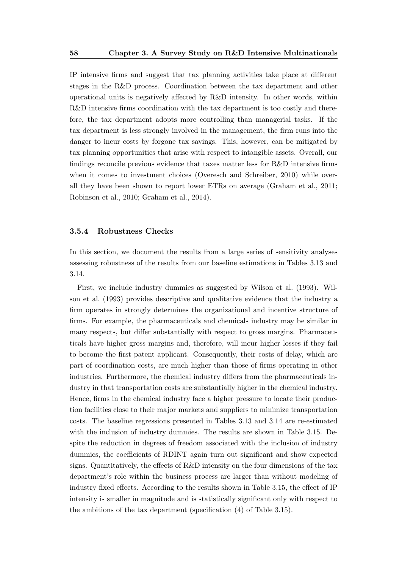IP intensive firms and suggest that tax planning activities take place at different stages in the R&D process. Coordination between the tax department and other operational units is negatively affected by R&D intensity. In other words, within R&D intensive firms coordination with the tax department is too costly and therefore, the tax department adopts more controlling than managerial tasks. If the tax department is less strongly involved in the management, the firm runs into the danger to incur costs by forgone tax savings. This, however, can be mitigated by tax planning opportunities that arise with respect to intangible assets. Overall, our findings reconcile previous evidence that taxes matter less for R&D intensive firms when it comes to investment choices (Overesch and Schreiber, 2010) while overall they have been shown to report lower ETRs on average (Graham et al., 2011; Robinson et al., 2010; Graham et al., 2014).

#### 3.5.4 Robustness Checks

In this section, we document the results from a large series of sensitivity analyses assessing robustness of the results from our baseline estimations in Tables 3.13 and 3.14.

First, we include industry dummies as suggested by Wilson et al. (1993). Wilson et al. (1993) provides descriptive and qualitative evidence that the industry a firm operates in strongly determines the organizational and incentive structure of firms. For example, the pharmaceuticals and chemicals industry may be similar in many respects, but differ substantially with respect to gross margins. Pharmaceuticals have higher gross margins and, therefore, will incur higher losses if they fail to become the first patent applicant. Consequently, their costs of delay, which are part of coordination costs, are much higher than those of firms operating in other industries. Furthermore, the chemical industry differs from the pharmaceuticals industry in that transportation costs are substantially higher in the chemical industry. Hence, firms in the chemical industry face a higher pressure to locate their production facilities close to their major markets and suppliers to minimize transportation costs. The baseline regressions presented in Tables 3.13 and 3.14 are re-estimated with the inclusion of industry dummies. The results are shown in Table 3.15. Despite the reduction in degrees of freedom associated with the inclusion of industry dummies, the coefficients of RDINT again turn out significant and show expected signs. Quantitatively, the effects of R&D intensity on the four dimensions of the tax department's role within the business process are larger than without modeling of industry fixed effects. According to the results shown in Table 3.15, the effect of IP intensity is smaller in magnitude and is statistically significant only with respect to the ambitions of the tax department (specification (4) of Table 3.15).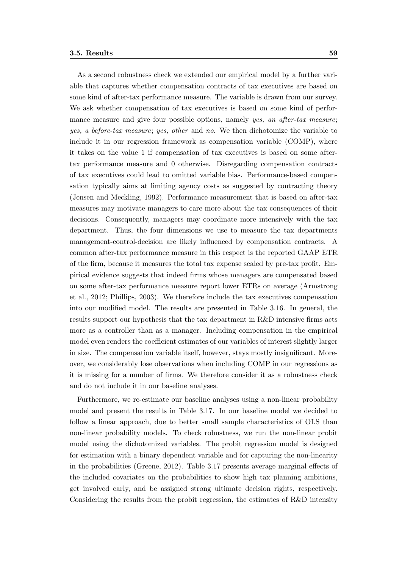As a second robustness check we extended our empirical model by a further variable that captures whether compensation contracts of tax executives are based on some kind of after-tax performance measure. The variable is drawn from our survey. We ask whether compensation of tax executives is based on some kind of performance measure and give four possible options, namely yes, an after-tax measure; yes, a before-tax measure; yes, other and no. We then dichotomize the variable to include it in our regression framework as compensation variable (COMP), where it takes on the value 1 if compensation of tax executives is based on some aftertax performance measure and 0 otherwise. Disregarding compensation contracts of tax executives could lead to omitted variable bias. Performance-based compensation typically aims at limiting agency costs as suggested by contracting theory (Jensen and Meckling, 1992). Performance measurement that is based on after-tax measures may motivate managers to care more about the tax consequences of their decisions. Consequently, managers may coordinate more intensively with the tax department. Thus, the four dimensions we use to measure the tax departments management-control-decision are likely influenced by compensation contracts. A common after-tax performance measure in this respect is the reported GAAP ETR of the firm, because it measures the total tax expense scaled by pre-tax profit. Empirical evidence suggests that indeed firms whose managers are compensated based on some after-tax performance measure report lower ETRs on average (Armstrong et al., 2012; Phillips, 2003). We therefore include the tax executives compensation into our modified model. The results are presented in Table 3.16. In general, the results support our hypothesis that the tax department in R&D intensive firms acts more as a controller than as a manager. Including compensation in the empirical model even renders the coefficient estimates of our variables of interest slightly larger in size. The compensation variable itself, however, stays mostly insignificant. Moreover, we considerably lose observations when including COMP in our regressions as it is missing for a number of firms. We therefore consider it as a robustness check and do not include it in our baseline analyses.

Furthermore, we re-estimate our baseline analyses using a non-linear probability model and present the results in Table 3.17. In our baseline model we decided to follow a linear approach, due to better small sample characteristics of OLS than non-linear probability models. To check robustness, we run the non-linear probit model using the dichotomized variables. The probit regression model is designed for estimation with a binary dependent variable and for capturing the non-linearity in the probabilities (Greene, 2012). Table 3.17 presents average marginal effects of the included covariates on the probabilities to show high tax planning ambitions, get involved early, and be assigned strong ultimate decision rights, respectively. Considering the results from the probit regression, the estimates of R&D intensity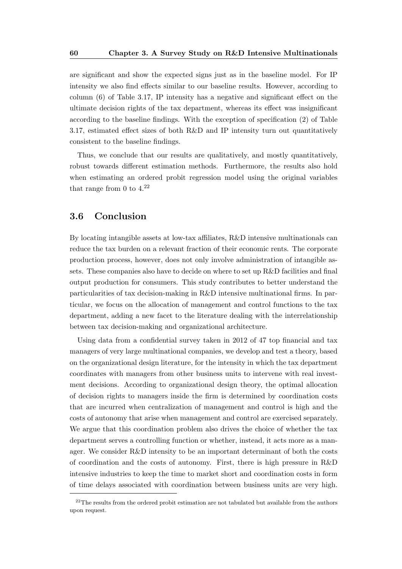are significant and show the expected signs just as in the baseline model. For IP intensity we also find effects similar to our baseline results. However, according to column (6) of Table 3.17, IP intensity has a negative and significant effect on the ultimate decision rights of the tax department, whereas its effect was insignificant according to the baseline findings. With the exception of specification (2) of Table 3.17, estimated effect sizes of both R&D and IP intensity turn out quantitatively consistent to the baseline findings.

Thus, we conclude that our results are qualitatively, and mostly quantitatively, robust towards different estimation methods. Furthermore, the results also hold when estimating an ordered probit regression model using the original variables that range from 0 to  $4.^{22}$ 

### 3.6 Conclusion

By locating intangible assets at low-tax affiliates, R&D intensive multinationals can reduce the tax burden on a relevant fraction of their economic rents. The corporate production process, however, does not only involve administration of intangible assets. These companies also have to decide on where to set up R&D facilities and final output production for consumers. This study contributes to better understand the particularities of tax decision-making in R&D intensive multinational firms. In particular, we focus on the allocation of management and control functions to the tax department, adding a new facet to the literature dealing with the interrelationship between tax decision-making and organizational architecture.

Using data from a confidential survey taken in 2012 of 47 top financial and tax managers of very large multinational companies, we develop and test a theory, based on the organizational design literature, for the intensity in which the tax department coordinates with managers from other business units to intervene with real investment decisions. According to organizational design theory, the optimal allocation of decision rights to managers inside the firm is determined by coordination costs that are incurred when centralization of management and control is high and the costs of autonomy that arise when management and control are exercised separately. We argue that this coordination problem also drives the choice of whether the tax department serves a controlling function or whether, instead, it acts more as a manager. We consider R&D intensity to be an important determinant of both the costs of coordination and the costs of autonomy. First, there is high pressure in R&D intensive industries to keep the time to market short and coordination costs in form of time delays associated with coordination between business units are very high.

 $22$ The results from the ordered probit estimation are not tabulated but available from the authors upon request.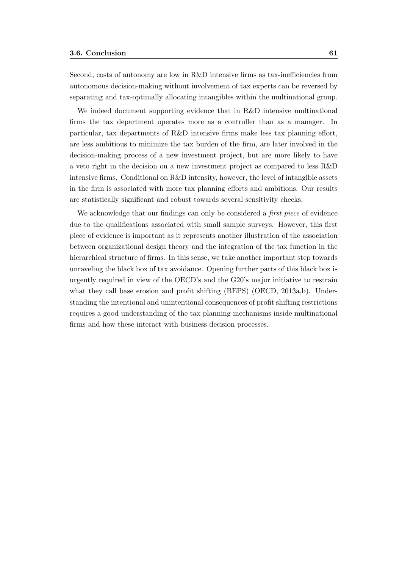Second, costs of autonomy are low in R&D intensive firms as tax-inefficiencies from autonomous decision-making without involvement of tax experts can be reversed by separating and tax-optimally allocating intangibles within the multinational group.

We indeed document supporting evidence that in R&D intensive multinational firms the tax department operates more as a controller than as a manager. In particular, tax departments of R&D intensive firms make less tax planning effort, are less ambitious to minimize the tax burden of the firm, are later involved in the decision-making process of a new investment project, but are more likely to have a veto right in the decision on a new investment project as compared to less R&D intensive firms. Conditional on R&D intensity, however, the level of intangible assets in the firm is associated with more tax planning efforts and ambitions. Our results are statistically significant and robust towards several sensitivity checks.

We acknowledge that our findings can only be considered a *first piece* of evidence due to the qualifications associated with small sample surveys. However, this first piece of evidence is important as it represents another illustration of the association between organizational design theory and the integration of the tax function in the hierarchical structure of firms. In this sense, we take another important step towards unraveling the black box of tax avoidance. Opening further parts of this black box is urgently required in view of the OECD's and the G20's major initiative to restrain what they call base erosion and profit shifting (BEPS) (OECD, 2013a,b). Understanding the intentional and unintentional consequences of profit shifting restrictions requires a good understanding of the tax planning mechanisms inside multinational firms and how these interact with business decision processes.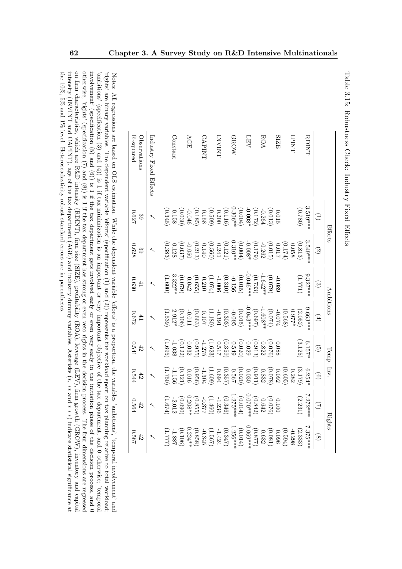| R-squared<br>Observations | Industry Fixed Effects |         | <b>Constant</b> |                                                                                                                                                                                                                                                                                                                        | AGE      |                                                                                   | CAPINI |                                                                          | LNIANI |                                                                    | <b>GROW</b> |         | LEV                    |                                                                                                                                                                                                                                                                                                              | ROA |                         | <b>SIZE</b> |                                                          | LNINI |                                                | RDINT       |                                          |               |
|---------------------------|------------------------|---------|-----------------|------------------------------------------------------------------------------------------------------------------------------------------------------------------------------------------------------------------------------------------------------------------------------------------------------------------------|----------|-----------------------------------------------------------------------------------|--------|--------------------------------------------------------------------------|--------|--------------------------------------------------------------------|-------------|---------|------------------------|--------------------------------------------------------------------------------------------------------------------------------------------------------------------------------------------------------------------------------------------------------------------------------------------------------------|-----|-------------------------|-------------|----------------------------------------------------------|-------|------------------------------------------------|-------------|------------------------------------------|---------------|
| 729.0<br>$\frac{3}{6}$    |                        |         |                 | $\begin{array}{c} (0.030) \\ 0.158 \\ 0.158 \end{array}$                                                                                                                                                                                                                                                               |          | $\begin{array}{c} (0.116)\\ 0.200\\ 0.509)\\ 0.158\\ -0.046\\ -0.046 \end{array}$ |        |                                                                          |        |                                                                    |             | (0.004) |                        | $\begin{array}{c} 0.015 \\[-4pt] 0.013) \\[-4pt] -0.264 \\[-4pt] -0.008 \end{array}$                                                                                                                                                                                                                         |     |                         |             |                                                          |       | (0.780)                                        | $-3.519***$ | $\widehat{\Xi}$                          |               |
| 0.628<br>$\mathbb{S}^3$   |                        | (0.383) |                 | (0.037)                                                                                                                                                                                                                                                                                                                |          | $\begin{array}{c} (0.121)\\ 0.241\\ 0.560)\\ 0.140\\ -0.050\\ -0.050 \end{array}$ |        |                                                                          |        |                                                                    |             | (0.004) |                        | $-0.262$<br>(0.179)<br>$-0.008*$                                                                                                                                                                                                                                                                             |     |                         |             | $\begin{array}{c} (0.174) \\ 0.017 \\ 7.017 \end{array}$ |       | $\begin{array}{c} (0.813)\\ 0.058 \end{array}$ | $-3.549***$ | $\odot$                                  | Efforts       |
| 0.630<br>41               |                        | (1.600) |                 | $(0.079)$<br>3.322**                                                                                                                                                                                                                                                                                                   | 0.042    | (0.655)                                                                           |        | (1.074)                                                                  |        | $\begin{array}{c} (0.015)\\ -0.156\\ (0.310)\\ -1.006 \end{array}$ |             |         | $(0.733)$<br>-0.046*** |                                                                                                                                                                                                                                                                                                              |     | $(0.079)$ .             | $-0.089$    |                                                          |       | (L22T)                                         | $0.327***$  | $\odot$                                  |               |
| 229.0<br>41               |                        | (1.539) |                 | $(0.106)$<br>2.912*                                                                                                                                                                                                                                                                                                    | $-0.011$ | (0.663)                                                                           |        | (0.107)                                                                  |        | $(0.303)$<br>$-0.391$                                              |             | (0.015) |                        | $(0.697)$<br>-0.043***                                                                                                                                                                                                                                                                                       |     | $^{(0.074)}_{-1.608**}$ | $t20.0-$    | (0.568)                                                  |       | $(2.052)$<br>0.977*                            | $-9.663***$ | $\left( 4\right)$                        | Ambitions     |
| 0.541<br>42               |                        | (1.695) |                 | (0.122)                                                                                                                                                                                                                                                                                                                |          | (0.955)                                                                           |        | $(1.623)$<br>-1.275                                                      |        | (0.359)                                                            |             | (0.020) |                        | $\begin{array}{c} (0.913) \\ 0.029 \end{array}$                                                                                                                                                                                                                                                              |     | (0.076)                 | 0.088       |                                                          |       | (3.125)                                        | $-6.157*$   | $\odot$                                  |               |
| 0.544<br>42               |                        | (1.750) | $-1.156$        | (0.121)                                                                                                                                                                                                                                                                                                                |          | (0.956)                                                                           |        | $\begin{array}{l} (0.020)\\ 0.567\\ 0.357\\ -1.304\\ -1.304 \end{array}$ |        |                                                                    |             |         |                        | $\begin{array}{c} (0.078 \\ 0.832 \\ 0.911 \\ 0.041 \end{array}$                                                                                                                                                                                                                                             |     |                         |             | (0.605                                                   |       | $\begin{array}{c} (3.179 \\ 0.282 \end{array}$ | $-6.254$    | $\begin{array}{c} \boxed{0} \end{array}$ | Temp. Inv.    |
| 0.564                     |                        | F29T    |                 | (0.090)                                                                                                                                                                                                                                                                                                                |          |                                                                                   |        |                                                                          |        |                                                                    |             |         |                        | $\begin{array}{c} 0.0100\\ (0.642)\\ (0.842)\\ (0.070**\\ (1.275**\\ (1.460)\\ (1.276)\\ (1.460)\\ (0.855)\\ (0.855)\\ (0.855)\\ (0.208**\\ (0.208**\\ (0.208**\\ (0.208**\\ (0.208**\\ (0.208**\\ (0.208**\\ (0.208**\\ (0.208**\\ (0.208**\\ (0.208**\\ (0.208**\\ (0.208**\\ (0.208**\\ (0.208**\\ (0.20$ |     |                         |             |                                                          |       | (2.231)                                        | 7.272***    | $\widehat{\supseteq}$                    |               |
| 1990<br>42                |                        | 777.L7  |                 | $\begin{array}{l} (2.333)\\ (-1.2580)\\ (-1.256)\\ (-1.256)\\ (-1.256)\\ (-1.256)\\ (-1.256)\\ (-1.256)\\ (-1.256)\\ (-1.256)\\ (-1.256)\\ (-1.256)\\ (-1.256)\\ (-1.257)\\ (-1.257)\\ (-1.257)\\ (-1.258)\\ (-1.258)\\ (-1.257)\\ (-1.258)\\ (-1.258)\\ (-1.258)\\ (-1.258)\\ (-1.258)\\ (-1.258)\\ (-1.258)\\ (-1.2$ |          |                                                                                   |        |                                                                          |        |                                                                    |             |         |                        |                                                                                                                                                                                                                                                                                                              |     |                         |             |                                                          |       |                                                | $7.375**$   | $\circledcirc$                           | <b>Rights</b> |

Table 3.15: Robustness Check: Industry Fixed Effects

Table 3.15: Robustness Check: Industry Fixed Effects

on firm characteristics, which are R&D intensity (RDINT), firm size (SIZE), profitability (ROA), leverage (LEV), firm growth (GROW), inventory and capital otherwise; 'rights' (specification (7) and (8)) is 1 if the tax department has strong or even veto rights in the decision process. The four dimensions are regressed involvement' (specification (5) and (6)) is 1 if the tax department gets involved early or even very early in the initiation phase of the decision process, and 0 0 the 10%, 5% and 1% level. Heteroscadasticity robust standard errors are in parentheses the 10%, 5% and 1% level. Heteroscadasticity robust standard errors are in parentheses.intensity (INVINT and CAPINT), age of the tax department (AGE) and industry dummy variables. Asterisks ( on firm characteristics, which are R&D intensity (RDINT), firm size (SIZE), profitability (ROA), leverage (LEV), firm growth (GROW), inventory and capital otherwise; 'rights' (specification (7) and (8)) is 1 if the tax department has strong or even veto rights in the decision process. The four dimensions are regressed involvement' (specification (6) and (6)) is 1 if the tax department gets involved early or even very early in the initiation phase of the decision process, and 0 involved extracted early in the initiation phase of the deci 'ambitions' (specification (3) and (4)) is 1 if tax minimization is an important or very important objective of the tax department, and 0 otherwise; 'temporal ambitions' (specification (3) and (4)) is 1 if tax minimization is an important or very important objective of the tax department, and 0 otherwise; 'temporal rights' are binary variables. The dependent variable 'efforts' (specification (1) and (2)) represents the workload spent on tax planning relative to total workload 'rights' are binary variables. The dependent variable 'efforts' (specification (1) and (2)) represents the workload spent on tax planning relative to total workload; Notes: All regressions are based on OLS estimation. While the dependent variable 'efforts' is a proportion, the variables 'ambitions', 'temporal involvement' and Notes: All regressions are based on OLS estimation. While the dependent variable 'efforts' is a proportion, the variables 'ambitions', 'temporal involvement' and ∗, ∗∗ and ∗ ∗ ∗) indicate statistical significance at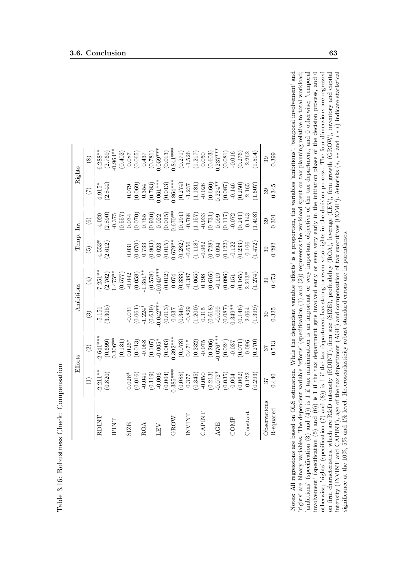|                |                                                                                                                                                                                                                                                                                    | Efforts                                                                                                                                                                                                                                                                                                                 |                                                                                                                                                                                                                                                                                                                            | Ambitions                                                                                                                                                                                                                                                                                                                                        | Temp. Inv.                                                                                                                                                                                                                                                                                       |                                                                                                                                                                                                                                                                                                        |                                                                                                                                                                                                                                                                                                                 | Rights                                                                                                                                                                                                                                                                                                                      |
|----------------|------------------------------------------------------------------------------------------------------------------------------------------------------------------------------------------------------------------------------------------------------------------------------------|-------------------------------------------------------------------------------------------------------------------------------------------------------------------------------------------------------------------------------------------------------------------------------------------------------------------------|----------------------------------------------------------------------------------------------------------------------------------------------------------------------------------------------------------------------------------------------------------------------------------------------------------------------------|--------------------------------------------------------------------------------------------------------------------------------------------------------------------------------------------------------------------------------------------------------------------------------------------------------------------------------------------------|--------------------------------------------------------------------------------------------------------------------------------------------------------------------------------------------------------------------------------------------------------------------------------------------------|--------------------------------------------------------------------------------------------------------------------------------------------------------------------------------------------------------------------------------------------------------------------------------------------------------|-----------------------------------------------------------------------------------------------------------------------------------------------------------------------------------------------------------------------------------------------------------------------------------------------------------------|-----------------------------------------------------------------------------------------------------------------------------------------------------------------------------------------------------------------------------------------------------------------------------------------------------------------------------|
|                |                                                                                                                                                                                                                                                                                    |                                                                                                                                                                                                                                                                                                                         | $\widehat{\mathfrak{S}}$                                                                                                                                                                                                                                                                                                   | $\tag{4}$                                                                                                                                                                                                                                                                                                                                        | $\widetilde{5}$                                                                                                                                                                                                                                                                                  | $\odot$                                                                                                                                                                                                                                                                                                |                                                                                                                                                                                                                                                                                                                 | $\circledast$                                                                                                                                                                                                                                                                                                               |
| RDINT          | $-2.211**$                                                                                                                                                                                                                                                                         | $2.641***$                                                                                                                                                                                                                                                                                                              | $-5.151$                                                                                                                                                                                                                                                                                                                   | $7.251**$                                                                                                                                                                                                                                                                                                                                        | $-4.553$<br>(2.612)                                                                                                                                                                                                                                                                              |                                                                                                                                                                                                                                                                                                        |                                                                                                                                                                                                                                                                                                                 | $3.288**$                                                                                                                                                                                                                                                                                                                   |
|                | (0.820)                                                                                                                                                                                                                                                                            | (0.699)                                                                                                                                                                                                                                                                                                                 | (3.305)                                                                                                                                                                                                                                                                                                                    |                                                                                                                                                                                                                                                                                                                                                  |                                                                                                                                                                                                                                                                                                  |                                                                                                                                                                                                                                                                                                        | (2.844                                                                                                                                                                                                                                                                                                          |                                                                                                                                                                                                                                                                                                                             |
| INI            |                                                                                                                                                                                                                                                                                    |                                                                                                                                                                                                                                                                                                                         |                                                                                                                                                                                                                                                                                                                            |                                                                                                                                                                                                                                                                                                                                                  |                                                                                                                                                                                                                                                                                                  |                                                                                                                                                                                                                                                                                                        |                                                                                                                                                                                                                                                                                                                 |                                                                                                                                                                                                                                                                                                                             |
|                |                                                                                                                                                                                                                                                                                    |                                                                                                                                                                                                                                                                                                                         |                                                                                                                                                                                                                                                                                                                            |                                                                                                                                                                                                                                                                                                                                                  |                                                                                                                                                                                                                                                                                                  |                                                                                                                                                                                                                                                                                                        |                                                                                                                                                                                                                                                                                                                 |                                                                                                                                                                                                                                                                                                                             |
| <b>SIZE</b>    |                                                                                                                                                                                                                                                                                    |                                                                                                                                                                                                                                                                                                                         |                                                                                                                                                                                                                                                                                                                            |                                                                                                                                                                                                                                                                                                                                                  |                                                                                                                                                                                                                                                                                                  |                                                                                                                                                                                                                                                                                                        |                                                                                                                                                                                                                                                                                                                 |                                                                                                                                                                                                                                                                                                                             |
|                |                                                                                                                                                                                                                                                                                    |                                                                                                                                                                                                                                                                                                                         |                                                                                                                                                                                                                                                                                                                            |                                                                                                                                                                                                                                                                                                                                                  |                                                                                                                                                                                                                                                                                                  | $(2.890) \\ 3.375 \\ 7.61 \\ 6.63 \\ 7.75 \\ 7.64 \\ 7.65 \\ 7.75 \\ 7.66 \\ 7.75 \\ 7.75 \\ 7.76 \\ 7.75 \\ 7.75 \\ 7.75 \\ 7.75 \\ 7.75 \\ 7.75 \\ 7.75 \\ 7.75 \\ 7.75 \\ 7.75 \\ 7.75 \\ 7.75 \\ 7.75 \\ 7.75 \\ 7.75 \\ 7.75 \\ 7.75 \\ 7.75 \\ 7.75 \\ 7.75 \\ 7.75 \\ 7.75 \\ 7.75 \\ 7.75 \\ $ | $\begin{array}{c} 0.079 \\[-4pt] 0.069) \\[-4pt] 0.354 \\[-4pt] 0.0783 \\[-4pt] 0.0783 \\[-4pt] 0.013) \\[-4pt] 0.013) \\[-4pt] 0.0274 \\[-4pt] 0.0274 \\[-4pt] 0.026 \\[-4pt] 0.0274 \\[-4pt] 0.0274 \\[-4pt] 0.037 \\[-4pt] 0.037 \\[-4pt] 0.037 \\[-4pt] 0.037 \\[-4pt] 0.037 \\[-4pt] 0.037 \\[-4pt] 0.037$ |                                                                                                                                                                                                                                                                                                                             |
| ROA            |                                                                                                                                                                                                                                                                                    |                                                                                                                                                                                                                                                                                                                         |                                                                                                                                                                                                                                                                                                                            |                                                                                                                                                                                                                                                                                                                                                  |                                                                                                                                                                                                                                                                                                  |                                                                                                                                                                                                                                                                                                        |                                                                                                                                                                                                                                                                                                                 |                                                                                                                                                                                                                                                                                                                             |
|                |                                                                                                                                                                                                                                                                                    |                                                                                                                                                                                                                                                                                                                         |                                                                                                                                                                                                                                                                                                                            |                                                                                                                                                                                                                                                                                                                                                  |                                                                                                                                                                                                                                                                                                  |                                                                                                                                                                                                                                                                                                        |                                                                                                                                                                                                                                                                                                                 |                                                                                                                                                                                                                                                                                                                             |
| RA             |                                                                                                                                                                                                                                                                                    |                                                                                                                                                                                                                                                                                                                         |                                                                                                                                                                                                                                                                                                                            |                                                                                                                                                                                                                                                                                                                                                  |                                                                                                                                                                                                                                                                                                  |                                                                                                                                                                                                                                                                                                        |                                                                                                                                                                                                                                                                                                                 |                                                                                                                                                                                                                                                                                                                             |
|                |                                                                                                                                                                                                                                                                                    |                                                                                                                                                                                                                                                                                                                         |                                                                                                                                                                                                                                                                                                                            |                                                                                                                                                                                                                                                                                                                                                  |                                                                                                                                                                                                                                                                                                  |                                                                                                                                                                                                                                                                                                        |                                                                                                                                                                                                                                                                                                                 |                                                                                                                                                                                                                                                                                                                             |
| GROW           |                                                                                                                                                                                                                                                                                    |                                                                                                                                                                                                                                                                                                                         |                                                                                                                                                                                                                                                                                                                            |                                                                                                                                                                                                                                                                                                                                                  |                                                                                                                                                                                                                                                                                                  |                                                                                                                                                                                                                                                                                                        |                                                                                                                                                                                                                                                                                                                 |                                                                                                                                                                                                                                                                                                                             |
|                |                                                                                                                                                                                                                                                                                    |                                                                                                                                                                                                                                                                                                                         |                                                                                                                                                                                                                                                                                                                            |                                                                                                                                                                                                                                                                                                                                                  |                                                                                                                                                                                                                                                                                                  |                                                                                                                                                                                                                                                                                                        |                                                                                                                                                                                                                                                                                                                 |                                                                                                                                                                                                                                                                                                                             |
| <b>LNLANI</b>  |                                                                                                                                                                                                                                                                                    |                                                                                                                                                                                                                                                                                                                         |                                                                                                                                                                                                                                                                                                                            |                                                                                                                                                                                                                                                                                                                                                  |                                                                                                                                                                                                                                                                                                  |                                                                                                                                                                                                                                                                                                        |                                                                                                                                                                                                                                                                                                                 |                                                                                                                                                                                                                                                                                                                             |
|                |                                                                                                                                                                                                                                                                                    |                                                                                                                                                                                                                                                                                                                         |                                                                                                                                                                                                                                                                                                                            |                                                                                                                                                                                                                                                                                                                                                  |                                                                                                                                                                                                                                                                                                  |                                                                                                                                                                                                                                                                                                        |                                                                                                                                                                                                                                                                                                                 |                                                                                                                                                                                                                                                                                                                             |
| <b>NIdV</b> C  |                                                                                                                                                                                                                                                                                    |                                                                                                                                                                                                                                                                                                                         |                                                                                                                                                                                                                                                                                                                            |                                                                                                                                                                                                                                                                                                                                                  |                                                                                                                                                                                                                                                                                                  |                                                                                                                                                                                                                                                                                                        |                                                                                                                                                                                                                                                                                                                 |                                                                                                                                                                                                                                                                                                                             |
|                |                                                                                                                                                                                                                                                                                    |                                                                                                                                                                                                                                                                                                                         |                                                                                                                                                                                                                                                                                                                            |                                                                                                                                                                                                                                                                                                                                                  |                                                                                                                                                                                                                                                                                                  |                                                                                                                                                                                                                                                                                                        |                                                                                                                                                                                                                                                                                                                 |                                                                                                                                                                                                                                                                                                                             |
| AGE            |                                                                                                                                                                                                                                                                                    |                                                                                                                                                                                                                                                                                                                         |                                                                                                                                                                                                                                                                                                                            |                                                                                                                                                                                                                                                                                                                                                  |                                                                                                                                                                                                                                                                                                  |                                                                                                                                                                                                                                                                                                        |                                                                                                                                                                                                                                                                                                                 |                                                                                                                                                                                                                                                                                                                             |
|                |                                                                                                                                                                                                                                                                                    |                                                                                                                                                                                                                                                                                                                         |                                                                                                                                                                                                                                                                                                                            |                                                                                                                                                                                                                                                                                                                                                  |                                                                                                                                                                                                                                                                                                  |                                                                                                                                                                                                                                                                                                        |                                                                                                                                                                                                                                                                                                                 |                                                                                                                                                                                                                                                                                                                             |
| COMP           |                                                                                                                                                                                                                                                                                    |                                                                                                                                                                                                                                                                                                                         |                                                                                                                                                                                                                                                                                                                            |                                                                                                                                                                                                                                                                                                                                                  |                                                                                                                                                                                                                                                                                                  |                                                                                                                                                                                                                                                                                                        |                                                                                                                                                                                                                                                                                                                 |                                                                                                                                                                                                                                                                                                                             |
|                |                                                                                                                                                                                                                                                                                    |                                                                                                                                                                                                                                                                                                                         |                                                                                                                                                                                                                                                                                                                            |                                                                                                                                                                                                                                                                                                                                                  |                                                                                                                                                                                                                                                                                                  |                                                                                                                                                                                                                                                                                                        |                                                                                                                                                                                                                                                                                                                 |                                                                                                                                                                                                                                                                                                                             |
| <b>Jonstan</b> |                                                                                                                                                                                                                                                                                    |                                                                                                                                                                                                                                                                                                                         |                                                                                                                                                                                                                                                                                                                            |                                                                                                                                                                                                                                                                                                                                                  |                                                                                                                                                                                                                                                                                                  |                                                                                                                                                                                                                                                                                                        |                                                                                                                                                                                                                                                                                                                 |                                                                                                                                                                                                                                                                                                                             |
|                | $\begin{array}{l} 0.028^{*}\\ 0.016)\\ -0.041\\ -0.006\\ 0.004)\\ -0.006\\ 0.004)\\ -0.006\\ 0.008\\ 0.008\\ -0.050\\ -0.050\\ -0.050\\ -0.004\\ -0.002\\ -0.004\\ -0.002\\ 0.003\\ 0.004\\ -0.122\\ 0.003\\ 0.004\\ 0.002\\ 0.004\\ 0.003\\ 0.004\\ 0.003\\ 0.004\\ 0.003\\ 0.00$ | $\begin{array}{l} 330^{**} \\ (0.131) \\ (0.013) \\ (0.0107) \\ (0.008) \\ (0.003) \\ (0.003) \\ (0.003) \\ (0.003) \\ (0.007) \\ (0.007) \\ (0.007) \\ (0.007) \\ (0.004) \\ (0.004) \\ (0.004) \\ (0.005) \\ (0.007) \\ (0.007) \\ (0.009) \\ (0.007) \\ (0.009) \\ (0.001) \\ (0.009) \\ (0.001) \\ (0.001) \\ (0.0$ | $\begin{array}{l} 0.031 \\ -0.061) \\ -1.224^{*} \\ 0.639) \\ -0.042^{**} \\ 0.037 \\ -0.037 \\ 0.037 \\ -0.0345 \\ 0.030 \\ -0.0345 \\ -0.0345 \\ -0.038 \\ -0.039 \\ -0.039 \\ -0.0346 \\ -0.030 \\ -0.0346 \\ -0.0349 \\ -0.0346 \\ -0.034 \\ -0.034 \\ -0.034 \\ -0.034 \\ -0.034 \\ -0.034 \\ -0.034 \\ -0.034 \\ -0$ | $\begin{array}{l} (2.762) \\ 1.475^{**} \\ (-0.577) \\ (-0.043) \\ (-0.058) \\ (-0.058) \\ (-0.058) \\ (-0.074) \\ (-0.033) \\ (-0.033) \\ (-0.033) \\ (-0.033) \\ (-0.033) \\ (-0.033) \\ (-0.033) \\ (-0.033) \\ (-0.033) \\ (-0.033) \\ (-0.033) \\ (-0.033) \\ (-0.033) \\ (-0.033) \\ (-0.033) \\ (-0.033) \\ (-0.033) \\ (-0.033) \\ (-0.$ | $\begin{array}{l} 0.031\\[-4pt] 0.070\\[-4pt] 0.073\\[-4pt] 0.000\\[-4pt] 0.001\\[-4pt] 0.001\\[-4pt] 0.001\\[-4pt] 0.001\\[-4pt] 0.001\\[-4pt] 0.001\\[-4pt] 0.000\\[-4pt] 0.000\\[-4pt] 0.000\\[-4pt] 0.000\\[-4pt] 0.000\\[-4pt] 0.001\\[-4pt] 0.001\\[-4pt] 0.000\\[-4pt] 0.001\\[-4pt] 0.0$ | 1.498                                                                                                                                                                                                                                                                                                  |                                                                                                                                                                                                                                                                                                                 | $\begin{array}{l} (2.769) \\ -0.964^{* \ast} \\ (0.402) \\ (0.065) \\ (0.067) \\ (0.0781) \\ (0.0781) \\ (0.034^{* \ast} \\ (0.013) \\ (0.013) \\ (0.013) \\ (0.013) \\ (0.011) \\ (0.012) \\ (0.011) \\ (0.012) \\ (0.003) \\ (0.001) \\ (0.011) \\ (0.022) \\ (0.022) \\ (0.016) \\ (0.021) \\ (0.011) \\ (0.012) \\ (0.$ |
| Observations   | 25                                                                                                                                                                                                                                                                                 |                                                                                                                                                                                                                                                                                                                         |                                                                                                                                                                                                                                                                                                                            |                                                                                                                                                                                                                                                                                                                                                  |                                                                                                                                                                                                                                                                                                  | 39                                                                                                                                                                                                                                                                                                     | 39                                                                                                                                                                                                                                                                                                              |                                                                                                                                                                                                                                                                                                                             |
| R-squared      | 0.440                                                                                                                                                                                                                                                                              | 0.513                                                                                                                                                                                                                                                                                                                   | 0.325                                                                                                                                                                                                                                                                                                                      | 0.473                                                                                                                                                                                                                                                                                                                                            | 0.292                                                                                                                                                                                                                                                                                            | 0.301                                                                                                                                                                                                                                                                                                  | 0.345                                                                                                                                                                                                                                                                                                           | 0.399                                                                                                                                                                                                                                                                                                                       |

Table 3.16: Robustness Check: Compensation Table 3.16: Robustness Check: Compensation

involvement' (specification  $(5)$  and  $(6)$ ) is 1 if the tax department gets involved early or even very early in the initiation phase of the decision process, and 0 involvement' (specification (5) and (6)) is 1 if the tax department gets involved early or even very early in the initiation phase of the decision process, and 0 Notes: All regressions are based on OLS estimation. While the dependent variable 'efforts' is a proportion, the variables 'ambitions', 'temporal involvement' and Notes: All regressions are based on OLS estimation. While the dependent variable 'efforts' is a proportion, the variables 'ambitions', 'temporal involvement' and rights' are binary variables. The dependent variable 'efforts' (specification (1) and (2)) represents the workload spent on tax planning relative to total workload; 'ambitions' (specification (3) and (4)) is 1 if tax minimization is an important or very important objective of the tax department, and 0 otherwise; 'temporal 'temporal otherwise; 'rights' (specification  $(7)$  and  $(8)$ ) is 1 if the tax department has strong or even veto rights in the decision process. The four dimensions are regressed otherwise; 'rights' (specification (7) and (8)) is 1 if the tax department has strong or even veto rights in the decision process. The four dimensions are regressed on firm characteristics, which are R&D intensity (RDINT), firm size (SIZE), profitability (ROA), leverage (LEV), firm growth (GROW), inventory and capital on firm characteristics, which are R&D intensity (RDINT), firm size (SIZE), profitability (ROA), leverage (LEV), firm growth (GROW), inventory and capital intensity (INVINT and CAPINT), age of the tax department (AGE) and compensation of tax executives (COMP). Asterisks  $(*, **$  and  $**)$  indicate statistical intensity (INVINT and CAPINT), age of the tax department (AGE) and compensation of tax executives (COMP). Asterisks (∗, ∗∗ and ∗ ∗ ∗) indicate statistical 'rights' are binary variables. The dependent variable 'efforts' (specification (1) and (2)) represents the workload spent on tax planning relative to total workload; ambitions' (specification (3) and (4)) is 1 if tax minimization is an important or very important objective of the tax department, and 0 otherwise; significance at the 10%, 5% and 1% level. Heteroscadasticity robust standard errors are in parentheses. significance at the 10%, 5% and 1% level. Heteroscadasticity robust standard errors are in parentheses.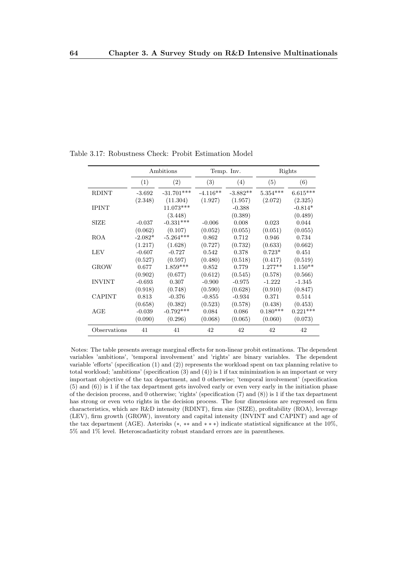|               |           | Ambitions    |            | Temp. Inv. |                 | Rights     |
|---------------|-----------|--------------|------------|------------|-----------------|------------|
|               | (1)       | (2)          | (3)        | (4)        | (5)             | (6)        |
| <b>RDINT</b>  | $-3.692$  | $-31.701***$ | $-4.116**$ | $-3.882**$ | $5.354^{***}\,$ | $6.615***$ |
|               | (2.348)   | (11.304)     | (1.927)    | (1.957)    | (2.072)         | (2.325)    |
| <b>IPINT</b>  |           | $11.073***$  |            | $-0.388$   |                 | $-0.814*$  |
|               |           | (3.448)      |            | (0.389)    |                 | (0.489)    |
| <b>SIZE</b>   | $-0.037$  | $-0.331***$  | $-0.006$   | 0.008      | 0.023           | 0.044      |
|               | (0.062)   | (0.107)      | (0.052)    | (0.055)    | (0.051)         | (0.055)    |
| <b>ROA</b>    | $-2.082*$ | $-5.264***$  | 0.862      | 0.712      | 0.946           | 0.734      |
|               | (1.217)   | (1.628)      | (0.727)    | (0.732)    | (0.633)         | (0.662)    |
| <b>LEV</b>    | $-0.607$  | $-0.727$     | 0.542      | 0.378      | $0.723*$        | 0.451      |
|               | (0.527)   | (0.597)      | (0.480)    | (0.518)    | (0.417)         | (0.519)    |
| <b>GROW</b>   | 0.677     | $1.859***$   | 0.852      | 0.779      | $1.277**$       | $1.150**$  |
|               | (0.902)   | (0.677)      | (0.612)    | (0.545)    | (0.578)         | (0.566)    |
| <b>INVINT</b> | $-0.693$  | 0.307        | $-0.900$   | $-0.975$   | $-1.222$        | $-1.345$   |
|               | (0.918)   | (0.748)      | (0.590)    | (0.628)    | (0.910)         | (0.847)    |
| <b>CAPINT</b> | 0.813     | $-0.376$     | $-0.855$   | $-0.934$   | 0.371           | 0.514      |
|               | (0.658)   | (0.382)      | (0.523)    | (0.578)    | (0.438)         | (0.453)    |
| AGE           | $-0.039$  | $-0.792***$  | 0.084      | 0.086      | $0.180***$      | $0.221***$ |
|               | (0.090)   | (0.296)      | (0.068)    | (0.065)    | (0.060)         | (0.073)    |
| Observations  | 41        | 41           | 42         | 42         | 42              | 42         |

Table 3.17: Robustness Check: Probit Estimation Model

Notes: The table presents average marginal effects for non-linear probit estimations. The dependent variables 'ambitions', 'temporal involvement' and 'rights' are binary variables. The dependent variable 'efforts' (specification (1) and (2)) represents the workload spent on tax planning relative to total workload; 'ambitions' (specification (3) and (4)) is 1 if tax minimization is an important or very important objective of the tax department, and 0 otherwise; 'temporal involvement' (specification (5) and (6)) is 1 if the tax department gets involved early or even very early in the initiation phase of the decision process, and 0 otherwise; 'rights' (specification (7) and (8)) is 1 if the tax department has strong or even veto rights in the decision process. The four dimensions are regressed on firm characteristics, which are R&D intensity (RDINT), firm size (SIZE), profitability (ROA), leverage (LEV), firm growth (GROW), inventory and capital intensity (INVINT and CAPINT) and age of the tax department (AGE). Asterisks (∗, ∗∗ and ∗ ∗ ∗) indicate statistical significance at the 10%,  $5\%$  and  $1\%$  level. Heteroscadasticity robust standard errors are in parentheses.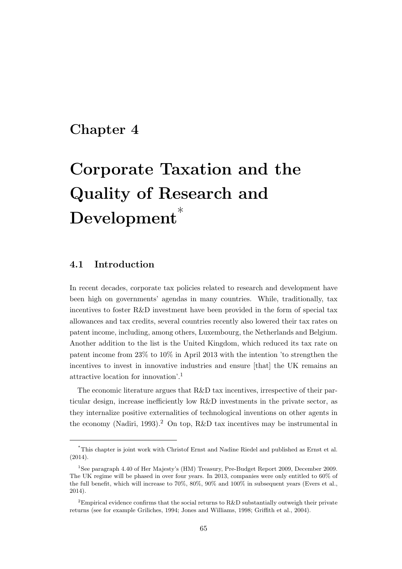## Chapter 4

# Corporate Taxation and the Quality of Research and Development<sup>\*</sup>

## 4.1 Introduction

In recent decades, corporate tax policies related to research and development have been high on governments' agendas in many countries. While, traditionally, tax incentives to foster R&D investment have been provided in the form of special tax allowances and tax credits, several countries recently also lowered their tax rates on patent income, including, among others, Luxembourg, the Netherlands and Belgium. Another addition to the list is the United Kingdom, which reduced its tax rate on patent income from 23% to 10% in April 2013 with the intention 'to strengthen the incentives to invest in innovative industries and ensure [that] the UK remains an attractive location for innovation'.<sup>1</sup>

The economic literature argues that R&D tax incentives, irrespective of their particular design, increase inefficiently low R&D investments in the private sector, as they internalize positive externalities of technological inventions on other agents in the economy (Nadiri, 1993).<sup>2</sup> On top, R&D tax incentives may be instrumental in

<sup>\*</sup>This chapter is joint work with Christof Ernst and Nadine Riedel and published as Ernst et al. (2014).

<sup>1</sup>See paragraph 4.40 of Her Majesty's (HM) Treasury, Pre-Budget Report 2009, December 2009. The UK regime will be phased in over four years. In 2013, companies were only entitled to 60% of the full benefit, which will increase to 70%, 80%, 90% and 100% in subsequent years (Evers et al., 2014).

<sup>&</sup>lt;sup>2</sup>Empirical evidence confirms that the social returns to R&D substantially outweigh their private returns (see for example Griliches, 1994; Jones and Williams, 1998; Griffith et al., 2004).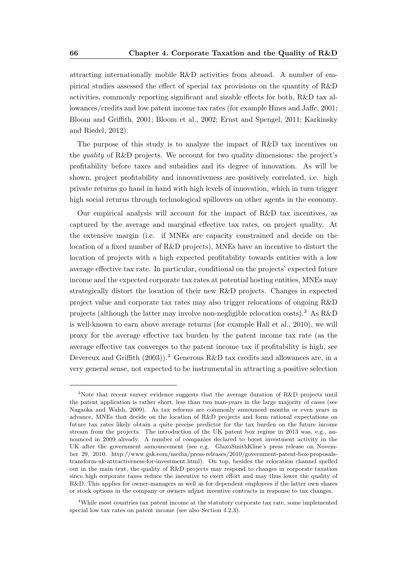attracting internationally mobile R&D activities from abroad. A number of empirical studies assessed the effect of special tax provisions on the quantity of R&D activities, commonly reporting significant and sizable effects for both, R&D tax allowances/credits and low patent income tax rates (for example Hines and Jaffe, 2001; Bloom and Griffith, 2001; Bloom et al., 2002; Ernst and Spengel, 2011; Karkinsky and Riedel, 2012).

The purpose of this study is to analyze the impact of R&D tax incentives on the quality of R&D projects. We account for two quality dimensions: the project's profitability before taxes and subsidies and its degree of innovation. As will be shown, project profitability and innovativeness are positively correlated, i.e. high private returns go hand in hand with high levels of innovation, which in turn trigger high social returns through technological spillovers on other agents in the economy.

Our empirical analysis will account for the impact of R&D tax incentives, as captured by the average and marginal effective tax rates, on project quality. At the extensive margin (i.e. if MNEs are capacity constrained and decide on the location of a fixed number of R&D projects), MNEs have an incentive to distort the location of projects with a high expected profitability towards entities with a low average effective tax rate. In particular, conditional on the projects' expected future income and the expected corporate tax rates at potential hosting entities, MNEs may strategically distort the location of their new R&D projects. Changes in expected project value and corporate tax rates may also trigger relocations of ongoing R&D projects (although the latter may involve non-negligible relocation costs).<sup>3</sup> As R&D is well-known to earn above average returns (for example Hall et al., 2010), we will proxy for the average effective tax burden by the patent income tax rate (as the average effective tax converges to the patent income tax if profitability is high, see Devereux and Griffith  $(2003)$ .<sup>4</sup> Generous R&D tax credits and allowances are, in a very general sense, not expected to be instrumental in attracting a positive selection

<sup>3</sup>Note that recent survey evidence suggests that the average duration of R&D projects until the patent application is rather short, less than two man-years in the large majority of cases (see Nagaoka and Walsh, 2009). As tax reforms are commonly announced months or even years in advance, MNEs that decide on the location of R&D projects and form rational expectations on future tax rates likely obtain a quite precise predictor for the tax burden on the future income stream from the projects. The introduction of the UK patent box regime in 2013 was, e.g., announced in 2009 already. A number of companies declared to boost investment activity in the UK after the government announcement (see e.g. GlaxoSmithKline's press release on November 29, 2010: http://www.gsk.com/media/press-releases/2010/government-patent-box-proposalstransform-uk-attractiveness-for-investment.html). On top, besides the relocation channel spelled out in the main text, the quality of R&D projects may respond to changes in corporate taxation since high corporate taxes reduce the incentive to exert effort and may thus lower the quality of R&D. This applies for owner-managers as well as for dependent employees if the latter own shares or stock options in the company or owners adjust incentive contracts in response to tax changes.

<sup>4</sup>While most countries tax patent income at the statutory corporate tax rate, some implemented special low tax rates on patent income (see also Section 4.2.3).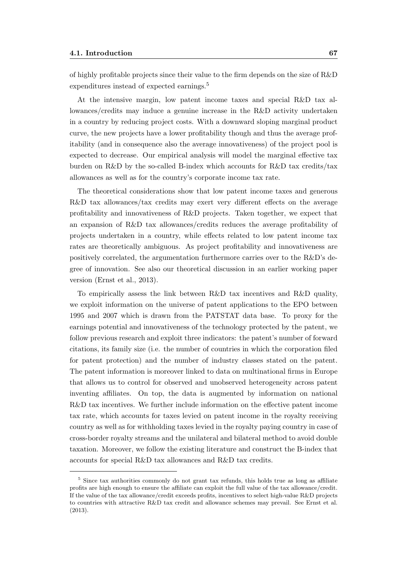of highly profitable projects since their value to the firm depends on the size of R&D expenditures instead of expected earnings.<sup>5</sup>

At the intensive margin, low patent income taxes and special R&D tax allowances/credits may induce a genuine increase in the R&D activity undertaken in a country by reducing project costs. With a downward sloping marginal product curve, the new projects have a lower profitability though and thus the average profitability (and in consequence also the average innovativeness) of the project pool is expected to decrease. Our empirical analysis will model the marginal effective tax burden on R&D by the so-called B-index which accounts for R&D tax credits/tax allowances as well as for the country's corporate income tax rate.

The theoretical considerations show that low patent income taxes and generous R&D tax allowances/tax credits may exert very different effects on the average profitability and innovativeness of R&D projects. Taken together, we expect that an expansion of R&D tax allowances/credits reduces the average profitability of projects undertaken in a country, while effects related to low patent income tax rates are theoretically ambiguous. As project profitability and innovativeness are positively correlated, the argumentation furthermore carries over to the R&D's degree of innovation. See also our theoretical discussion in an earlier working paper version (Ernst et al., 2013).

To empirically assess the link between R&D tax incentives and R&D quality, we exploit information on the universe of patent applications to the EPO between 1995 and 2007 which is drawn from the PATSTAT data base. To proxy for the earnings potential and innovativeness of the technology protected by the patent, we follow previous research and exploit three indicators: the patent's number of forward citations, its family size (i.e. the number of countries in which the corporation filed for patent protection) and the number of industry classes stated on the patent. The patent information is moreover linked to data on multinational firms in Europe that allows us to control for observed and unobserved heterogeneity across patent inventing affiliates. On top, the data is augmented by information on national R&D tax incentives. We further include information on the effective patent income tax rate, which accounts for taxes levied on patent income in the royalty receiving country as well as for withholding taxes levied in the royalty paying country in case of cross-border royalty streams and the unilateral and bilateral method to avoid double taxation. Moreover, we follow the existing literature and construct the B-index that accounts for special R&D tax allowances and R&D tax credits.

<sup>&</sup>lt;sup>5</sup> Since tax authorities commonly do not grant tax refunds, this holds true as long as affiliate profits are high enough to ensure the affiliate can exploit the full value of the tax allowance/credit. If the value of the tax allowance/credit exceeds profits, incentives to select high-value R&D projects to countries with attractive R&D tax credit and allowance schemes may prevail. See Ernst et al. (2013).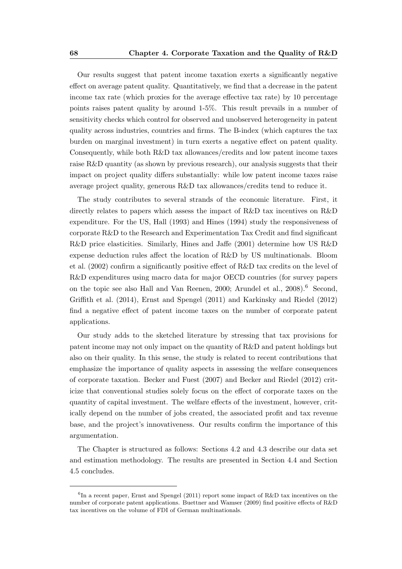Our results suggest that patent income taxation exerts a significantly negative effect on average patent quality. Quantitatively, we find that a decrease in the patent income tax rate (which proxies for the average effective tax rate) by 10 percentage points raises patent quality by around 1-5%. This result prevails in a number of sensitivity checks which control for observed and unobserved heterogeneity in patent quality across industries, countries and firms. The B-index (which captures the tax burden on marginal investment) in turn exerts a negative effect on patent quality. Consequently, while both R&D tax allowances/credits and low patent income taxes raise R&D quantity (as shown by previous research), our analysis suggests that their impact on project quality differs substantially: while low patent income taxes raise average project quality, generous R&D tax allowances/credits tend to reduce it.

The study contributes to several strands of the economic literature. First, it directly relates to papers which assess the impact of R&D tax incentives on R&D expenditure. For the US, Hall (1993) and Hines (1994) study the responsiveness of corporate R&D to the Research and Experimentation Tax Credit and find significant R&D price elasticities. Similarly, Hines and Jaffe (2001) determine how US R&D expense deduction rules affect the location of R&D by US multinationals. Bloom et al. (2002) confirm a significantly positive effect of R&D tax credits on the level of R&D expenditures using macro data for major OECD countries (for survey papers on the topic see also Hall and Van Reenen, 2000; Arundel et al., 2008).<sup>6</sup> Second, Griffith et al. (2014), Ernst and Spengel (2011) and Karkinsky and Riedel (2012) find a negative effect of patent income taxes on the number of corporate patent applications.

Our study adds to the sketched literature by stressing that tax provisions for patent income may not only impact on the quantity of R&D and patent holdings but also on their quality. In this sense, the study is related to recent contributions that emphasize the importance of quality aspects in assessing the welfare consequences of corporate taxation. Becker and Fuest (2007) and Becker and Riedel (2012) criticize that conventional studies solely focus on the effect of corporate taxes on the quantity of capital investment. The welfare effects of the investment, however, critically depend on the number of jobs created, the associated profit and tax revenue base, and the project's innovativeness. Our results confirm the importance of this argumentation.

The Chapter is structured as follows: Sections 4.2 and 4.3 describe our data set and estimation methodology. The results are presented in Section 4.4 and Section 4.5 concludes.

 ${}^{6}$ In a recent paper, Ernst and Spengel (2011) report some impact of R&D tax incentives on the number of corporate patent applications. Buettner and Wamser (2009) find positive effects of R&D tax incentives on the volume of FDI of German multinationals.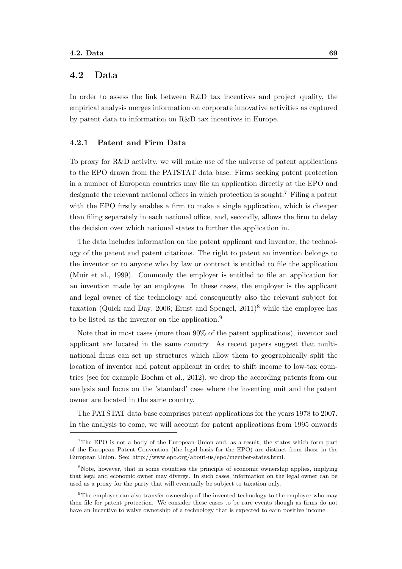## 4.2 Data

In order to assess the link between R&D tax incentives and project quality, the empirical analysis merges information on corporate innovative activities as captured by patent data to information on R&D tax incentives in Europe.

#### 4.2.1 Patent and Firm Data

To proxy for R&D activity, we will make use of the universe of patent applications to the EPO drawn from the PATSTAT data base. Firms seeking patent protection in a number of European countries may file an application directly at the EPO and designate the relevant national offices in which protection is sought.<sup>7</sup> Filing a patent with the EPO firstly enables a firm to make a single application, which is cheaper than filing separately in each national office, and, secondly, allows the firm to delay the decision over which national states to further the application in.

The data includes information on the patent applicant and inventor, the technology of the patent and patent citations. The right to patent an invention belongs to the inventor or to anyone who by law or contract is entitled to file the application (Muir et al., 1999). Commonly the employer is entitled to file an application for an invention made by an employee. In these cases, the employer is the applicant and legal owner of the technology and consequently also the relevant subject for taxation (Quick and Day, 2006; Ernst and Spengel,  $2011$ <sup>8</sup> while the employee has to be listed as the inventor on the application.<sup>9</sup>

Note that in most cases (more than 90% of the patent applications), inventor and applicant are located in the same country. As recent papers suggest that multinational firms can set up structures which allow them to geographically split the location of inventor and patent applicant in order to shift income to low-tax countries (see for example Boehm et al., 2012), we drop the according patents from our analysis and focus on the 'standard' case where the inventing unit and the patent owner are located in the same country.

The PATSTAT data base comprises patent applications for the years 1978 to 2007. In the analysis to come, we will account for patent applications from 1995 onwards

<sup>7</sup>The EPO is not a body of the European Union and, as a result, the states which form part of the European Patent Convention (the legal basis for the EPO) are distinct from those in the European Union. See: http://www.epo.org/about-us/epo/member-states.html.

<sup>8</sup>Note, however, that in some countries the principle of economic ownership applies, implying that legal and economic owner may diverge. In such cases, information on the legal owner can be used as a proxy for the party that will eventually be subject to taxation only.

<sup>&</sup>lt;sup>9</sup>The employer can also transfer ownership of the invented technology to the employee who may then file for patent protection. We consider these cases to be rare events though as firms do not have an incentive to waive ownership of a technology that is expected to earn positive income.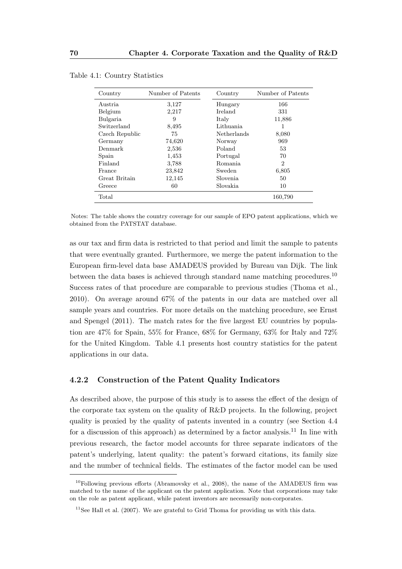| Country        | Number of Patents | Country            | Number of Patents |
|----------------|-------------------|--------------------|-------------------|
| Austria        | 3,127             | Hungary            | 166               |
| Belgium        | 2,217             | Ireland            | 331               |
| Bulgaria       | 9                 | Italy              | 11,886            |
| Switzerland    | 8,495             | Lithuania          | 1                 |
| Czech Republic | 75                | <b>Netherlands</b> | 8,080             |
| Germany        | 74,620            | Norway             | 969               |
| Denmark        | 2,536             | Poland             | 53                |
| Spain          | 1,453             | Portugal           | 70                |
| Finland        | 3,788             | Romania            | 2                 |
| France         | 23,842            | Sweden             | 6,805             |
| Great Britain  | 12,145            | Slovenia           | 50                |
| Greece         | 60                | Slovakia           | 10                |
| Total          |                   |                    | 160,790           |

Table 4.1: Country Statistics

Notes: The table shows the country coverage for our sample of EPO patent applications, which we obtained from the PATSTAT database.

as our tax and firm data is restricted to that period and limit the sample to patents that were eventually granted. Furthermore, we merge the patent information to the European firm-level data base AMADEUS provided by Bureau van Dijk. The link between the data bases is achieved through standard name matching procedures.<sup>10</sup> Success rates of that procedure are comparable to previous studies (Thoma et al., 2010). On average around 67% of the patents in our data are matched over all sample years and countries. For more details on the matching procedure, see Ernst and Spengel (2011). The match rates for the five largest EU countries by population are 47% for Spain, 55% for France, 68% for Germany, 63% for Italy and 72% for the United Kingdom. Table 4.1 presents host country statistics for the patent applications in our data.

#### 4.2.2 Construction of the Patent Quality Indicators

As described above, the purpose of this study is to assess the effect of the design of the corporate tax system on the quality of R&D projects. In the following, project quality is proxied by the quality of patents invented in a country (see Section 4.4 for a discussion of this approach) as determined by a factor analysis.<sup>11</sup> In line with previous research, the factor model accounts for three separate indicators of the patent's underlying, latent quality: the patent's forward citations, its family size and the number of technical fields. The estimates of the factor model can be used

<sup>&</sup>lt;sup>10</sup>Following previous efforts (Abramovsky et al., 2008), the name of the AMADEUS firm was matched to the name of the applicant on the patent application. Note that corporations may take on the role as patent applicant, while patent inventors are necessarily non-corporates.

<sup>&</sup>lt;sup>11</sup>See Hall et al.  $(2007)$ . We are grateful to Grid Thoma for providing us with this data.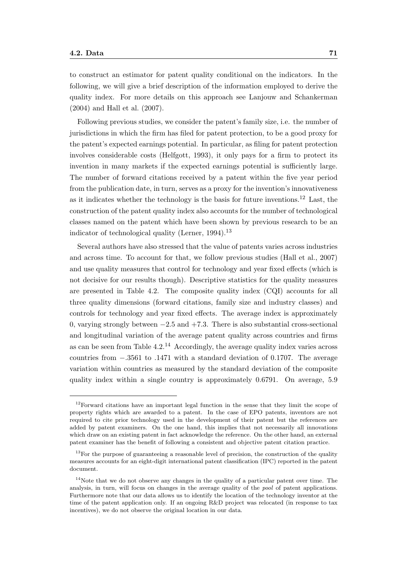to construct an estimator for patent quality conditional on the indicators. In the following, we will give a brief description of the information employed to derive the quality index. For more details on this approach see Lanjouw and Schankerman (2004) and Hall et al. (2007).

Following previous studies, we consider the patent's family size, i.e. the number of jurisdictions in which the firm has filed for patent protection, to be a good proxy for the patent's expected earnings potential. In particular, as filing for patent protection involves considerable costs (Helfgott, 1993), it only pays for a firm to protect its invention in many markets if the expected earnings potential is sufficiently large. The number of forward citations received by a patent within the five year period from the publication date, in turn, serves as a proxy for the invention's innovativeness as it indicates whether the technology is the basis for future inventions.<sup>12</sup> Last, the construction of the patent quality index also accounts for the number of technological classes named on the patent which have been shown by previous research to be an indicator of technological quality (Lerner,  $1994$ ).<sup>13</sup>

Several authors have also stressed that the value of patents varies across industries and across time. To account for that, we follow previous studies (Hall et al., 2007) and use quality measures that control for technology and year fixed effects (which is not decisive for our results though). Descriptive statistics for the quality measures are presented in Table 4.2. The composite quality index (CQI) accounts for all three quality dimensions (forward citations, family size and industry classes) and controls for technology and year fixed effects. The average index is approximately 0, varying strongly between  $-2.5$  and  $+7.3$ . There is also substantial cross-sectional and longitudinal variation of the average patent quality across countries and firms as can be seen from Table  $4.2^{14}$  Accordingly, the average quality index varies across countries from −.3561 to .1471 with a standard deviation of 0.1707. The average variation within countries as measured by the standard deviation of the composite quality index within a single country is approximately 0.6791. On average, 5.9

<sup>&</sup>lt;sup>12</sup>Forward citations have an important legal function in the sense that they limit the scope of property rights which are awarded to a patent. In the case of EPO patents, inventors are not required to cite prior technology used in the development of their patent but the references are added by patent examiners. On the one hand, this implies that not necessarily all innovations which draw on an existing patent in fact acknowledge the reference. On the other hand, an external patent examiner has the benefit of following a consistent and objective patent citation practice.

 $13$ For the purpose of guaranteeing a reasonable level of precision, the construction of the quality measures accounts for an eight-digit international patent classification (IPC) reported in the patent document.

<sup>&</sup>lt;sup>14</sup>Note that we do not observe any changes in the quality of a particular patent over time. The analysis, in turn, will focus on changes in the average quality of the pool of patent applications. Furthermore note that our data allows us to identify the location of the technology inventor at the time of the patent application only. If an ongoing R&D project was relocated (in response to tax incentives), we do not observe the original location in our data.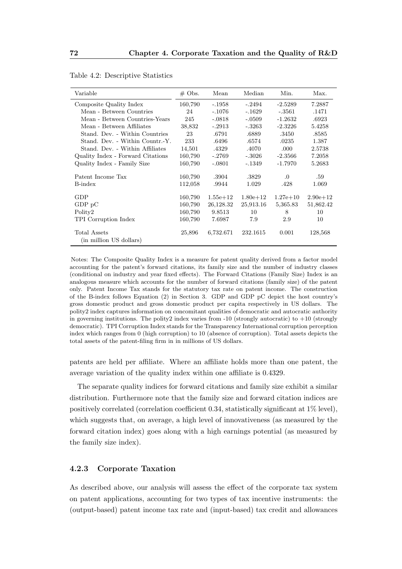| Variable                                | $\#$ Obs. | Mean         | Median       | Min.         | Max.         |
|-----------------------------------------|-----------|--------------|--------------|--------------|--------------|
| Composite Quality Index                 | 160,790   | $-.1958$     | $-.2494$     | $-2.5289$    | 7.2887       |
| Mean - Between Countries                | 24        | $-.1076$     | $-.1629$     | $-.3561$     | .1471        |
| Mean - Between Countries-Years          | 245       | $-.0818$     | $-.0509$     | $-1.2632$    | .6923        |
| Mean - Between Affiliates               | 38,832    | $-.2913$     | $-.3263$     | $-2.3226$    | 5.4258       |
| Stand. Dev. - Within Countries          | 23        | .6791        | .6889        | .3450        | .8585        |
| Stand. Dev. - Within Countr.-Y.         | 233       | .6496        | .6574        | .0235        | 1.387        |
| Stand. Dev. - Within Affiliates         | 14,501    | .4329        | .4070        | .000         | 2.5738       |
| Quality Index - Forward Citations       | 160,790   | $-.2769$     | $-.3026$     | $-2.3566$    | 7.2058       |
| Quality Index - Family Size             | 160,790   | $-.0801$     | $-.1349$     | $-1.7970$    | 5.2683       |
| Patent Income Tax                       | 160,790   | .3904        | .3829        | $\cdot$      | .59          |
| B-index                                 | 112,058   | .9944        | 1.029        | .428         | 1.069        |
| GDP                                     | 160,790   | $1.55e + 12$ | $1.80e + 12$ | $1.27e + 10$ | $2.90e + 12$ |
| $GDP$ p $C$                             | 160,790   | 26,128.32    | 25,913.16    | 5,365.83     | 51,862.42    |
| Polity2                                 | 160,790   | 9.8513       | 10           | 8            | 10           |
| TPI Corruption Index                    | 160,790   | 7.6987       | 7.9          | 2.9          | 10           |
| Total Assets<br>(in million US dollars) | 25,896    | 6,732.671    | 232.1615     | 0.001        | 128,568      |

Table 4.2: Descriptive Statistics

Notes: The Composite Quality Index is a measure for patent quality derived from a factor model accounting for the patent's forward citations, its family size and the number of industry classes (conditional on industry and year fixed effects). The Forward Citations (Family Size) Index is an analogous measure which accounts for the number of forward citations (family size) of the patent only. Patent Income Tax stands for the statutory tax rate on patent income. The construction of the B-index follows Equation (2) in Section 3. GDP and GDP pC depict the host country's gross domestic product and gross domestic product per capita respectively in US dollars. The polity2 index captures information on concomitant qualities of democratic and autocratic authority in governing institutions. The polity2 index varies from  $-10$  (strongly autocratic) to  $+10$  (strongly democratic). TPI Corruption Index stands for the Transparency International corruption perception index which ranges from 0 (high corruption) to 10 (absence of corruption). Total assets depicts the total assets of the patent-filing firm in in millions of US dollars.

patents are held per affiliate. Where an affiliate holds more than one patent, the average variation of the quality index within one affiliate is 0.4329.

The separate quality indices for forward citations and family size exhibit a similar distribution. Furthermore note that the family size and forward citation indices are positively correlated (correlation coefficient 0.34, statistically significant at 1% level), which suggests that, on average, a high level of innovativeness (as measured by the forward citation index) goes along with a high earnings potential (as measured by the family size index).

#### 4.2.3 Corporate Taxation

As described above, our analysis will assess the effect of the corporate tax system on patent applications, accounting for two types of tax incentive instruments: the (output-based) patent income tax rate and (input-based) tax credit and allowances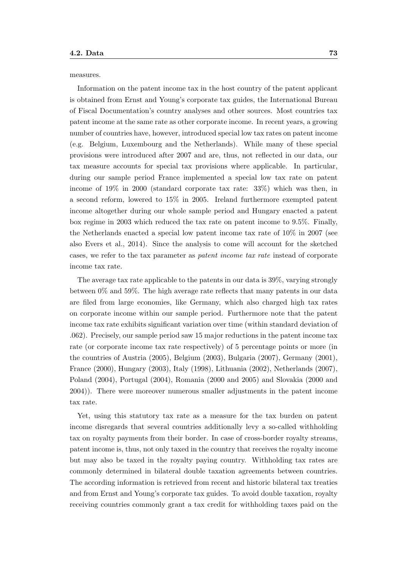measures.

Information on the patent income tax in the host country of the patent applicant is obtained from Ernst and Young's corporate tax guides, the International Bureau of Fiscal Documentation's country analyses and other sources. Most countries tax patent income at the same rate as other corporate income. In recent years, a growing number of countries have, however, introduced special low tax rates on patent income (e.g. Belgium, Luxembourg and the Netherlands). While many of these special provisions were introduced after 2007 and are, thus, not reflected in our data, our tax measure accounts for special tax provisions where applicable. In particular, during our sample period France implemented a special low tax rate on patent income of 19% in 2000 (standard corporate tax rate: 33%) which was then, in a second reform, lowered to 15% in 2005. Ireland furthermore exempted patent income altogether during our whole sample period and Hungary enacted a patent box regime in 2003 which reduced the tax rate on patent income to 9.5%. Finally, the Netherlands enacted a special low patent income tax rate of 10% in 2007 (see also Evers et al., 2014). Since the analysis to come will account for the sketched cases, we refer to the tax parameter as patent income tax rate instead of corporate income tax rate.

The average tax rate applicable to the patents in our data is 39%, varying strongly between 0% and 59%. The high average rate reflects that many patents in our data are filed from large economies, like Germany, which also charged high tax rates on corporate income within our sample period. Furthermore note that the patent income tax rate exhibits significant variation over time (within standard deviation of .062). Precisely, our sample period saw 15 major reductions in the patent income tax rate (or corporate income tax rate respectively) of 5 percentage points or more (in the countries of Austria (2005), Belgium (2003), Bulgaria (2007), Germany (2001), France (2000), Hungary (2003), Italy (1998), Lithuania (2002), Netherlands (2007), Poland (2004), Portugal (2004), Romania (2000 and 2005) and Slovakia (2000 and 2004)). There were moreover numerous smaller adjustments in the patent income tax rate.

Yet, using this statutory tax rate as a measure for the tax burden on patent income disregards that several countries additionally levy a so-called withholding tax on royalty payments from their border. In case of cross-border royalty streams, patent income is, thus, not only taxed in the country that receives the royalty income but may also be taxed in the royalty paying country. Withholding tax rates are commonly determined in bilateral double taxation agreements between countries. The according information is retrieved from recent and historic bilateral tax treaties and from Ernst and Young's corporate tax guides. To avoid double taxation, royalty receiving countries commonly grant a tax credit for withholding taxes paid on the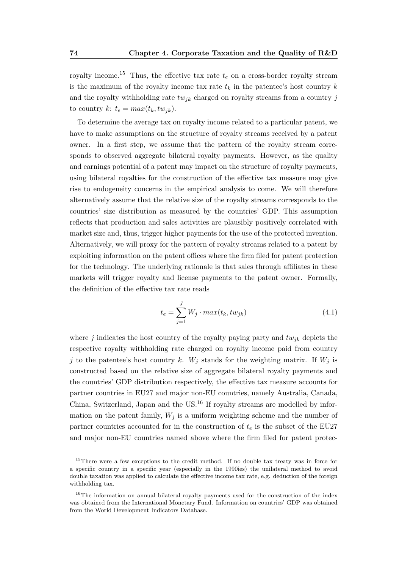royalty income.<sup>15</sup> Thus, the effective tax rate  $t_e$  on a cross-border royalty stream is the maximum of the royalty income tax rate  $t_k$  in the patentee's host country k and the royalty withholding rate  $tw_{jk}$  charged on royalty streams from a country j to country  $k: t_e = max(t_k, tw_{jk}).$ 

To determine the average tax on royalty income related to a particular patent, we have to make assumptions on the structure of royalty streams received by a patent owner. In a first step, we assume that the pattern of the royalty stream corresponds to observed aggregate bilateral royalty payments. However, as the quality and earnings potential of a patent may impact on the structure of royalty payments, using bilateral royalties for the construction of the effective tax measure may give rise to endogeneity concerns in the empirical analysis to come. We will therefore alternatively assume that the relative size of the royalty streams corresponds to the countries' size distribution as measured by the countries' GDP. This assumption reflects that production and sales activities are plausibly positively correlated with market size and, thus, trigger higher payments for the use of the protected invention. Alternatively, we will proxy for the pattern of royalty streams related to a patent by exploiting information on the patent offices where the firm filed for patent protection for the technology. The underlying rationale is that sales through affiliates in these markets will trigger royalty and license payments to the patent owner. Formally, the definition of the effective tax rate reads

$$
t_e = \sum_{j=1}^{J} W_j \cdot max(t_k, tw_{jk})
$$
\n(4.1)

where j indicates the host country of the royalty paying party and  $tw_{ik}$  depicts the respective royalty withholding rate charged on royalty income paid from country j to the patentee's host country k.  $W_j$  stands for the weighting matrix. If  $W_j$  is constructed based on the relative size of aggregate bilateral royalty payments and the countries' GDP distribution respectively, the effective tax measure accounts for partner countries in EU27 and major non-EU countries, namely Australia, Canada, China, Switzerland, Japan and the  $US^{16}$  If royalty streams are modelled by information on the patent family,  $W_j$  is a uniform weighting scheme and the number of partner countries accounted for in the construction of  $t_e$  is the subset of the EU27 and major non-EU countries named above where the firm filed for patent protec-

<sup>&</sup>lt;sup>15</sup>There were a few exceptions to the credit method. If no double tax treaty was in force for a specific country in a specific year (especially in the 1990ies) the unilateral method to avoid double taxation was applied to calculate the effective income tax rate, e.g. deduction of the foreign withholding tax.

<sup>&</sup>lt;sup>16</sup>The information on annual bilateral royalty payments used for the construction of the index was obtained from the International Monetary Fund. Information on countries' GDP was obtained from the World Development Indicators Database.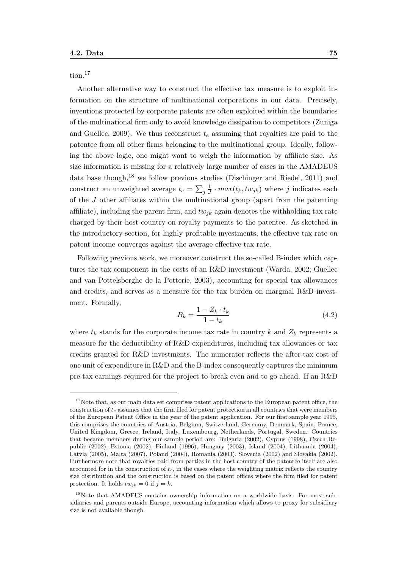tion.<sup>17</sup>

Another alternative way to construct the effective tax measure is to exploit information on the structure of multinational corporations in our data. Precisely, inventions protected by corporate patents are often exploited within the boundaries of the multinational firm only to avoid knowledge dissipation to competitors (Zuniga and Guellec, 2009). We thus reconstruct  $t_e$  assuming that royalties are paid to the patentee from all other firms belonging to the multinational group. Ideally, following the above logic, one might want to weigh the information by affiliate size. As size information is missing for a relatively large number of cases in the AMADEUS data base though,  $^{18}$  we follow previous studies (Dischinger and Riedel, 2011) and construct an unweighted average  $t_e = \sum_j \frac{1}{J}$  $\frac{1}{J} \cdot max(t_k, tw_{jk})$  where j indicates each of the J other affiliates within the multinational group (apart from the patenting affiliate), including the parent firm, and  $tw_{ik}$  again denotes the withholding tax rate charged by their host country on royalty payments to the patentee. As sketched in the introductory section, for highly profitable investments, the effective tax rate on patent income converges against the average effective tax rate.

Following previous work, we moreover construct the so-called B-index which captures the tax component in the costs of an R&D investment (Warda, 2002; Guellec and van Pottelsberghe de la Potterie, 2003), accounting for special tax allowances and credits, and serves as a measure for the tax burden on marginal R&D investment. Formally,

$$
B_k = \frac{1 - Z_k \cdot t_k}{1 - t_k} \tag{4.2}
$$

where  $t_k$  stands for the corporate income tax rate in country k and  $Z_k$  represents a measure for the deductibility of R&D expenditures, including tax allowances or tax credits granted for R&D investments. The numerator reflects the after-tax cost of one unit of expenditure in R&D and the B-index consequently captures the minimum pre-tax earnings required for the project to break even and to go ahead. If an R&D

<sup>&</sup>lt;sup>17</sup>Note that, as our main data set comprises patent applications to the European patent office, the construction of  $t_e$  assumes that the firm filed for patent protection in all countries that were members of the European Patent Office in the year of the patent application. For our first sample year 1995, this comprises the countries of Austria, Belgium, Switzerland, Germany, Denmark, Spain, France, United Kingdom, Greece, Ireland, Italy, Luxembourg, Netherlands, Portugal, Sweden. Countries that became members during our sample period are: Bulgaria (2002), Cyprus (1998), Czech Republic (2002), Estonia (2002), Finland (1996), Hungary (2003), Island (2004), Lithuania (2004), Latvia (2005), Malta (2007), Poland (2004), Romania (2003), Slovenia (2002) and Slovakia (2002). Furthermore note that royalties paid from parties in the host country of the patentee itself are also accounted for in the construction of  $t<sub>e</sub>$ , in the cases where the weighting matrix reflects the country size distribution and the construction is based on the patent offices where the firm filed for patent protection. It holds  $tw_{jk} = 0$  if  $j = k$ .

<sup>&</sup>lt;sup>18</sup>Note that AMADEUS contains ownership information on a worldwide basis. For most subsidiaries and parents outside Europe, accounting information which allows to proxy for subsidiary size is not available though.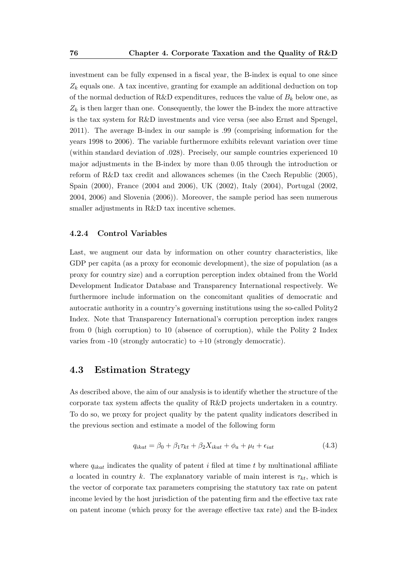investment can be fully expensed in a fiscal year, the B-index is equal to one since  $Z_k$  equals one. A tax incentive, granting for example an additional deduction on top of the normal deduction of R&D expenditures, reduces the value of  $B_k$  below one, as  $Z_k$  is then larger than one. Consequently, the lower the B-index the more attractive is the tax system for R&D investments and vice versa (see also Ernst and Spengel, 2011). The average B-index in our sample is .99 (comprising information for the years 1998 to 2006). The variable furthermore exhibits relevant variation over time (within standard deviation of .028). Precisely, our sample countries experienced 10 major adjustments in the B-index by more than 0.05 through the introduction or reform of R&D tax credit and allowances schemes (in the Czech Republic (2005), Spain (2000), France (2004 and 2006), UK (2002), Italy (2004), Portugal (2002, 2004, 2006) and Slovenia (2006)). Moreover, the sample period has seen numerous smaller adjustments in R&D tax incentive schemes.

#### 4.2.4 Control Variables

Last, we augment our data by information on other country characteristics, like GDP per capita (as a proxy for economic development), the size of population (as a proxy for country size) and a corruption perception index obtained from the World Development Indicator Database and Transparency International respectively. We furthermore include information on the concomitant qualities of democratic and autocratic authority in a country's governing institutions using the so-called Polity2 Index. Note that Transparency International's corruption perception index ranges from 0 (high corruption) to 10 (absence of corruption), while the Polity 2 Index varies from  $-10$  (strongly autocratic) to  $+10$  (strongly democratic).

## 4.3 Estimation Strategy

As described above, the aim of our analysis is to identify whether the structure of the corporate tax system affects the quality of R&D projects undertaken in a country. To do so, we proxy for project quality by the patent quality indicators described in the previous section and estimate a model of the following form

$$
q_{ikat} = \beta_0 + \beta_1 \tau_{kt} + \beta_2 X_{ikat} + \phi_a + \mu_t + \epsilon_{iat} \tag{4.3}
$$

where  $q_{ikat}$  indicates the quality of patent i filed at time t by multinational affiliate a located in country k. The explanatory variable of main interest is  $\tau_{kt}$ , which is the vector of corporate tax parameters comprising the statutory tax rate on patent income levied by the host jurisdiction of the patenting firm and the effective tax rate on patent income (which proxy for the average effective tax rate) and the B-index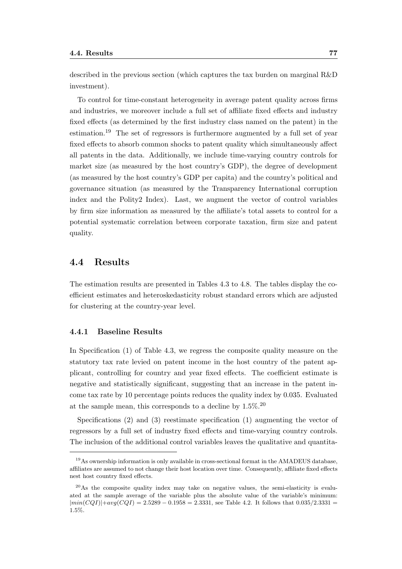described in the previous section (which captures the tax burden on marginal R&D investment).

To control for time-constant heterogeneity in average patent quality across firms and industries, we moreover include a full set of affiliate fixed effects and industry fixed effects (as determined by the first industry class named on the patent) in the estimation.<sup>19</sup> The set of regressors is furthermore augmented by a full set of year fixed effects to absorb common shocks to patent quality which simultaneously affect all patents in the data. Additionally, we include time-varying country controls for market size (as measured by the host country's GDP), the degree of development (as measured by the host country's GDP per capita) and the country's political and governance situation (as measured by the Transparency International corruption index and the Polity2 Index). Last, we augment the vector of control variables by firm size information as measured by the affiliate's total assets to control for a potential systematic correlation between corporate taxation, firm size and patent quality.

## 4.4 Results

The estimation results are presented in Tables 4.3 to 4.8. The tables display the coefficient estimates and heteroskedasticity robust standard errors which are adjusted for clustering at the country-year level.

#### 4.4.1 Baseline Results

In Specification (1) of Table 4.3, we regress the composite quality measure on the statutory tax rate levied on patent income in the host country of the patent applicant, controlling for country and year fixed effects. The coefficient estimate is negative and statistically significant, suggesting that an increase in the patent income tax rate by 10 percentage points reduces the quality index by 0.035. Evaluated at the sample mean, this corresponds to a decline by  $1.5\%$ .<sup>20</sup>

Specifications (2) and (3) reestimate specification (1) augmenting the vector of regressors by a full set of industry fixed effects and time-varying country controls. The inclusion of the additional control variables leaves the qualitative and quantita-

 $19\text{As}$  ownership information is only available in cross-sectional format in the AMADEUS database, affiliates are assumed to not change their host location over time. Consequently, affiliate fixed effects nest host country fixed effects.

<sup>20</sup>As the composite quality index may take on negative values, the semi-elasticity is evaluated at the sample average of the variable plus the absolute value of the variable's minimum:  $|min(CQI)|+avg(CQI) = 2.5289 - 0.1958 = 2.3331$ , see Table 4.2. It follows that 0.035/2.3331 1.5%.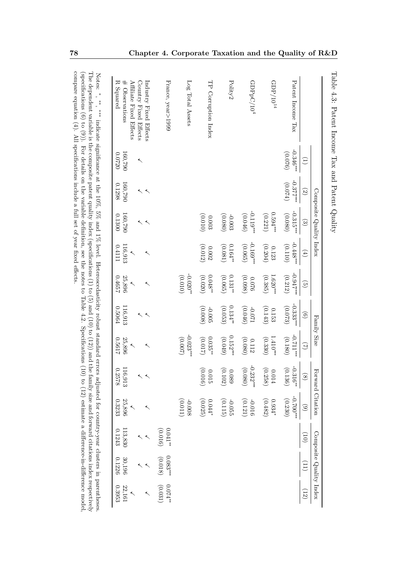|                                                                            |                        |                     | Composite Quality Index             |                                                |                               |                                  | Family Size                   | Forward Citation                              |                        |                               | Composite Quality Index |                             |
|----------------------------------------------------------------------------|------------------------|---------------------|-------------------------------------|------------------------------------------------|-------------------------------|----------------------------------|-------------------------------|-----------------------------------------------|------------------------|-------------------------------|-------------------------|-----------------------------|
|                                                                            | $\widehat{\Xi}$        | $\odot$             | $\odot$                             | $\left( \begin{matrix} 4 \end{matrix} \right)$ | $\odot$                       | $\odot$                          | $\mathfrak{D}$                | $\circledS$                                   | $\odot$                | $\left( 01\right)$            |                         | (12)                        |
| Patent Income Tax                                                          | $-0.346***$<br>(920.0) | $-0.377$<br>(0.074) | $-0.315$ **<br>(0.080)              | $-0.448***$<br>(0.110)                         | $-0.947$ ***<br>(0.212)       | $-0.333***$<br>(0.073)           | $-0.711$<br>(0.180)           | $-0.316**$<br>(0.136)                         | $-0.700$<br>(0.230)    |                               |                         |                             |
| $\mathrm{GDP}/10^{14}$                                                     |                        |                     | $0.594***$<br>$\left( 0.221\right)$ | (0.204)<br>0.123                               | $1.620$ **<br>(0.385)         | (0.143)<br>0.153                 | $1.410***$<br>(0.330)         | (0.258)<br>$0.014\,$                          | (0.482)<br>$0.934^{*}$ |                               |                         |                             |
| GDPpC/10 <sup>4</sup>                                                      |                        |                     | $-0.119$<br>(0.046)                 | $-0.169$ ***<br>(0.065)                        | (0.098)<br>92000              | (0.046)<br>120.0-                | (0.080)<br>0.112              | $-0.232***$                                   | (0.121)<br>$-0.016$    |                               |                         |                             |
| Polity2                                                                    |                        |                     | (0.080)<br>$-0.003$                 | $0.164*$<br>(0.081)                            | (0.065)<br>$0.131^{\ast\ast}$ | $0.134$ <sup>**</sup><br>(0.053) | $0.152***$<br>(0.049)         | $\begin{array}{c} 0.089 \\ 0.102 \end{array}$ | (0.115)<br>$-0.055$    |                               |                         |                             |
| TP Corruption Index                                                        |                        |                     | (010)<br>$0.003\,$                  | (0.012)<br>$0.002\,$                           | (0.020)<br>$0.048*$           | (0.008)<br>$-0.005$              | $0.035***$<br>(0.017)         | (0.016)<br>$0.015\,$                          | (0.025)<br>$0.044*$    |                               |                         |                             |
| Log Total Assets                                                           |                        |                     |                                     |                                                | $-0.020$ #<br>(010)           |                                  | $-0.023$ ***<br>(200.0)       |                                               | (110.01)<br>$-0.008$   |                               |                         |                             |
| France, year>1999                                                          |                        |                     |                                     |                                                |                               |                                  |                               |                                               |                        | $0.041^{\ast\ast}$<br>(0.016) | $0.083***$<br>(0.018)   | $\approx 10.074$<br>(0.031) |
| Affiliate Fixed Effects<br>Industry Fixed Effects<br>Country Fixed Effects | ↖                      |                     |                                     | $\overline{\phantom{0}}$                       | $\overline{\phantom{0}}$      | ≺                                | $\overline{\phantom{0}}$<br>↖ |                                               |                        |                               |                         |                             |
| R Squared<br>$\#$ Observations                                             | 160,790<br>02200       | 160,790<br>0.1298   | 160,790<br>0.1300                   | 116,913<br>0.4111                              | $25,896$<br>1657              | 116,913<br>0.5064                | 25,896<br>11990               | 116,913<br>0.2578                             | 25,896<br>0.3233       | 113,830<br>0.1243             | 30,196<br>0.1226        | 22,161<br>0.3953            |

compare equation (4). All specifications include a full set of year fixed effects.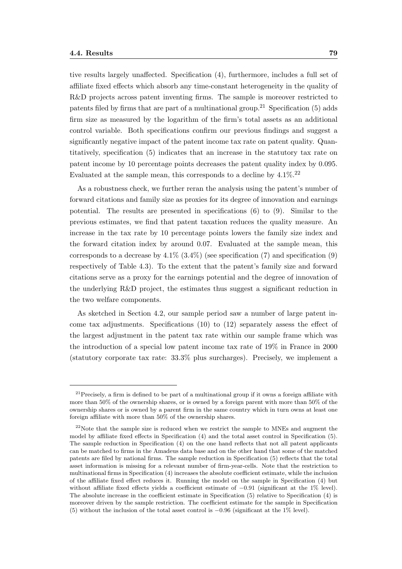tive results largely unaffected. Specification (4), furthermore, includes a full set of affiliate fixed effects which absorb any time-constant heterogeneity in the quality of R&D projects across patent inventing firms. The sample is moreover restricted to patents filed by firms that are part of a multinational group.<sup>21</sup> Specification (5) adds firm size as measured by the logarithm of the firm's total assets as an additional control variable. Both specifications confirm our previous findings and suggest a significantly negative impact of the patent income tax rate on patent quality. Quantitatively, specification (5) indicates that an increase in the statutory tax rate on patent income by 10 percentage points decreases the patent quality index by 0.095. Evaluated at the sample mean, this corresponds to a decline by  $4.1\%$ .<sup>22</sup>

As a robustness check, we further reran the analysis using the patent's number of forward citations and family size as proxies for its degree of innovation and earnings potential. The results are presented in specifications (6) to (9). Similar to the previous estimates, we find that patent taxation reduces the quality measure. An increase in the tax rate by 10 percentage points lowers the family size index and the forward citation index by around 0.07. Evaluated at the sample mean, this corresponds to a decrease by  $4.1\%$  (3.4%) (see specification (7) and specification (9) respectively of Table 4.3). To the extent that the patent's family size and forward citations serve as a proxy for the earnings potential and the degree of innovation of the underlying R&D project, the estimates thus suggest a significant reduction in the two welfare components.

As sketched in Section 4.2, our sample period saw a number of large patent income tax adjustments. Specifications (10) to (12) separately assess the effect of the largest adjustment in the patent tax rate within our sample frame which was the introduction of a special low patent income tax rate of 19% in France in 2000 (statutory corporate tax rate: 33.3% plus surcharges). Precisely, we implement a

<sup>&</sup>lt;sup>21</sup> Precisely, a firm is defined to be part of a multinational group if it owns a foreign affiliate with more than 50% of the ownership shares, or is owned by a foreign parent with more than 50% of the ownership shares or is owned by a parent firm in the same country which in turn owns at least one foreign affiliate with more than 50% of the ownership shares.

 $22$ Note that the sample size is reduced when we restrict the sample to MNEs and augment the model by affiliate fixed effects in Specification (4) and the total asset control in Specification (5). The sample reduction in Specification (4) on the one hand reflects that not all patent applicants can be matched to firms in the Amadeus data base and on the other hand that some of the matched patents are filed by national firms. The sample reduction in Specification (5) reflects that the total asset information is missing for a relevant number of firm-year-cells. Note that the restriction to multinational firms in Specification (4) increases the absolute coefficient estimate, while the inclusion of the affiliate fixed effect reduces it. Running the model on the sample in Specification (4) but without affiliate fixed effects yields a coefficient estimate of −0.91 (significant at the 1% level). The absolute increase in the coefficient estimate in Specification (5) relative to Specification (4) is moreover driven by the sample restriction. The coefficient estimate for the sample in Specification (5) without the inclusion of the total asset control is −0.96 (significant at the 1% level).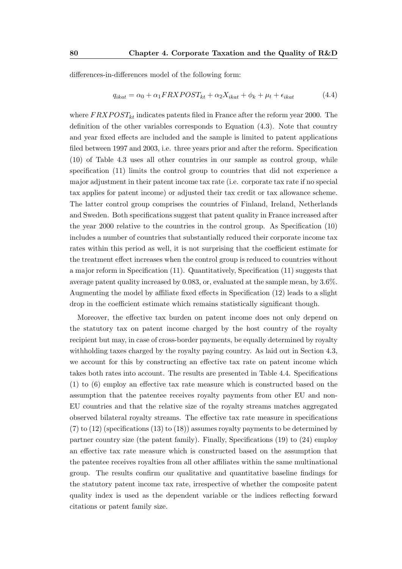differences-in-differences model of the following form:

$$
q_{ikat} = \alpha_0 + \alpha_1 FRX POST_{kt} + \alpha_2 X_{ikat} + \phi_k + \mu_t + \epsilon_{ikat}
$$
\n(4.4)

where  $FRXPOST_{kt}$  indicates patents filed in France after the reform year 2000. The definition of the other variables corresponds to Equation (4.3). Note that country and year fixed effects are included and the sample is limited to patent applications filed between 1997 and 2003, i.e. three years prior and after the reform. Specification (10) of Table 4.3 uses all other countries in our sample as control group, while specification (11) limits the control group to countries that did not experience a major adjustment in their patent income tax rate (i.e. corporate tax rate if no special tax applies for patent income) or adjusted their tax credit or tax allowance scheme. The latter control group comprises the countries of Finland, Ireland, Netherlands and Sweden. Both specifications suggest that patent quality in France increased after the year 2000 relative to the countries in the control group. As Specification (10) includes a number of countries that substantially reduced their corporate income tax rates within this period as well, it is not surprising that the coefficient estimate for the treatment effect increases when the control group is reduced to countries without a major reform in Specification (11). Quantitatively, Specification (11) suggests that average patent quality increased by 0.083, or, evaluated at the sample mean, by 3.6%. Augmenting the model by affiliate fixed effects in Specification (12) leads to a slight drop in the coefficient estimate which remains statistically significant though.

Moreover, the effective tax burden on patent income does not only depend on the statutory tax on patent income charged by the host country of the royalty recipient but may, in case of cross-border payments, be equally determined by royalty withholding taxes charged by the royalty paying country. As laid out in Section 4.3, we account for this by constructing an effective tax rate on patent income which takes both rates into account. The results are presented in Table 4.4. Specifications (1) to (6) employ an effective tax rate measure which is constructed based on the assumption that the patentee receives royalty payments from other EU and non-EU countries and that the relative size of the royalty streams matches aggregated observed bilateral royalty streams. The effective tax rate measure in specifications  $(7)$  to  $(12)$  (specifications  $(13)$  to  $(18)$ ) assumes royalty payments to be determined by partner country size (the patent family). Finally, Specifications (19) to (24) employ an effective tax rate measure which is constructed based on the assumption that the patentee receives royalties from all other affiliates within the same multinational group. The results confirm our qualitative and quantitative baseline findings for the statutory patent income tax rate, irrespective of whether the composite patent quality index is used as the dependent variable or the indices reflecting forward citations or patent family size.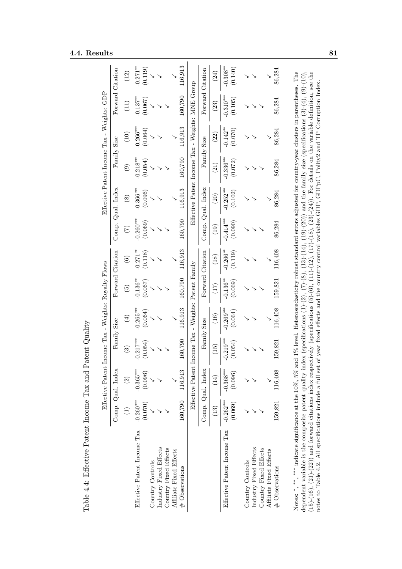### **4.4. Results** 81

|                                                                                                                                                                                                                                                                                                                                                          |                       | Effective Patent Income Tax - Weights: Royalty Flows |                        |                        |                        |                        |                        | Effective Patent Income Tax - Weights: GDP       |                        |                        |                    |                     |
|----------------------------------------------------------------------------------------------------------------------------------------------------------------------------------------------------------------------------------------------------------------------------------------------------------------------------------------------------------|-----------------------|------------------------------------------------------|------------------------|------------------------|------------------------|------------------------|------------------------|--------------------------------------------------|------------------------|------------------------|--------------------|---------------------|
|                                                                                                                                                                                                                                                                                                                                                          |                       | Comp. Qual. Index                                    |                        | Family Size            |                        | Forward Citation       |                        | Comp. Qual. Index                                |                        | Family Size            |                    | Forward Citation    |
|                                                                                                                                                                                                                                                                                                                                                          | Ξ                     | $\odot$                                              | $\odot$                | $\bigoplus$            | $\widetilde{5}$        | $\widehat{\mathbf{e}}$ | E                      | $\circled{s}$                                    | $\odot$                | (10)                   | Ξ                  | (12)                |
| Effective Patent Income Tax                                                                                                                                                                                                                                                                                                                              | (0.070)<br>$-0.260**$ | $-0.365***$<br>(0.096)                               | $-0.217***$<br>(0.054) | $-0.265***$<br>(0.064) | $-0.136^{*}$<br>(0.067 | $-0.271**$<br>(0.118)  | $-0.260***$<br>(0.069) | $-0.366***$<br>(0.096)                           | $-0.218***$<br>(0.054) | $-0.266***$<br>(0.064) | $-0.137*$<br>790.0 | (0.119)<br>$-0.271$ |
| Country Controls                                                                                                                                                                                                                                                                                                                                         |                       |                                                      |                        |                        |                        |                        |                        |                                                  |                        |                        |                    |                     |
| Industry Fixed Effects                                                                                                                                                                                                                                                                                                                                   |                       |                                                      |                        |                        |                        |                        |                        |                                                  |                        |                        |                    |                     |
| Country Fixed Effects                                                                                                                                                                                                                                                                                                                                    |                       |                                                      |                        |                        |                        |                        |                        |                                                  |                        |                        |                    |                     |
| Affiliate Fixed Effects                                                                                                                                                                                                                                                                                                                                  |                       |                                                      |                        |                        |                        |                        |                        |                                                  |                        |                        |                    |                     |
| # Observations                                                                                                                                                                                                                                                                                                                                           | 160,790               | 116,913                                              | 160,790                | 116,913                | 160,790                | 116,913                | 160,790                | 116,913                                          | 160,790                | 116,913                | 160,790            | 116,913             |
|                                                                                                                                                                                                                                                                                                                                                          |                       | Effective Patent Income Tax - Weights:               |                        |                        | Patent Family          |                        |                        | Effective Patent Income Tax - Weights: MNE Group |                        |                        |                    |                     |
|                                                                                                                                                                                                                                                                                                                                                          |                       | Comp. Qual. Index                                    |                        | Family Size            |                        | Forward Citation       |                        | Comp. Qual. Index                                |                        | Family Size            |                    | Forward Citation    |
|                                                                                                                                                                                                                                                                                                                                                          | $(13)$                | (14)                                                 | (15)                   | (16)                   | (17)                   | (18)                   | $\left(19\right)$      | (20)                                             | (21)                   | (22)                   | (23)               | (24)                |
| Effective Patent Income Tax                                                                                                                                                                                                                                                                                                                              | $-0.262***$           | $-0.368***$                                          | $-0.219***$            | $-0.269***$            | $-0.136**$             | $-0.266**$             | $-0.414***$            | $-0.252***$                                      | $-0.336***$            | $-0.142$ <sup>**</sup> | $-0.310***$        | $-0.308**$          |
|                                                                                                                                                                                                                                                                                                                                                          | (0.069)               | (0.096)                                              | (0.054)                | (0.064)                | (0.069)                | (0.119)                | (0.090)                | (0.102)                                          | (0.072)                | (0.070)                | (0.105)            | (0.140)             |
| Country Controls                                                                                                                                                                                                                                                                                                                                         |                       |                                                      |                        |                        |                        |                        |                        |                                                  |                        |                        |                    |                     |
| Industry Fixed Effects                                                                                                                                                                                                                                                                                                                                   |                       |                                                      |                        |                        |                        |                        |                        |                                                  |                        |                        |                    |                     |
| Country Fixed Effects                                                                                                                                                                                                                                                                                                                                    |                       |                                                      |                        |                        |                        |                        |                        |                                                  |                        |                        |                    |                     |
| Affiliate Fixed Effects                                                                                                                                                                                                                                                                                                                                  |                       |                                                      |                        |                        |                        |                        |                        |                                                  |                        |                        |                    |                     |
| # Observations                                                                                                                                                                                                                                                                                                                                           | 159,821               | 116,408                                              | 159,821                | 116,408                | 159,821                | 116,408                | 86,284                 | 86,284                                           | 86,284                 | 86,284                 | 86,284             | 86,284              |
| Notes: $*$ , $*$ , $*$ , indicate significance at the 10%, 5% and 1% level. Heteroscedasticity robust standard errors adjusted for country-year clusters in parentheses. The                                                                                                                                                                             |                       |                                                      |                        |                        |                        |                        |                        |                                                  |                        |                        |                    |                     |
| dependent variable is the composite patent quality index (specifications $(1)-(2)$ , $(7)-(8)$ , $(14)$ , $(12)-(20)$ )) and the family size (specifications $(3)-(4)$ , $(9)-(10)$ ,                                                                                                                                                                    |                       |                                                      |                        |                        |                        |                        |                        |                                                  |                        |                        |                    |                     |
| $(15)-(16)$ , $(21)-(22)$ ) and forward citations index respectively (specifications (5)-(6), $(11)-(12)$ , $(12)(12)$ , $(12)(24)$ ). For details on the variable definition, see the<br>notes to Table 4.2. All specifications include a full set of year fixed effects and the country control variables GDP, GDPpC, Polity2 and TP Corruption Index. |                       |                                                      |                        |                        |                        |                        |                        |                                                  |                        |                        |                    |                     |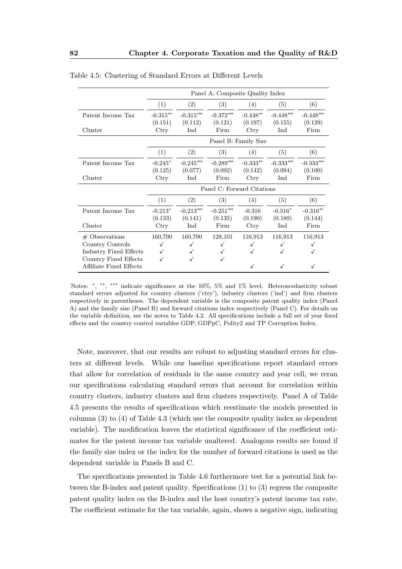|                                                                                          |                       |                                    | Panel A: Composite Quality Index   |                       |                        |                        |
|------------------------------------------------------------------------------------------|-----------------------|------------------------------------|------------------------------------|-----------------------|------------------------|------------------------|
|                                                                                          | (1)                   | (2)                                | (3)                                | (4)                   | (5)                    | (6)                    |
| Patent Income Tax                                                                        | $-0.315**$<br>(0.151) | $-0.315^{\ast\ast\ast}$<br>(0.112) | $-0.372***$<br>(0.121)             | $-0.448**$<br>(0.197) | $-0.448***$<br>(0.155) | $-0.448***$<br>(0.129) |
| Cluster                                                                                  | Ctry                  | Ind                                | Firm                               | Ctry                  | Ind                    | Firm                   |
|                                                                                          |                       |                                    |                                    | Panel B: Family Size  |                        |                        |
|                                                                                          | (1)                   | (2)                                | (3)                                | (4)                   | (5)                    | (6)                    |
| Patent Income Tax                                                                        | $-0.245*$<br>(0.125)  | $-0.245***$<br>(0.077)             | $-0.289***$<br>(0.092)             | $-0.333**$<br>(0.142) | $-0.333***$<br>(0.094) | $-0.333***$<br>(0.100) |
| Cluster                                                                                  | $_{\rm Ctry}$         | Ind                                | Firm                               | $_{\rm Ctry}$         | Ind                    | Firm                   |
|                                                                                          |                       |                                    | Panel C: Forward Citations         |                       |                        |                        |
|                                                                                          | (1)                   | (2)                                | (3)                                | (4)                   | (5)                    | (6)                    |
| Patent Income Tax                                                                        | $-0.213*$<br>(0.133)  | $-0.213***$<br>(0.141)             | $-0.251^{\ast\ast\ast}$<br>(0.135) | $-0.316$<br>(0.190)   | $-0.316*$<br>(0.189)   | $-0.316**$<br>(0.144)  |
| Cluster                                                                                  | Ctry                  | Ind                                | Firm                               | Ctry                  | Ind                    | Firm                   |
| $\#$ Observations<br>Country Controls<br>Industry Fixed Effects<br>Country Fixed Effects | 160,790<br>✓<br>√     | 160,790<br>✓                       | 128,101                            | 116,913<br>✓          | 116,913<br>✓           | 116,913                |
| Affiliate Fixed Effects                                                                  |                       |                                    |                                    |                       |                        |                        |

Table 4.5: Clustering of Standard Errors at Different Levels

Note, moreover, that our results are robust to adjusting standard errors for clusters at different levels. While our baseline specifications report standard errors that allow for correlation of residuals in the same country and year cell, we reran our specifications calculating standard errors that account for correlation within country clusters, industry clusters and firm clusters respectively. Panel A of Table 4.5 presents the results of specifications which reestimate the models presented in columns (3) to (4) of Table 4.3 (which use the composite quality index as dependent variable). The modification leaves the statistical significance of the coefficient estimates for the patent income tax variable unaltered. Analogous results are found if the family size index or the index for the number of forward citations is used as the dependent variable in Panels B and C.

The specifications presented in Table 4.6 furthermore test for a potential link between the B-index and patent quality. Specifications (1) to (3) regress the composite patent quality index on the B-index and the host country's patent income tax rate. The coefficient estimate for the tax variable, again, shows a negative sign, indicating

Notes: \*, \*\*, \*\*\* indicate significance at the 10%, 5% and 1% level. Heteroscedasticity robust standard errors adjusted for country clusters ('ctry'), industry clusters ('ind') and firm clusters respectively in parentheses. The dependent variable is the composite patent quality index (Panel A) and the family size (Panel B) and forward citations index respectively (Panel C). For details on the variable definition, see the notes to Table 4.2. All specifications include a full set of year fixed effects and the country control variables GDP, GDPpC, Polity2 and TP Corruption Index.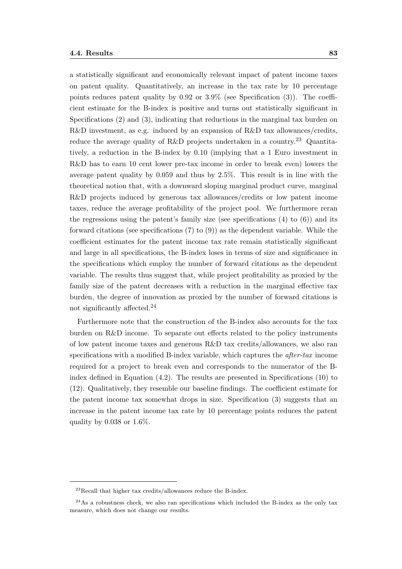a statistically significant and economically relevant impact of patent income taxes on patent quality. Quantitatively, an increase in the tax rate by 10 percentage points reduces patent quality by 0.92 or 3.9% (see Specification (3)). The coefficient estimate for the B-index is positive and turns out statistically significant in Specifications (2) and (3), indicating that reductions in the marginal tax burden on R&D investment, as e.g. induced by an expansion of  $R&D$  tax allowances/credits, reduce the average quality of R&D projects undertaken in a country.<sup>23</sup> Quantitatively, a reduction in the B-index by 0.10 (implying that a 1 Euro investment in R&D has to earn 10 cent lower pre-tax income in order to break even) lowers the average patent quality by 0.059 and thus by 2.5%. This result is in line with the theoretical notion that, with a downward sloping marginal product curve, marginal R&D projects induced by generous tax allowances/credits or low patent income taxes, reduce the average profitability of the project pool. We furthermore reran the regressions using the patent's family size (see specifications  $(4)$  to  $(6)$ ) and its forward citations (see specifications (7) to (9)) as the dependent variable. While the coefficient estimates for the patent income tax rate remain statistically significant and large in all specifications, the B-index loses in terms of size and significance in the specifications which employ the number of forward citations as the dependent variable. The results thus suggest that, while project profitability as proxied by the family size of the patent decreases with a reduction in the marginal effective tax burden, the degree of innovation as proxied by the number of forward citations is not significantly affected.<sup>24</sup>

Furthermore note that the construction of the B-index also accounts for the tax burden on R&D income. To separate out effects related to the policy instruments of low patent income taxes and generous R&D tax credits/allowances, we also ran specifications with a modified B-index variable, which captures the after-tax income required for a project to break even and corresponds to the numerator of the Bindex defined in Equation (4.2). The results are presented in Specifications (10) to (12). Qualitatively, they resemble our baseline findings. The coefficient estimate for the patent income tax somewhat drops in size. Specification (3) suggests that an increase in the patent income tax rate by 10 percentage points reduces the patent quality by 0.038 or 1.6%.

<sup>23</sup>Recall that higher tax credits/allowances reduce the B-index.

 $^{24}$ As a robustness check, we also ran specifications which included the B-index as the only tax measure, which does not change our results.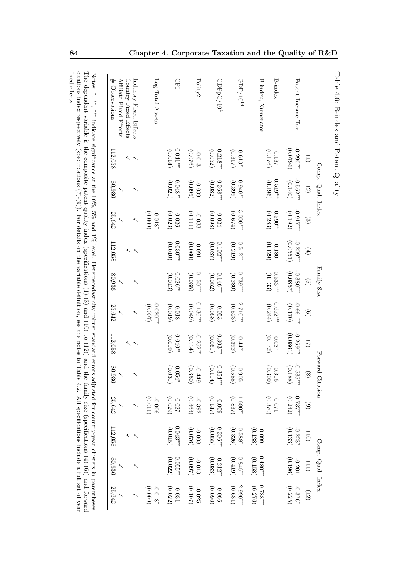|                                                                            |                         | Comp. Qual. Index      |                        |                                    | Family Size              |                          |                              | Forward Citation                                     |                      |                       | Comp. Qual. Index                |                       |
|----------------------------------------------------------------------------|-------------------------|------------------------|------------------------|------------------------------------|--------------------------|--------------------------|------------------------------|------------------------------------------------------|----------------------|-----------------------|----------------------------------|-----------------------|
|                                                                            | E                       | $\odot$                | $\odot$                | $\begin{pmatrix} 4 \end{pmatrix}$  | $\widehat{\mathbb{C}}$   | $\odot$                  | $\bigcirc$                   | $\circledS$                                          | $\widehat{\circ}$    | $\left( 0\right)$     | $\left(11\right)$                | (12)                  |
| Patent Income Tax                                                          | $-0.290$ **<br>(f6200)  | $-0.562***$<br>(0.140) | $-0.917***$<br>(0.192) | $-0.209$<br>(0.0553)               | (0.0857)<br>$-0.380$ *** | $-0.661***$<br>(0.170)   | $-0.269***$<br>(0.0861)      | $-0.535$ ##<br>(0.188)                               | $-0.737$<br>(0.232)  | (0.133)<br>$-0.223*$  | (0.196)<br>$-0.201$              | (0.225)<br>$-0.376*$  |
| B-index, Numerator<br><b>B-index</b>                                       | (0.176)<br>0.137        | $0.519***$<br>(0.196)  | (0.283)<br>$0.590**$   | $\left( 0.129\right)$<br>$0.180\,$ | $0.533***$<br>(0.133)    | $0.652***$<br>(0.244)    | (0.172)<br>720.0             | (0.309)<br>0.316                                     | (0.370)<br>12000     | 660.0                 | $0.480**$                        | $0.788***$            |
| $\mathrm{GDP}/10^{14}$                                                     | $0.613*$                | $0.940**$              | $3.000***$             | $0.512**$                          | $0.739***$               | $2.710***$               | $2447$                       | 0.905                                                | $1.680**$            | 0.588*<br>(0.138)     | (0.158)<br>$0.846$ <sup>**</sup> | $2.990***$<br>(0.276) |
|                                                                            | (0.317)                 | (0.399)                | (0.674)                | (0.219)                            | (0.280)                  | (0.523)                  | (0.392)                      | (0.555)                                              | (0.837)              | (0.326)               | (0.419)                          | (0.681)               |
| GDPpC/10 <sup>4</sup>                                                      | $-0.218***$<br>(0.052)  | $-0.268***$<br>(0.082) | (0.098)<br>$0.024\,$   | $-0.102$<br>(0.037)                | $-0.146$<br>(0.052)      | (0.068)<br>0.053         | $-0.303***$<br>(190.0)       | $-0.354***$<br>(0.114)                               | (0.147)<br>-0.009    | $-0.206$<br>(0.055)   | $-0.212^{\ast\ast}$<br>(0.083)   | (960.0)<br>990.0      |
| Polity2                                                                    | (920.0)<br>-0.013       | (660)<br>$-0.039$      | (0.111)<br>$-0.033$    | (0.060)<br>160'0                   | $0.150***$<br>(0.035)    | $0.136***$<br>(0.049)    | $-0.252*$<br>(0.114)         | (0.350)<br>$-0.449$                                  | (0.363)<br>$-0.392$  | (0.076)<br>-0.008     | (260.0)<br>$-0.013$              | (0.107)<br>$-0.025$   |
| <b>CPI</b>                                                                 | $0.041***$<br>$(0.014)$ | (0.021)<br>$0.048**$   | (0.023)<br>0.026       | $0.030$ **<br>(010.0)              | $0.026$ **<br>(0.013)    | (0.019)<br>$0.018\,$     | $0.040^{**}$<br>(0.019)      | (0.031)<br>$0.054^{\ast}$                            | (0.029)<br>720.0     | $0.043***$<br>(0.015) | (0.022)<br>$0.055*$              | (0.022)<br>$0.031\,$  |
| Log Total Assets                                                           |                         |                        | $-0.018*$<br>(6000)    |                                    |                          | $-0.020$ **<br>(2000)    |                              |                                                      | (110.01)<br>$-0.006$ |                       |                                  | $-0.018^*$<br>(6000)  |
| Affiliate Fixed Effects<br>Country Fixed Effects<br>Industry Fixed Effects | $\ddot{\phantom{1}}$    |                        | ≺                      | ≺<br>$\overline{\phantom{0}}$      | $\overline{\phantom{0}}$ | $\overline{\phantom{a}}$ | $\left\langle \right\rangle$ | $\overline{\phantom{0}}$<br>$\overline{\phantom{0}}$ |                      |                       |                                  |                       |
| # Observations                                                             | 112,058                 | 80,936                 | 25,642                 | 112,058                            | 80,936                   | 25,642                   | 112,058                      | 80,936                                               | 25,642               | 112,058               | 80,936                           | 25,642                |

fixed effects.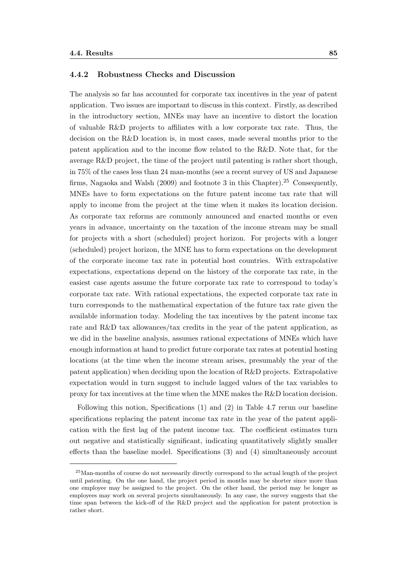#### 4.4.2 Robustness Checks and Discussion

The analysis so far has accounted for corporate tax incentives in the year of patent application. Two issues are important to discuss in this context. Firstly, as described in the introductory section, MNEs may have an incentive to distort the location of valuable R&D projects to affiliates with a low corporate tax rate. Thus, the decision on the R&D location is, in most cases, made several months prior to the patent application and to the income flow related to the R&D. Note that, for the average R&D project, the time of the project until patenting is rather short though, in 75% of the cases less than 24 man-months (see a recent survey of US and Japanese firms, Nagaoka and Walsh (2009) and footnote 3 in this Chapter).<sup>25</sup> Consequently, MNEs have to form expectations on the future patent income tax rate that will apply to income from the project at the time when it makes its location decision. As corporate tax reforms are commonly announced and enacted months or even years in advance, uncertainty on the taxation of the income stream may be small for projects with a short (scheduled) project horizon. For projects with a longer (scheduled) project horizon, the MNE has to form expectations on the development of the corporate income tax rate in potential host countries. With extrapolative expectations, expectations depend on the history of the corporate tax rate, in the easiest case agents assume the future corporate tax rate to correspond to today's corporate tax rate. With rational expectations, the expected corporate tax rate in turn corresponds to the mathematical expectation of the future tax rate given the available information today. Modeling the tax incentives by the patent income tax rate and R&D tax allowances/tax credits in the year of the patent application, as we did in the baseline analysis, assumes rational expectations of MNEs which have enough information at hand to predict future corporate tax rates at potential hosting locations (at the time when the income stream arises, presumably the year of the patent application) when deciding upon the location of R&D projects. Extrapolative expectation would in turn suggest to include lagged values of the tax variables to proxy for tax incentives at the time when the MNE makes the R&D location decision.

Following this notion, Specifications (1) and (2) in Table 4.7 rerun our baseline specifications replacing the patent income tax rate in the year of the patent application with the first lag of the patent income tax. The coefficient estimates turn out negative and statistically significant, indicating quantitatively slightly smaller effects than the baseline model. Specifications (3) and (4) simultaneously account

<sup>25</sup>Man-months of course do not necessarily directly correspond to the actual length of the project until patenting. On the one hand, the project period in months may be shorter since more than one employee may be assigned to the project. On the other hand, the period may be longer as employees may work on several projects simultaneously. In any case, the survey suggests that the time span between the kick-off of the R&D project and the application for patent protection is rather short.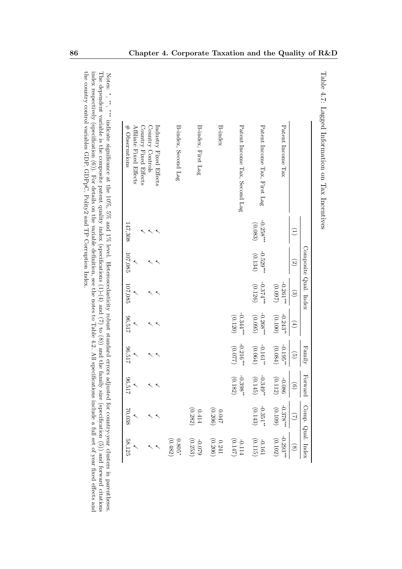| $\ddot{\phantom{a}}$                                             |  |
|------------------------------------------------------------------|--|
| THE STATE THRONGER INTERFERENCE THAT THE STATE OF<br>í<br>こうしょうさ |  |
|                                                                  |  |
|                                                                  |  |
| TON TITOCITATIO<br>I                                             |  |

|                                                                     |                     |                        | Composite Qual. Index |                        | Family                 | Forward                 | Comp. Qual. Index                            |                                                 |
|---------------------------------------------------------------------|---------------------|------------------------|-----------------------|------------------------|------------------------|-------------------------|----------------------------------------------|-------------------------------------------------|
|                                                                     | Ξ                   | $\mathfrak{S}$         | $\odot$               | $(\pm)$                | $\widehat{\mathbb{G}}$ |                         | $\Im$                                        |                                                 |
| Patent Income Tax                                                   |                     |                        | $-0.261***$<br>(2600) | $-0.243**$<br>(0.100)  | $-0.195$<br>(0.084)    | $-0.086$<br>(0.112)     | $-0.378***$<br>(0.109)                       | (0.102)<br>$-0.293***$                          |
| Patent Income Tax, First Lag                                        | $-0.258$<br>(0.083) | (0.134)<br>$-0.529$ ## | (0.126)<br>$-0.374$   | $-0.268***$<br>(0.095) | $-0.161**$<br>(0.064)  | $-0.349^*$<br>$(0.145)$ | $-0.351^{**}$                                | $-0.161$<br>(0.115)                             |
| Patent Income Tax, Second Lag                                       |                     |                        |                       | $-0.344***$<br>(0.120) | $-0.216$<br>(770.0)    | $-0.398**$<br>(0.182)   |                                              | $\begin{array}{c} -0.114 \\ -0.147 \end{array}$ |
| <b>B-index</b>                                                      |                     |                        |                       |                        |                        |                         |                                              |                                                 |
| B-index, First Lag                                                  |                     |                        |                       |                        |                        |                         | $0.414\phantom{0000}\hspace{-0.7em}$ (0.282) | $-0.079$<br>(0.253)                             |
| B-index, Second Lag                                                 |                     |                        |                       |                        |                        |                         |                                              | $\left( 0.482\right)$<br>$0.805*$               |
| Industry Fixed Effects<br>Country Fixed Effects<br>Country Controls |                     |                        |                       |                        |                        |                         |                                              |                                                 |
| # Observations<br>Affiliate Fixed Effects                           | 147,308             | 107,085                | 107,085               | 712.96                 | 20,517                 | 712'96                  | 70,038                                       | 58,125                                          |

the country control variables GDP, GDPpC, Polity2 and TP Corruption Index. the country control variables GDP, GDPpC, Polity2 and TP Corruption Index. index respectively (specification (6)). For details on the variable definition, see the notes to Table 4.2. All specifications include a full set of year fixed effects and The dependent variable is the composite patent quality index (specifications (1)-(4) and (7) to (8)) and the family size (specification (5)) and forward citationsNotes: ∗ , ∗∗ , ∗∗∗ indicate significance at the 10%, 5% and 1% level. Heteroscedasticity robust standard errors adjusted for country-year clusters in parentheses.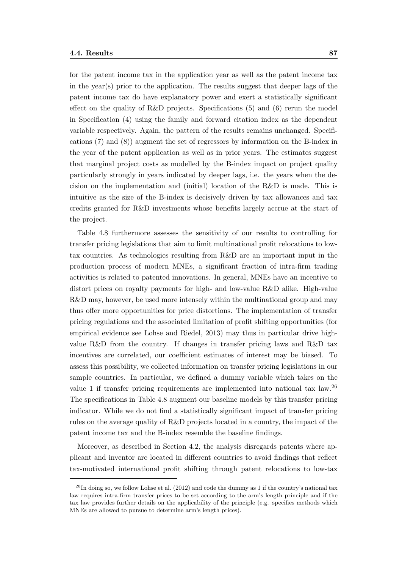for the patent income tax in the application year as well as the patent income tax in the year(s) prior to the application. The results suggest that deeper lags of the patent income tax do have explanatory power and exert a statistically significant effect on the quality of R&D projects. Specifications (5) and (6) rerun the model in Specification (4) using the family and forward citation index as the dependent variable respectively. Again, the pattern of the results remains unchanged. Specifications (7) and (8)) augment the set of regressors by information on the B-index in the year of the patent application as well as in prior years. The estimates suggest that marginal project costs as modelled by the B-index impact on project quality particularly strongly in years indicated by deeper lags, i.e. the years when the decision on the implementation and (initial) location of the R&D is made. This is intuitive as the size of the B-index is decisively driven by tax allowances and tax credits granted for R&D investments whose benefits largely accrue at the start of the project.

Table 4.8 furthermore assesses the sensitivity of our results to controlling for transfer pricing legislations that aim to limit multinational profit relocations to lowtax countries. As technologies resulting from R&D are an important input in the production process of modern MNEs, a significant fraction of intra-firm trading activities is related to patented innovations. In general, MNEs have an incentive to distort prices on royalty payments for high- and low-value R&D alike. High-value R&D may, however, be used more intensely within the multinational group and may thus offer more opportunities for price distortions. The implementation of transfer pricing regulations and the associated limitation of profit shifting opportunities (for empirical evidence see Lohse and Riedel, 2013) may thus in particular drive highvalue R&D from the country. If changes in transfer pricing laws and R&D tax incentives are correlated, our coefficient estimates of interest may be biased. To assess this possibility, we collected information on transfer pricing legislations in our sample countries. In particular, we defined a dummy variable which takes on the value 1 if transfer pricing requirements are implemented into national tax law.<sup>26</sup> The specifications in Table 4.8 augment our baseline models by this transfer pricing indicator. While we do not find a statistically significant impact of transfer pricing rules on the average quality of R&D projects located in a country, the impact of the patent income tax and the B-index resemble the baseline findings.

Moreover, as described in Section 4.2, the analysis disregards patents where applicant and inventor are located in different countries to avoid findings that reflect tax-motivated international profit shifting through patent relocations to low-tax

 $^{26}$ In doing so, we follow Lohse et al. (2012) and code the dummy as 1 if the country's national tax law requires intra-firm transfer prices to be set according to the arm's length principle and if the tax law provides further details on the applicability of the principle (e.g. specifies methods which MNEs are allowed to pursue to determine arm's length prices).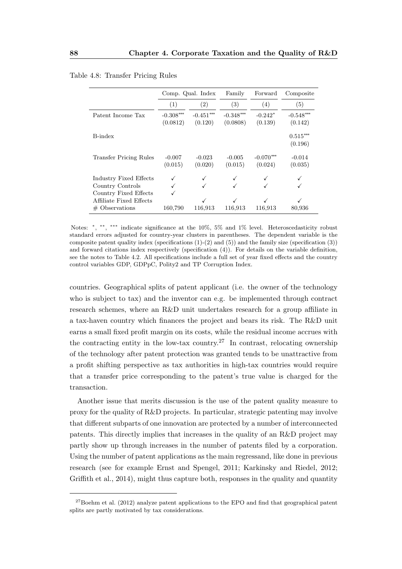|                               |                         | Comp. Qual. Index      | Family                  | Forward                | Composite              |
|-------------------------------|-------------------------|------------------------|-------------------------|------------------------|------------------------|
|                               | (1)                     | $\left( 2\right)$      | $\left( 3\right)$       | (4)                    | (5)                    |
| Patent Income Tax             | $-0.308***$<br>(0.0812) | $-0.451***$<br>(0.120) | $-0.348***$<br>(0.0808) | $-0.242*$<br>(0.139)   | $-0.548***$<br>(0.142) |
| B-index                       |                         |                        |                         |                        | $0.515***$<br>(0.196)  |
| <b>Transfer Pricing Rules</b> | $-0.007$<br>(0.015)     | $-0.023$<br>(0.020)    | $-0.005$<br>(0.015)     | $-0.070***$<br>(0.024) | $-0.014$<br>(0.035)    |
| Industry Fixed Effects        |                         |                        |                         |                        |                        |
| Country Controls              |                         |                        |                         |                        |                        |
| Country Fixed Effects         |                         |                        |                         |                        |                        |
| Affiliate Fixed Effects       |                         |                        | √                       | $\checkmark$           |                        |
| $#$ Observations              | 160,790                 | 116,913                | 116,913                 | 116,913                | 80,936                 |

Table 4.8: Transfer Pricing Rules

Notes: \*, \*\*, \*\*\* indicate significance at the 10%, 5% and 1% level. Heteroscedasticity robust standard errors adjusted for country-year clusters in parentheses. The dependent variable is the composite patent quality index (specifications  $(1)-(2)$  and  $(5)$ ) and the family size (specification  $(3)$ ) and forward citations index respectively (specification (4)). For details on the variable definition, see the notes to Table 4.2. All specifications include a full set of year fixed effects and the country control variables GDP, GDPpC, Polity2 and TP Corruption Index.

countries. Geographical splits of patent applicant (i.e. the owner of the technology who is subject to tax) and the inventor can e.g. be implemented through contract research schemes, where an R&D unit undertakes research for a group affiliate in a tax-haven country which finances the project and bears its risk. The R&D unit earns a small fixed profit margin on its costs, while the residual income accrues with the contracting entity in the low-tax country.<sup>27</sup> In contrast, relocating ownership of the technology after patent protection was granted tends to be unattractive from a profit shifting perspective as tax authorities in high-tax countries would require that a transfer price corresponding to the patent's true value is charged for the transaction.

Another issue that merits discussion is the use of the patent quality measure to proxy for the quality of R&D projects. In particular, strategic patenting may involve that different subparts of one innovation are protected by a number of interconnected patents. This directly implies that increases in the quality of an R&D project may partly show up through increases in the number of patents filed by a corporation. Using the number of patent applications as the main regressand, like done in previous research (see for example Ernst and Spengel, 2011; Karkinsky and Riedel, 2012; Griffith et al., 2014), might thus capture both, responses in the quality and quantity

 $^{27}$ Boehm et al. (2012) analyze patent applications to the EPO and find that geographical patent splits are partly motivated by tax considerations.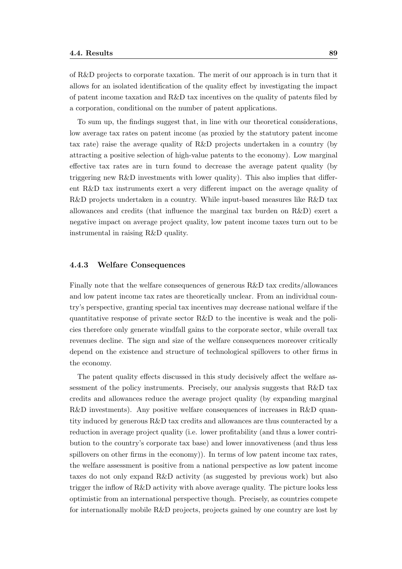of R&D projects to corporate taxation. The merit of our approach is in turn that it allows for an isolated identification of the quality effect by investigating the impact of patent income taxation and R&D tax incentives on the quality of patents filed by a corporation, conditional on the number of patent applications.

To sum up, the findings suggest that, in line with our theoretical considerations, low average tax rates on patent income (as proxied by the statutory patent income tax rate) raise the average quality of R&D projects undertaken in a country (by attracting a positive selection of high-value patents to the economy). Low marginal effective tax rates are in turn found to decrease the average patent quality (by triggering new R&D investments with lower quality). This also implies that different R&D tax instruments exert a very different impact on the average quality of R&D projects undertaken in a country. While input-based measures like R&D tax allowances and credits (that influence the marginal tax burden on R&D) exert a negative impact on average project quality, low patent income taxes turn out to be instrumental in raising R&D quality.

#### 4.4.3 Welfare Consequences

Finally note that the welfare consequences of generous R&D tax credits/allowances and low patent income tax rates are theoretically unclear. From an individual country's perspective, granting special tax incentives may decrease national welfare if the quantitative response of private sector R&D to the incentive is weak and the policies therefore only generate windfall gains to the corporate sector, while overall tax revenues decline. The sign and size of the welfare consequences moreover critically depend on the existence and structure of technological spillovers to other firms in the economy.

The patent quality effects discussed in this study decisively affect the welfare assessment of the policy instruments. Precisely, our analysis suggests that R&D tax credits and allowances reduce the average project quality (by expanding marginal R&D investments). Any positive welfare consequences of increases in R&D quantity induced by generous R&D tax credits and allowances are thus counteracted by a reduction in average project quality (i.e. lower profitability (and thus a lower contribution to the country's corporate tax base) and lower innovativeness (and thus less spillovers on other firms in the economy). In terms of low patent income tax rates, the welfare assessment is positive from a national perspective as low patent income taxes do not only expand R&D activity (as suggested by previous work) but also trigger the inflow of R&D activity with above average quality. The picture looks less optimistic from an international perspective though. Precisely, as countries compete for internationally mobile R&D projects, projects gained by one country are lost by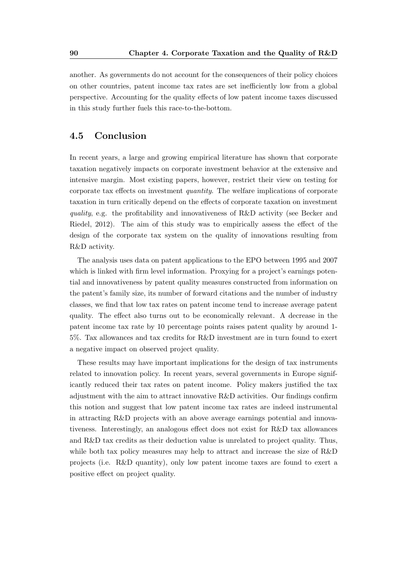another. As governments do not account for the consequences of their policy choices on other countries, patent income tax rates are set inefficiently low from a global perspective. Accounting for the quality effects of low patent income taxes discussed in this study further fuels this race-to-the-bottom.

## 4.5 Conclusion

In recent years, a large and growing empirical literature has shown that corporate taxation negatively impacts on corporate investment behavior at the extensive and intensive margin. Most existing papers, however, restrict their view on testing for corporate tax effects on investment quantity. The welfare implications of corporate taxation in turn critically depend on the effects of corporate taxation on investment quality, e.g. the profitability and innovativeness of R&D activity (see Becker and Riedel, 2012). The aim of this study was to empirically assess the effect of the design of the corporate tax system on the quality of innovations resulting from R&D activity.

The analysis uses data on patent applications to the EPO between 1995 and 2007 which is linked with firm level information. Proxying for a project's earnings potential and innovativeness by patent quality measures constructed from information on the patent's family size, its number of forward citations and the number of industry classes, we find that low tax rates on patent income tend to increase average patent quality. The effect also turns out to be economically relevant. A decrease in the patent income tax rate by 10 percentage points raises patent quality by around 1- 5%. Tax allowances and tax credits for R&D investment are in turn found to exert a negative impact on observed project quality.

These results may have important implications for the design of tax instruments related to innovation policy. In recent years, several governments in Europe significantly reduced their tax rates on patent income. Policy makers justified the tax adjustment with the aim to attract innovative  $R\&D$  activities. Our findings confirm this notion and suggest that low patent income tax rates are indeed instrumental in attracting R&D projects with an above average earnings potential and innovativeness. Interestingly, an analogous effect does not exist for R&D tax allowances and R&D tax credits as their deduction value is unrelated to project quality. Thus, while both tax policy measures may help to attract and increase the size of R&D projects (i.e. R&D quantity), only low patent income taxes are found to exert a positive effect on project quality.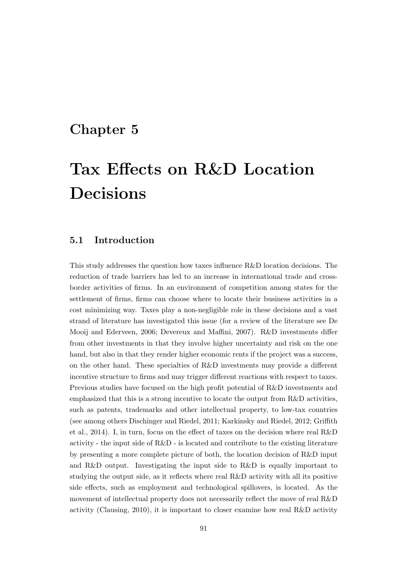## Chapter 5

# Tax Effects on R&D Location Decisions

## 5.1 Introduction

This study addresses the question how taxes influence R&D location decisions. The reduction of trade barriers has led to an increase in international trade and crossborder activities of firms. In an environment of competition among states for the settlement of firms, firms can choose where to locate their business activities in a cost minimizing way. Taxes play a non-negligible role in these decisions and a vast strand of literature has investigated this issue (for a review of the literature see De Mooij and Ederveen, 2006; Devereux and Maffini, 2007). R&D investments differ from other investments in that they involve higher uncertainty and risk on the one hand, but also in that they render higher economic rents if the project was a success, on the other hand. These specialties of R&D investments may provide a different incentive structure to firms and may trigger different reactions with respect to taxes. Previous studies have focused on the high profit potential of R&D investments and emphasized that this is a strong incentive to locate the output from R&D activities, such as patents, trademarks and other intellectual property, to low-tax countries (see among others Dischinger and Riedel, 2011; Karkinsky and Riedel, 2012; Griffith et al., 2014). I, in turn, focus on the effect of taxes on the decision where real R&D activity - the input side of R&D - is located and contribute to the existing literature by presenting a more complete picture of both, the location decision of R&D input and R&D output. Investigating the input side to R&D is equally important to studying the output side, as it reflects where real R&D activity with all its positive side effects, such as employment and technological spillovers, is located. As the movement of intellectual property does not necessarily reflect the move of real R&D activity (Clausing, 2010), it is important to closer examine how real R&D activity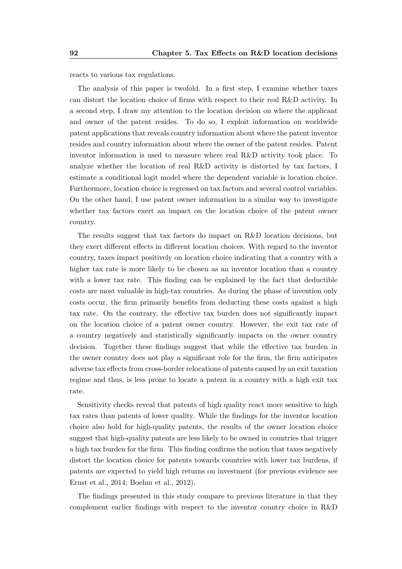reacts to various tax regulations.

The analysis of this paper is twofold. In a first step, I examine whether taxes can distort the location choice of firms with respect to their real R&D activity. In a second step, I draw my attention to the location decision on where the applicant and owner of the patent resides. To do so, I exploit information on worldwide patent applications that reveals country information about where the patent inventor resides and country information about where the owner of the patent resides. Patent inventor information is used to measure where real R&D activity took place. To analyze whether the location of real R&D activity is distorted by tax factors, I estimate a conditional logit model where the dependent variable is location choice. Furthermore, location choice is regressed on tax factors and several control variables. On the other hand, I use patent owner information in a similar way to investigate whether tax factors exert an impact on the location choice of the patent owner country.

The results suggest that tax factors do impact on R&D location decisions, but they exert different effects in different location choices. With regard to the inventor country, taxes impact positively on location choice indicating that a country with a higher tax rate is more likely to be chosen as an inventor location than a country with a lower tax rate. This finding can be explained by the fact that deductible costs are most valuable in high-tax countries. As during the phase of invention only costs occur, the firm primarily benefits from deducting these costs against a high tax rate. On the contrary, the effective tax burden does not significantly impact on the location choice of a patent owner country. However, the exit tax rate of a country negatively and statistically significantly impacts on the owner country decision. Together these findings suggest that while the effective tax burden in the owner country does not play a significant role for the firm, the firm anticipates adverse tax effects from cross-border relocations of patents caused by an exit taxation regime and thus, is less prone to locate a patent in a country with a high exit tax rate.

Sensitivity checks reveal that patents of high quality react more sensitive to high tax rates than patents of lower quality. While the findings for the inventor location choice also hold for high-quality patents, the results of the owner location choice suggest that high-quality patents are less likely to be owned in countries that trigger a high tax burden for the firm. This finding confirms the notion that taxes negatively distort the location choice for patents towards countries with lower tax burdens, if patents are expected to yield high returns on investment (for previous evidence see Ernst et al., 2014; Boehm et al., 2012).

The findings presented in this study compare to previous literature in that they complement earlier findings with respect to the inventor country choice in R&D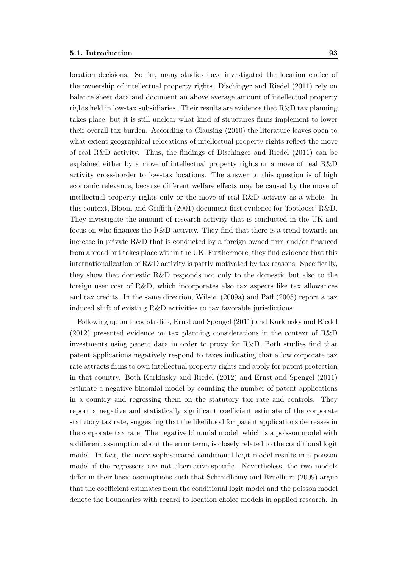location decisions. So far, many studies have investigated the location choice of the ownership of intellectual property rights. Dischinger and Riedel (2011) rely on balance sheet data and document an above average amount of intellectual property rights held in low-tax subsidiaries. Their results are evidence that R&D tax planning takes place, but it is still unclear what kind of structures firms implement to lower their overall tax burden. According to Clausing (2010) the literature leaves open to what extent geographical relocations of intellectual property rights reflect the move of real R&D activity. Thus, the findings of Dischinger and Riedel (2011) can be explained either by a move of intellectual property rights or a move of real R&D activity cross-border to low-tax locations. The answer to this question is of high economic relevance, because different welfare effects may be caused by the move of intellectual property rights only or the move of real R&D activity as a whole. In this context, Bloom and Griffith (2001) document first evidence for 'footloose' R&D. They investigate the amount of research activity that is conducted in the UK and focus on who finances the R&D activity. They find that there is a trend towards an increase in private R&D that is conducted by a foreign owned firm and/or financed from abroad but takes place within the UK. Furthermore, they find evidence that this internationalization of R&D activity is partly motivated by tax reasons. Specifically, they show that domestic R&D responds not only to the domestic but also to the foreign user cost of R&D, which incorporates also tax aspects like tax allowances and tax credits. In the same direction, Wilson (2009a) and Paff (2005) report a tax induced shift of existing R&D activities to tax favorable jurisdictions.

Following up on these studies, Ernst and Spengel (2011) and Karkinsky and Riedel (2012) presented evidence on tax planning considerations in the context of R&D investments using patent data in order to proxy for R&D. Both studies find that patent applications negatively respond to taxes indicating that a low corporate tax rate attracts firms to own intellectual property rights and apply for patent protection in that country. Both Karkinsky and Riedel (2012) and Ernst and Spengel (2011) estimate a negative binomial model by counting the number of patent applications in a country and regressing them on the statutory tax rate and controls. They report a negative and statistically significant coefficient estimate of the corporate statutory tax rate, suggesting that the likelihood for patent applications decreases in the corporate tax rate. The negative binomial model, which is a poisson model with a different assumption about the error term, is closely related to the conditional logit model. In fact, the more sophisticated conditional logit model results in a poisson model if the regressors are not alternative-specific. Nevertheless, the two models differ in their basic assumptions such that Schmidheiny and Bruelhart (2009) argue that the coefficient estimates from the conditional logit model and the poisson model denote the boundaries with regard to location choice models in applied research. In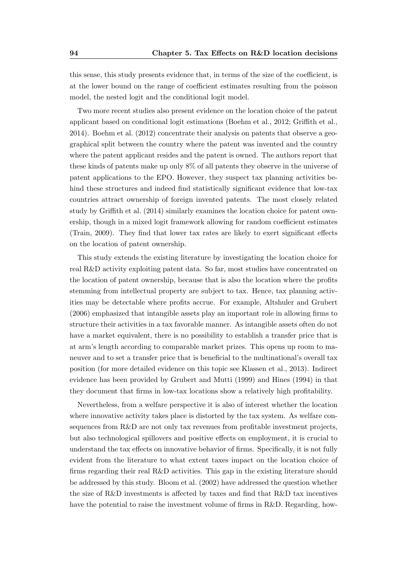this sense, this study presents evidence that, in terms of the size of the coefficient, is at the lower bound on the range of coefficient estimates resulting from the poisson model, the nested logit and the conditional logit model.

Two more recent studies also present evidence on the location choice of the patent applicant based on conditional logit estimations (Boehm et al., 2012; Griffith et al., 2014). Boehm et al. (2012) concentrate their analysis on patents that observe a geographical split between the country where the patent was invented and the country where the patent applicant resides and the patent is owned. The authors report that these kinds of patents make up only 8% of all patents they observe in the universe of patent applications to the EPO. However, they suspect tax planning activities behind these structures and indeed find statistically significant evidence that low-tax countries attract ownership of foreign invented patents. The most closely related study by Griffith et al. (2014) similarly examines the location choice for patent ownership, though in a mixed logit framework allowing for random coefficient estimates (Train, 2009). They find that lower tax rates are likely to exert significant effects on the location of patent ownership.

This study extends the existing literature by investigating the location choice for real R&D activity exploiting patent data. So far, most studies have concentrated on the location of patent ownership, because that is also the location where the profits stemming from intellectual property are subject to tax. Hence, tax planning activities may be detectable where profits accrue. For example, Altshuler and Grubert (2006) emphasized that intangible assets play an important role in allowing firms to structure their activities in a tax favorable manner. As intangible assets often do not have a market equivalent, there is no possibility to establish a transfer price that is at arm's length according to comparable market prizes. This opens up room to maneuver and to set a transfer price that is beneficial to the multinational's overall tax position (for more detailed evidence on this topic see Klassen et al., 2013). Indirect evidence has been provided by Grubert and Mutti (1999) and Hines (1994) in that they document that firms in low-tax locations show a relatively high profitability.

Nevertheless, from a welfare perspective it is also of interest whether the location where innovative activity takes place is distorted by the tax system. As welfare consequences from R&D are not only tax revenues from profitable investment projects, but also technological spillovers and positive effects on employment, it is crucial to understand the tax effects on innovative behavior of firms. Specifically, it is not fully evident from the literature to what extent taxes impact on the location choice of firms regarding their real R&D activities. This gap in the existing literature should be addressed by this study. Bloom et al. (2002) have addressed the question whether the size of R&D investments is affected by taxes and find that R&D tax incentives have the potential to raise the investment volume of firms in R&D. Regarding, how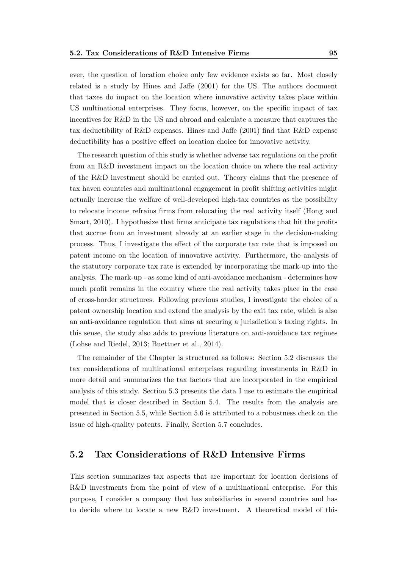ever, the question of location choice only few evidence exists so far. Most closely related is a study by Hines and Jaffe (2001) for the US. The authors document that taxes do impact on the location where innovative activity takes place within US multinational enterprises. They focus, however, on the specific impact of tax incentives for R&D in the US and abroad and calculate a measure that captures the tax deductibility of  $R\&D$  expenses. Hines and Jaffe (2001) find that  $R\&D$  expense deductibility has a positive effect on location choice for innovative activity.

The research question of this study is whether adverse tax regulations on the profit from an R&D investment impact on the location choice on where the real activity of the R&D investment should be carried out. Theory claims that the presence of tax haven countries and multinational engagement in profit shifting activities might actually increase the welfare of well-developed high-tax countries as the possibility to relocate income refrains firms from relocating the real activity itself (Hong and Smart, 2010). I hypothesize that firms anticipate tax regulations that hit the profits that accrue from an investment already at an earlier stage in the decision-making process. Thus, I investigate the effect of the corporate tax rate that is imposed on patent income on the location of innovative activity. Furthermore, the analysis of the statutory corporate tax rate is extended by incorporating the mark-up into the analysis. The mark-up - as some kind of anti-avoidance mechanism - determines how much profit remains in the country where the real activity takes place in the case of cross-border structures. Following previous studies, I investigate the choice of a patent ownership location and extend the analysis by the exit tax rate, which is also an anti-avoidance regulation that aims at securing a jurisdiction's taxing rights. In this sense, the study also adds to previous literature on anti-avoidance tax regimes (Lohse and Riedel, 2013; Buettner et al., 2014).

The remainder of the Chapter is structured as follows: Section 5.2 discusses the tax considerations of multinational enterprises regarding investments in R&D in more detail and summarizes the tax factors that are incorporated in the empirical analysis of this study. Section 5.3 presents the data I use to estimate the empirical model that is closer described in Section 5.4. The results from the analysis are presented in Section 5.5, while Section 5.6 is attributed to a robustness check on the issue of high-quality patents. Finally, Section 5.7 concludes.

# 5.2 Tax Considerations of R&D Intensive Firms

This section summarizes tax aspects that are important for location decisions of R&D investments from the point of view of a multinational enterprise. For this purpose, I consider a company that has subsidiaries in several countries and has to decide where to locate a new R&D investment. A theoretical model of this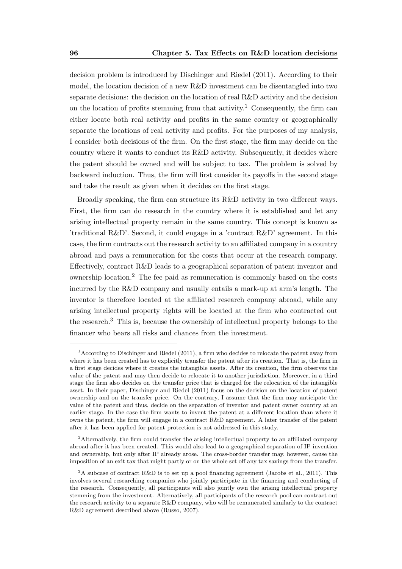decision problem is introduced by Dischinger and Riedel (2011). According to their model, the location decision of a new R&D investment can be disentangled into two separate decisions: the decision on the location of real R&D activity and the decision on the location of profits stemming from that activity.<sup>1</sup> Consequently, the firm can either locate both real activity and profits in the same country or geographically separate the locations of real activity and profits. For the purposes of my analysis, I consider both decisions of the firm. On the first stage, the firm may decide on the country where it wants to conduct its  $R\&D$  activity. Subsequently, it decides where the patent should be owned and will be subject to tax. The problem is solved by backward induction. Thus, the firm will first consider its payoffs in the second stage and take the result as given when it decides on the first stage.

Broadly speaking, the firm can structure its R&D activity in two different ways. First, the firm can do research in the country where it is established and let any arising intellectual property remain in the same country. This concept is known as 'traditional R&D'. Second, it could engage in a 'contract R&D' agreement. In this case, the firm contracts out the research activity to an affiliated company in a country abroad and pays a remuneration for the costs that occur at the research company. Effectively, contract R&D leads to a geographical separation of patent inventor and ownership location.<sup>2</sup> The fee paid as remuneration is commonly based on the costs incurred by the R&D company and usually entails a mark-up at arm's length. The inventor is therefore located at the affiliated research company abroad, while any arising intellectual property rights will be located at the firm who contracted out the research.<sup>3</sup> This is, because the ownership of intellectual property belongs to the financer who bears all risks and chances from the investment.

<sup>&</sup>lt;sup>1</sup> According to Dischinger and Riedel (2011), a firm who decides to relocate the patent away from where it has been created has to explicitly transfer the patent after its creation. That is, the firm in a first stage decides where it creates the intangible assets. After its creation, the firm observes the value of the patent and may then decide to relocate it to another jurisdiction. Moreover, in a third stage the firm also decides on the transfer price that is charged for the relocation of the intangible asset. In their paper, Dischinger and Riedel (2011) focus on the decision on the location of patent ownership and on the transfer price. On the contrary, I assume that the firm may anticipate the value of the patent and thus, decide on the separation of inventor and patent owner country at an earlier stage. In the case the firm wants to invent the patent at a different location than where it owns the patent, the firm will engage in a contract R&D agreement. A later transfer of the patent after it has been applied for patent protection is not addressed in this study.

<sup>&</sup>lt;sup>2</sup>Alternatively, the firm could transfer the arising intellectual property to an affiliated company abroad after it has been created. This would also lead to a geographical separation of IP invention and ownership, but only after IP already arose. The cross-border transfer may, however, cause the imposition of an exit tax that might partly or on the whole set off any tax savings from the transfer.

<sup>3</sup>A subcase of contract R&D is to set up a pool financing agreement (Jacobs et al., 2011). This involves several researching companies who jointly participate in the financing and conducting of the research. Consequently, all participants will also jointly own the arising intellectual property stemming from the investment. Alternatively, all participants of the research pool can contract out the research activity to a separate R&D company, who will be remunerated similarly to the contract R&D agreement described above (Russo, 2007).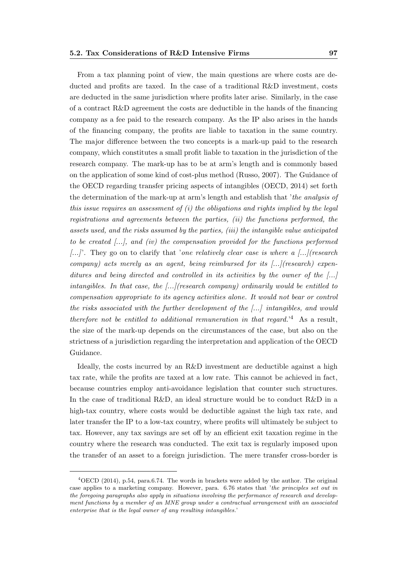From a tax planning point of view, the main questions are where costs are deducted and profits are taxed. In the case of a traditional R&D investment, costs are deducted in the same jurisdiction where profits later arise. Similarly, in the case of a contract R&D agreement the costs are deductible in the hands of the financing company as a fee paid to the research company. As the IP also arises in the hands of the financing company, the profits are liable to taxation in the same country. The major difference between the two concepts is a mark-up paid to the research company, which constitutes a small profit liable to taxation in the jurisdiction of the research company. The mark-up has to be at arm's length and is commonly based on the application of some kind of cost-plus method (Russo, 2007). The Guidance of the OECD regarding transfer pricing aspects of intangibles (OECD, 2014) set forth the determination of the mark-up at arm's length and establish that 'the analysis of this issue requires an assessment of  $(i)$  the obligations and rights implied by the legal registrations and agreements between the parties, (ii) the functions performed, the assets used, and the risks assumed by the parties, (iii) the intangible value anticipated to be created [...], and (iv) the compensation provided for the functions performed  $[...]$ . They go on to clarify that 'one relatively clear case is where a  $[...]$  (research company) acts merely as an agent, being reimbursed for its  $\ldots$  (research) expenditures and being directed and controlled in its activities by the owner of the [...] intangibles. In that case, the  $[\ldots]$  (research company) ordinarily would be entitled to compensation appropriate to its agency activities alone. It would not bear or control the risks associated with the further development of the [...] intangibles, and would

therefore not be entitled to additional remuneration in that regard.<sup>'4</sup> As a result, the size of the mark-up depends on the circumstances of the case, but also on the strictness of a jurisdiction regarding the interpretation and application of the OECD Guidance.

Ideally, the costs incurred by an R&D investment are deductible against a high tax rate, while the profits are taxed at a low rate. This cannot be achieved in fact, because countries employ anti-avoidance legislation that counter such structures. In the case of traditional R&D, an ideal structure would be to conduct R&D in a high-tax country, where costs would be deductible against the high tax rate, and later transfer the IP to a low-tax country, where profits will ultimately be subject to tax. However, any tax savings are set off by an efficient exit taxation regime in the country where the research was conducted. The exit tax is regularly imposed upon the transfer of an asset to a foreign jurisdiction. The mere transfer cross-border is

<sup>4</sup>OECD (2014), p.54, para.6.74. The words in brackets were added by the author. The original case applies to a marketing company. However, para. 6.76 states that 'the principles set out in the foregoing paragraphs also apply in situations involving the performance of research and development functions by a member of an MNE group under a contractual arrangement with an associated enterprise that is the legal owner of any resulting intangibles.'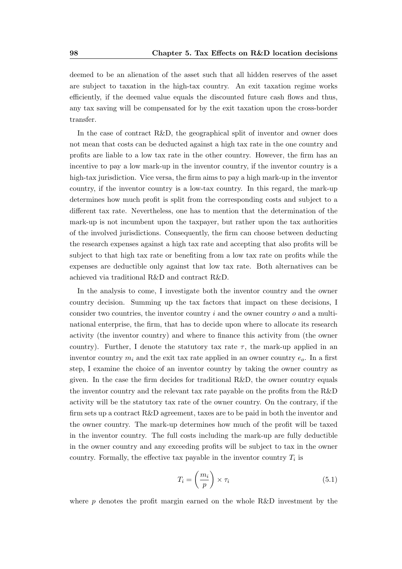deemed to be an alienation of the asset such that all hidden reserves of the asset are subject to taxation in the high-tax country. An exit taxation regime works efficiently, if the deemed value equals the discounted future cash flows and thus, any tax saving will be compensated for by the exit taxation upon the cross-border transfer.

In the case of contract R&D, the geographical split of inventor and owner does not mean that costs can be deducted against a high tax rate in the one country and profits are liable to a low tax rate in the other country. However, the firm has an incentive to pay a low mark-up in the inventor country, if the inventor country is a high-tax jurisdiction. Vice versa, the firm aims to pay a high mark-up in the inventor country, if the inventor country is a low-tax country. In this regard, the mark-up determines how much profit is split from the corresponding costs and subject to a different tax rate. Nevertheless, one has to mention that the determination of the mark-up is not incumbent upon the taxpayer, but rather upon the tax authorities of the involved jurisdictions. Consequently, the firm can choose between deducting the research expenses against a high tax rate and accepting that also profits will be subject to that high tax rate or benefiting from a low tax rate on profits while the expenses are deductible only against that low tax rate. Both alternatives can be achieved via traditional R&D and contract R&D.

In the analysis to come, I investigate both the inventor country and the owner country decision. Summing up the tax factors that impact on these decisions, I consider two countries, the inventor country  $i$  and the owner country  $o$  and a multinational enterprise, the firm, that has to decide upon where to allocate its research activity (the inventor country) and where to finance this activity from (the owner country). Further, I denote the statutory tax rate  $\tau$ , the mark-up applied in an inventor country  $m_i$  and the exit tax rate applied in an owner country  $e_o$ . In a first step, I examine the choice of an inventor country by taking the owner country as given. In the case the firm decides for traditional R&D, the owner country equals the inventor country and the relevant tax rate payable on the profits from the R&D activity will be the statutory tax rate of the owner country. On the contrary, if the firm sets up a contract R&D agreement, taxes are to be paid in both the inventor and the owner country. The mark-up determines how much of the profit will be taxed in the inventor country. The full costs including the mark-up are fully deductible in the owner country and any exceeding profits will be subject to tax in the owner country. Formally, the effective tax payable in the inventor country  $T_i$  is

$$
T_i = \left(\frac{m_i}{p}\right) \times \tau_i \tag{5.1}
$$

where  $p$  denotes the profit margin earned on the whole R&D investment by the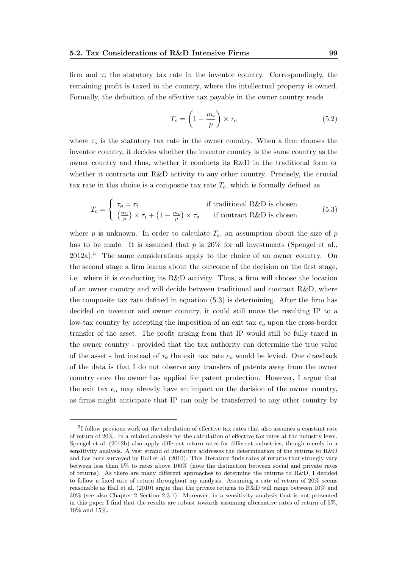firm and  $\tau_i$  the statutory tax rate in the inventor country. Correspondingly, the remaining profit is taxed in the country, where the intellectual property is owned. Formally, the definition of the effective tax payable in the owner country reads

$$
T_o = \left(1 - \frac{m_i}{p}\right) \times \tau_o \tag{5.2}
$$

where  $\tau_o$  is the statutory tax rate in the owner country. When a firm chooses the inventor country, it decides whether the inventor country is the same country as the owner country and thus, whether it conducts its R&D in the traditional form or whether it contracts out R&D activity to any other country. Precisely, the crucial tax rate in this choice is a composite tax rate  $T_c$ , which is formally defined as

$$
T_c = \begin{cases} \tau_o = \tau_i & \text{if traditional R&D is chosen} \\ \left(\frac{m_i}{p}\right) \times \tau_i + \left(1 - \frac{m_i}{p}\right) \times \tau_o & \text{if contract R&D is chosen} \end{cases} \tag{5.3}
$$

where p is unknown. In order to calculate  $T_c$ , an assumption about the size of p has to be made. It is assumed that  $p$  is 20% for all investments (Spengel et al.,  $2012a$ <sup>5</sup>. The same considerations apply to the choice of an owner country. On the second stage a firm learns about the outcome of the decision on the first stage, i.e. where it is conducting its R&D activity. Thus, a firm will choose the location of an owner country and will decide between traditional and contract R&D, where the composite tax rate defined in equation (5.3) is determining. After the firm has decided on inventor and owner country, it could still move the resulting IP to a low-tax country by accepting the imposition of an exit tax  $e<sub>o</sub>$  upon the cross-border transfer of the asset. The profit arising from that IP would still be fully taxed in the owner country - provided that the tax authority can determine the true value of the asset - but instead of  $\tau_o$  the exit tax rate  $e_o$  would be levied. One drawback of the data is that I do not observe any transfers of patents away from the owner country once the owner has applied for patent protection. However, I argue that the exit tax  $e_0$  may already have an impact on the decision of the owner country, as firms might anticipate that IP can only be transferred to any other country by

<sup>&</sup>lt;sup>5</sup>I follow previous work on the calculation of effective tax rates that also assumes a constant rate of return of 20%. In a related analysis for the calculation of effective tax rates at the industry level, Spengel et al. (2012b) also apply different return rates for different industries, though merely in a sensitivity analysis. A vast strand of literature addresses the determination of the returns to R&D and has been surveyed by Hall et al. (2010). This literature finds rates of returns that strongly vary between less than 5% to rates above 100% (note the distinction between social and private rates of returns). As there are many different approaches to determine the returns to R&D, I decided to follow a fixed rate of return throughout my analysis. Assuming a rate of return of 20% seems reasonable as Hall et al. (2010) argue that the private returns to R&D will range between 10% and 30% (see also Chapter 2 Section 2.3.1). Moreover, in a sensitivity analysis that is not presented in this paper I find that the results are robust towards assuming alternative rates of return of 5%, 10% and 15%.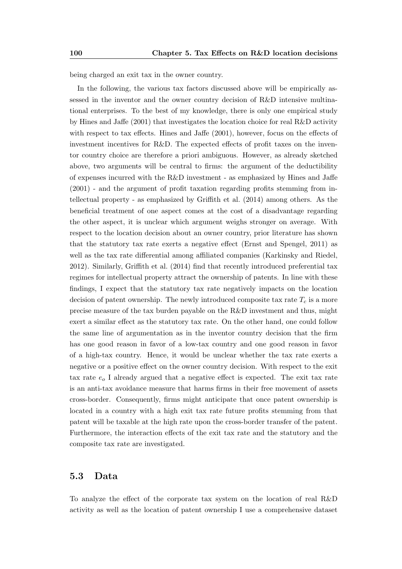being charged an exit tax in the owner country.

In the following, the various tax factors discussed above will be empirically assessed in the inventor and the owner country decision of R&D intensive multinational enterprises. To the best of my knowledge, there is only one empirical study by Hines and Jaffe (2001) that investigates the location choice for real R&D activity with respect to tax effects. Hines and Jaffe (2001), however, focus on the effects of investment incentives for R&D. The expected effects of profit taxes on the inventor country choice are therefore a priori ambiguous. However, as already sketched above, two arguments will be central to firms: the argument of the deductibility of expenses incurred with the R&D investment - as emphasized by Hines and Jaffe (2001) - and the argument of profit taxation regarding profits stemming from intellectual property - as emphasized by Griffith et al. (2014) among others. As the beneficial treatment of one aspect comes at the cost of a disadvantage regarding the other aspect, it is unclear which argument weighs stronger on average. With respect to the location decision about an owner country, prior literature has shown that the statutory tax rate exerts a negative effect (Ernst and Spengel, 2011) as well as the tax rate differential among affiliated companies (Karkinsky and Riedel, 2012). Similarly, Griffith et al. (2014) find that recently introduced preferential tax regimes for intellectual property attract the ownership of patents. In line with these findings, I expect that the statutory tax rate negatively impacts on the location decision of patent ownership. The newly introduced composite tax rate  $T_c$  is a more precise measure of the tax burden payable on the R&D investment and thus, might exert a similar effect as the statutory tax rate. On the other hand, one could follow the same line of argumentation as in the inventor country decision that the firm has one good reason in favor of a low-tax country and one good reason in favor of a high-tax country. Hence, it would be unclear whether the tax rate exerts a negative or a positive effect on the owner country decision. With respect to the exit tax rate  $e_0$  I already argued that a negative effect is expected. The exit tax rate is an anti-tax avoidance measure that harms firms in their free movement of assets cross-border. Consequently, firms might anticipate that once patent ownership is located in a country with a high exit tax rate future profits stemming from that patent will be taxable at the high rate upon the cross-border transfer of the patent. Furthermore, the interaction effects of the exit tax rate and the statutory and the composite tax rate are investigated.

### 5.3 Data

To analyze the effect of the corporate tax system on the location of real R&D activity as well as the location of patent ownership I use a comprehensive dataset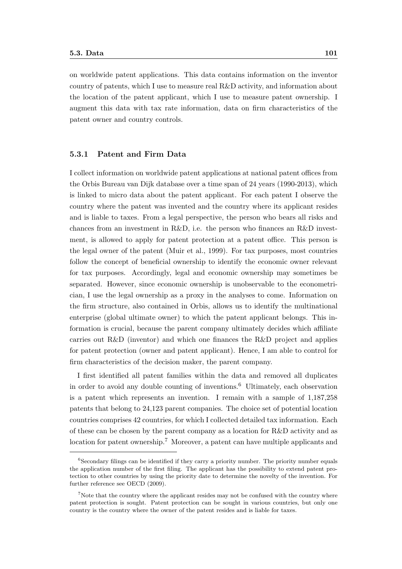on worldwide patent applications. This data contains information on the inventor country of patents, which I use to measure real R&D activity, and information about the location of the patent applicant, which I use to measure patent ownership. I augment this data with tax rate information, data on firm characteristics of the patent owner and country controls.

#### 5.3.1 Patent and Firm Data

I collect information on worldwide patent applications at national patent offices from the Orbis Bureau van Dijk database over a time span of 24 years (1990-2013), which is linked to micro data about the patent applicant. For each patent I observe the country where the patent was invented and the country where its applicant resides and is liable to taxes. From a legal perspective, the person who bears all risks and chances from an investment in R&D, i.e. the person who finances an R&D investment, is allowed to apply for patent protection at a patent office. This person is the legal owner of the patent (Muir et al., 1999). For tax purposes, most countries follow the concept of beneficial ownership to identify the economic owner relevant for tax purposes. Accordingly, legal and economic ownership may sometimes be separated. However, since economic ownership is unobservable to the econometrician, I use the legal ownership as a proxy in the analyses to come. Information on the firm structure, also contained in Orbis, allows us to identify the multinational enterprise (global ultimate owner) to which the patent applicant belongs. This information is crucial, because the parent company ultimately decides which affiliate carries out R&D (inventor) and which one finances the R&D project and applies for patent protection (owner and patent applicant). Hence, I am able to control for firm characteristics of the decision maker, the parent company.

I first identified all patent families within the data and removed all duplicates in order to avoid any double counting of inventions.<sup>6</sup> Ultimately, each observation is a patent which represents an invention. I remain with a sample of 1,187,258 patents that belong to 24,123 parent companies. The choice set of potential location countries comprises 42 countries, for which I collected detailed tax information. Each of these can be chosen by the parent company as a location for R&D activity and as location for patent ownership.<sup>7</sup> Moreover, a patent can have multiple applicants and

<sup>&</sup>lt;sup>6</sup>Secondary filings can be identified if they carry a priority number. The priority number equals the application number of the first filing. The applicant has the possibility to extend patent protection to other countries by using the priority date to determine the novelty of the invention. For further reference see OECD (2009).

<sup>&</sup>lt;sup>7</sup>Note that the country where the applicant resides may not be confused with the country where patent protection is sought. Patent protection can be sought in various countries, but only one country is the country where the owner of the patent resides and is liable for taxes.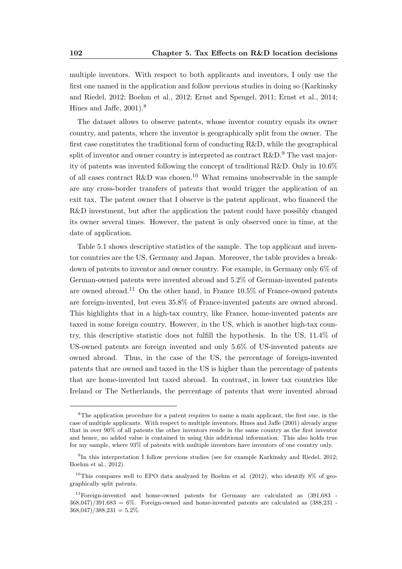multiple inventors. With respect to both applicants and inventors, I only use the first one named in the application and follow previous studies in doing so (Karkinsky and Riedel, 2012; Boehm et al., 2012; Ernst and Spengel, 2011; Ernst et al., 2014; Hines and Jaffe, 2001).<sup>8</sup>

The dataset allows to observe patents, whose inventor country equals its owner country, and patents, where the inventor is geographically split from the owner. The first case constitutes the traditional form of conducting R&D, while the geographical split of inventor and owner country is interpreted as contract  $R\&D$ .<sup>9</sup> The vast majority of patents was invented following the concept of traditional R&D. Only in 10.6% of all cases contract R&D was chosen.<sup>10</sup> What remains unobservable in the sample are any cross-border transfers of patents that would trigger the application of an exit tax. The patent owner that I observe is the patent applicant, who financed the R&D investment, but after the application the patent could have possibly changed its owner several times. However, the patent is only observed once in time, at the date of application.

Table 5.1 shows descriptive statistics of the sample. The top applicant and inventor countries are the US, Germany and Japan. Moreover, the table provides a breakdown of patents to inventor and owner country. For example, in Germany only 6% of German-owned patents were invented abroad and 5.2% of German-invented patents are owned abroad.<sup>11</sup> On the other hand, in France 10.5% of France-owned patents are foreign-invented, but even 35.8% of France-invented patents are owned abroad. This highlights that in a high-tax country, like France, home-invented patents are taxed in some foreign country. However, in the US, which is another high-tax country, this descriptive statistic does not fulfill the hypothesis. In the US, 11.4% of US-owned patents are foreign invented and only 5.6% of US-invented patents are owned abroad. Thus, in the case of the US, the percentage of foreign-invented patents that are owned and taxed in the US is higher than the percentage of patents that are home-invented but taxed abroad. In contrast, in lower tax countries like Ireland or The Netherlands, the percentage of patents that were invented abroad

<sup>&</sup>lt;sup>8</sup>The application procedure for a patent requires to name a main applicant, the first one, in the case of multiple applicants. With respect to multiple inventors, Hines and Jaffe (2001) already argue that in over 90% of all patents the other inventors reside in the same country as the first inventor and hence, no added value is contained in using this additional information. This also holds true for my sample, where 93% of patents with multiple inventors have inventors of one country only.

<sup>&</sup>lt;sup>9</sup>In this interpretation I follow previous studies (see for example Karkinsky and Riedel, 2012; Boehm et al., 2012).

<sup>&</sup>lt;sup>10</sup>This compares well to EPO data analyzed by Boehm et al. (2012), who identify  $8\%$  of geographically split patents.

 $11$ Foreign-invented and home-owned patents for Germany are calculated as  $(391,683 - 1)$  $368.047/391.683 = 6\%$ . Foreign-owned and home-invented patents are calculated as  $(388.231 368,047)/388,231 = 5.2\%$ .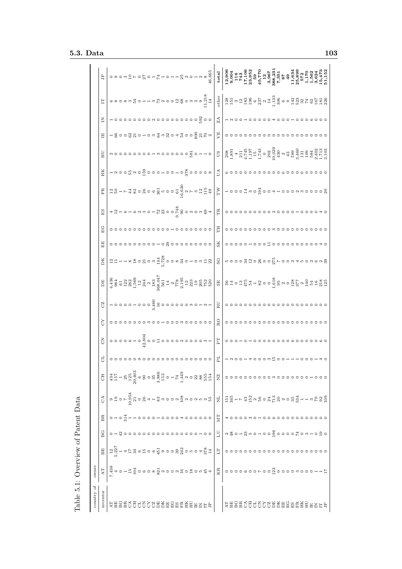| Dable 5.1:                     |                                                                                            | Overview of Patent Data                            |                  |    |                      |                                                                                                                                                                                                                                               |                       |                 |                                                 |    |                                                                                                                                                                                                |                                                                                                                                                                                                                                                                                                           |       |                                |                                               |                                                                                                                                                                                                                                                                                                                                                                                                                                           |                |                                                                                                                                                                                                                                                                               |                            |                                       |                                                                                                                                                                                                                                                                                                                     |                                                                                                                                                                                                                                                                                                                                                                                                                                                                                             |
|--------------------------------|--------------------------------------------------------------------------------------------|----------------------------------------------------|------------------|----|----------------------|-----------------------------------------------------------------------------------------------------------------------------------------------------------------------------------------------------------------------------------------------|-----------------------|-----------------|-------------------------------------------------|----|------------------------------------------------------------------------------------------------------------------------------------------------------------------------------------------------|-----------------------------------------------------------------------------------------------------------------------------------------------------------------------------------------------------------------------------------------------------------------------------------------------------------|-------|--------------------------------|-----------------------------------------------|-------------------------------------------------------------------------------------------------------------------------------------------------------------------------------------------------------------------------------------------------------------------------------------------------------------------------------------------------------------------------------------------------------------------------------------------|----------------|-------------------------------------------------------------------------------------------------------------------------------------------------------------------------------------------------------------------------------------------------------------------------------|----------------------------|---------------------------------------|---------------------------------------------------------------------------------------------------------------------------------------------------------------------------------------------------------------------------------------------------------------------------------------------------------------------|---------------------------------------------------------------------------------------------------------------------------------------------------------------------------------------------------------------------------------------------------------------------------------------------------------------------------------------------------------------------------------------------------------------------------------------------------------------------------------------------|
| ð<br>country                   | owner                                                                                      |                                                    |                  |    |                      |                                                                                                                                                                                                                                               |                       |                 |                                                 |    |                                                                                                                                                                                                |                                                                                                                                                                                                                                                                                                           |       |                                |                                               |                                                                                                                                                                                                                                                                                                                                                                                                                                           |                |                                                                                                                                                                                                                                                                               |                            |                                       |                                                                                                                                                                                                                                                                                                                     |                                                                                                                                                                                                                                                                                                                                                                                                                                                                                             |
| inventor                       | $\rm{AT}$                                                                                  | BE                                                 | C<br>B           | ВR | $\frac{4}{\sqrt{2}}$ | $\frac{1}{2}$ $\frac{1}{4}$ $\frac{1}{4}$ $\frac{1}{4}$ $\frac{1}{4}$ $\frac{1}{4}$ $\frac{1}{4}$ $\frac{1}{4}$ $\frac{1}{4}$ $\frac{1}{4}$ $\frac{1}{4}$ $\frac{1}{4}$ $\frac{1}{4}$ $\frac{1}{4}$ $\frac{1}{4}$ $\frac{1}{4}$ $\frac{1}{4}$ | đ                     | 5               | 52                                              | CZ | DЕ                                                                                                                                                                                             | DK                                                                                                                                                                                                                                                                                                        | $E$ E | EG                             | $_{\rm ES}$                                   | $_{\rm FR}$                                                                                                                                                                                                                                                                                                                                                                                                                               | ΗК             | HU                                                                                                                                                                                                                                                                            | E                          | Ξ                                     | Ë                                                                                                                                                                                                                                                                                                                   | $\Xi$                                                                                                                                                                                                                                                                                                                                                                                                                                                                                       |
| <b>LABAS555668ABABAEEE8656</b> |                                                                                            | $\Xi_{\alpha\beta}^{21} = 4\Xi_{\alpha\beta}^{22}$ |                  |    |                      |                                                                                                                                                                                                                                               |                       |                 |                                                 |    |                                                                                                                                                                                                | $\frac{1}{2}$ = $\frac{1}{2}$ = $\frac{1}{2}$ = $\frac{1}{2}$ = $\frac{1}{2}$ = $\frac{1}{2}$ = $\frac{1}{2}$ = $\frac{1}{2}$ = $\frac{1}{2}$ = $\frac{1}{2}$ = $\frac{1}{2}$ = $\frac{1}{2}$ = $\frac{1}{2}$ = $\frac{1}{2}$ = $\frac{1}{2}$ = $\frac{1}{2}$ = $\frac{1}{2}$ = $\frac{1}{2}$ = $\frac{1$ |       |                                | $4.2 + 6 + 64.9 - 15.8 - 0.75.8 - 0.0 - 0.84$ | $\Xi_{\text{15}}^{\text{15}} = \Gamma_{\text{25}}^{\text{15}} = \frac{1}{2} \Sigma_{\text{36}}^{\text{15}} = \Sigma_{\text{46}}^{\text{15}} = \Sigma_{\text{56}}^{\text{15}} = \Sigma_{\text{66}}^{\text{15}} = \Sigma_{\text{66}}^{\text{15}} = \Sigma_{\text{66}}^{\text{15}} = \Sigma_{\text{66}}^{\text{15}} = \Sigma_{\text{66}}^{\text{15}} = \Sigma_{\text{66}}^{\text{15}} = \Sigma_{\text{66}}^{\text{15}} = \Sigma_{\text{66}}$ |                |                                                                                                                                                                                                                                                                               | $-$ 8008201010333043008252 |                                       |                                                                                                                                                                                                                                                                                                                     |                                                                                                                                                                                                                                                                                                                                                                                                                                                                                             |
|                                |                                                                                            |                                                    |                  |    |                      |                                                                                                                                                                                                                                               |                       |                 |                                                 |    |                                                                                                                                                                                                |                                                                                                                                                                                                                                                                                                           |       |                                |                                               |                                                                                                                                                                                                                                                                                                                                                                                                                                           |                |                                                                                                                                                                                                                                                                               |                            |                                       |                                                                                                                                                                                                                                                                                                                     |                                                                                                                                                                                                                                                                                                                                                                                                                                                                                             |
|                                |                                                                                            |                                                    |                  |    |                      |                                                                                                                                                                                                                                               |                       |                 |                                                 |    |                                                                                                                                                                                                |                                                                                                                                                                                                                                                                                                           |       |                                |                                               |                                                                                                                                                                                                                                                                                                                                                                                                                                           |                |                                                                                                                                                                                                                                                                               |                            |                                       |                                                                                                                                                                                                                                                                                                                     |                                                                                                                                                                                                                                                                                                                                                                                                                                                                                             |
|                                |                                                                                            |                                                    |                  |    |                      |                                                                                                                                                                                                                                               |                       |                 |                                                 |    |                                                                                                                                                                                                |                                                                                                                                                                                                                                                                                                           |       | °°°°°°°°°°°°°°°°°°°°°°°°°°°°°° |                                               |                                                                                                                                                                                                                                                                                                                                                                                                                                           |                |                                                                                                                                                                                                                                                                               |                            |                                       |                                                                                                                                                                                                                                                                                                                     |                                                                                                                                                                                                                                                                                                                                                                                                                                                                                             |
|                                |                                                                                            |                                                    |                  |    |                      |                                                                                                                                                                                                                                               |                       |                 |                                                 |    |                                                                                                                                                                                                |                                                                                                                                                                                                                                                                                                           |       |                                |                                               |                                                                                                                                                                                                                                                                                                                                                                                                                                           |                |                                                                                                                                                                                                                                                                               |                            |                                       |                                                                                                                                                                                                                                                                                                                     |                                                                                                                                                                                                                                                                                                                                                                                                                                                                                             |
|                                |                                                                                            |                                                    |                  |    |                      |                                                                                                                                                                                                                                               |                       |                 |                                                 |    |                                                                                                                                                                                                |                                                                                                                                                                                                                                                                                                           |       |                                |                                               |                                                                                                                                                                                                                                                                                                                                                                                                                                           |                |                                                                                                                                                                                                                                                                               |                            |                                       |                                                                                                                                                                                                                                                                                                                     |                                                                                                                                                                                                                                                                                                                                                                                                                                                                                             |
|                                |                                                                                            |                                                    |                  |    |                      |                                                                                                                                                                                                                                               |                       |                 |                                                 |    |                                                                                                                                                                                                |                                                                                                                                                                                                                                                                                                           |       |                                |                                               |                                                                                                                                                                                                                                                                                                                                                                                                                                           |                |                                                                                                                                                                                                                                                                               |                            |                                       |                                                                                                                                                                                                                                                                                                                     |                                                                                                                                                                                                                                                                                                                                                                                                                                                                                             |
|                                |                                                                                            |                                                    |                  |    |                      |                                                                                                                                                                                                                                               |                       |                 |                                                 |    |                                                                                                                                                                                                |                                                                                                                                                                                                                                                                                                           |       |                                |                                               |                                                                                                                                                                                                                                                                                                                                                                                                                                           |                |                                                                                                                                                                                                                                                                               |                            |                                       |                                                                                                                                                                                                                                                                                                                     |                                                                                                                                                                                                                                                                                                                                                                                                                                                                                             |
|                                |                                                                                            |                                                    |                  |    |                      |                                                                                                                                                                                                                                               |                       |                 |                                                 |    |                                                                                                                                                                                                |                                                                                                                                                                                                                                                                                                           |       |                                |                                               |                                                                                                                                                                                                                                                                                                                                                                                                                                           |                |                                                                                                                                                                                                                                                                               |                            |                                       |                                                                                                                                                                                                                                                                                                                     |                                                                                                                                                                                                                                                                                                                                                                                                                                                                                             |
|                                |                                                                                            |                                                    |                  |    |                      |                                                                                                                                                                                                                                               |                       |                 | $\circ\circ\circ\circ\circ\circ\circ\circ\circ$ |    |                                                                                                                                                                                                |                                                                                                                                                                                                                                                                                                           |       |                                |                                               |                                                                                                                                                                                                                                                                                                                                                                                                                                           |                |                                                                                                                                                                                                                                                                               |                            |                                       |                                                                                                                                                                                                                                                                                                                     |                                                                                                                                                                                                                                                                                                                                                                                                                                                                                             |
|                                |                                                                                            |                                                    |                  |    |                      |                                                                                                                                                                                                                                               |                       |                 |                                                 |    |                                                                                                                                                                                                |                                                                                                                                                                                                                                                                                                           |       |                                |                                               |                                                                                                                                                                                                                                                                                                                                                                                                                                           |                |                                                                                                                                                                                                                                                                               |                            |                                       |                                                                                                                                                                                                                                                                                                                     |                                                                                                                                                                                                                                                                                                                                                                                                                                                                                             |
|                                |                                                                                            |                                                    |                  |    |                      |                                                                                                                                                                                                                                               |                       |                 |                                                 |    |                                                                                                                                                                                                |                                                                                                                                                                                                                                                                                                           |       |                                |                                               |                                                                                                                                                                                                                                                                                                                                                                                                                                           |                |                                                                                                                                                                                                                                                                               |                            |                                       |                                                                                                                                                                                                                                                                                                                     |                                                                                                                                                                                                                                                                                                                                                                                                                                                                                             |
|                                |                                                                                            |                                                    |                  |    |                      |                                                                                                                                                                                                                                               |                       |                 |                                                 |    |                                                                                                                                                                                                |                                                                                                                                                                                                                                                                                                           |       |                                |                                               |                                                                                                                                                                                                                                                                                                                                                                                                                                           |                |                                                                                                                                                                                                                                                                               |                            |                                       |                                                                                                                                                                                                                                                                                                                     |                                                                                                                                                                                                                                                                                                                                                                                                                                                                                             |
|                                |                                                                                            |                                                    |                  |    |                      |                                                                                                                                                                                                                                               |                       |                 |                                                 |    |                                                                                                                                                                                                |                                                                                                                                                                                                                                                                                                           |       |                                |                                               |                                                                                                                                                                                                                                                                                                                                                                                                                                           |                |                                                                                                                                                                                                                                                                               |                            |                                       |                                                                                                                                                                                                                                                                                                                     |                                                                                                                                                                                                                                                                                                                                                                                                                                                                                             |
|                                |                                                                                            |                                                    |                  |    |                      |                                                                                                                                                                                                                                               |                       |                 |                                                 |    |                                                                                                                                                                                                |                                                                                                                                                                                                                                                                                                           |       |                                |                                               |                                                                                                                                                                                                                                                                                                                                                                                                                                           |                |                                                                                                                                                                                                                                                                               |                            |                                       |                                                                                                                                                                                                                                                                                                                     |                                                                                                                                                                                                                                                                                                                                                                                                                                                                                             |
|                                |                                                                                            |                                                    |                  |    |                      |                                                                                                                                                                                                                                               |                       |                 |                                                 |    |                                                                                                                                                                                                |                                                                                                                                                                                                                                                                                                           |       |                                |                                               |                                                                                                                                                                                                                                                                                                                                                                                                                                           |                |                                                                                                                                                                                                                                                                               |                            |                                       |                                                                                                                                                                                                                                                                                                                     |                                                                                                                                                                                                                                                                                                                                                                                                                                                                                             |
|                                |                                                                                            |                                                    |                  |    |                      |                                                                                                                                                                                                                                               |                       |                 |                                                 |    |                                                                                                                                                                                                |                                                                                                                                                                                                                                                                                                           |       |                                |                                               |                                                                                                                                                                                                                                                                                                                                                                                                                                           |                |                                                                                                                                                                                                                                                                               |                            |                                       |                                                                                                                                                                                                                                                                                                                     |                                                                                                                                                                                                                                                                                                                                                                                                                                                                                             |
|                                |                                                                                            |                                                    |                  |    |                      |                                                                                                                                                                                                                                               |                       |                 |                                                 |    |                                                                                                                                                                                                |                                                                                                                                                                                                                                                                                                           |       |                                |                                               |                                                                                                                                                                                                                                                                                                                                                                                                                                           |                |                                                                                                                                                                                                                                                                               |                            |                                       |                                                                                                                                                                                                                                                                                                                     |                                                                                                                                                                                                                                                                                                                                                                                                                                                                                             |
|                                |                                                                                            |                                                    |                  |    |                      |                                                                                                                                                                                                                                               |                       |                 |                                                 |    |                                                                                                                                                                                                |                                                                                                                                                                                                                                                                                                           |       |                                |                                               |                                                                                                                                                                                                                                                                                                                                                                                                                                           |                |                                                                                                                                                                                                                                                                               |                            |                                       |                                                                                                                                                                                                                                                                                                                     |                                                                                                                                                                                                                                                                                                                                                                                                                                                                                             |
|                                |                                                                                            |                                                    |                  |    |                      |                                                                                                                                                                                                                                               |                       |                 |                                                 |    |                                                                                                                                                                                                |                                                                                                                                                                                                                                                                                                           |       |                                |                                               |                                                                                                                                                                                                                                                                                                                                                                                                                                           |                |                                                                                                                                                                                                                                                                               |                            |                                       |                                                                                                                                                                                                                                                                                                                     |                                                                                                                                                                                                                                                                                                                                                                                                                                                                                             |
|                                |                                                                                            |                                                    |                  |    |                      |                                                                                                                                                                                                                                               |                       |                 |                                                 |    |                                                                                                                                                                                                |                                                                                                                                                                                                                                                                                                           |       |                                |                                               |                                                                                                                                                                                                                                                                                                                                                                                                                                           |                |                                                                                                                                                                                                                                                                               |                            |                                       |                                                                                                                                                                                                                                                                                                                     |                                                                                                                                                                                                                                                                                                                                                                                                                                                                                             |
|                                | R<br>พื้นอานีวีอธอต <sup>ั</sup> ญ ผออผนิอนีอ <sup>เ</sup> น็ตใจออธออเออผู้ออออพอออน<br>ซึ | E                                                  | $_{\rm LU}$      | MТ |                      | ΧZ                                                                                                                                                                                                                                            | FL                    | Ę               | RO                                              | RU | $\frac{18}{3}$ $\frac{183}{3}$ $\frac{103}{3}$ $\frac{123}{3}$ $\frac{103}{3}$ $\frac{103}{3}$ $\frac{103}{3}$ $\frac{103}{3}$ $\frac{103}{3}$ $\frac{103}{3}$ $\frac{103}{3}$ $\frac{103}{3}$ | $_{\rm SC}$                                                                                                                                                                                                                                                                                               | SK    | HL                             | $_{\rm TR}$                                   | $\ensuremath{\mathrm{T}\xspace\xspace}$                                                                                                                                                                                                                                                                                                                                                                                                   | $\mathbb{R}^n$ | $\frac{10}{280} \begin{bmatrix} 80.71 & 0.71 & 0.71 & 0.71 & 0.71 & 0.71 & 0.71 & 0.71 & 0.71 & 0.71 & 0.71 & 0.71 & 0.71 & 0.71 & 0.71 & 0.71 & 0.71 & 0.71 & 0.71 & 0.71 & 0.71 & 0.71 & 0.71 & 0.71 & 0.71 & 0.71 & 0.71 & 0.71 & 0.71 & 0.71 & 0.71 & 0.71 & 0.71 & 0.71$ | VE                         | $_{\rm ZA}$                           | $\frac{1}{6}$ $\frac{1}{1}$ $\frac{1}{1}$ $\frac{1}{1}$ $\frac{1}{1}$ $\frac{1}{1}$ $\frac{1}{1}$ $\frac{1}{1}$ $\frac{1}{1}$ $\frac{1}{1}$ $\frac{1}{1}$ $\frac{1}{1}$ $\frac{1}{1}$ $\frac{1}{1}$ $\frac{1}{1}$ $\frac{1}{1}$ $\frac{1}{1}$ $\frac{1}{1}$ $\frac{1}{1}$ $\frac{1}{1}$ $\frac{1}{1}$ $\frac{1}{1}$ | $\begin{array}{c} \text{Cone} \\ \text{Cone} \\ \text{Cone} \\ \text{Cone} \\ \text{Cone} \\ \text{Cone} \\ \text{Cone} \\ \text{Cone} \\ \text{Cone} \\ \text{Cone} \\ \text{Cone} \\ \text{Cone} \\ \text{Cone} \\ \text{Cone} \\ \text{Cone} \\ \text{Cone} \\ \text{Cone} \\ \text{Cone} \\ \text{Cone} \\ \text{Cone} \\ \text{Cone} \\ \text{Cone} \\ \text{Cone} \\ \text{Cone} \\ \text{Cone} \\ \text{Cone} \\ \text{Cone} \\ \text{Cone} \\ \text{Cone} \\ \text{Cone} \\ \text{$ |
|                                |                                                                                            |                                                    |                  |    |                      |                                                                                                                                                                                                                                               |                       |                 |                                                 |    |                                                                                                                                                                                                |                                                                                                                                                                                                                                                                                                           |       |                                |                                               | $\vert$ -0001 $\sigma$ $\sigma$ $\sigma$ $\sigma$ $\sigma$ -001 $\sigma$ 0001 $\sigma$ 0001                                                                                                                                                                                                                                                                                                                                               |                |                                                                                                                                                                                                                                                                               |                            |                                       |                                                                                                                                                                                                                                                                                                                     |                                                                                                                                                                                                                                                                                                                                                                                                                                                                                             |
|                                |                                                                                            |                                                    |                  |    |                      |                                                                                                                                                                                                                                               |                       |                 |                                                 |    |                                                                                                                                                                                                |                                                                                                                                                                                                                                                                                                           |       |                                |                                               |                                                                                                                                                                                                                                                                                                                                                                                                                                           |                |                                                                                                                                                                                                                                                                               |                            |                                       |                                                                                                                                                                                                                                                                                                                     |                                                                                                                                                                                                                                                                                                                                                                                                                                                                                             |
|                                |                                                                                            |                                                    |                  |    |                      |                                                                                                                                                                                                                                               |                       |                 |                                                 |    |                                                                                                                                                                                                |                                                                                                                                                                                                                                                                                                           |       |                                |                                               |                                                                                                                                                                                                                                                                                                                                                                                                                                           |                |                                                                                                                                                                                                                                                                               |                            |                                       |                                                                                                                                                                                                                                                                                                                     |                                                                                                                                                                                                                                                                                                                                                                                                                                                                                             |
|                                |                                                                                            |                                                    |                  |    |                      |                                                                                                                                                                                                                                               |                       |                 |                                                 |    |                                                                                                                                                                                                |                                                                                                                                                                                                                                                                                                           |       |                                |                                               |                                                                                                                                                                                                                                                                                                                                                                                                                                           |                |                                                                                                                                                                                                                                                                               |                            |                                       |                                                                                                                                                                                                                                                                                                                     |                                                                                                                                                                                                                                                                                                                                                                                                                                                                                             |
|                                |                                                                                            |                                                    |                  |    |                      |                                                                                                                                                                                                                                               |                       |                 |                                                 |    |                                                                                                                                                                                                |                                                                                                                                                                                                                                                                                                           |       |                                |                                               |                                                                                                                                                                                                                                                                                                                                                                                                                                           |                |                                                                                                                                                                                                                                                                               |                            |                                       |                                                                                                                                                                                                                                                                                                                     |                                                                                                                                                                                                                                                                                                                                                                                                                                                                                             |
|                                |                                                                                            |                                                    |                  |    |                      |                                                                                                                                                                                                                                               |                       |                 | °°°°°°°°°°°                                     |    |                                                                                                                                                                                                |                                                                                                                                                                                                                                                                                                           |       |                                | 000000000000                                  |                                                                                                                                                                                                                                                                                                                                                                                                                                           |                |                                                                                                                                                                                                                                                                               |                            |                                       |                                                                                                                                                                                                                                                                                                                     |                                                                                                                                                                                                                                                                                                                                                                                                                                                                                             |
|                                |                                                                                            |                                                    |                  |    |                      |                                                                                                                                                                                                                                               |                       |                 |                                                 |    |                                                                                                                                                                                                |                                                                                                                                                                                                                                                                                                           |       |                                |                                               |                                                                                                                                                                                                                                                                                                                                                                                                                                           |                |                                                                                                                                                                                                                                                                               |                            |                                       |                                                                                                                                                                                                                                                                                                                     |                                                                                                                                                                                                                                                                                                                                                                                                                                                                                             |
|                                |                                                                                            |                                                    |                  |    |                      |                                                                                                                                                                                                                                               |                       |                 |                                                 |    |                                                                                                                                                                                                |                                                                                                                                                                                                                                                                                                           |       |                                |                                               |                                                                                                                                                                                                                                                                                                                                                                                                                                           |                |                                                                                                                                                                                                                                                                               |                            |                                       |                                                                                                                                                                                                                                                                                                                     |                                                                                                                                                                                                                                                                                                                                                                                                                                                                                             |
|                                |                                                                                            |                                                    |                  |    |                      |                                                                                                                                                                                                                                               |                       |                 |                                                 |    |                                                                                                                                                                                                |                                                                                                                                                                                                                                                                                                           |       |                                |                                               |                                                                                                                                                                                                                                                                                                                                                                                                                                           |                |                                                                                                                                                                                                                                                                               |                            |                                       |                                                                                                                                                                                                                                                                                                                     |                                                                                                                                                                                                                                                                                                                                                                                                                                                                                             |
|                                |                                                                                            |                                                    |                  |    |                      |                                                                                                                                                                                                                                               |                       |                 |                                                 |    |                                                                                                                                                                                                |                                                                                                                                                                                                                                                                                                           |       |                                |                                               |                                                                                                                                                                                                                                                                                                                                                                                                                                           |                |                                                                                                                                                                                                                                                                               |                            |                                       |                                                                                                                                                                                                                                                                                                                     |                                                                                                                                                                                                                                                                                                                                                                                                                                                                                             |
|                                |                                                                                            |                                                    |                  |    |                      |                                                                                                                                                                                                                                               |                       |                 |                                                 |    |                                                                                                                                                                                                |                                                                                                                                                                                                                                                                                                           |       |                                |                                               |                                                                                                                                                                                                                                                                                                                                                                                                                                           |                |                                                                                                                                                                                                                                                                               |                            |                                       |                                                                                                                                                                                                                                                                                                                     |                                                                                                                                                                                                                                                                                                                                                                                                                                                                                             |
|                                |                                                                                            |                                                    |                  |    |                      |                                                                                                                                                                                                                                               |                       |                 |                                                 |    |                                                                                                                                                                                                |                                                                                                                                                                                                                                                                                                           |       |                                |                                               |                                                                                                                                                                                                                                                                                                                                                                                                                                           |                |                                                                                                                                                                                                                                                                               |                            |                                       |                                                                                                                                                                                                                                                                                                                     |                                                                                                                                                                                                                                                                                                                                                                                                                                                                                             |
|                                |                                                                                            |                                                    |                  |    |                      |                                                                                                                                                                                                                                               |                       |                 |                                                 |    |                                                                                                                                                                                                |                                                                                                                                                                                                                                                                                                           |       |                                |                                               |                                                                                                                                                                                                                                                                                                                                                                                                                                           |                |                                                                                                                                                                                                                                                                               |                            |                                       |                                                                                                                                                                                                                                                                                                                     |                                                                                                                                                                                                                                                                                                                                                                                                                                                                                             |
|                                |                                                                                            |                                                    |                  |    |                      |                                                                                                                                                                                                                                               |                       |                 |                                                 |    |                                                                                                                                                                                                |                                                                                                                                                                                                                                                                                                           |       |                                |                                               |                                                                                                                                                                                                                                                                                                                                                                                                                                           |                |                                                                                                                                                                                                                                                                               |                            |                                       |                                                                                                                                                                                                                                                                                                                     |                                                                                                                                                                                                                                                                                                                                                                                                                                                                                             |
|                                |                                                                                            |                                                    |                  |    |                      |                                                                                                                                                                                                                                               |                       |                 | $\circ$                                         |    |                                                                                                                                                                                                |                                                                                                                                                                                                                                                                                                           |       |                                |                                               |                                                                                                                                                                                                                                                                                                                                                                                                                                           |                |                                                                                                                                                                                                                                                                               |                            |                                       |                                                                                                                                                                                                                                                                                                                     |                                                                                                                                                                                                                                                                                                                                                                                                                                                                                             |
|                                |                                                                                            |                                                    |                  |    |                      |                                                                                                                                                                                                                                               |                       |                 |                                                 |    |                                                                                                                                                                                                |                                                                                                                                                                                                                                                                                                           |       |                                |                                               |                                                                                                                                                                                                                                                                                                                                                                                                                                           |                |                                                                                                                                                                                                                                                                               |                            |                                       |                                                                                                                                                                                                                                                                                                                     |                                                                                                                                                                                                                                                                                                                                                                                                                                                                                             |
| 5888555555888888818886         |                                                                                            |                                                    | $a \times 0 = 0$ |    |                      |                                                                                                                                                                                                                                               | ниоончооом"100нннооон | °°°°°°°°°°°°°°° | $\circ\circ\circ$                               |    |                                                                                                                                                                                                |                                                                                                                                                                                                                                                                                                           |       | ooooooooomooooooooo            |                                               |                                                                                                                                                                                                                                                                                                                                                                                                                                           |                |                                                                                                                                                                                                                                                                               |                            | - ~ ~ ~ ~ ~ ~ ~ ~ ~ ~ ~ ~ ~ ~ ~ ~ ~ ~ |                                                                                                                                                                                                                                                                                                                     |                                                                                                                                                                                                                                                                                                                                                                                                                                                                                             |
|                                |                                                                                            |                                                    |                  |    |                      |                                                                                                                                                                                                                                               |                       |                 |                                                 |    |                                                                                                                                                                                                |                                                                                                                                                                                                                                                                                                           |       |                                |                                               |                                                                                                                                                                                                                                                                                                                                                                                                                                           |                |                                                                                                                                                                                                                                                                               |                            |                                       |                                                                                                                                                                                                                                                                                                                     |                                                                                                                                                                                                                                                                                                                                                                                                                                                                                             |
|                                |                                                                                            |                                                    |                  |    |                      |                                                                                                                                                                                                                                               |                       |                 |                                                 |    |                                                                                                                                                                                                |                                                                                                                                                                                                                                                                                                           |       |                                |                                               |                                                                                                                                                                                                                                                                                                                                                                                                                                           |                |                                                                                                                                                                                                                                                                               |                            |                                       |                                                                                                                                                                                                                                                                                                                     |                                                                                                                                                                                                                                                                                                                                                                                                                                                                                             |
|                                |                                                                                            |                                                    |                  |    |                      |                                                                                                                                                                                                                                               |                       |                 |                                                 |    |                                                                                                                                                                                                |                                                                                                                                                                                                                                                                                                           |       |                                |                                               |                                                                                                                                                                                                                                                                                                                                                                                                                                           |                |                                                                                                                                                                                                                                                                               |                            |                                       |                                                                                                                                                                                                                                                                                                                     |                                                                                                                                                                                                                                                                                                                                                                                                                                                                                             |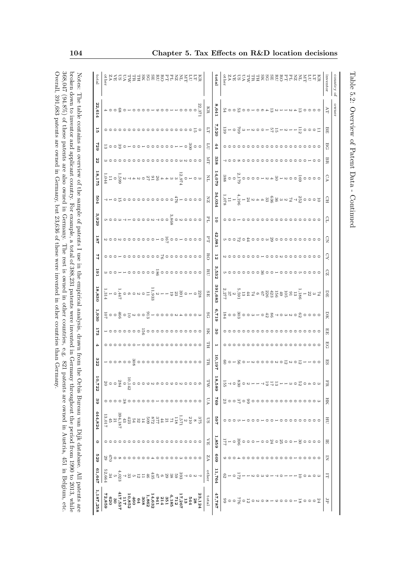| 1,187,258                                                                                           | 61,647                                                                   | 633                             | $\circ$                | 444,824                                                                                                                                                                                                                                                                                                                                       | 68                                                         | 10,722                                               | 322                 |    | $\mathbb{S}$  | 1,930                                                                                                                                                                                                         | 18,830                                                                                                                                                                                                                                                                                                                                                                                                                                                                              | 161                        | 44              | 187      | 3,929 | 504                    | 8,175                  | 22    | 622              | 능                                                                                                                                         | 22,614                        | total      |
|-----------------------------------------------------------------------------------------------------|--------------------------------------------------------------------------|---------------------------------|------------------------|-----------------------------------------------------------------------------------------------------------------------------------------------------------------------------------------------------------------------------------------------------------------------------------------------------------------------------------------------|------------------------------------------------------------|------------------------------------------------------|---------------------|----|---------------|---------------------------------------------------------------------------------------------------------------------------------------------------------------------------------------------------------------|-------------------------------------------------------------------------------------------------------------------------------------------------------------------------------------------------------------------------------------------------------------------------------------------------------------------------------------------------------------------------------------------------------------------------------------------------------------------------------------|----------------------------|-----------------|----------|-------|------------------------|------------------------|-------|------------------|-------------------------------------------------------------------------------------------------------------------------------------------|-------------------------------|------------|
|                                                                                                     |                                                                          |                                 |                        |                                                                                                                                                                                                                                                                                                                                               |                                                            |                                                      |                     |    |               |                                                                                                                                                                                                               |                                                                                                                                                                                                                                                                                                                                                                                                                                                                                     |                            |                 |          |       |                        |                        |       |                  |                                                                                                                                           |                               |            |
|                                                                                                     |                                                                          |                                 |                        |                                                                                                                                                                                                                                                                                                                                               |                                                            |                                                      |                     |    |               |                                                                                                                                                                                                               |                                                                                                                                                                                                                                                                                                                                                                                                                                                                                     |                            |                 |          |       |                        |                        |       |                  |                                                                                                                                           |                               |            |
|                                                                                                     | $\begin{array}{l} 23 \\ 30 \\ 23 \\ 23 \\ 36 \\ 27 \\ 64 \\ \end{array}$ | $\circ \circ \circ \xi$         |                        |                                                                                                                                                                                                                                                                                                                                               |                                                            | $\circ \frac{3}{4}$ 0 0 $\circ$                      |                     |    |               |                                                                                                                                                                                                               |                                                                                                                                                                                                                                                                                                                                                                                                                                                                                     |                            |                 |          |       |                        |                        |       | ㅋㅇㅇㅋㅇ꽁ㅇㅇה        | °°°°°°°°°°°°°°°°°°°°°°°                                                                                                                   | + 0 0 0 0 0 0 0 0 0 0 0 0 0 0 |            |
|                                                                                                     |                                                                          |                                 |                        |                                                                                                                                                                                                                                                                                                                                               |                                                            |                                                      |                     |    |               |                                                                                                                                                                                                               |                                                                                                                                                                                                                                                                                                                                                                                                                                                                                     |                            |                 |          |       |                        |                        |       |                  |                                                                                                                                           |                               |            |
|                                                                                                     |                                                                          |                                 |                        |                                                                                                                                                                                                                                                                                                                                               |                                                            |                                                      |                     |    |               |                                                                                                                                                                                                               |                                                                                                                                                                                                                                                                                                                                                                                                                                                                                     |                            |                 |          |       |                        |                        |       |                  |                                                                                                                                           |                               |            |
|                                                                                                     |                                                                          |                                 |                        |                                                                                                                                                                                                                                                                                                                                               |                                                            |                                                      |                     |    |               |                                                                                                                                                                                                               |                                                                                                                                                                                                                                                                                                                                                                                                                                                                                     |                            |                 |          |       |                        |                        |       |                  |                                                                                                                                           |                               |            |
|                                                                                                     |                                                                          |                                 |                        |                                                                                                                                                                                                                                                                                                                                               |                                                            |                                                      |                     |    |               |                                                                                                                                                                                                               |                                                                                                                                                                                                                                                                                                                                                                                                                                                                                     |                            |                 |          |       |                        |                        |       |                  |                                                                                                                                           |                               |            |
|                                                                                                     |                                                                          |                                 |                        |                                                                                                                                                                                                                                                                                                                                               |                                                            |                                                      |                     |    |               |                                                                                                                                                                                                               |                                                                                                                                                                                                                                                                                                                                                                                                                                                                                     |                            |                 |          |       |                        |                        |       |                  |                                                                                                                                           |                               |            |
|                                                                                                     |                                                                          |                                 | 00000                  |                                                                                                                                                                                                                                                                                                                                               |                                                            |                                                      |                     |    |               |                                                                                                                                                                                                               |                                                                                                                                                                                                                                                                                                                                                                                                                                                                                     |                            |                 |          |       |                        |                        |       |                  |                                                                                                                                           |                               |            |
|                                                                                                     |                                                                          |                                 |                        |                                                                                                                                                                                                                                                                                                                                               |                                                            |                                                      |                     |    |               |                                                                                                                                                                                                               |                                                                                                                                                                                                                                                                                                                                                                                                                                                                                     |                            |                 |          |       |                        |                        |       |                  |                                                                                                                                           |                               |            |
|                                                                                                     |                                                                          |                                 |                        |                                                                                                                                                                                                                                                                                                                                               |                                                            |                                                      |                     |    |               |                                                                                                                                                                                                               |                                                                                                                                                                                                                                                                                                                                                                                                                                                                                     |                            |                 |          |       |                        |                        |       |                  |                                                                                                                                           |                               |            |
|                                                                                                     |                                                                          |                                 |                        |                                                                                                                                                                                                                                                                                                                                               |                                                            |                                                      |                     |    |               |                                                                                                                                                                                                               |                                                                                                                                                                                                                                                                                                                                                                                                                                                                                     |                            |                 |          |       |                        |                        |       |                  |                                                                                                                                           |                               |            |
|                                                                                                     |                                                                          |                                 |                        |                                                                                                                                                                                                                                                                                                                                               |                                                            |                                                      |                     |    |               |                                                                                                                                                                                                               |                                                                                                                                                                                                                                                                                                                                                                                                                                                                                     |                            |                 |          |       |                        |                        |       |                  |                                                                                                                                           |                               |            |
|                                                                                                     |                                                                          |                                 |                        |                                                                                                                                                                                                                                                                                                                                               |                                                            |                                                      |                     |    |               |                                                                                                                                                                                                               |                                                                                                                                                                                                                                                                                                                                                                                                                                                                                     |                            |                 |          |       |                        |                        |       |                  |                                                                                                                                           |                               |            |
|                                                                                                     |                                                                          |                                 |                        |                                                                                                                                                                                                                                                                                                                                               |                                                            |                                                      |                     |    |               |                                                                                                                                                                                                               |                                                                                                                                                                                                                                                                                                                                                                                                                                                                                     |                            |                 |          |       |                        |                        |       |                  |                                                                                                                                           |                               |            |
|                                                                                                     |                                                                          |                                 |                        |                                                                                                                                                                                                                                                                                                                                               |                                                            |                                                      |                     |    |               |                                                                                                                                                                                                               |                                                                                                                                                                                                                                                                                                                                                                                                                                                                                     |                            |                 |          |       |                        |                        |       |                  |                                                                                                                                           |                               |            |
|                                                                                                     |                                                                          |                                 | 0000                   |                                                                                                                                                                                                                                                                                                                                               |                                                            |                                                      |                     |    |               |                                                                                                                                                                                                               |                                                                                                                                                                                                                                                                                                                                                                                                                                                                                     |                            |                 |          |       |                        |                        |       |                  |                                                                                                                                           |                               |            |
|                                                                                                     |                                                                          |                                 |                        |                                                                                                                                                                                                                                                                                                                                               |                                                            |                                                      |                     |    |               |                                                                                                                                                                                                               |                                                                                                                                                                                                                                                                                                                                                                                                                                                                                     |                            |                 |          |       |                        |                        |       |                  |                                                                                                                                           |                               |            |
| $\begin{array}{l} 23,124\\ \mathrm{5}\,4\\ 54\\ \mathrm{5}\,4\\ 11\\ 12\\ 6\\ 23\\ 6\\ \end{array}$ |                                                                          | ----------                      |                        | $\begin{array}{l} 37.5 \\ 37.5 \\ 28.6 \\ 39.4 \\ 15 \\ 21 \\ 23 \\ 33 \\ 34 \\ 15 \\ 16 \\ 17 \\ 18 \\ 19 \\ 10 \\ 10 \\ 11 \\ 12 \\ 13 \\ 14 \\ 16 \\ 18 \\ 19 \\ 10 \\ 10 \\ 10 \\ 10 \\ 10 \\ 10 \\ 10 \\ 13 \\ 14 \\ 15 \\ 16 \\ 18 \\ 19 \\ 19 \\ 13 \\ 13 \\ 14 \\ 15 \\ 16 \\ 18 \\ 19 \\ 19 \\ 19 \\ 13 \\ 13 \\ 14 \\ 15 \\ 16 \\ $ |                                                            | - 0<br>- 10000 N の 0 0 0 0 0 0 0 0 0<br>- 10<br>- 10 |                     |    |               | $\begin{array}{l} \omega\circ\circ\circ\circ\star\circ\circ\circ\circ\circ\cdot\frac{\alpha}{\omega}\circ\circ\frac{\alpha}{\omega}\circ\circ\frac{\alpha}{\omega}\circ\circ\frac{\alpha}{\omega}\end{array}$ | $\begin{array}{c} 228 \\ 200 \\ -0 \\ -0 \\ \end{array} \begin{array}{c} 238 \\ -0 \\ 33 \\ -1 \\ -3 \\ \end{array}$                                                                                                                                                                                                                                                                                                                                                                |                            |                 |          |       | 90004 E000000000 Hoooo |                        |       |                  |                                                                                                                                           | 3.<br>2.<br>F                 |            |
|                                                                                                     |                                                                          |                                 |                        |                                                                                                                                                                                                                                                                                                                                               |                                                            |                                                      |                     |    |               |                                                                                                                                                                                                               |                                                                                                                                                                                                                                                                                                                                                                                                                                                                                     |                            |                 |          |       |                        |                        |       |                  |                                                                                                                                           |                               |            |
| total                                                                                               | other                                                                    | VΖ                              | $\lesssim$             | SQ                                                                                                                                                                                                                                                                                                                                            | VΩ                                                         | $\mathbb{W}^{\mathbb{V}}$                            | TR                  | HL | SK            | SG                                                                                                                                                                                                            | SЕ                                                                                                                                                                                                                                                                                                                                                                                                                                                                                  | RU                         | RO              | $\rm _H$ | FL    | $_{\rm ZN}$            | $\Xi$                  | $\Xi$ | $\Gamma\Gamma$   | $\overline{\phantom{0}}$                                                                                                                  | $_{\rm KR}$                   |            |
| 47,787                                                                                              | 11,764                                                                   | 609                             | 1,859                  | 469                                                                                                                                                                                                                                                                                                                                           | 694                                                        | 18,589                                               | 0,19'               |    | $\frac{8}{2}$ | 6'119                                                                                                                                                                                                         | 391,683                                                                                                                                                                                                                                                                                                                                                                                                                                                                             | 532                        | 5               | 42,981   | 5     | 34,034                 | 14,079                 | 338   | 44               | ,520                                                                                                                                      | 8,641                         | tota       |
|                                                                                                     |                                                                          |                                 |                        |                                                                                                                                                                                                                                                                                                                                               |                                                            |                                                      |                     |    |               |                                                                                                                                                                                                               |                                                                                                                                                                                                                                                                                                                                                                                                                                                                                     |                            |                 |          |       |                        |                        |       |                  |                                                                                                                                           |                               |            |
|                                                                                                     |                                                                          |                                 |                        |                                                                                                                                                                                                                                                                                                                                               |                                                            |                                                      |                     |    |               |                                                                                                                                                                                                               |                                                                                                                                                                                                                                                                                                                                                                                                                                                                                     |                            |                 |          |       |                        |                        |       |                  |                                                                                                                                           |                               |            |
|                                                                                                     | $\frac{17}{6}$ – $\frac{1}{3}$                                           |                                 |                        |                                                                                                                                                                                                                                                                                                                                               |                                                            |                                                      |                     |    |               |                                                                                                                                                                                                               |                                                                                                                                                                                                                                                                                                                                                                                                                                                                                     |                            |                 |          |       |                        |                        |       |                  |                                                                                                                                           |                               |            |
|                                                                                                     |                                                                          |                                 |                        |                                                                                                                                                                                                                                                                                                                                               |                                                            |                                                      |                     |    |               |                                                                                                                                                                                                               |                                                                                                                                                                                                                                                                                                                                                                                                                                                                                     |                            | 000000          |          |       |                        |                        |       |                  |                                                                                                                                           |                               |            |
|                                                                                                     |                                                                          |                                 |                        |                                                                                                                                                                                                                                                                                                                                               |                                                            |                                                      |                     |    |               |                                                                                                                                                                                                               |                                                                                                                                                                                                                                                                                                                                                                                                                                                                                     |                            |                 |          |       |                        |                        |       |                  |                                                                                                                                           |                               |            |
|                                                                                                     |                                                                          |                                 |                        |                                                                                                                                                                                                                                                                                                                                               |                                                            |                                                      |                     |    |               |                                                                                                                                                                                                               |                                                                                                                                                                                                                                                                                                                                                                                                                                                                                     |                            |                 |          |       |                        |                        |       |                  |                                                                                                                                           |                               |            |
|                                                                                                     |                                                                          |                                 |                        |                                                                                                                                                                                                                                                                                                                                               |                                                            |                                                      |                     |    |               |                                                                                                                                                                                                               |                                                                                                                                                                                                                                                                                                                                                                                                                                                                                     |                            | $\circ$ $\circ$ |          |       |                        |                        |       |                  |                                                                                                                                           |                               |            |
|                                                                                                     |                                                                          |                                 |                        |                                                                                                                                                                                                                                                                                                                                               |                                                            |                                                      |                     |    |               |                                                                                                                                                                                                               |                                                                                                                                                                                                                                                                                                                                                                                                                                                                                     |                            |                 |          |       |                        |                        |       |                  |                                                                                                                                           |                               |            |
|                                                                                                     |                                                                          |                                 |                        |                                                                                                                                                                                                                                                                                                                                               |                                                            |                                                      |                     |    |               |                                                                                                                                                                                                               |                                                                                                                                                                                                                                                                                                                                                                                                                                                                                     |                            |                 |          |       |                        |                        |       |                  |                                                                                                                                           |                               |            |
|                                                                                                     |                                                                          |                                 |                        |                                                                                                                                                                                                                                                                                                                                               |                                                            |                                                      |                     |    |               |                                                                                                                                                                                                               |                                                                                                                                                                                                                                                                                                                                                                                                                                                                                     |                            |                 |          |       |                        |                        |       |                  |                                                                                                                                           |                               |            |
|                                                                                                     |                                                                          |                                 |                        |                                                                                                                                                                                                                                                                                                                                               |                                                            |                                                      |                     |    |               |                                                                                                                                                                                                               |                                                                                                                                                                                                                                                                                                                                                                                                                                                                                     |                            |                 |          |       |                        |                        |       |                  |                                                                                                                                           |                               |            |
|                                                                                                     |                                                                          |                                 |                        |                                                                                                                                                                                                                                                                                                                                               |                                                            |                                                      |                     |    |               |                                                                                                                                                                                                               |                                                                                                                                                                                                                                                                                                                                                                                                                                                                                     |                            |                 |          |       |                        |                        |       |                  |                                                                                                                                           |                               |            |
|                                                                                                     |                                                                          |                                 |                        |                                                                                                                                                                                                                                                                                                                                               |                                                            |                                                      |                     |    |               |                                                                                                                                                                                                               |                                                                                                                                                                                                                                                                                                                                                                                                                                                                                     |                            |                 |          |       |                        |                        |       |                  |                                                                                                                                           |                               |            |
|                                                                                                     |                                                                          |                                 | 0000310030000000000000 |                                                                                                                                                                                                                                                                                                                                               | $\omega$ o o o o o o o o o o o o o o o $\omega$ o $\omega$ |                                                      | 0011202200000102106 |    |               | 0000 800 3000 800 3000 3000                                                                                                                                                                                   | $\begin{array}{l} \mathcal{I}\mathfrak{a}\circ\mathfrak{A}=\frac{1}{2} \mathfrak{a}\mathfrak{a}\circ\mathfrak{a}\circ\mathfrak{a}\circ\mathfrak{a}\circ\mathfrak{a}\circ\mathfrak{a}\circ\mathfrak{a}\circ\mathfrak{a}\circ\mathfrak{a}\circ\mathfrak{a}\circ\mathfrak{a}\circ\mathfrak{a}\circ\mathfrak{a}\circ\mathfrak{a}\circ\mathfrak{a}\circ\mathfrak{a}\circ\mathfrak{a}\circ\mathfrak{a}\circ\mathfrak{a}\circ\mathfrak{a}\circ\mathfrak{a}\circ\mathfrak{a}\circ\mathfrak$ | °° 00000000° 0000000000000 | 000N00000000    |          |       |                        | 0000800011840100001008 |       | °°°°°°°°°°°°°°°° | $\frac{1}{10000} \frac{1}{1000} \frac{1}{1000} \frac{1}{1000} \frac{1}{1000} \frac{1}{1000} \frac{1}{1000} \frac{1}{1000} \frac{1}{1000}$ | 000013481+4813460+005005      |            |
|                                                                                                     |                                                                          |                                 |                        |                                                                                                                                                                                                                                                                                                                                               |                                                            |                                                      |                     |    |               |                                                                                                                                                                                                               |                                                                                                                                                                                                                                                                                                                                                                                                                                                                                     |                            |                 |          |       |                        |                        |       |                  |                                                                                                                                           |                               |            |
|                                                                                                     | $\overline{\circ}$                                                       | $\circ \circ \circ \circ \circ$ |                        |                                                                                                                                                                                                                                                                                                                                               |                                                            |                                                      |                     |    |               |                                                                                                                                                                                                               |                                                                                                                                                                                                                                                                                                                                                                                                                                                                                     |                            |                 |          |       |                        |                        |       |                  |                                                                                                                                           |                               |            |
|                                                                                                     | $\rightarrow$                                                            |                                 |                        |                                                                                                                                                                                                                                                                                                                                               |                                                            |                                                      |                     |    |               |                                                                                                                                                                                                               |                                                                                                                                                                                                                                                                                                                                                                                                                                                                                     |                            |                 |          |       |                        |                        |       |                  |                                                                                                                                           |                               |            |
|                                                                                                     |                                                                          |                                 |                        |                                                                                                                                                                                                                                                                                                                                               |                                                            |                                                      |                     |    |               |                                                                                                                                                                                                               |                                                                                                                                                                                                                                                                                                                                                                                                                                                                                     |                            |                 |          |       |                        |                        |       |                  |                                                                                                                                           |                               |            |
|                                                                                                     |                                                                          |                                 |                        |                                                                                                                                                                                                                                                                                                                                               |                                                            |                                                      |                     |    |               |                                                                                                                                                                                                               |                                                                                                                                                                                                                                                                                                                                                                                                                                                                                     |                            |                 |          |       |                        |                        |       |                  |                                                                                                                                           |                               |            |
| F                                                                                                   | 耳                                                                        | $\overline{z}$                  | 员                      | H                                                                                                                                                                                                                                                                                                                                             | HК                                                         | ER                                                   | ES                  | EG | 멻             | DК                                                                                                                                                                                                            | $\overline{H}$                                                                                                                                                                                                                                                                                                                                                                                                                                                                      | $\Omega$                   | Q               | $\Omega$ | β     | Gн                     | Ç                      | BR    | <b>BG</b>        | BE                                                                                                                                        | ÀT                            | inventor   |
|                                                                                                     |                                                                          |                                 |                        |                                                                                                                                                                                                                                                                                                                                               |                                                            |                                                      |                     |    |               |                                                                                                                                                                                                               |                                                                                                                                                                                                                                                                                                                                                                                                                                                                                     |                            |                 |          |       |                        |                        |       |                  |                                                                                                                                           | owner                         | country of |

Overall, 391,683 patents are owned in Germany, but 23,636 of these were invented in other countries than Germany.  $368,047$  (94.8%) of these patents are also owned in Germany. The rest is owned in other countries, e.g. 821 patents are owned in Austria, 451 in Belgium, etc. broken down to inventor and applicant country. For example, a total of 388,231 patents were invented in Germany throughout the period from 1990 to 2013, while Notes: The table contains an overview of the sample of patents I use in the empirical analysis, drawn from the Orbis Bureau van Dijk database. All patents are Overall, 391,683 patents are owned in Germany, but 23,636 of these were invented in other countries than Germany. 368,047 (94.8%) of these patents are also owned in Germany. The rest is owned in other countries, e.g. 821 patents are owned in Austria, 451 in Belgium, etc. broken down to inventor and applicant country. For example, a total of 388,231 patents were invented in Germany throughout the period from 1990 to 2013, while Notes: The table contains and the sample of patents I use in the empirical analysis, drawn from the sample of patents are the sample of patents are  $\Delta$ ll patents are  $\Delta$ ll patents are

Table 5.2: Overview of Patent Data - Continued

Table 5.2: Overview of Patent Data - Continued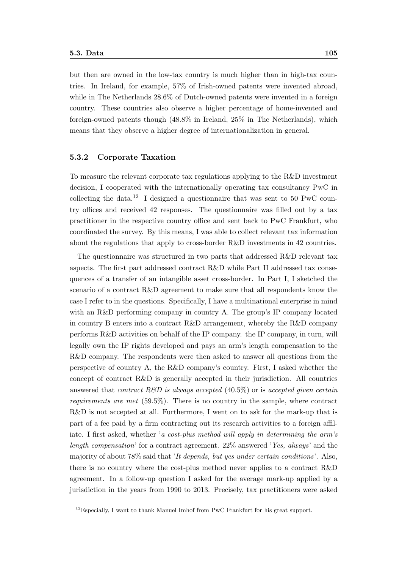but then are owned in the low-tax country is much higher than in high-tax countries. In Ireland, for example, 57% of Irish-owned patents were invented abroad, while in The Netherlands  $28.6\%$  of Dutch-owned patents were invented in a foreign country. These countries also observe a higher percentage of home-invented and foreign-owned patents though (48.8% in Ireland, 25% in The Netherlands), which means that they observe a higher degree of internationalization in general.

#### 5.3.2 Corporate Taxation

To measure the relevant corporate tax regulations applying to the R&D investment decision, I cooperated with the internationally operating tax consultancy PwC in collecting the data.<sup>12</sup> I designed a questionnaire that was sent to 50 PwC country offices and received 42 responses. The questionnaire was filled out by a tax practitioner in the respective country office and sent back to PwC Frankfurt, who coordinated the survey. By this means, I was able to collect relevant tax information about the regulations that apply to cross-border R&D investments in 42 countries.

The questionnaire was structured in two parts that addressed R&D relevant tax aspects. The first part addressed contract R&D while Part II addressed tax consequences of a transfer of an intangible asset cross-border. In Part I, I sketched the scenario of a contract R&D agreement to make sure that all respondents know the case I refer to in the questions. Specifically, I have a multinational enterprise in mind with an R&D performing company in country A. The group's IP company located in country B enters into a contract R&D arrangement, whereby the R&D company performs R&D activities on behalf of the IP company. the IP company, in turn, will legally own the IP rights developed and pays an arm's length compensation to the R&D company. The respondents were then asked to answer all questions from the perspective of country A, the R&D company's country. First, I asked whether the concept of contract R&D is generally accepted in their jurisdiction. All countries answered that *contract*  $R\&D$  is always accepted (40.5%) or is accepted given certain requirements are met (59.5%). There is no country in the sample, where contract R&D is not accepted at all. Furthermore, I went on to ask for the mark-up that is part of a fee paid by a firm contracting out its research activities to a foreign affiliate. I first asked, whether 'a cost-plus method will apply in determining the arm's length compensation' for a contract agreement. 22% answered 'Yes, always' and the majority of about 78% said that 'It depends, but yes under certain conditions'. Also, there is no country where the cost-plus method never applies to a contract R&D agreement. In a follow-up question I asked for the average mark-up applied by a jurisdiction in the years from 1990 to 2013. Precisely, tax practitioners were asked

 $12$ Especially, I want to thank Manuel Imhof from PwC Frankfurt for his great support.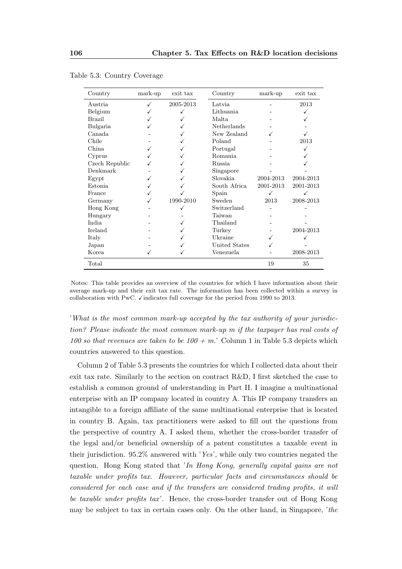| Country        | mark-up | exit tax  | Country              | mark-up   | exit tax  |
|----------------|---------|-----------|----------------------|-----------|-----------|
| Austria        |         | 2005-2013 | Latvia               |           | 2013      |
| Belgium        |         |           | Lithuania            |           |           |
| Brazil         |         |           | Malta                |           |           |
| Bulgaria       |         |           | Netherlands          |           |           |
| Canada         |         |           | New Zealand          |           |           |
| Chile          |         |           | Poland               |           | 2013      |
| China          |         |           | Portugal             |           |           |
| Cyprus         |         |           | <b>Romania</b>       |           |           |
| Czech Republic |         |           | Russia               |           |           |
| Denkmark       |         |           | Singapore            |           |           |
| Egypt          |         |           | Slovakia             | 2004-2013 | 2004-2013 |
| <b>Estonia</b> |         |           | South Africa         | 2001-2013 | 2001-2013 |
| France         |         |           | Spain                |           |           |
| Germany        |         | 1990-2010 | Sweden               | 2013      | 2008-2013 |
| Hong Kong      |         |           | Switzerland          |           |           |
| Hungary        |         |           | Taiwan               |           |           |
| India          |         |           | Thailand             |           |           |
| <b>Ireland</b> |         |           | Turkey               |           | 2004-2013 |
| Italy          |         |           | Ukraine              |           |           |
| Japan          |         |           | <b>United States</b> |           |           |
| Korea          |         |           | Venezuela            |           | 2008-2013 |
| Total          |         |           |                      | 19        | 35        |

|  |  |  | Table 5.3: Country Coverage |
|--|--|--|-----------------------------|
|--|--|--|-----------------------------|

Notes: This table provides an overview of the countries for which I have information about their average mark-up and their exit tax rate. The information has been collected within a survey in collaboration with PwC.  $\checkmark$  indicates full coverage for the period from 1990 to 2013.

'What is the most common mark-up accepted by the tax authority of your jurisdiction? Please indicate the most common mark-up m if the taxpayer has real costs of 100 so that revenues are taken to be 100 + m.' Column 1 in Table 5.3 depicts which countries answered to this question.

Column 2 of Table 5.3 presents the countries for which I collected data about their exit tax rate. Similarly to the section on contract R&D, I first sketched the case to establish a common ground of understanding in Part II. I imagine a multinational enterprise with an IP company located in country A. This IP company transfers an intangible to a foreign affiliate of the same multinational enterprise that is located in country B. Again, tax practitioners were asked to fill out the questions from the perspective of country A. I asked them, whether the cross-border transfer of the legal and/or beneficial ownership of a patent constitutes a taxable event in their jurisdiction. 95.2% answered with 'Yes', while only two countries negated the question. Hong Kong stated that 'In Hong Kong, generally capital gains are not taxable under profits tax. However, particular facts and circumstances should be considered for each case and if the transfers are considered trading profits, it will be taxable under profits tax'. Hence, the cross-border transfer out of Hong Kong may be subject to tax in certain cases only. On the other hand, in Singapore, 'the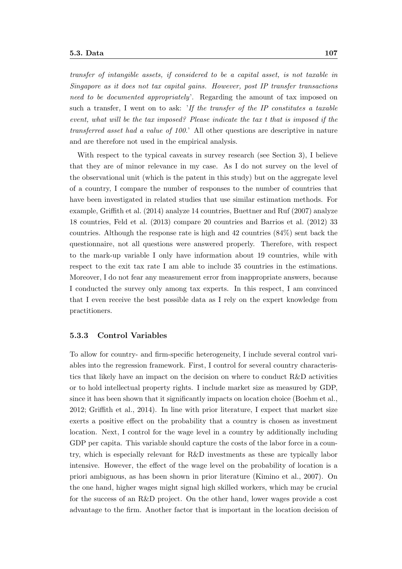#### 5.3. Data 107

transfer of intangible assets, if considered to be a capital asset, is not taxable in Singapore as it does not tax capital gains. However, post IP transfer transactions need to be documented appropriately'. Regarding the amount of tax imposed on such a transfer, I went on to ask: 'If the transfer of the IP constitutes a taxable event, what will be the tax imposed? Please indicate the tax t that is imposed if the transferred asset had a value of 100.' All other questions are descriptive in nature and are therefore not used in the empirical analysis.

With respect to the typical caveats in survey research (see Section 3), I believe that they are of minor relevance in my case. As I do not survey on the level of the observational unit (which is the patent in this study) but on the aggregate level of a country, I compare the number of responses to the number of countries that have been investigated in related studies that use similar estimation methods. For example, Griffith et al. (2014) analyze 14 countries, Buettner and Ruf (2007) analyze 18 countries, Feld et al. (2013) compare 20 countries and Barrios et al. (2012) 33 countries. Although the response rate is high and 42 countries (84%) sent back the questionnaire, not all questions were answered properly. Therefore, with respect to the mark-up variable I only have information about 19 countries, while with respect to the exit tax rate I am able to include 35 countries in the estimations. Moreover, I do not fear any measurement error from inappropriate answers, because I conducted the survey only among tax experts. In this respect, I am convinced that I even receive the best possible data as I rely on the expert knowledge from practitioners.

#### 5.3.3 Control Variables

To allow for country- and firm-specific heterogeneity, I include several control variables into the regression framework. First, I control for several country characteristics that likely have an impact on the decision on where to conduct R&D activities or to hold intellectual property rights. I include market size as measured by GDP, since it has been shown that it significantly impacts on location choice (Boehm et al., 2012; Griffith et al., 2014). In line with prior literature, I expect that market size exerts a positive effect on the probability that a country is chosen as investment location. Next, I control for the wage level in a country by additionally including GDP per capita. This variable should capture the costs of the labor force in a country, which is especially relevant for R&D investments as these are typically labor intensive. However, the effect of the wage level on the probability of location is a priori ambiguous, as has been shown in prior literature (Kimino et al., 2007). On the one hand, higher wages might signal high skilled workers, which may be crucial for the success of an R&D project. On the other hand, lower wages provide a cost advantage to the firm. Another factor that is important in the location decision of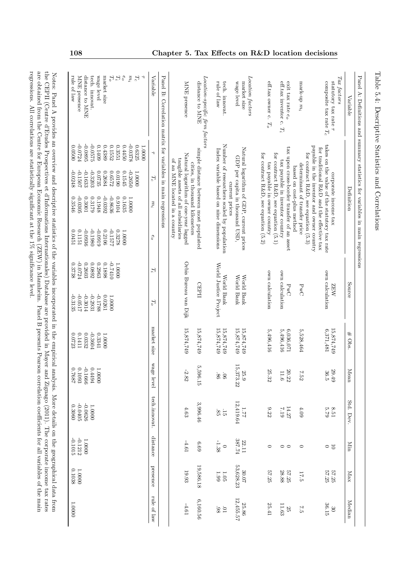| Panel A: Definitions and summary statistics for variables in main regressions<br>Variable | Definition                                                                                                                                                                         |                                                            | Source                              | # Obs.                   | Mean                     | Std. Dev.                   | Min                | Max                | Median                   |
|-------------------------------------------------------------------------------------------|------------------------------------------------------------------------------------------------------------------------------------------------------------------------------------|------------------------------------------------------------|-------------------------------------|--------------------------|--------------------------|-----------------------------|--------------------|--------------------|--------------------------|
| $\operatorname{Tax}$ factors<br>statutory tax rate                                        | corporate income tax                                                                                                                                                               |                                                            | <b>NAZ</b>                          | 15,874,749               | 29.49                    |                             |                    |                    | $\mathcal{S}^0$          |
| composite tax rate $T_c$                                                                  | takes on the value of the statutory tax rate<br>payable in the inventor and owner country<br>for traditional R&D and the effective tax<br>for contract $R\&D$ , see equation (5.3) |                                                            | own calculation                     | 6,371,481                | 36.5                     | $8.51$<br>$5.79$            | $\frac{1}{2}$      | 57.25<br>57.25     | 36.15                    |
| mark-up $m_i$                                                                             | determinant of transfer price<br>based on cost-plus method                                                                                                                         |                                                            | PwC                                 | 5,528,464                | 7.52                     | $4.09$                      | $\circ$            | 17.5               | 7.5                      |
| exit tax rate e <sub>o</sub><br>eff.tax inventor c.<br>$T_i$                              | tax upon cross-border transfer of an asset<br>tax payable in inventor country                                                                                                      |                                                            | own calculation<br>PwC              | 5,496,416<br>6,036,071   | 11.6<br>20.22            | 14.27<br>7.19               | $\circ$            | 57.25<br>$28.88\,$ | 11.63<br>$\frac{25}{2}$  |
| eff.tax owner c.<br>$T_o$                                                                 | for contract $R\&D$ , see equation (5.2)<br>for contract $R\&D$ , see equation (5.1)<br>tax payable in owner country                                                               |                                                            | own calculation                     | 5,496,416                | 25.32                    | 9.22                        | $\circ$            | 57.25              | 25.41                    |
| Location factors<br>market size                                                           | Natural logarithm of GDP, current prices                                                                                                                                           |                                                            | World Bank                          | 15,874,749               | 25.9                     | 1.77                        | 22.11              | $30.07$            | 25.86                    |
| wage level                                                                                | GDP per capita in thousand USD,<br>current prices                                                                                                                                  |                                                            | World Bank                          | 15,874,749               | 55<br>373.22             | 12,419.64                   | 387.74             | 53,628.23          | 12,455.57                |
| rule of law<br>tech. innovat.                                                             | Number of researchers scaled by population<br>Index variable based on nine dimensions                                                                                              |                                                            | World Justice Project<br>World Bank | 15,874,749<br>15,874,749 | $98^\circ$<br>$90^\circ$ | 85<br>$\frac{1}{2}$         | $-1.38$<br>$\circ$ | $1.99\,$<br>1.05   | $-98$<br>$\overline{10}$ |
| Location-specific firm factors<br>distance to MNE                                         | simple distance between most populated                                                                                                                                             |                                                            | CEPII                               | 15,874,749               | $\frac{1}{2}$<br>596.15  | 3,996.46                    | 6.69               | 19,586.18          | 6,160.56                 |
| MNE presence                                                                              | Natural logarithm of one-year lagged<br>tangible assets of all subsidiaries<br>of an MNE located in a country<br>cities, in thousand kilometers                                    |                                                            | Orbis Bureau van Dijk               | 15,874,749               | $-2.82$                  | $4.63$                      | $-4.61$            | 19.93              | $-4.61$                  |
|                                                                                           | Panel B: Correlation matrix for variables in main regressions                                                                                                                      |                                                            |                                     |                          |                          |                             |                    |                    |                          |
| Variable                                                                                  | $\rightarrow$<br>$T_{\rm c}$<br>$m_i$                                                                                                                                              | $e_o$<br>$T_i$                                             | $T_{o}$                             | market size              | wage level               | tech.innovat.               | distance           | presence           | rule of law              |
| $e_o$<br>$m_i$<br>$T_{\rm c}$<br>٦                                                        | -0.0378<br>0.4450<br>0.6325<br>1.0000<br>$-0.2650$<br>0.1545<br>$0000$ $\,$ I<br>0.1635<br>1.0000                                                                                  | 1.0000                                                     |                                     |                          |                          |                             |                    |                    |                          |
| market size<br>$T_{\rm o}$<br>$T_{i}$                                                     | 0.3551<br>0.4389<br>0.1552<br>0.2684<br>0.6572<br>0610'0<br>-0.0392<br>-0.8636<br>0.9104                                                                                           | -0.1577<br>0.2106<br>0.3278<br>01172.0<br>0.1898<br>1.0000 | 0.0261<br>1.0000                    | 1.0000                   |                          |                             |                    |                    |                          |
| wage level                                                                                | 60+1.0<br>0.0735<br>0.1948                                                                                                                                                         | 6160'0-<br>0.2963                                          | -0.1788                             | 0.3341                   | 00001                    |                             |                    |                    |                          |
| distance to MNE<br>tech. innovat.                                                         | -0.0895<br>-0.0575<br>$-0.1633$<br>$-0.3203$<br>0.3001<br>0.3179                                                                                                                   | -0.0936<br>$-0.1980$<br>0.2603<br>0.0892                   | -0.3014<br>$-0.2931$                | $-0.3604$<br>0.0332      | $10.4494$                | $-0.0626$<br>$0000^\circ$ I | 1.0000             |                    |                          |
| <b>MNE</b> presence                                                                       | -0.0724<br>$-0.1507$<br>$-0.0305$                                                                                                                                                  | 0.1151<br>-0.0724                                          | -0.0517                             | 11411                    | $-0.1666$<br>0.1093      | $-0.0405$                   | $-0.1212$          | $0000\degree$ I    | 1.0000                   |
| rule of law                                                                               | 00200<br>-0.0248<br>0.3546                                                                                                                                                         | 0.0451<br>0.3738                                           | $-0.3135$                           | 0.0723                   | 7887.0                   | 03060                       | $-0.1015$          | 0.1038             |                          |

regressions. All correlations are statistically significant at the 1% significance level. are obtained from the Centre for European Economic Research (ZEW) in Mannheim. Panel B presents Pearson correlation coefficients for all variables of the main the CEPII (Centre d'Etudes Prospectives et d'Informations Internationales) Database are provided in Mayer and Zignago (2011). The corporate income tax rates regressions. All correlations are statistically significant at the 1% significance level. are obtained from the Centre for European Economic Research (ZEW) in Mannheim. Panel B presents Pearson correlation coefficients for all variables of the mainthe CEPII (Centre d'Etudes Prospectives et d'Informations Internationales) Database are provided in Mayer and Zignago (2011). The corporate income tax rates Notes: Panel A provides an overview and descriptive statistics of the variables incorporated in the empirical analysis. More details on the geographical data from Notes: Panel A provides an overview and descriptive statistics of the variables incorporated in the empirical analysis. More details on the geographical data from

Table 5.4: Descriptive Statistics and Correlations

Table 5.4: Descriptive Statistics and Correlations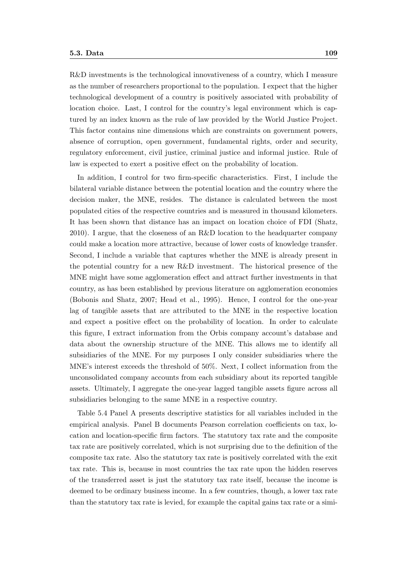R&D investments is the technological innovativeness of a country, which I measure as the number of researchers proportional to the population. I expect that the higher technological development of a country is positively associated with probability of location choice. Last, I control for the country's legal environment which is captured by an index known as the rule of law provided by the World Justice Project. This factor contains nine dimensions which are constraints on government powers, absence of corruption, open government, fundamental rights, order and security, regulatory enforcement, civil justice, criminal justice and informal justice. Rule of law is expected to exert a positive effect on the probability of location.

In addition, I control for two firm-specific characteristics. First, I include the bilateral variable distance between the potential location and the country where the decision maker, the MNE, resides. The distance is calculated between the most populated cities of the respective countries and is measured in thousand kilometers. It has been shown that distance has an impact on location choice of FDI (Shatz, 2010). I argue, that the closeness of an R&D location to the headquarter company could make a location more attractive, because of lower costs of knowledge transfer. Second, I include a variable that captures whether the MNE is already present in the potential country for a new R&D investment. The historical presence of the MNE might have some agglomeration effect and attract further investments in that country, as has been established by previous literature on agglomeration economies (Bobonis and Shatz, 2007; Head et al., 1995). Hence, I control for the one-year lag of tangible assets that are attributed to the MNE in the respective location and expect a positive effect on the probability of location. In order to calculate this figure, I extract information from the Orbis company account's database and data about the ownership structure of the MNE. This allows me to identify all subsidiaries of the MNE. For my purposes I only consider subsidiaries where the MNE's interest exceeds the threshold of 50%. Next, I collect information from the unconsolidated company accounts from each subsidiary about its reported tangible assets. Ultimately, I aggregate the one-year lagged tangible assets figure across all subsidiaries belonging to the same MNE in a respective country.

Table 5.4 Panel A presents descriptive statistics for all variables included in the empirical analysis. Panel B documents Pearson correlation coefficients on tax, location and location-specific firm factors. The statutory tax rate and the composite tax rate are positively correlated, which is not surprising due to the definition of the composite tax rate. Also the statutory tax rate is positively correlated with the exit tax rate. This is, because in most countries the tax rate upon the hidden reserves of the transferred asset is just the statutory tax rate itself, because the income is deemed to be ordinary business income. In a few countries, though, a lower tax rate than the statutory tax rate is levied, for example the capital gains tax rate or a simi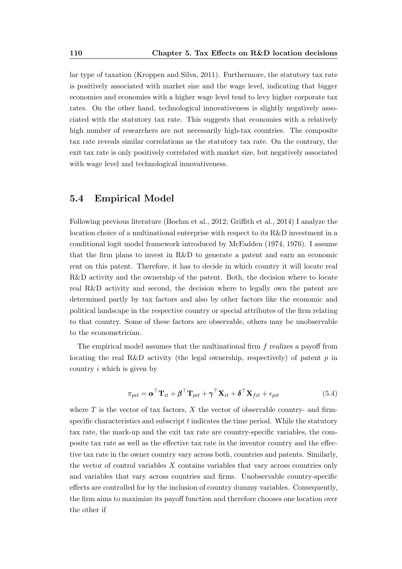lar type of taxation (Kroppen and Silva, 2011). Furthermore, the statutory tax rate is positively associated with market size and the wage level, indicating that bigger economies and economies with a higher wage level tend to levy higher corporate tax rates. On the other hand, technological innovativeness is slightly negatively associated with the statutory tax rate. This suggests that economies with a relatively high number of researchers are not necessarily high-tax countries. The composite tax rate reveals similar correlations as the statutory tax rate. On the contrary, the exit tax rate is only positively correlated with market size, but negatively associated with wage level and technological innovativeness.

#### 5.4 Empirical Model

Following previous literature (Boehm et al., 2012; Griffith et al., 2014) I analyze the location choice of a multinational enterprise with respect to its R&D investment in a conditional logit model framework introduced by McFadden (1974, 1976). I assume that the firm plans to invest in R&D to generate a patent and earn an economic rent on this patent. Therefore, it has to decide in which country it will locate real R&D activity and the ownership of the patent. Both, the decision where to locate real R&D activity and second, the decision where to legally own the patent are determined partly by tax factors and also by other factors like the economic and political landscape in the respective country or special attributes of the firm relating to that country. Some of these factors are observable, others may be unobservable to the econometrician.

The empirical model assumes that the multinational firm f realizes a payoff from locating the real R&D activity (the legal ownership, respectively) of patent  $p$  in country i which is given by

$$
\pi_{pit} = \boldsymbol{\alpha}^{\top} \mathbf{T}_{it} + \boldsymbol{\beta}^{\top} \mathbf{T}_{pit} + \boldsymbol{\gamma}^{\top} \mathbf{X}_{it} + \boldsymbol{\delta}^{\top} \mathbf{X}_{fit} + \epsilon_{pit}
$$
\n(5.4)

where  $T$  is the vector of tax factors,  $X$  the vector of observable country- and firmspecific characteristics and subscript  $t$  indicates the time period. While the statutory tax rate, the mark-up and the exit tax rate are country-specific variables, the composite tax rate as well as the effective tax rate in the inventor country and the effective tax rate in the owner country vary across both, countries and patents. Similarly, the vector of control variables X contains variables that vary across countries only and variables that vary across countries and firms. Unobservable country-specific effects are controlled for by the inclusion of country dummy variables. Consequently, the firm aims to maximize its payoff function and therefore chooses one location over the other if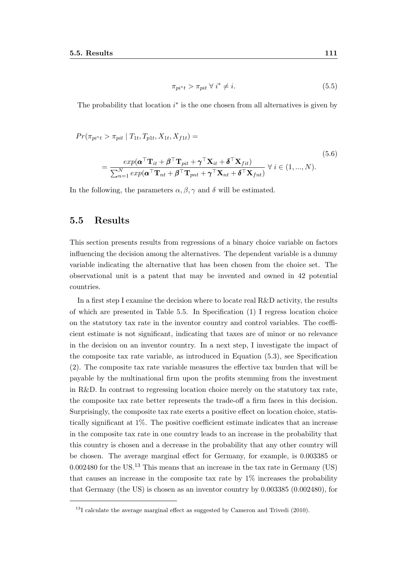$$
\pi_{pi*} > \pi_{pit} \ \forall \ i^* \neq i. \tag{5.5}
$$

The probability that location  $i^*$  is the one chosen from all alternatives is given by

$$
Pr(\pi_{pi^*t} > \pi_{pit} | T_{1t}, T_{p1t}, X_{1t}, X_{f1t}) =
$$

$$
= \frac{exp(\boldsymbol{\alpha}^{\top}\mathbf{T}_{it} + \boldsymbol{\beta}^{\top}\mathbf{T}_{pit} + \boldsymbol{\gamma}^{\top}\mathbf{X}_{it} + \boldsymbol{\delta}^{\top}\mathbf{X}_{fit})}{\sum_{n=1}^{N} exp(\boldsymbol{\alpha}^{\top}\mathbf{T}_{nt} + \boldsymbol{\beta}^{\top}\mathbf{T}_{pnt} + \boldsymbol{\gamma}^{\top}\mathbf{X}_{nt} + \boldsymbol{\delta}^{\top}\mathbf{X}_{fnt})} \ \forall \ i \in (1, ..., N).
$$
\n(5.6)

In the following, the parameters  $\alpha, \beta, \gamma$  and  $\delta$  will be estimated.

## 5.5 Results

This section presents results from regressions of a binary choice variable on factors influencing the decision among the alternatives. The dependent variable is a dummy variable indicating the alternative that has been chosen from the choice set. The observational unit is a patent that may be invented and owned in 42 potential countries.

In a first step I examine the decision where to locate real R&D activity, the results of which are presented in Table 5.5. In Specification (1) I regress location choice on the statutory tax rate in the inventor country and control variables. The coefficient estimate is not significant, indicating that taxes are of minor or no relevance in the decision on an inventor country. In a next step, I investigate the impact of the composite tax rate variable, as introduced in Equation (5.3), see Specification (2). The composite tax rate variable measures the effective tax burden that will be payable by the multinational firm upon the profits stemming from the investment in R&D. In contrast to regressing location choice merely on the statutory tax rate, the composite tax rate better represents the trade-off a firm faces in this decision. Surprisingly, the composite tax rate exerts a positive effect on location choice, statistically significant at 1%. The positive coefficient estimate indicates that an increase in the composite tax rate in one country leads to an increase in the probability that this country is chosen and a decrease in the probability that any other country will be chosen. The average marginal effect for Germany, for example, is 0.003385 or  $0.002480$  for the US.<sup>13</sup> This means that an increase in the tax rate in Germany (US) that causes an increase in the composite tax rate by 1% increases the probability that Germany (the US) is chosen as an inventor country by 0.003385 (0.002480), for

<sup>&</sup>lt;sup>13</sup>I calculate the average marginal effect as suggested by Cameron and Trivedi (2010).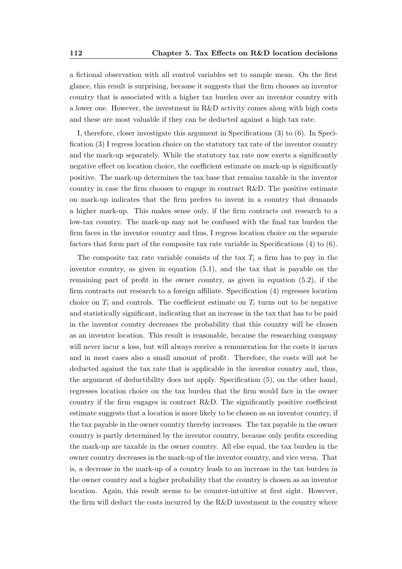a fictional observation with all control variables set to sample mean. On the first glance, this result is surprising, because it suggests that the firm chooses an inventor country that is associated with a higher tax burden over an inventor country with a lower one. However, the investment in R&D activity comes along with high costs and these are most valuable if they can be deducted against a high tax rate.

I, therefore, closer investigate this argument in Specifications (3) to (6). In Specification (3) I regress location choice on the statutory tax rate of the inventor country and the mark-up separately. While the statutory tax rate now exerts a significantly negative effect on location choice, the coefficient estimate on mark-up is significantly positive. The mark-up determines the tax base that remains taxable in the inventor country in case the firm chooses to engage in contract R&D. The positive estimate on mark-up indicates that the firm prefers to invent in a country that demands a higher mark-up. This makes sense only, if the firm contracts out research to a low-tax country. The mark-up may not be confused with the final tax burden the firm faces in the inventor country and thus, I regress location choice on the separate factors that form part of the composite tax rate variable in Specifications (4) to (6).

The composite tax rate variable consists of the tax  $T_i$  a firm has to pay in the inventor country, as given in equation (5.1), and the tax that is payable on the remaining part of profit in the owner country, as given in equation (5.2), if the firm contracts out research to a foreign affiliate. Specification (4) regresses location choice on  $T_i$  and controls. The coefficient estimate on  $T_i$  turns out to be negative and statistically significant, indicating that an increase in the tax that has to be paid in the inventor country decreases the probability that this country will be chosen as an inventor location. This result is reasonable, because the researching company will never incur a loss, but will always receive a remuneration for the costs it incurs and in most cases also a small amount of profit. Therefore, the costs will not be deducted against the tax rate that is applicable in the inventor country and, thus, the argument of deductibility does not apply. Specification (5), on the other hand, regresses location choice on the tax burden that the firm would face in the owner country if the firm engages in contract R&D. The significantly positive coefficient estimate suggests that a location is more likely to be chosen as an inventor country, if the tax payable in the owner country thereby increases. The tax payable in the owner country is partly determined by the inventor country, because only profits exceeding the mark-up are taxable in the owner country. All else equal, the tax burden in the owner country decreases in the mark-up of the inventor country, and vice versa. That is, a decrease in the mark-up of a country leads to an increase in the tax burden in the owner country and a higher probability that the country is chosen as an inventor location. Again, this result seems to be counter-intuitive at first sight. However, the firm will deduct the costs incurred by the R&D investment in the country where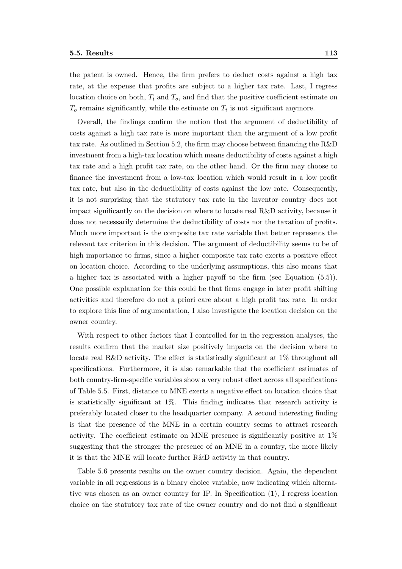the patent is owned. Hence, the firm prefers to deduct costs against a high tax

rate, at the expense that profits are subject to a higher tax rate. Last, I regress location choice on both,  $T_i$  and  $T_o$ , and find that the positive coefficient estimate on  $T<sub>o</sub>$  remains significantly, while the estimate on  $T<sub>i</sub>$  is not significant anymore.

Overall, the findings confirm the notion that the argument of deductibility of costs against a high tax rate is more important than the argument of a low profit tax rate. As outlined in Section 5.2, the firm may choose between financing the R&D investment from a high-tax location which means deductibility of costs against a high tax rate and a high profit tax rate, on the other hand. Or the firm may choose to finance the investment from a low-tax location which would result in a low profit tax rate, but also in the deductibility of costs against the low rate. Consequently, it is not surprising that the statutory tax rate in the inventor country does not impact significantly on the decision on where to locate real R&D activity, because it does not necessarily determine the deductibility of costs nor the taxation of profits. Much more important is the composite tax rate variable that better represents the relevant tax criterion in this decision. The argument of deductibility seems to be of high importance to firms, since a higher composite tax rate exerts a positive effect on location choice. According to the underlying assumptions, this also means that a higher tax is associated with a higher payoff to the firm (see Equation (5.5)). One possible explanation for this could be that firms engage in later profit shifting activities and therefore do not a priori care about a high profit tax rate. In order to explore this line of argumentation, I also investigate the location decision on the owner country.

With respect to other factors that I controlled for in the regression analyses, the results confirm that the market size positively impacts on the decision where to locate real R&D activity. The effect is statistically significant at 1% throughout all specifications. Furthermore, it is also remarkable that the coefficient estimates of both country-firm-specific variables show a very robust effect across all specifications of Table 5.5. First, distance to MNE exerts a negative effect on location choice that is statistically significant at 1%. This finding indicates that research activity is preferably located closer to the headquarter company. A second interesting finding is that the presence of the MNE in a certain country seems to attract research activity. The coefficient estimate on MNE presence is significantly positive at 1% suggesting that the stronger the presence of an MNE in a country, the more likely it is that the MNE will locate further R&D activity in that country.

Table 5.6 presents results on the owner country decision. Again, the dependent variable in all regressions is a binary choice variable, now indicating which alternative was chosen as an owner country for IP. In Specification (1), I regress location choice on the statutory tax rate of the owner country and do not find a significant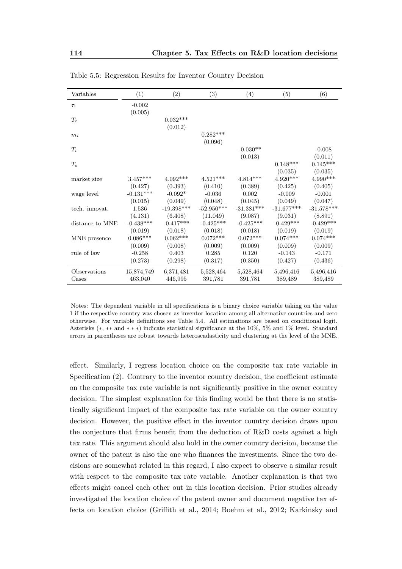| Variables       | (1)         | (2)          | (3)          | (4)          | (5)          | (6)          |
|-----------------|-------------|--------------|--------------|--------------|--------------|--------------|
| $\tau_i$        | $-0.002$    |              |              |              |              |              |
|                 | (0.005)     |              |              |              |              |              |
| $T_c$           |             | $0.032***$   |              |              |              |              |
|                 |             | (0.012)      |              |              |              |              |
| $m_i$           |             |              | $0.282***$   |              |              |              |
|                 |             |              | (0.096)      |              |              |              |
| $T_i$           |             |              |              | $-0.030**$   |              | $-0.008$     |
|                 |             |              |              | (0.013)      |              | (0.011)      |
| $T_o$           |             |              |              |              | $0.148***$   | $0.145***$   |
|                 |             |              |              |              | (0.035)      | (0.035)      |
| market size     | $3.457***$  | $4.092***$   | $4.521***$   | $4.814***$   | $4.920***$   | 4.990***     |
|                 | (0.427)     | (0.393)      | (0.410)      | (0.389)      | (0.425)      | (0.405)      |
| wage level      | $-0.131***$ | $-0.092*$    | $-0.036$     | 0.002        | $-0.009$     | $-0.001$     |
|                 | (0.015)     | (0.049)      | (0.048)      | (0.045)      | (0.049)      | (0.047)      |
| tech. innovat.  | 1.536       | $-19.398***$ | $-52.950***$ | $-31.381***$ | $-31.677***$ | $-31.578***$ |
|                 | (4.131)     | (6.408)      | (11.049)     | (9.087)      | (9.031)      | (8.891)      |
| distance to MNE | $-0.438***$ | $-0.417***$  | $-0.425***$  | $-0.425***$  | $-0.429***$  | $-0.429***$  |
|                 | (0.019)     | (0.018)      | (0.018)      | (0.018)      | (0.019)      | (0.019)      |
| MNE presence    | $0.086***$  | $0.062***$   | $0.072***$   | $0.072***$   | $0.074***$   | $0.074***$   |
|                 | (0.009)     | (0.008)      | (0.009)      | (0.009)      | (0.009)      | (0.009)      |
| rule of law     | $-0.258$    | 0.403        | 0.285        | 0.120        | $-0.143$     | $-0.171$     |
|                 | (0.273)     | (0.298)      | (0.317)      | (0.350)      | (0.427)      | (0.436)      |
| Observations    | 15,874,749  | 6,371,481    | 5,528,464    | 5,528,464    | 5,496,416    | 5,496,416    |
| Cases           | 463,040     | 446,995      | 391,781      | 391,781      | 389,489      | 389,489      |

Table 5.5: Regression Results for Inventor Country Decision

Notes: The dependent variable in all specifications is a binary choice variable taking on the value 1 if the respective country was chosen as inventor location among all alternative countries and zero otherwise. For variable definitions see Table 5.4. All estimations are based on conditional logit. Asterisks (∗, ∗∗ and ∗ ∗ ∗) indicate statistical significance at the 10%, 5% and 1% level. Standard errors in parentheses are robust towards heteroscadasticity and clustering at the level of the MNE.

effect. Similarly, I regress location choice on the composite tax rate variable in Specification (2). Contrary to the inventor country decision, the coefficient estimate on the composite tax rate variable is not significantly positive in the owner country decision. The simplest explanation for this finding would be that there is no statistically significant impact of the composite tax rate variable on the owner country decision. However, the positive effect in the inventor country decision draws upon the conjecture that firms benefit from the deduction of R&D costs against a high tax rate. This argument should also hold in the owner country decision, because the owner of the patent is also the one who finances the investments. Since the two decisions are somewhat related in this regard, I also expect to observe a similar result with respect to the composite tax rate variable. Another explanation is that two effects might cancel each other out in this location decision. Prior studies already investigated the location choice of the patent owner and document negative tax effects on location choice (Griffith et al., 2014; Boehm et al., 2012; Karkinsky and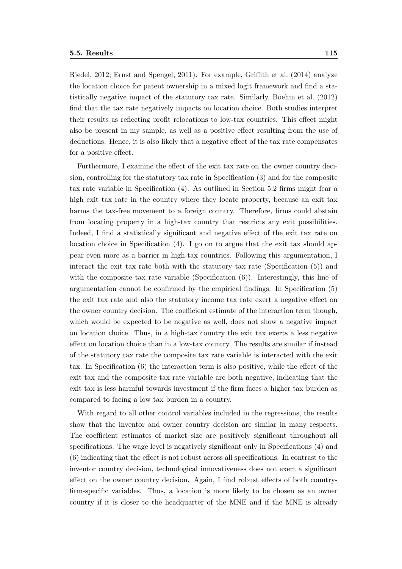Riedel, 2012; Ernst and Spengel, 2011). For example, Griffith et al. (2014) analyze the location choice for patent ownership in a mixed logit framework and find a statistically negative impact of the statutory tax rate. Similarly, Boehm et al. (2012) find that the tax rate negatively impacts on location choice. Both studies interpret their results as reflecting profit relocations to low-tax countries. This effect might also be present in my sample, as well as a positive effect resulting from the use of deductions. Hence, it is also likely that a negative effect of the tax rate compensates for a positive effect.

Furthermore, I examine the effect of the exit tax rate on the owner country decision, controlling for the statutory tax rate in Specification (3) and for the composite tax rate variable in Specification (4). As outlined in Section 5.2 firms might fear a high exit tax rate in the country where they locate property, because an exit tax harms the tax-free movement to a foreign country. Therefore, firms could abstain from locating property in a high-tax country that restricts any exit possibilities. Indeed, I find a statistically significant and negative effect of the exit tax rate on location choice in Specification (4). I go on to argue that the exit tax should appear even more as a barrier in high-tax countries. Following this argumentation, I interact the exit tax rate both with the statutory tax rate (Specification (5)) and with the composite tax rate variable (Specification  $(6)$ ). Interestingly, this line of argumentation cannot be confirmed by the empirical findings. In Specification (5) the exit tax rate and also the statutory income tax rate exert a negative effect on the owner country decision. The coefficient estimate of the interaction term though, which would be expected to be negative as well, does not show a negative impact on location choice. Thus, in a high-tax country the exit tax exerts a less negative effect on location choice than in a low-tax country. The results are similar if instead of the statutory tax rate the composite tax rate variable is interacted with the exit tax. In Specification (6) the interaction term is also positive, while the effect of the exit tax and the composite tax rate variable are both negative, indicating that the exit tax is less harmful towards investment if the firm faces a higher tax burden as compared to facing a low tax burden in a country.

With regard to all other control variables included in the regressions, the results show that the inventor and owner country decision are similar in many respects. The coefficient estimates of market size are positively significant throughout all specifications. The wage level is negatively significant only in Specifications (4) and (6) indicating that the effect is not robust across all specifications. In contrast to the inventor country decision, technological innovativeness does not exert a significant effect on the owner country decision. Again, I find robust effects of both countryfirm-specific variables. Thus, a location is more likely to be chosen as an owner country if it is closer to the headquarter of the MNE and if the MNE is already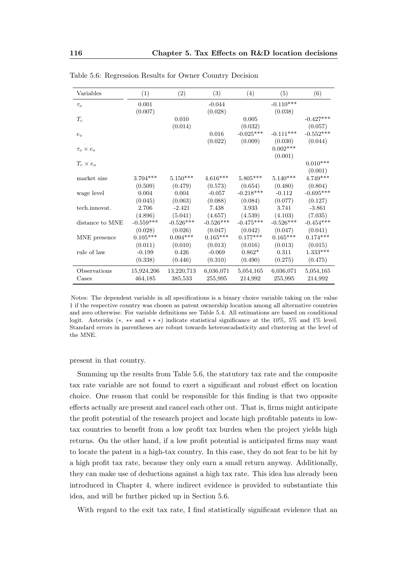| Variables           | (1)             | (2)         | (3)         | (4)         | (5)         | (6)         |
|---------------------|-----------------|-------------|-------------|-------------|-------------|-------------|
| $\tau_o$            | 0.001           |             | $-0.044$    |             | $-0.110***$ |             |
|                     | (0.007)         |             | (0.028)     |             | (0.038)     |             |
| $\mathcal{T}_c$     |                 | 0.010       |             | 0.005       |             | $-0.427***$ |
|                     |                 | (0.014)     |             | (0.032)     |             | (0.057)     |
| $e_o$               |                 |             | 0.016       | $-0.025***$ | $-0.111***$ | $-0.552***$ |
|                     |                 |             | (0.022)     | (0.009)     | (0.030)     | (0.044)     |
| $\tau_o \times e_o$ |                 |             |             |             | $0.002***$  |             |
|                     |                 |             |             |             | (0.001)     |             |
| $T_c \times e_o$    |                 |             |             |             |             | $0.010***$  |
|                     |                 |             |             |             |             | (0.001)     |
| market size         | $3.704***$      | $5.150***$  | $4.616***$  | $5.805***$  | $5.140***$  | $4.749***$  |
|                     | (0.509)         | (0.479)     | (0.573)     | (0.654)     | (0.480)     | (0.804)     |
| wage level          | 0.004           | 0.004       | $-0.057$    | $-0.218***$ | $-0.112$    | $-0.695***$ |
|                     | (0.045)         | (0.063)     | (0.088)     | (0.084)     | (0.077)     | (0.127)     |
| tech.innovat.       | 2.706           | $-2.421$    | 7.438       | 3.933       | 3.741       | $-3.861$    |
|                     | (4.896)         | (5.041)     | (4.657)     | (4.539)     | (4.103)     | (7.035)     |
| distance to MNE     | $-0.559***$     | $-0.526***$ | $-0.526***$ | $-0.475***$ | $-0.526***$ | $-0.454***$ |
|                     | (0.028)         | (0.026)     | (0.047)     | (0.042)     | (0.047)     | (0.041)     |
| MNE presence        | $0.105^{***}\,$ | $0.094***$  | $0.165***$  | $0.177***$  | $0.165***$  | $0.174***$  |
|                     | (0.011)         | (0.010)     | (0.013)     | (0.016)     | (0.013)     | (0.015)     |
| rule of law         | $-0.199$        | 0.426       | $-0.069$    | $0.862*$    | 0.311       | $1.333***$  |
|                     | (0.338)         | (0.446)     | (0.310)     | (0.490)     | (0.275)     | (0.475)     |
| Observations        | 15,924,206      | 13,220,713  | 6,036,071   | 5,054,165   | 6,036,071   | 5,054,165   |
| Cases               | 464,185         | 385,533     | 255,995     | 214,992     | 255,995     | 214,992     |

Table 5.6: Regression Results for Owner Country Decision

Notes: The dependent variable in all specifications is a binary choice variable taking on the value 1 if the respective country was chosen as patent ownership location among all alternative countries and zero otherwise. For variable definitions see Table 5.4. All estimations are based on conditional logit. Asterisks (∗, ∗∗ and ∗ ∗ ∗) indicate statistical significance at the 10%, 5% and 1% level. Standard errors in parentheses are robust towards heteroscadasticity and clustering at the level of the MNE.

present in that country.

Summing up the results from Table 5.6, the statutory tax rate and the composite tax rate variable are not found to exert a significant and robust effect on location choice. One reason that could be responsible for this finding is that two opposite effects actually are present and cancel each other out. That is, firms might anticipate the profit potential of the research project and locate high profitable patents in lowtax countries to benefit from a low profit tax burden when the project yields high returns. On the other hand, if a low profit potential is anticipated firms may want to locate the patent in a high-tax country. In this case, they do not fear to be hit by a high profit tax rate, because they only earn a small return anyway. Additionally, they can make use of deductions against a high tax rate. This idea has already been introduced in Chapter 4, where indirect evidence is provided to substantiate this idea, and will be further picked up in Section 5.6.

With regard to the exit tax rate, I find statistically significant evidence that an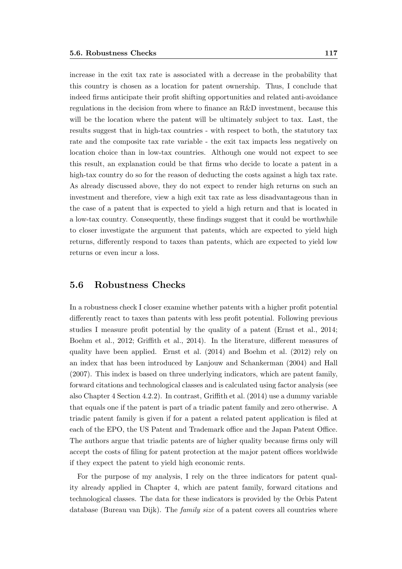increase in the exit tax rate is associated with a decrease in the probability that this country is chosen as a location for patent ownership. Thus, I conclude that indeed firms anticipate their profit shifting opportunities and related anti-avoidance regulations in the decision from where to finance an R&D investment, because this will be the location where the patent will be ultimately subject to tax. Last, the results suggest that in high-tax countries - with respect to both, the statutory tax rate and the composite tax rate variable - the exit tax impacts less negatively on location choice than in low-tax countries. Although one would not expect to see this result, an explanation could be that firms who decide to locate a patent in a high-tax country do so for the reason of deducting the costs against a high tax rate. As already discussed above, they do not expect to render high returns on such an investment and therefore, view a high exit tax rate as less disadvantageous than in the case of a patent that is expected to yield a high return and that is located in a low-tax country. Consequently, these findings suggest that it could be worthwhile to closer investigate the argument that patents, which are expected to yield high returns, differently respond to taxes than patents, which are expected to yield low returns or even incur a loss.

## 5.6 Robustness Checks

In a robustness check I closer examine whether patents with a higher profit potential differently react to taxes than patents with less profit potential. Following previous studies I measure profit potential by the quality of a patent (Ernst et al., 2014; Boehm et al., 2012; Griffith et al., 2014). In the literature, different measures of quality have been applied. Ernst et al. (2014) and Boehm et al. (2012) rely on an index that has been introduced by Lanjouw and Schankerman (2004) and Hall (2007). This index is based on three underlying indicators, which are patent family, forward citations and technological classes and is calculated using factor analysis (see also Chapter 4 Section 4.2.2). In contrast, Griffith et al. (2014) use a dummy variable that equals one if the patent is part of a triadic patent family and zero otherwise. A triadic patent family is given if for a patent a related patent application is filed at each of the EPO, the US Patent and Trademark office and the Japan Patent Office. The authors argue that triadic patents are of higher quality because firms only will accept the costs of filing for patent protection at the major patent offices worldwide if they expect the patent to yield high economic rents.

For the purpose of my analysis, I rely on the three indicators for patent quality already applied in Chapter 4, which are patent family, forward citations and technological classes. The data for these indicators is provided by the Orbis Patent database (Bureau van Dijk). The family size of a patent covers all countries where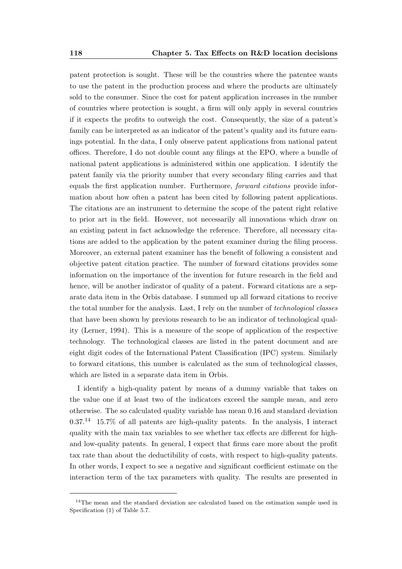patent protection is sought. These will be the countries where the patentee wants to use the patent in the production process and where the products are ultimately sold to the consumer. Since the cost for patent application increases in the number of countries where protection is sought, a firm will only apply in several countries if it expects the profits to outweigh the cost. Consequently, the size of a patent's family can be interpreted as an indicator of the patent's quality and its future earnings potential. In the data, I only observe patent applications from national patent offices. Therefore, I do not double count any filings at the EPO, where a bundle of national patent applications is administered within one application. I identify the patent family via the priority number that every secondary filing carries and that equals the first application number. Furthermore, forward citations provide information about how often a patent has been cited by following patent applications. The citations are an instrument to determine the scope of the patent right relative to prior art in the field. However, not necessarily all innovations which draw on an existing patent in fact acknowledge the reference. Therefore, all necessary citations are added to the application by the patent examiner during the filing process. Moreover, an external patent examiner has the benefit of following a consistent and objective patent citation practice. The number of forward citations provides some information on the importance of the invention for future research in the field and hence, will be another indicator of quality of a patent. Forward citations are a separate data item in the Orbis database. I summed up all forward citations to receive the total number for the analysis. Last, I rely on the number of technological classes that have been shown by previous research to be an indicator of technological quality (Lerner, 1994). This is a measure of the scope of application of the respective technology. The technological classes are listed in the patent document and are eight digit codes of the International Patent Classification (IPC) system. Similarly to forward citations, this number is calculated as the sum of technological classes, which are listed in a separate data item in Orbis.

I identify a high-quality patent by means of a dummy variable that takes on the value one if at least two of the indicators exceed the sample mean, and zero otherwise. The so calculated quality variable has mean 0.16 and standard deviation  $0.37<sup>14</sup>$  15.7% of all patents are high-quality patents. In the analysis, I interact quality with the main tax variables to see whether tax effects are different for highand low-quality patents. In general, I expect that firms care more about the profit tax rate than about the deductibility of costs, with respect to high-quality patents. In other words, I expect to see a negative and significant coefficient estimate on the interaction term of the tax parameters with quality. The results are presented in

<sup>&</sup>lt;sup>14</sup>The mean and the standard deviation are calculated based on the estimation sample used in Specification  $(1)$  of Table 5.7.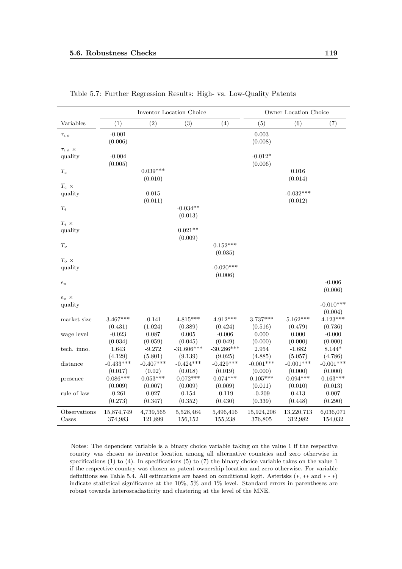|                                  |                        |                       | Inventor Location Choice |                         |                        | Owner Location Choice  |                        |
|----------------------------------|------------------------|-----------------------|--------------------------|-------------------------|------------------------|------------------------|------------------------|
| Variables                        | (1)                    | (2)                   | (3)                      | (4)                     | (5)                    | (6)                    | (7)                    |
| $\tau_{i,o}$                     | $-0.001$<br>(0.006)    |                       |                          |                         | 0.003<br>(0.008)       |                        |                        |
| $\tau_{i,o}$ $\times$<br>quality | $-0.004$<br>(0.005)    |                       |                          |                         | $-0.012*$<br>(0.006)   |                        |                        |
| $\mathcal{T}_c$                  |                        | $0.039***$<br>(0.010) |                          |                         |                        | 0.016<br>(0.014)       |                        |
| $T_c \times$<br>quality          |                        | 0.015<br>(0.011)      |                          |                         |                        | $-0.032***$<br>(0.012) |                        |
| $T_i$                            |                        |                       | $-0.034**$<br>(0.013)    |                         |                        |                        |                        |
| $T_i$ ×<br>quality               |                        |                       | $0.021**$<br>(0.009)     |                         |                        |                        |                        |
| $T_o$                            |                        |                       |                          | $0.152***$<br>(0.035)   |                        |                        |                        |
| $T_{o} \times$<br>quality        |                        |                       |                          | $-0.020***$<br>(0.006)  |                        |                        |                        |
| $e_o$                            |                        |                       |                          |                         |                        |                        | $-0.006$<br>(0.006)    |
| $e_{o} \times$<br>quality        |                        |                       |                          |                         |                        |                        | $-0.010***$<br>(0.004) |
| market size                      | $3.467***$<br>(0.431)  | $-0.141$<br>(1.024)   | $4.815***$<br>(0.389)    | $4.912***$<br>(0.424)   | $3.737***$<br>(0.516)  | $5.162***$<br>(0.479)  | $4.123***$<br>(0.736)  |
| wage level                       | $-0.023$<br>(0.034)    | 0.087<br>(0.059)      | 0.005<br>(0.045)         | $-0.006$<br>(0.049)     | 0.000<br>(0.000)       | 0.000<br>(0.000)       | $-0.000$<br>(0.000)    |
| tech. inno.                      | 1.643<br>(4.129)       | $-9.272$<br>(5.801)   | $-31.606***$<br>(9.139)  | $-30.286***$<br>(9.025) | 2.954<br>(4.885)       | $-1.682$<br>(5.057)    | $8.144*$<br>(4.786)    |
| distance                         | $-0.433***$<br>(0.017) | $-0.407***$<br>(0.02) | $-0.424***$<br>(0.018)   | $-0.429***$<br>(0.019)  | $-0.001***$<br>(0.000) | $-0.001***$<br>(0.000) | $-0.001***$<br>(0.000) |
| presence                         | $0.086***$<br>(0.009)  | $0.053***$<br>(0.007) | $0.072***$<br>(0.009)    | $0.074***$<br>(0.009)   | $0.105***$<br>(0.011)  | $0.094***$<br>(0.010)  | $0.163***$<br>(0.013)  |
| rule of law                      | $-0.261$<br>(0.273)    | 0.027<br>(0.347)      | 0.154<br>(0.352)         | $-0.119$<br>(0.430)     | $-0.209$<br>(0.339)    | 0.413<br>(0.448)       | 0.007<br>(0.290)       |
| Observations<br>Cases            | 15,874,749<br>374,983  | 4,739,565<br>121,899  | 5,528,464<br>156,152     | 5,496,416<br>155,238    | 15,924,206<br>376,805  | 13,220,713<br>312,982  | 6,036,071<br>154,032   |

Table 5.7: Further Regression Results: High- vs. Low-Quality Patents

Notes: The dependent variable is a binary choice variable taking on the value 1 if the respective country was chosen as inventor location among all alternative countries and zero otherwise in specifications (1) to (4). In specifications (5) to (7) the binary choice variable takes on the value 1 if the respective country was chosen as patent ownership location and zero otherwise. For variable definitions see Table 5.4. All estimations are based on conditional logit. Asterisks (∗, ∗∗ and ∗ ∗ ∗) indicate statistical significance at the 10%, 5% and 1% level. Standard errors in parentheses are robust towards heteroscadasticity and clustering at the level of the MNE.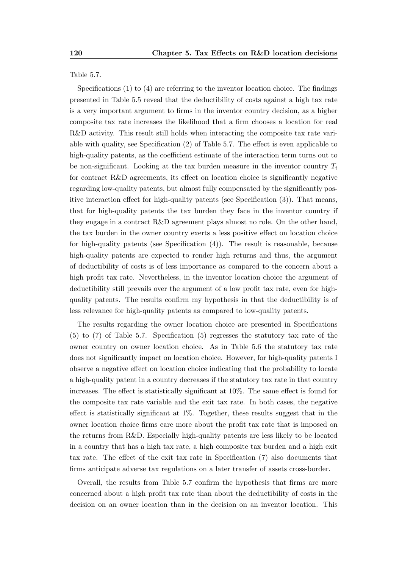Table 5.7.

Specifications (1) to (4) are referring to the inventor location choice. The findings presented in Table 5.5 reveal that the deductibility of costs against a high tax rate is a very important argument to firms in the inventor country decision, as a higher composite tax rate increases the likelihood that a firm chooses a location for real R&D activity. This result still holds when interacting the composite tax rate variable with quality, see Specification (2) of Table 5.7. The effect is even applicable to high-quality patents, as the coefficient estimate of the interaction term turns out to be non-significant. Looking at the tax burden measure in the inventor country  $T_i$ for contract R&D agreements, its effect on location choice is significantly negative regarding low-quality patents, but almost fully compensated by the significantly positive interaction effect for high-quality patents (see Specification (3)). That means, that for high-quality patents the tax burden they face in the inventor country if they engage in a contract R&D agreement plays almost no role. On the other hand, the tax burden in the owner country exerts a less positive effect on location choice for high-quality patents (see Specification (4)). The result is reasonable, because high-quality patents are expected to render high returns and thus, the argument of deductibility of costs is of less importance as compared to the concern about a high profit tax rate. Nevertheless, in the inventor location choice the argument of deductibility still prevails over the argument of a low profit tax rate, even for highquality patents. The results confirm my hypothesis in that the deductibility is of less relevance for high-quality patents as compared to low-quality patents.

The results regarding the owner location choice are presented in Specifications (5) to (7) of Table 5.7. Specification (5) regresses the statutory tax rate of the owner country on owner location choice. As in Table 5.6 the statutory tax rate does not significantly impact on location choice. However, for high-quality patents I observe a negative effect on location choice indicating that the probability to locate a high-quality patent in a country decreases if the statutory tax rate in that country increases. The effect is statistically significant at 10%. The same effect is found for the composite tax rate variable and the exit tax rate. In both cases, the negative effect is statistically significant at 1%. Together, these results suggest that in the owner location choice firms care more about the profit tax rate that is imposed on the returns from R&D. Especially high-quality patents are less likely to be located in a country that has a high tax rate, a high composite tax burden and a high exit tax rate. The effect of the exit tax rate in Specification (7) also documents that firms anticipate adverse tax regulations on a later transfer of assets cross-border.

Overall, the results from Table 5.7 confirm the hypothesis that firms are more concerned about a high profit tax rate than about the deductibility of costs in the decision on an owner location than in the decision on an inventor location. This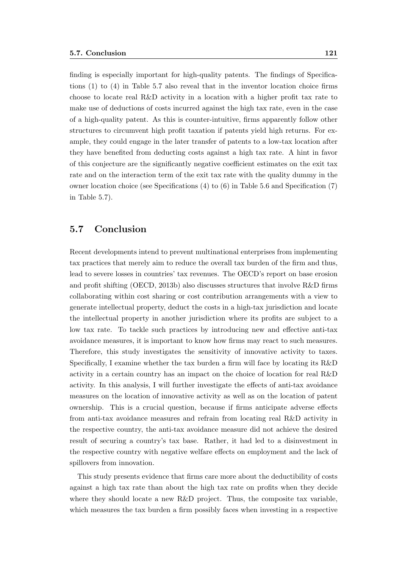finding is especially important for high-quality patents. The findings of Specifications (1) to (4) in Table 5.7 also reveal that in the inventor location choice firms choose to locate real R&D activity in a location with a higher profit tax rate to make use of deductions of costs incurred against the high tax rate, even in the case of a high-quality patent. As this is counter-intuitive, firms apparently follow other structures to circumvent high profit taxation if patents yield high returns. For example, they could engage in the later transfer of patents to a low-tax location after they have benefited from deducting costs against a high tax rate. A hint in favor of this conjecture are the significantly negative coefficient estimates on the exit tax rate and on the interaction term of the exit tax rate with the quality dummy in the owner location choice (see Specifications (4) to (6) in Table 5.6 and Specification (7) in Table 5.7).

#### 5.7 Conclusion

Recent developments intend to prevent multinational enterprises from implementing tax practices that merely aim to reduce the overall tax burden of the firm and thus, lead to severe losses in countries' tax revenues. The OECD's report on base erosion and profit shifting (OECD, 2013b) also discusses structures that involve R&D firms collaborating within cost sharing or cost contribution arrangements with a view to generate intellectual property, deduct the costs in a high-tax jurisdiction and locate the intellectual property in another jurisdiction where its profits are subject to a low tax rate. To tackle such practices by introducing new and effective anti-tax avoidance measures, it is important to know how firms may react to such measures. Therefore, this study investigates the sensitivity of innovative activity to taxes. Specifically, I examine whether the tax burden a firm will face by locating its R&D activity in a certain country has an impact on the choice of location for real R&D activity. In this analysis, I will further investigate the effects of anti-tax avoidance measures on the location of innovative activity as well as on the location of patent ownership. This is a crucial question, because if firms anticipate adverse effects from anti-tax avoidance measures and refrain from locating real R&D activity in the respective country, the anti-tax avoidance measure did not achieve the desired result of securing a country's tax base. Rather, it had led to a disinvestment in the respective country with negative welfare effects on employment and the lack of spillovers from innovation.

This study presents evidence that firms care more about the deductibility of costs against a high tax rate than about the high tax rate on profits when they decide where they should locate a new R&D project. Thus, the composite tax variable, which measures the tax burden a firm possibly faces when investing in a respective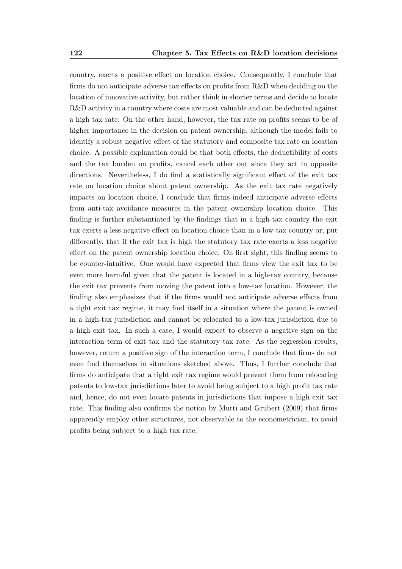country, exerts a positive effect on location choice. Consequently, I conclude that firms do not anticipate adverse tax effects on profits from R&D when deciding on the location of innovative activity, but rather think in shorter terms and decide to locate R&D activity in a country where costs are most valuable and can be deducted against a high tax rate. On the other hand, however, the tax rate on profits seems to be of higher importance in the decision on patent ownership, although the model fails to identify a robust negative effect of the statutory and composite tax rate on location choice. A possible explanation could be that both effects, the deductibility of costs and the tax burden on profits, cancel each other out since they act in opposite directions. Nevertheless, I do find a statistically significant effect of the exit tax rate on location choice about patent ownership. As the exit tax rate negatively impacts on location choice, I conclude that firms indeed anticipate adverse effects from anti-tax avoidance measures in the patent ownership location choice. This finding is further substantiated by the findings that in a high-tax country the exit tax exerts a less negative effect on location choice than in a low-tax country or, put differently, that if the exit tax is high the statutory tax rate exerts a less negative effect on the patent ownership location choice. On first sight, this finding seems to be counter-intuitive. One would have expected that firms view the exit tax to be even more harmful given that the patent is located in a high-tax country, because the exit tax prevents from moving the patent into a low-tax location. However, the finding also emphasizes that if the firms would not anticipate adverse effects from a tight exit tax regime, it may find itself in a situation where the patent is owned in a high-tax jurisdiction and cannot be relocated to a low-tax jurisdiction due to a high exit tax. In such a case, I would expect to observe a negative sign on the interaction term of exit tax and the statutory tax rate. As the regression results, however, return a positive sign of the interaction term, I conclude that firms do not even find themselves in situations sketched above. Thus, I further conclude that firms do anticipate that a tight exit tax regime would prevent them from relocating patents to low-tax jurisdictions later to avoid being subject to a high profit tax rate and, hence, do not even locate patents in jurisdictions that impose a high exit tax rate. This finding also confirms the notion by Mutti and Grubert (2009) that firms apparently employ other structures, not observable to the econometrician, to avoid profits being subject to a high tax rate.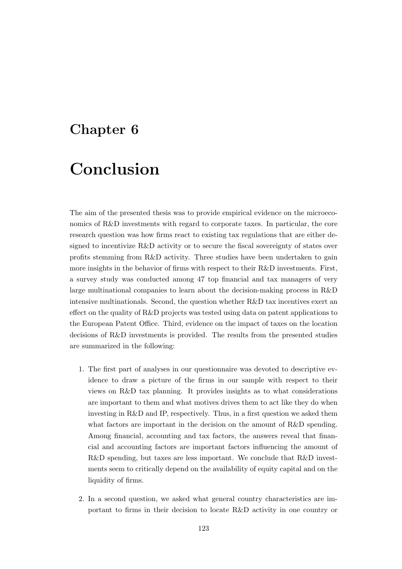# Chapter 6

# Conclusion

The aim of the presented thesis was to provide empirical evidence on the microeconomics of R&D investments with regard to corporate taxes. In particular, the core research question was how firms react to existing tax regulations that are either designed to incentivize R&D activity or to secure the fiscal sovereignty of states over profits stemming from R&D activity. Three studies have been undertaken to gain more insights in the behavior of firms with respect to their R&D investments. First, a survey study was conducted among 47 top financial and tax managers of very large multinational companies to learn about the decision-making process in R&D intensive multinationals. Second, the question whether R&D tax incentives exert an effect on the quality of R&D projects was tested using data on patent applications to the European Patent Office. Third, evidence on the impact of taxes on the location decisions of R&D investments is provided. The results from the presented studies are summarized in the following:

- 1. The first part of analyses in our questionnaire was devoted to descriptive evidence to draw a picture of the firms in our sample with respect to their views on R&D tax planning. It provides insights as to what considerations are important to them and what motives drives them to act like they do when investing in R&D and IP, respectively. Thus, in a first question we asked them what factors are important in the decision on the amount of R&D spending. Among financial, accounting and tax factors, the answers reveal that financial and accounting factors are important factors influencing the amount of R&D spending, but taxes are less important. We conclude that R&D investments seem to critically depend on the availability of equity capital and on the liquidity of firms.
- 2. In a second question, we asked what general country characteristics are important to firms in their decision to locate R&D activity in one country or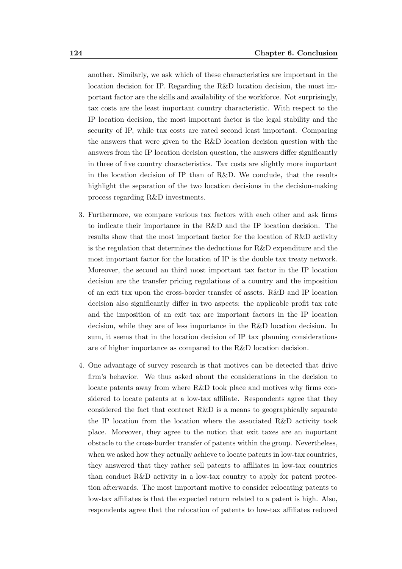another. Similarly, we ask which of these characteristics are important in the location decision for IP. Regarding the R&D location decision, the most important factor are the skills and availability of the workforce. Not surprisingly, tax costs are the least important country characteristic. With respect to the IP location decision, the most important factor is the legal stability and the security of IP, while tax costs are rated second least important. Comparing the answers that were given to the R&D location decision question with the answers from the IP location decision question, the answers differ significantly in three of five country characteristics. Tax costs are slightly more important in the location decision of IP than of R&D. We conclude, that the results highlight the separation of the two location decisions in the decision-making process regarding R&D investments.

- 3. Furthermore, we compare various tax factors with each other and ask firms to indicate their importance in the R&D and the IP location decision. The results show that the most important factor for the location of R&D activity is the regulation that determines the deductions for  $R\&D$  expenditure and the most important factor for the location of IP is the double tax treaty network. Moreover, the second an third most important tax factor in the IP location decision are the transfer pricing regulations of a country and the imposition of an exit tax upon the cross-border transfer of assets. R&D and IP location decision also significantly differ in two aspects: the applicable profit tax rate and the imposition of an exit tax are important factors in the IP location decision, while they are of less importance in the R&D location decision. In sum, it seems that in the location decision of IP tax planning considerations are of higher importance as compared to the R&D location decision.
- 4. One advantage of survey research is that motives can be detected that drive firm's behavior. We thus asked about the considerations in the decision to locate patents away from where R&D took place and motives why firms considered to locate patents at a low-tax affiliate. Respondents agree that they considered the fact that contract R&D is a means to geographically separate the IP location from the location where the associated R&D activity took place. Moreover, they agree to the notion that exit taxes are an important obstacle to the cross-border transfer of patents within the group. Nevertheless, when we asked how they actually achieve to locate patents in low-tax countries, they answered that they rather sell patents to affiliates in low-tax countries than conduct R&D activity in a low-tax country to apply for patent protection afterwards. The most important motive to consider relocating patents to low-tax affiliates is that the expected return related to a patent is high. Also, respondents agree that the relocation of patents to low-tax affiliates reduced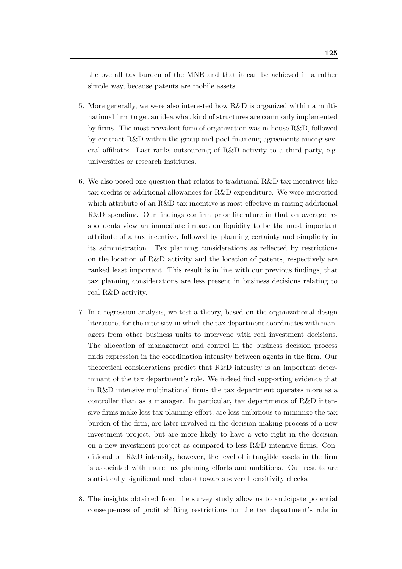the overall tax burden of the MNE and that it can be achieved in a rather simple way, because patents are mobile assets.

- 5. More generally, we were also interested how R&D is organized within a multinational firm to get an idea what kind of structures are commonly implemented by firms. The most prevalent form of organization was in-house R&D, followed by contract R&D within the group and pool-financing agreements among several affiliates. Last ranks outsourcing of R&D activity to a third party, e.g. universities or research institutes.
- 6. We also posed one question that relates to traditional  $R\&D$  tax incentives like tax credits or additional allowances for R&D expenditure. We were interested which attribute of an R&D tax incentive is most effective in raising additional R&D spending. Our findings confirm prior literature in that on average respondents view an immediate impact on liquidity to be the most important attribute of a tax incentive, followed by planning certainty and simplicity in its administration. Tax planning considerations as reflected by restrictions on the location of R&D activity and the location of patents, respectively are ranked least important. This result is in line with our previous findings, that tax planning considerations are less present in business decisions relating to real R&D activity.
- 7. In a regression analysis, we test a theory, based on the organizational design literature, for the intensity in which the tax department coordinates with managers from other business units to intervene with real investment decisions. The allocation of management and control in the business decision process finds expression in the coordination intensity between agents in the firm. Our theoretical considerations predict that R&D intensity is an important determinant of the tax department's role. We indeed find supporting evidence that in R&D intensive multinational firms the tax department operates more as a controller than as a manager. In particular, tax departments of R&D intensive firms make less tax planning effort, are less ambitious to minimize the tax burden of the firm, are later involved in the decision-making process of a new investment project, but are more likely to have a veto right in the decision on a new investment project as compared to less R&D intensive firms. Conditional on R&D intensity, however, the level of intangible assets in the firm is associated with more tax planning efforts and ambitions. Our results are statistically significant and robust towards several sensitivity checks.
- 8. The insights obtained from the survey study allow us to anticipate potential consequences of profit shifting restrictions for the tax department's role in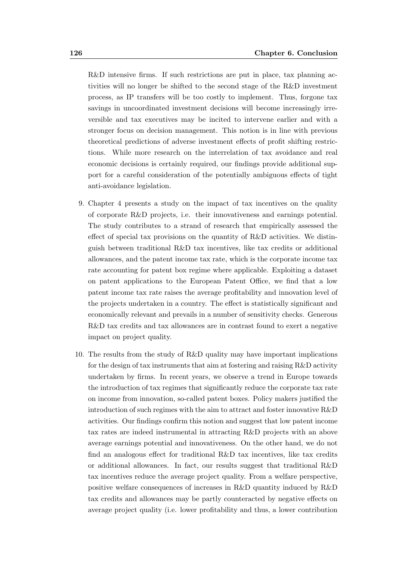R&D intensive firms. If such restrictions are put in place, tax planning activities will no longer be shifted to the second stage of the R&D investment process, as IP transfers will be too costly to implement. Thus, forgone tax savings in uncoordinated investment decisions will become increasingly irreversible and tax executives may be incited to intervene earlier and with a stronger focus on decision management. This notion is in line with previous theoretical predictions of adverse investment effects of profit shifting restrictions. While more research on the interrelation of tax avoidance and real economic decisions is certainly required, our findings provide additional support for a careful consideration of the potentially ambiguous effects of tight anti-avoidance legislation.

- 9. Chapter 4 presents a study on the impact of tax incentives on the quality of corporate R&D projects, i.e. their innovativeness and earnings potential. The study contributes to a strand of research that empirically assessed the effect of special tax provisions on the quantity of R&D activities. We distinguish between traditional R&D tax incentives, like tax credits or additional allowances, and the patent income tax rate, which is the corporate income tax rate accounting for patent box regime where applicable. Exploiting a dataset on patent applications to the European Patent Office, we find that a low patent income tax rate raises the average profitability and innovation level of the projects undertaken in a country. The effect is statistically significant and economically relevant and prevails in a number of sensitivity checks. Generous R&D tax credits and tax allowances are in contrast found to exert a negative impact on project quality.
- 10. The results from the study of R&D quality may have important implications for the design of tax instruments that aim at fostering and raising R&D activity undertaken by firms. In recent years, we observe a trend in Europe towards the introduction of tax regimes that significantly reduce the corporate tax rate on income from innovation, so-called patent boxes. Policy makers justified the introduction of such regimes with the aim to attract and foster innovative R&D activities. Our findings confirm this notion and suggest that low patent income tax rates are indeed instrumental in attracting R&D projects with an above average earnings potential and innovativeness. On the other hand, we do not find an analogous effect for traditional R&D tax incentives, like tax credits or additional allowances. In fact, our results suggest that traditional R&D tax incentives reduce the average project quality. From a welfare perspective, positive welfare consequences of increases in R&D quantity induced by R&D tax credits and allowances may be partly counteracted by negative effects on average project quality (i.e. lower profitability and thus, a lower contribution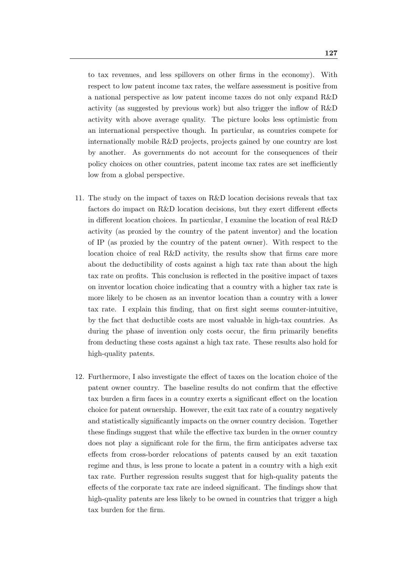to tax revenues, and less spillovers on other firms in the economy). With respect to low patent income tax rates, the welfare assessment is positive from a national perspective as low patent income taxes do not only expand R&D activity (as suggested by previous work) but also trigger the inflow of R&D activity with above average quality. The picture looks less optimistic from an international perspective though. In particular, as countries compete for internationally mobile R&D projects, projects gained by one country are lost by another. As governments do not account for the consequences of their policy choices on other countries, patent income tax rates are set inefficiently low from a global perspective.

- 11. The study on the impact of taxes on R&D location decisions reveals that tax factors do impact on R&D location decisions, but they exert different effects in different location choices. In particular, I examine the location of real R&D activity (as proxied by the country of the patent inventor) and the location of IP (as proxied by the country of the patent owner). With respect to the location choice of real R&D activity, the results show that firms care more about the deductibility of costs against a high tax rate than about the high tax rate on profits. This conclusion is reflected in the positive impact of taxes on inventor location choice indicating that a country with a higher tax rate is more likely to be chosen as an inventor location than a country with a lower tax rate. I explain this finding, that on first sight seems counter-intuitive, by the fact that deductible costs are most valuable in high-tax countries. As during the phase of invention only costs occur, the firm primarily benefits from deducting these costs against a high tax rate. These results also hold for high-quality patents.
- 12. Furthermore, I also investigate the effect of taxes on the location choice of the patent owner country. The baseline results do not confirm that the effective tax burden a firm faces in a country exerts a significant effect on the location choice for patent ownership. However, the exit tax rate of a country negatively and statistically significantly impacts on the owner country decision. Together these findings suggest that while the effective tax burden in the owner country does not play a significant role for the firm, the firm anticipates adverse tax effects from cross-border relocations of patents caused by an exit taxation regime and thus, is less prone to locate a patent in a country with a high exit tax rate. Further regression results suggest that for high-quality patents the effects of the corporate tax rate are indeed significant. The findings show that high-quality patents are less likely to be owned in countries that trigger a high tax burden for the firm.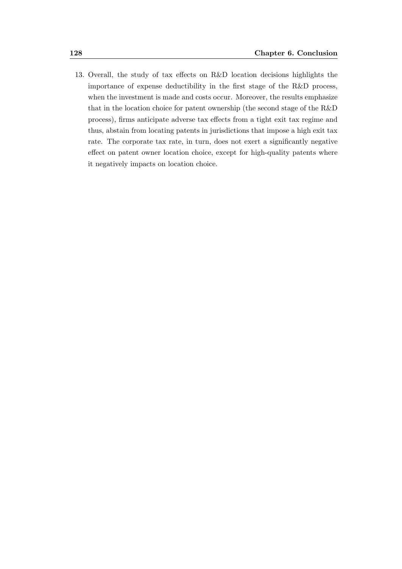13. Overall, the study of tax effects on R&D location decisions highlights the importance of expense deductibility in the first stage of the R&D process, when the investment is made and costs occur. Moreover, the results emphasize that in the location choice for patent ownership (the second stage of the R&D process), firms anticipate adverse tax effects from a tight exit tax regime and thus, abstain from locating patents in jurisdictions that impose a high exit tax rate. The corporate tax rate, in turn, does not exert a significantly negative effect on patent owner location choice, except for high-quality patents where it negatively impacts on location choice.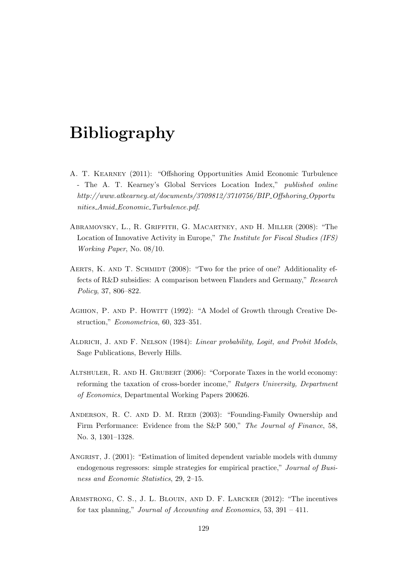## Bibliography

- A. T. Kearney (2011): "Offshoring Opportunities Amid Economic Turbulence - The A. T. Kearney's Global Services Location Index," published online http://www.atkearney.at/documents/3709812/3710756/BIP Offshoring Opportu nities Amid Economic Turbulence.pdf.
- Abramovsky, L., R. Griffith, G. Macartney, and H. Miller (2008): "The Location of Innovative Activity in Europe," The Institute for Fiscal Studies (IFS) Working Paper, No. 08/10.
- AERTS, K. AND T. SCHMIDT (2008): "Two for the price of one? Additionality effects of R&D subsidies: A comparison between Flanders and Germany," Research Policy, 37, 806–822.
- AGHION, P. AND P. HOWITT (1992): "A Model of Growth through Creative Destruction," Econometrica, 60, 323–351.
- Aldrich, J. and F. Nelson (1984): Linear probability, Logit, and Probit Models, Sage Publications, Beverly Hills.
- ALTSHULER, R. AND H. GRUBERT (2006): "Corporate Taxes in the world economy: reforming the taxation of cross-border income," Rutgers University, Department of Economics, Departmental Working Papers 200626.
- Anderson, R. C. and D. M. Reeb (2003): "Founding-Family Ownership and Firm Performance: Evidence from the S&P 500," The Journal of Finance, 58, No. 3, 1301–1328.
- ANGRIST, J. (2001): "Estimation of limited dependent variable models with dummy endogenous regressors: simple strategies for empirical practice," Journal of Business and Economic Statistics, 29, 2–15.
- Armstrong, C. S., J. L. Blouin, and D. F. Larcker (2012): "The incentives for tax planning," Journal of Accounting and Economics, 53, 391 – 411.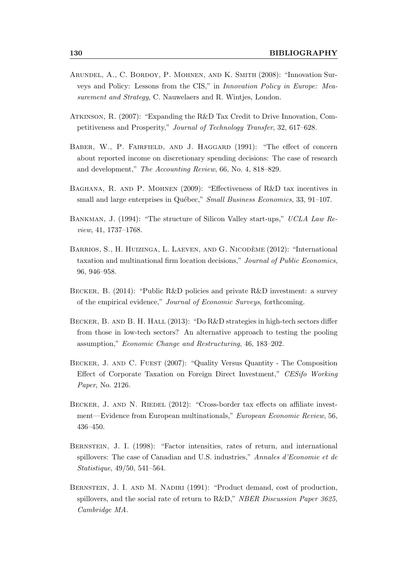- Arundel, A., C. Bordoy, P. Mohnen, and K. Smith (2008): "Innovation Surveys and Policy: Lessons from the CIS," in Innovation Policy in Europe: Measurement and Strategy, C. Nauwelaers and R. Wintjes, London.
- Atkinson, R. (2007): "Expanding the R&D Tax Credit to Drive Innovation, Competitiveness and Prosperity," Journal of Technology Transfer, 32, 617–628.
- BABER, W., P. FAIRFIELD, AND J. HAGGARD (1991): "The effect of concern about reported income on discretionary spending decisions: The case of research and development," The Accounting Review, 66, No. 4, 818–829.
- Baghana, R. and P. Mohnen (2009): "Effectiveness of R&D tax incentives in small and large enterprises in Québec," Small Business Economics, 33, 91–107.
- Bankman, J. (1994): "The structure of Silicon Valley start-ups," UCLA Law Review, 41, 1737–1768.
- BARRIOS, S., H. HUIZINGA, L. LAEVEN, AND G. NICODÈME (2012): "International taxation and multinational firm location decisions," Journal of Public Economics, 96, 946–958.
- Becker, B. (2014): "Public R&D policies and private R&D investment: a survey of the empirical evidence," Journal of Economic Surveys, forthcoming.
- BECKER, B. AND B. H. HALL (2013): "Do R&D strategies in high-tech sectors differ from those in low-tech sectors? An alternative approach to testing the pooling assumption," Economic Change and Restructuring, 46, 183–202.
- Becker, J. and C. Fuest (2007): "Quality Versus Quantity The Composition Effect of Corporate Taxation on Foreign Direct Investment," CESifo Working Paper, No. 2126.
- BECKER, J. AND N. RIEDEL (2012): "Cross-border tax effects on affiliate investment—Evidence from European multinationals," European Economic Review, 56, 436–450.
- BERNSTEIN, J. I. (1998): "Factor intensities, rates of return, and international spillovers: The case of Canadian and U.S. industries," Annales d'Economie et de Statistique, 49/50, 541–564.
- BERNSTEIN, J. I. AND M. NADIRI (1991): "Product demand, cost of production, spillovers, and the social rate of return to R&D," NBER Discussion Paper 3625, Cambridge MA.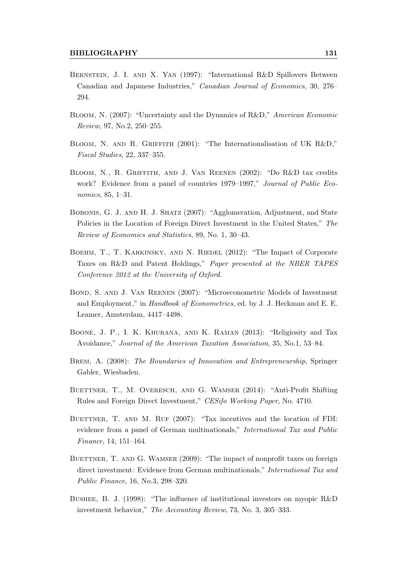- BERNSTEIN, J. I. AND X. YAN (1997): "International R&D Spillovers Between Canadian and Japanese Industries," Canadian Journal of Economics, 30, 276– 294.
- Bloom, N. (2007): "Uncertainty and the Dynamics of R&D," American Economic Review, 97, No.2, 250–255.
- BLOOM, N. AND R. GRIFFITH (2001): "The Internationalisation of UK R&D," Fiscal Studies, 22, 337–355.
- Bloom, N., R. Griffith, and J. Van Reenen (2002): "Do R&D tax credits work? Evidence from a panel of countries 1979–1997," Journal of Public Economics, 85, 1–31.
- Bobonis, G. J. and H. J. Shatz (2007): "Agglomeration, Adjustment, and State Policies in the Location of Foreign Direct Investment in the United States," The Review of Economics and Statistics, 89, No. 1, 30–43.
- BOEHM, T., T. KARKINSKY, AND N. RIEDEL (2012): "The Impact of Corporate Taxes on R&D and Patent Holdings," Paper presented at the NBER TAPES Conference 2012 at the University of Oxford.
- Bond, S. and J. Van Reenen (2007): "Microeconometric Models of Investment and Employment," in Handbook of Econometrics, ed. by J. J. Heckman and E. E. Leamer, Amsterdam, 4417–4498.
- Boone, J. P., I. K. Khurana, and K. Raman (2013): "Religiosity and Tax Avoidance," Journal of the American Taxation Association, 35, No.1, 53–84.
- Brem, A. (2008): The Boundaries of Innovation and Entrepreneurship, Springer Gabler, Wiesbaden.
- Buettner, T., M. Overesch, and G. Wamser (2014): "Anti-Profit Shifting Rules and Foreign Direct Investment," CESifo Working Paper, No. 4710.
- BUETTNER, T. AND M. RUF (2007): "Tax incentives and the location of FDI: evidence from a panel of German multinationals," International Tax and Public Finance, 14, 151–164.
- BUETTNER, T. AND G. WAMSER (2009): "The impact of nonprofit taxes on foreign direct investment: Evidence from German multinationals," International Tax and Public Finance, 16, No.3, 298–320.
- Bushee, B. J. (1998): "The influence of institutional investors on myopic R&D investment behavior," The Accounting Review, 73, No. 3, 305–333.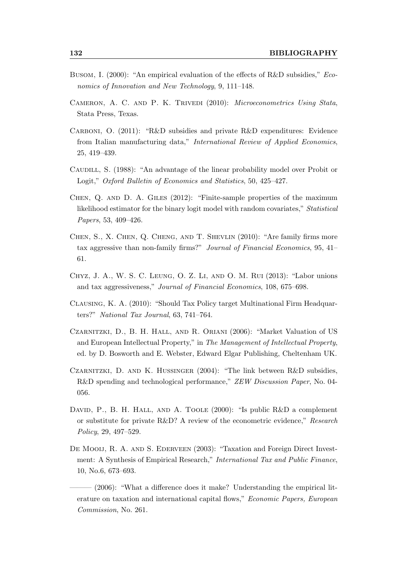- Busom, I. (2000): "An empirical evaluation of the effects of R&D subsidies," Economics of Innovation and New Technology, 9, 111–148.
- Cameron, A. C. and P. K. Trivedi (2010): Microeconometrics Using Stata, Stata Press, Texas.
- Carboni, O. (2011): "R&D subsidies and private R&D expenditures: Evidence from Italian manufacturing data," International Review of Applied Economics, 25, 419–439.
- CAUDILL, S. (1988): "An advantage of the linear probability model over Probit or Logit," Oxford Bulletin of Economics and Statistics, 50, 425–427.
- Chen, Q. and D. A. Giles (2012): "Finite-sample properties of the maximum likelihood estimator for the binary logit model with random covariates," Statistical Papers, 53, 409–426.
- Chen, S., X. Chen, Q. Cheng, and T. Shevlin (2010): "Are family firms more tax aggressive than non-family firms?" Journal of Financial Economics, 95, 41– 61.
- Chyz, J. A., W. S. C. Leung, O. Z. Li, and O. M. Rui (2013): "Labor unions and tax aggressiveness," Journal of Financial Economics, 108, 675–698.
- Clausing, K. A. (2010): "Should Tax Policy target Multinational Firm Headquarters?" National Tax Journal, 63, 741–764.
- Czarnitzki, D., B. H. Hall, and R. Oriani (2006): "Market Valuation of US and European Intellectual Property," in The Management of Intellectual Property, ed. by D. Bosworth and E. Webster, Edward Elgar Publishing, Cheltenham UK.
- Czarnitzki, D. and K. Hussinger (2004): "The link between R&D subsidies, R&D spending and technological performance," ZEW Discussion Paper, No. 04-056.
- DAVID, P., B. H. HALL, AND A. TOOLE (2000): "Is public R&D a complement or substitute for private R&D? A review of the econometric evidence," Research Policy, 29, 497–529.
- DE MOOIJ, R. A. AND S. EDERVEEN (2003): "Taxation and Foreign Direct Investment: A Synthesis of Empirical Research," International Tax and Public Finance, 10, No.6, 673–693.
- $(2006)$ : "What a difference does it make? Understanding the empirical literature on taxation and international capital flows," Economic Papers, European Commission, No. 261.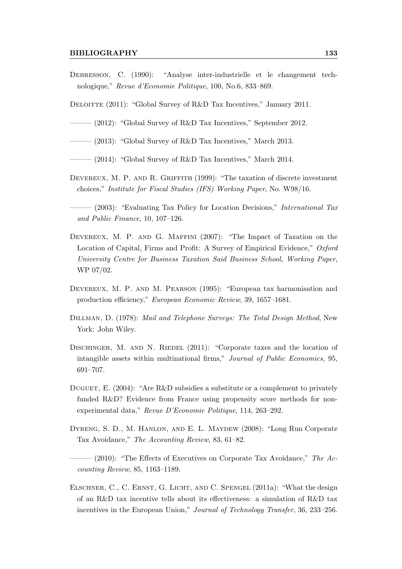#### BIBLIOGRAPHY 133

- Debresson, C. (1990): "Analyse inter-industrielle et le changement technologique," Revue d'Economie Politique, 100, No.6, 833–869.
- DELOITTE (2011): "Global Survey of R&D Tax Incentives," January 2011.
- $-$  (2012): "Global Survey of R&D Tax Incentives," September 2012.
- $-$  (2013): "Global Survey of R&D Tax Incentives," March 2013.
- $-$  (2014): "Global Survey of R&D Tax Incentives," March 2014.
- DEVEREUX, M. P. AND R. GRIFFITH (1999): "The taxation of discrete investment choices," Institute for Fiscal Studies (IFS) Working Paper, No. W98/16.
- (2003): "Evaluating Tax Policy for Location Decisions," International Tax and Public Finance, 10, 107–126.
- Devereux, M. P. and G. Maffini (2007): "The Impact of Taxation on the Location of Capital, Firms and Profit: A Survey of Empirical Evidence," Oxford University Centre for Business Taxation Said Business School, Working Paper, WP 07/02.
- DEVEREUX, M. P. AND M. PEARSON (1995): "European tax harmonisation and production efficiency," European Economic Review, 39, 1657–1681.
- Dillman, D. (1978): Mail and Telephone Surveys: The Total Design Method, New York: John Wiley.
- DISCHINGER, M. AND N. RIEDEL (2011): "Corporate taxes and the location of intangible assets within multinational firms," Journal of Public Economics, 95, 691–707.
- DUGUET, E.  $(2004)$ : "Are R&D subsidies a substitute or a complement to privately funded R&D? Evidence from France using propensity score methods for nonexperimental data," Revue D'Economie Politique, 114, 263–292.
- Dyreng, S. D., M. Hanlon, and E. L. Maydew (2008): "Long Run Corporate Tax Avoidance," The Accounting Review, 83, 61–82.
- $-$  (2010): "The Effects of Executives on Corporate Tax Avoidance," The Accounting Review, 85, 1163–1189.
- Elschner, C., C. Ernst, G. Licht, and C. Spengel (2011a): "What the design of an R&D tax incentive tells about its effectiveness: a simulation of R&D tax incentives in the European Union," Journal of Technology Transfer, 36, 233–256.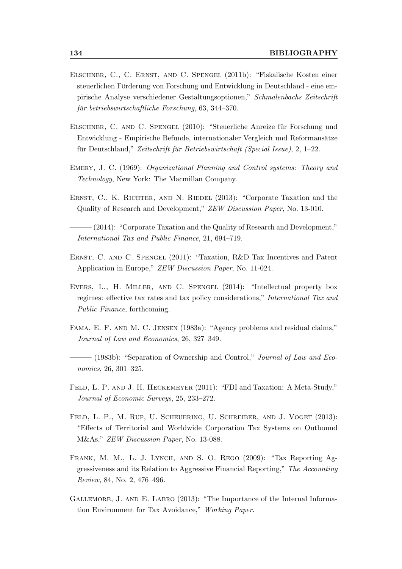- Elschner, C., C. Ernst, and C. Spengel (2011b): "Fiskalische Kosten einer steuerlichen Förderung von Forschung und Entwicklung in Deutschland - eine empirische Analyse verschiedener Gestaltungsoptionen," Schmalenbachs Zeitschrift  $f\ddot{u}$ r betriebswirtschaftliche Forschung, 63, 344–370.
- Elschner, C. and C. Spengel (2010): "Steuerliche Anreize fur Forschung und ¨ Entwicklung - Empirische Befunde, internationaler Vergleich und Reformansätze für Deutschland," Zeitschrift für Betriebswirtschaft (Special Issue),  $2, 1-22$ .
- Emery, J. C. (1969): Organizational Planning and Control systems: Theory and Technology, New York: The Macmillan Company.
- ERNST, C., K. RICHTER, AND N. RIEDEL (2013): "Corporate Taxation and the Quality of Research and Development," ZEW Discussion Paper, No. 13-010.
- $-$  (2014): "Corporate Taxation and the Quality of Research and Development," International Tax and Public Finance, 21, 694–719.
- Ernst, C. and C. Spengel (2011): "Taxation, R&D Tax Incentives and Patent Application in Europe," ZEW Discussion Paper, No. 11-024.
- Evers, L., H. Miller, and C. Spengel (2014): "Intellectual property box regimes: effective tax rates and tax policy considerations," International Tax and Public Finance, forthcoming.
- Fama, E. F. and M. C. Jensen (1983a): "Agency problems and residual claims," Journal of Law and Economics, 26, 327–349.
- $-$  (1983b): "Separation of Ownership and Control," *Journal of Law and Eco*nomics, 26, 301–325.
- FELD, L. P. AND J. H. HECKEMEYER (2011): "FDI and Taxation: A Meta-Study," Journal of Economic Surveys, 25, 233–272.
- FELD, L. P., M. RUF, U. SCHEUERING, U. SCHREIBER, AND J. VOGET (2013): "Effects of Territorial and Worldwide Corporation Tax Systems on Outbound M&As," ZEW Discussion Paper, No. 13-088.
- Frank, M. M., L. J. Lynch, and S. O. Rego (2009): "Tax Reporting Aggressiveness and its Relation to Aggressive Financial Reporting," The Accounting Review, 84, No. 2, 476–496.
- Gallemore, J. and E. Labro (2013): "The Importance of the Internal Information Environment for Tax Avoidance," Working Paper.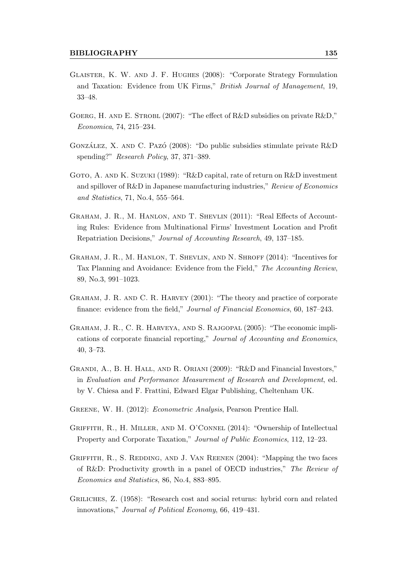- Glaister, K. W. and J. F. Hughes (2008): "Corporate Strategy Formulation and Taxation: Evidence from UK Firms," British Journal of Management, 19, 33–48.
- GOERG, H. AND E. STROBL  $(2007)$ : "The effect of R&D subsidies on private R&D," Economica, 74, 215–234.
- GONZÁLEZ, X. AND C. PAZÓ (2008): "Do public subsidies stimulate private  $R\&D$ spending?" Research Policy, 37, 371–389.
- GOTO, A. AND K. SUZUKI (1989): "R&D capital, rate of return on R&D investment and spillover of R&D in Japanese manufacturing industries," Review of Economics and Statistics, 71, No.4, 555–564.
- Graham, J. R., M. Hanlon, and T. Shevlin (2011): "Real Effects of Accounting Rules: Evidence from Multinational Firms' Investment Location and Profit Repatriation Decisions," Journal of Accounting Research, 49, 137–185.
- GRAHAM, J. R., M. HANLON, T. SHEVLIN, AND N. SHROFF (2014): "Incentives for Tax Planning and Avoidance: Evidence from the Field," The Accounting Review, 89, No.3, 991–1023.
- Graham, J. R. and C. R. Harvey (2001): "The theory and practice of corporate finance: evidence from the field," Journal of Financial Economics, 60, 187–243.
- Graham, J. R., C. R. Harveya, and S. Rajgopal (2005): "The economic implications of corporate financial reporting," Journal of Accounting and Economics, 40, 3–73.
- Grandi, A., B. H. Hall, and R. Oriani (2009): "R&D and Financial Investors," in Evaluation and Performance Measurement of Research and Development, ed. by V. Chiesa and F. Frattini, Edward Elgar Publishing, Cheltenham UK.
- Greene, W. H. (2012): Econometric Analysis, Pearson Prentice Hall.
- Griffith, R., H. Miller, and M. O'Connel (2014): "Ownership of Intellectual Property and Corporate Taxation," Journal of Public Economics, 112, 12–23.
- GRIFFITH, R., S. REDDING, AND J. VAN REENEN (2004): "Mapping the two faces of R&D: Productivity growth in a panel of OECD industries," The Review of Economics and Statistics, 86, No.4, 883–895.
- Griliches, Z. (1958): "Research cost and social returns: hybrid corn and related innovations," Journal of Political Economy, 66, 419–431.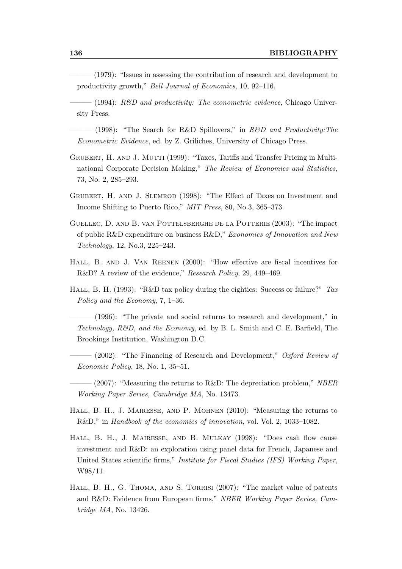|                                                                      |  |  | (1979): "Issues in assessing the contribution of research and development to |
|----------------------------------------------------------------------|--|--|------------------------------------------------------------------------------|
| productivity growth," <i>Bell Journal of Economics</i> , 10, 92–116. |  |  |                                                                              |

 $-$  (1994): R&D and productivity: The econometric evidence, Chicago University Press.

 $-$  (1998): "The Search for R&D Spillovers," in R&D and Productivity: The Econometric Evidence, ed. by Z. Griliches, University of Chicago Press.

- Grubert, H. and J. Mutti (1999): "Taxes, Tariffs and Transfer Pricing in Multinational Corporate Decision Making," The Review of Economics and Statistics, 73, No. 2, 285–293.
- Grubert, H. and J. Slemrod (1998): "The Effect of Taxes on Investment and Income Shifting to Puerto Rico," MIT Press, 80, No.3, 365–373.
- Guellec, D. and B. van Pottelsberghe de la Potterie (2003): "The impact of public R&D expenditure on business R&D," Exonomics of Innovation and New Technology, 12, No.3, 225–243.
- HALL, B. AND J. VAN REENEN (2000): "How effective are fiscal incentives for R&D? A review of the evidence," Research Policy, 29, 449–469.
- HALL, B. H. (1993): "R&D tax policy during the eighties: Success or failure?"  $Tax$ Policy and the Economy, 7, 1–36.
- (1996): "The private and social returns to research and development," in Technology,  $R\&D$ , and the Economy, ed. by B. L. Smith and C. E. Barfield, The Brookings Institution, Washington D.C.
- $-$  (2002): "The Financing of Research and Development," Oxford Review of Economic Policy, 18, No. 1, 35–51.
- $-(2007)$ : "Measuring the returns to R&D: The depreciation problem," NBER Working Paper Series, Cambridge MA, No. 13473.
- Hall, B. H., J. Mairesse, and P. Mohnen (2010): "Measuring the returns to R&D," in Handbook of the economics of innovation, vol. Vol. 2, 1033–1082.
- Hall, B. H., J. Mairesse, and B. Mulkay (1998): "Does cash flow cause investment and R&D: an exploration using panel data for French, Japanese and United States scientific firms," Institute for Fiscal Studies (IFS) Working Paper, W98/11.
- HALL, B. H., G. THOMA, AND S. TORRISI (2007): "The market value of patents and R&D: Evidence from European firms," NBER Working Paper Series, Cambridge MA, No. 13426.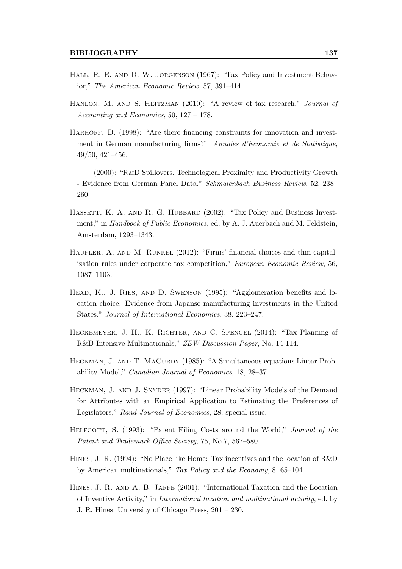- HALL, R. E. AND D. W. JORGENSON (1967): "Tax Policy and Investment Behavior," The American Economic Review, 57, 391–414.
- HANLON, M. AND S. HEITZMAN (2010): "A review of tax research," *Journal of* Accounting and Economics, 50, 127 – 178.
- HARHOFF, D. (1998): "Are there financing constraints for innovation and investment in German manufacturing firms?" Annales d'Economie et de Statistique, 49/50, 421–456.
- $(2000)$ : "R&D Spillovers, Technological Proximity and Productivity Growth - Evidence from German Panel Data," Schmalenbach Business Review, 52, 238– 260.
- HASSETT, K. A. AND R. G. HUBBARD (2002): "Tax Policy and Business Investment," in Handbook of Public Economics, ed. by A. J. Auerbach and M. Feldstein, Amsterdam, 1293–1343.
- HAUFLER, A. AND M. RUNKEL (2012): "Firms' financial choices and thin capitalization rules under corporate tax competition," European Economic Review, 56, 1087–1103.
- Head, K., J. Ries, and D. Swenson (1995): "Agglomeration benefits and location choice: Evidence from Japanse manufacturing investments in the United States," Journal of International Economics, 38, 223–247.
- Heckemeyer, J. H., K. Richter, and C. Spengel (2014): "Tax Planning of R&D Intensive Multinationals," ZEW Discussion Paper, No. 14-114.
- HECKMAN, J. AND T. MACURDY (1985): "A Simultaneous equations Linear Probability Model," Canadian Journal of Economics, 18, 28–37.
- Heckman, J. and J. Snyder (1997): "Linear Probability Models of the Demand for Attributes with an Empirical Application to Estimating the Preferences of Legislators," Rand Journal of Economics, 28, special issue.
- HELFGOTT, S. (1993): "Patent Filing Costs around the World," Journal of the Patent and Trademark Office Society, 75, No.7, 567–580.
- Hines, J. R. (1994): "No Place like Home: Tax incentives and the location of R&D by American multinationals," Tax Policy and the Economy, 8, 65–104.
- Hines, J. R. and A. B. Jaffe (2001): "International Taxation and the Location of Inventive Activity," in International taxation and multinational activity, ed. by J. R. Hines, University of Chicago Press, 201 – 230.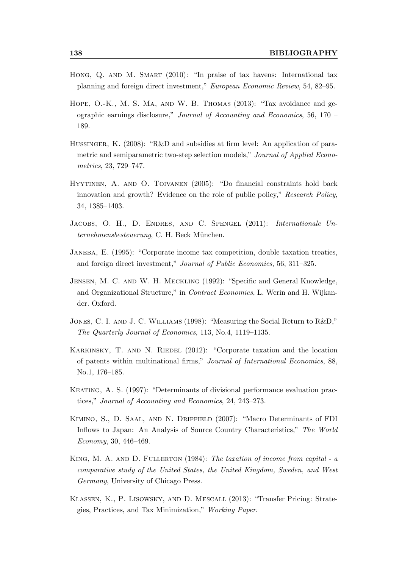- HONG, Q. AND M. SMART (2010): "In praise of tax havens: International tax planning and foreign direct investment," European Economic Review, 54, 82–95.
- Hope, O.-K., M. S. Ma, and W. B. Thomas (2013): "Tax avoidance and geographic earnings disclosure," Journal of Accounting and Economics, 56, 170 – 189.
- HUSSINGER, K. (2008): "R&D and subsidies at firm level: An application of parametric and semiparametric two-step selection models," Journal of Applied Econometrics, 23, 729–747.
- Hyytinen, A. and O. Toivanen (2005): "Do financial constraints hold back innovation and growth? Evidence on the role of public policy," Research Policy, 34, 1385–1403.
- JACOBS, O. H., D. ENDRES, AND C. SPENGEL (2011): Internationale Unternehmensbesteuerung, C. H. Beck München.
- Janeba, E. (1995): "Corporate income tax competition, double taxation treaties, and foreign direct investment," Journal of Public Economics, 56, 311–325.
- Jensen, M. C. and W. H. Meckling (1992): "Specific and General Knowledge, and Organizational Structure," in Contract Economics, L. Werin and H. Wijkander. Oxford.
- Jones, C. I. and J. C. Williams (1998): "Measuring the Social Return to R&D," The Quarterly Journal of Economics, 113, No.4, 1119–1135.
- KARKINSKY, T. AND N. RIEDEL (2012): "Corporate taxation and the location of patents within multinational firms," Journal of International Economics, 88, No.1, 176–185.
- Keating, A. S. (1997): "Determinants of divisional performance evaluation practices," Journal of Accounting and Economics, 24, 243–273.
- Kimino, S., D. Saal, and N. Driffield (2007): "Macro Determinants of FDI Inflows to Japan: An Analysis of Source Country Characteristics," The World Economy, 30, 446–469.
- KING, M. A. AND D. FULLERTON (1984): The taxation of income from capital a comparative study of the United States, the United Kingdom, Sweden, and West Germany, University of Chicago Press.
- Klassen, K., P. Lisowsky, and D. Mescall (2013): "Transfer Pricing: Strategies, Practices, and Tax Minimization," Working Paper.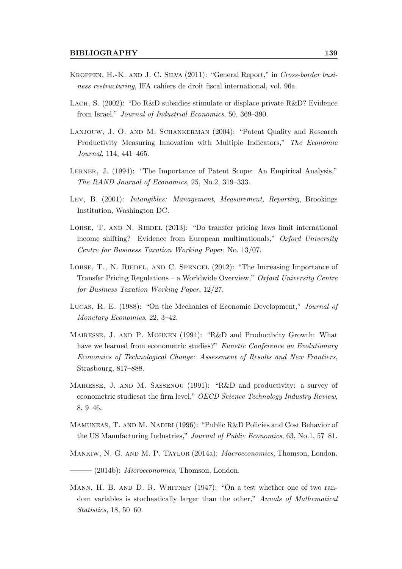- Kroppen, H.-K. and J. C. Silva (2011): "General Report," in Cross-border business restructuring, IFA cahiers de droit fiscal international, vol. 96a.
- Lach, S. (2002): "Do R&D subsidies stimulate or displace private R&D? Evidence from Israel," Journal of Industrial Economics, 50, 369–390.
- LANJOUW, J. O. AND M. SCHANKERMAN (2004): "Patent Quality and Research Productivity Measuring Innovation with Multiple Indicators," The Economic Journal, 114, 441–465.
- LERNER, J. (1994): "The Importance of Patent Scope: An Empirical Analysis," The RAND Journal of Economics, 25, No.2, 319–333.
- Lev, B. (2001): Intangibles: Management, Measurement, Reporting, Brookings Institution, Washington DC.
- LOHSE, T. AND N. RIEDEL (2013): "Do transfer pricing laws limit international income shifting? Evidence from European multinationals," Oxford University Centre for Business Taxation Working Paper, No. 13/07.
- LOHSE, T., N. RIEDEL, AND C. SPENGEL (2012): "The Increasing Importance of Transfer Pricing Regulations – a Worldwide Overview," Oxford University Centre for Business Taxation Working Paper, 12/27.
- Lucas, R. E. (1988): "On the Mechanics of Economic Development," Journal of Monetary Economics, 22, 3–42.
- Mairesse, J. and P. Mohnen (1994): "R&D and Productivity Growth: What have we learned from econometric studies?" Eunetic Conference on Evolutionary Economics of Technological Change: Assessment of Results and New Frontiers, Strasbourg, 817–888.
- MAIRESSE, J. AND M. SASSENOU (1991): "R&D and productivity: a survey of econometric studiesat the firm level," OECD Science Technology Industry Review, 8, 9–46.
- MAMUNEAS, T. AND M. NADIRI (1996): "Public R&D Policies and Cost Behavior of the US Manufacturing Industries," Journal of Public Economics, 63, No.1, 57–81.
- Mankiw, N. G. and M. P. Taylor (2014a): Macroeconomics, Thomson, London.
- $-$  (2014b): *Microeconomics*, Thomson, London.
- MANN, H. B. AND D. R. WHITNEY (1947): "On a test whether one of two random variables is stochastically larger than the other," Annals of Mathematical Statistics, 18, 50–60.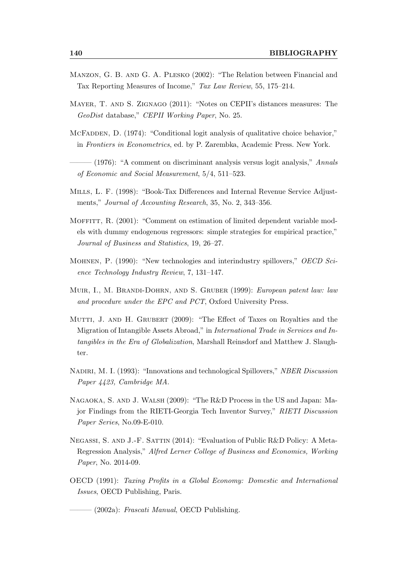- Manzon, G. B. and G. A. Plesko (2002): "The Relation between Financial and Tax Reporting Measures of Income," Tax Law Review, 55, 175–214.
- Mayer, T. and S. Zignago (2011): "Notes on CEPII's distances measures: The GeoDist database," CEPII Working Paper, No. 25.
- MCFADDEN, D. (1974): "Conditional logit analysis of qualitative choice behavior," in Frontiers in Econometrics, ed. by P. Zarembka, Academic Press. New York.
- $-$  (1976): "A comment on discriminant analysis versus logit analysis," Annals of Economic and Social Measurement, 5/4, 511–523.
- Mills, L. F. (1998): "Book-Tax Differences and Internal Revenue Service Adjustments," Journal of Accounting Research, 35, No. 2, 343–356.
- MOFFITT, R. (2001): "Comment on estimation of limited dependent variable models with dummy endogenous regressors: simple strategies for empirical practice," Journal of Business and Statistics, 19, 26–27.
- Mohnen, P. (1990): "New technologies and interindustry spillovers," OECD Science Technology Industry Review, 7, 131–147.
- MUIR, I., M. BRANDI-DOHRN, AND S. GRUBER (1999): European patent law: law and procedure under the EPC and PCT, Oxford University Press.
- MUTTI, J. AND H. GRUBERT (2009): "The Effect of Taxes on Royalties and the Migration of Intangible Assets Abroad," in International Trade in Services and Intangibles in the Era of Globalization, Marshall Reinsdorf and Matthew J. Slaughter.
- Nadiri, M. I. (1993): "Innovations and technological Spillovers," NBER Discussion Paper 4423, Cambridge MA.
- Nagaoka, S. and J. Walsh (2009): "The R&D Process in the US and Japan: Major Findings from the RIETI-Georgia Tech Inventor Survey," RIETI Discussion Paper Series, No.09-E-010.
- NEGASSI, S. AND J.-F. SATTIN (2014): "Evaluation of Public R&D Policy: A Meta-Regression Analysis," Alfred Lerner College of Business and Economics, Working Paper, No. 2014-09.
- OECD (1991): Taxing Profits in a Global Economy: Domestic and International Issues, OECD Publishing, Paris.
	- $-$  (2002a): *Frascati Manual*, OECD Publishing.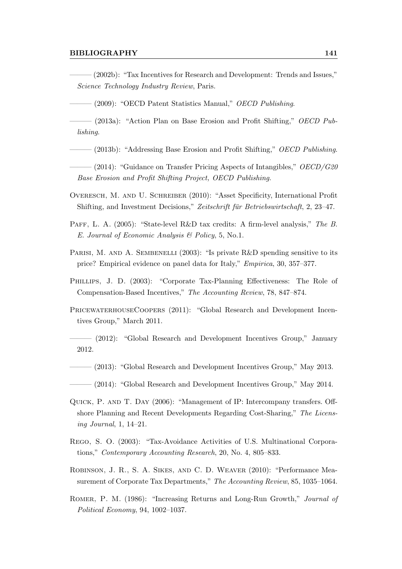#### BIBLIOGRAPHY 141

- ——— (2002b): "Tax Incentives for Research and Development: Trends and Issues," Science Technology Industry Review, Paris.
- (2009): "OECD Patent Statistics Manual," *OECD Publishing*.
- $-$  (2013a): "Action Plan on Base Erosion and Profit Shifting," OECD Publishing.
- $-(2013b)$ : "Addressing Base Erosion and Profit Shifting," *OECD Publishing*.
- $-(2014)$ : "Guidance on Transfer Pricing Aspects of Intangibles," OECD/G20 Base Erosion and Profit Shifting Project, OECD Publishing.
- Overesch, M. and U. Schreiber (2010): "Asset Specificity, International Profit Shifting, and Investment Decisions," Zeitschrift für Betriebswirtschaft, 2, 23–47.
- PAFF, L. A. (2005): "State-level R&D tax credits: A firm-level analysis," The B. E. Journal of Economic Analysis & Policy, 5, No.1.
- PARISI, M. AND A. SEMBENELLI (2003): "Is private R&D spending sensitive to its price? Empirical evidence on panel data for Italy," Empirica, 30, 357–377.
- Phillips, J. D. (2003): "Corporate Tax-Planning Effectiveness: The Role of Compensation-Based Incentives," The Accounting Review, 78, 847–874.
- PRICEWATERHOUSECOOPERS (2011): "Global Research and Development Incentives Group," March 2011.
- ——— (2012): "Global Research and Development Incentives Group," January 2012.
- $-$  (2013): "Global Research and Development Incentives Group," May 2013.
- (2014): "Global Research and Development Incentives Group," May 2014.
- Quick, P. and T. Day (2006): "Management of IP: Intercompany transfers. Offshore Planning and Recent Developments Regarding Cost-Sharing," The Licensing Journal, 1, 14–21.
- Rego, S. O. (2003): "Tax-Avoidance Activities of U.S. Multinational Corporations," Contemporary Accounting Research, 20, No. 4, 805–833.
- Robinson, J. R., S. A. Sikes, and C. D. Weaver (2010): "Performance Measurement of Corporate Tax Departments," The Accounting Review, 85, 1035–1064.
- Romer, P. M. (1986): "Increasing Returns and Long-Run Growth," Journal of Political Economy, 94, 1002–1037.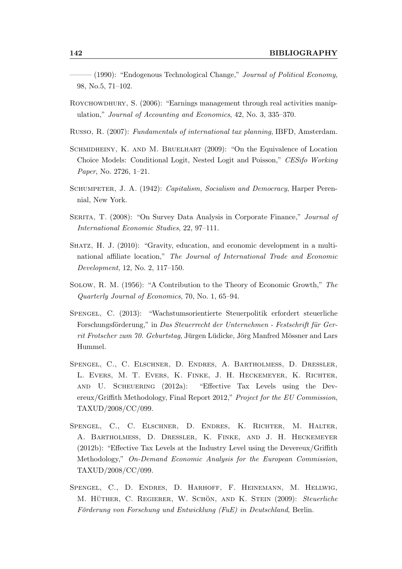- (1990): "Endogenous Technological Change," Journal of Political Economy, 98, No.5, 71–102.
- Roychowdhury, S. (2006): "Earnings management through real activities manipulation," Journal of Accounting and Economics, 42, No. 3, 335–370.
- Russo, R. (2007): Fundamentals of international tax planning, IBFD, Amsterdam.
- Schmidheiny, K. and M. Bruelhart (2009): "On the Equivalence of Location Choice Models: Conditional Logit, Nested Logit and Poisson," CESifo Working Paper, No. 2726, 1–21.
- SCHUMPETER, J. A. (1942): *Capitalism, Socialism and Democracy*, Harper Perennial, New York.
- Serita, T. (2008): "On Survey Data Analysis in Corporate Finance," Journal of International Economic Studies, 22, 97–111.
- Shatz, H. J. (2010): "Gravity, education, and economic development in a multinational affiliate location," The Journal of International Trade and Economic Development, 12, No. 2, 117–150.
- Solow, R. M. (1956): "A Contribution to the Theory of Economic Growth," The Quarterly Journal of Economics, 70, No. 1, 65–94.
- Spengel, C. (2013): "Wachstumsorientierte Steuerpolitik erfordert steuerliche Forschungsförderung," in Das Steuerrecht der Unternehmen - Festschrift für Ger $rit$  Frotscher zum  $70.$  Geburtstag, Jürgen Lüdicke, Jörg Manfred Mössner and Lars Hummel.
- SPENGEL, C., C. ELSCHNER, D. ENDRES, A. BARTHOLMESS, D. DRESSLER, L. Evers, M. T. Evers, K. Finke, J. H. Heckemeyer, K. Richter, and U. Scheuering (2012a): "Effective Tax Levels using the Devereux/Griffith Methodology, Final Report 2012," Project for the EU Commission, TAXUD/2008/CC/099.
- Spengel, C., C. Elschner, D. Endres, K. Richter, M. Halter, A. Bartholmeß, D. Dreßler, K. Finke, and J. H. Heckemeyer (2012b): "Effective Tax Levels at the Industry Level using the Devereux/Griffith Methodology," On-Demand Economic Analysis for the European Commission, TAXUD/2008/CC/099.
- Spengel, C., D. Endres, D. Harhoff, F. Heinemann, M. Hellwig, M. HÜTHER, C. REGIERER, W. SCHÖN, AND K. STEIN (2009): Steuerliche Förderung von Forschung und Entwicklung (FuE) in Deutschland, Berlin.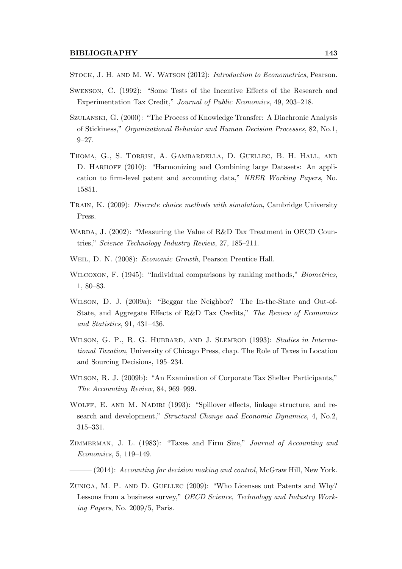- STOCK, J. H. AND M. W. WATSON  $(2012)$ : *Introduction to Econometrics*, Pearson.
- Swenson, C. (1992): "Some Tests of the Incentive Effects of the Research and Experimentation Tax Credit," Journal of Public Economics, 49, 203–218.
- Szulanski, G. (2000): "The Process of Knowledge Transfer: A Diachronic Analysis of Stickiness," Organizational Behavior and Human Decision Processes, 82, No.1, 9–27.
- Thoma, G., S. Torrisi, A. Gambardella, D. Guellec, B. H. Hall, and D. HARHOFF (2010): "Harmonizing and Combining large Datasets: An application to firm-level patent and accounting data," NBER Working Papers, No. 15851.
- Train, K. (2009): Discrete choice methods with simulation, Cambridge University Press.
- WARDA, J. (2002): "Measuring the Value of R&D Tax Treatment in OECD Countries," Science Technology Industry Review, 27, 185–211.
- Weil, D. N. (2008): Economic Growth, Pearson Prentice Hall.
- WILCOXON, F. (1945): "Individual comparisons by ranking methods," *Biometrics*, 1, 80–83.
- Wilson, D. J. (2009a): "Beggar the Neighbor? The In-the-State and Out-of-State, and Aggregate Effects of R&D Tax Credits," The Review of Economics and Statistics, 91, 431–436.
- WILSON, G. P., R. G. HUBBARD, AND J. SLEMROD (1993): Studies in International Taxation, University of Chicago Press, chap. The Role of Taxes in Location and Sourcing Decisions, 195–234.
- Wilson, R. J. (2009b): "An Examination of Corporate Tax Shelter Participants," The Accounting Review, 84, 969–999.
- WOLFF, E. AND M. NADIRI (1993): "Spillover effects, linkage structure, and research and development," Structural Change and Economic Dynamics, 4, No.2, 315–331.
- ZIMMERMAN, J. L. (1983): "Taxes and Firm Size," Journal of Accounting and Economics, 5, 119–149.

 $-(2014)$ : Accounting for decision making and control, McGraw Hill, New York.

ZUNIGA, M. P. AND D. GUELLEC (2009): "Who Licenses out Patents and Why? Lessons from a business survey," OECD Science, Technology and Industry Working Papers, No. 2009/5, Paris.